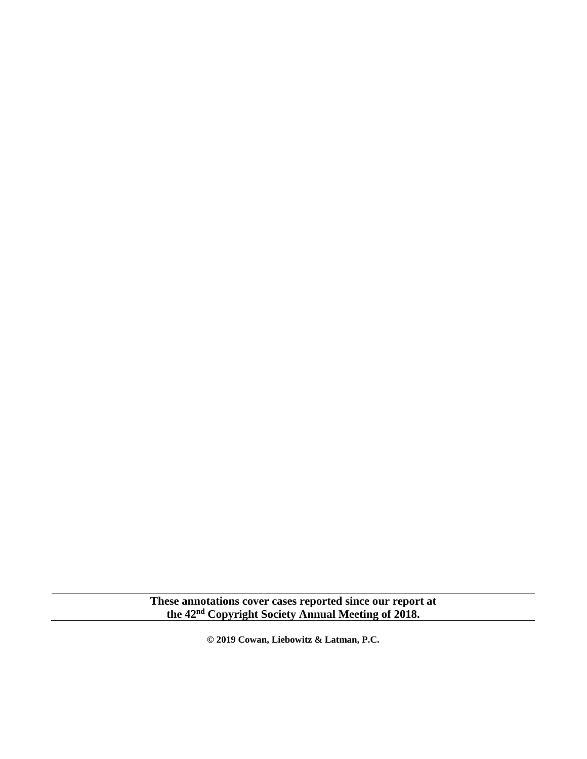**These annotations cover cases reported since our report at the 42nd Copyright Society Annual Meeting of 2018.**

**© 2019 Cowan, Liebowitz & Latman, P.C.**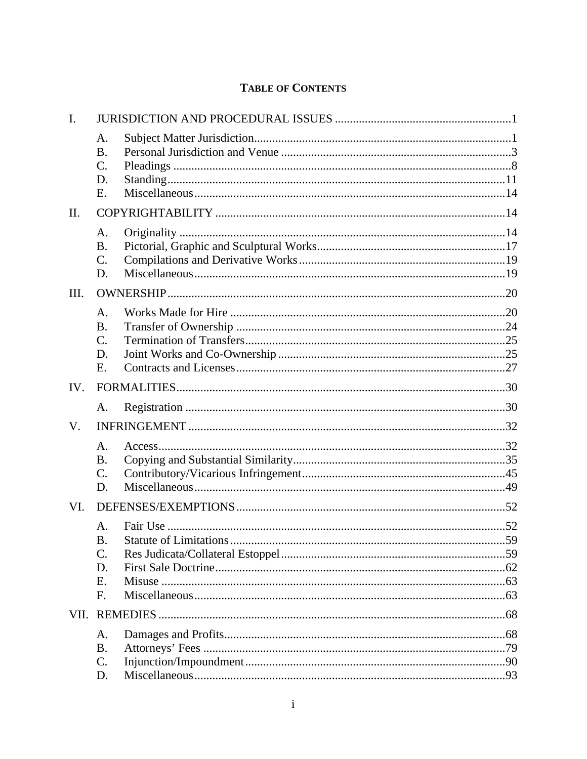# **TABLE OF CONTENTS**

| $\mathbf{I}$ . |                                    |  |
|----------------|------------------------------------|--|
|                | A.<br><b>B.</b><br>$\mathcal{C}$ . |  |
|                | D.<br>Ε.                           |  |
| $\mathbf{I}$   |                                    |  |
|                | A.                                 |  |
|                | <b>B.</b>                          |  |
|                | $\mathcal{C}$ .                    |  |
|                | D.                                 |  |
| Ш.             |                                    |  |
|                | A.                                 |  |
|                | <b>B.</b>                          |  |
|                | $\mathcal{C}$ .                    |  |
|                | D.                                 |  |
|                | Ε.                                 |  |
| IV.            |                                    |  |
|                | A.                                 |  |
| V.             |                                    |  |
|                | A.                                 |  |
|                | <b>B.</b>                          |  |
|                | $\mathcal{C}$ .                    |  |
|                | D.                                 |  |
| VI.            |                                    |  |
|                | A.                                 |  |
|                | <b>B.</b>                          |  |
|                | $\mathcal{C}$ .                    |  |
|                | D.                                 |  |
|                | E.<br>$F_{\cdot}$                  |  |
|                |                                    |  |
|                |                                    |  |
|                | A.                                 |  |
|                | <b>B.</b><br>C.                    |  |
|                | D.                                 |  |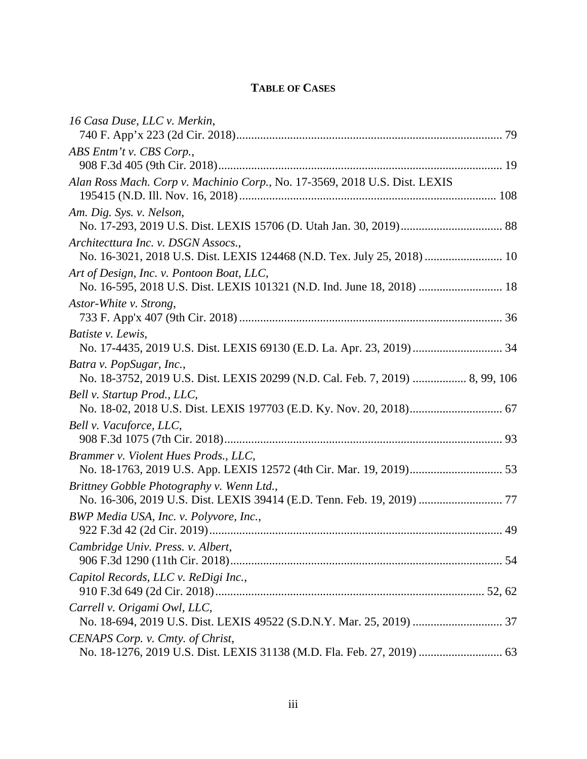# **TABLE OF CASES**

| 16 Casa Duse, LLC v. Merkin,                                                                                        |  |
|---------------------------------------------------------------------------------------------------------------------|--|
| ABS Entm't v. CBS Corp.,                                                                                            |  |
|                                                                                                                     |  |
| Alan Ross Mach. Corp v. Machinio Corp., No. 17-3569, 2018 U.S. Dist. LEXIS                                          |  |
| Am. Dig. Sys. v. Nelson,                                                                                            |  |
| Architecttura Inc. v. DSGN Assocs.,<br>No. 16-3021, 2018 U.S. Dist. LEXIS 124468 (N.D. Tex. July 25, 2018)  10      |  |
| Art of Design, Inc. v. Pontoon Boat, LLC,<br>No. 16-595, 2018 U.S. Dist. LEXIS 101321 (N.D. Ind. June 18, 2018)  18 |  |
| Astor-White v. Strong,                                                                                              |  |
| Batiste v. Lewis,                                                                                                   |  |
| Batra v. PopSugar, Inc.,<br>No. 18-3752, 2019 U.S. Dist. LEXIS 20299 (N.D. Cal. Feb. 7, 2019)  8, 99, 106           |  |
| Bell v. Startup Prod., LLC,                                                                                         |  |
| Bell v. Vacuforce, LLC,                                                                                             |  |
| Brammer v. Violent Hues Prods., LLC,                                                                                |  |
| Brittney Gobble Photography v. Wenn Ltd.,                                                                           |  |
| BWP Media USA, Inc. v. Polyvore, Inc.,                                                                              |  |
| Cambridge Univ. Press. v. Albert,                                                                                   |  |
| Capitol Records, LLC v. ReDigi Inc.,                                                                                |  |
| Carrell v. Origami Owl, LLC,                                                                                        |  |
| CENAPS Corp. v. Cmty. of Christ,                                                                                    |  |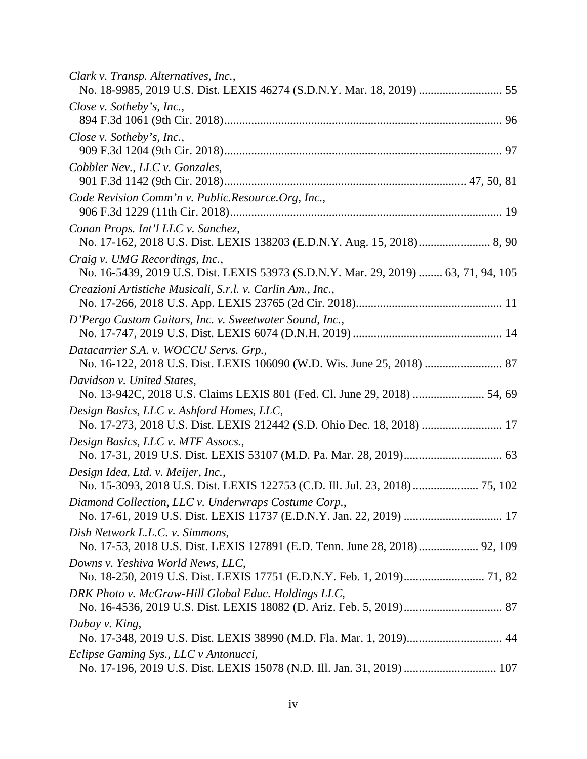| Clark v. Transp. Alternatives, Inc.,<br>No. 18-9985, 2019 U.S. Dist. LEXIS 46274 (S.D.N.Y. Mar. 18, 2019)  55        |
|----------------------------------------------------------------------------------------------------------------------|
| Close v. Sotheby's, Inc.,                                                                                            |
| Close v. Sotheby's, Inc.,                                                                                            |
| Cobbler Nev., LLC v. Gonzales,                                                                                       |
| Code Revision Comm'n v. Public.Resource.Org, Inc.,                                                                   |
| Conan Props. Int'l LLC v. Sanchez,                                                                                   |
| Craig v. UMG Recordings, Inc.,<br>No. 16-5439, 2019 U.S. Dist. LEXIS 53973 (S.D.N.Y. Mar. 29, 2019)  63, 71, 94, 105 |
| Creazioni Artistiche Musicali, S.r.l. v. Carlin Am., Inc.,                                                           |
| D'Pergo Custom Guitars, Inc. v. Sweetwater Sound, Inc.,                                                              |
| Datacarrier S.A. v. WOCCU Servs. Grp.,                                                                               |
| Davidson v. United States,<br>No. 13-942C, 2018 U.S. Claims LEXIS 801 (Fed. Cl. June 29, 2018)  54, 69               |
| Design Basics, LLC v. Ashford Homes, LLC,<br>No. 17-273, 2018 U.S. Dist. LEXIS 212442 (S.D. Ohio Dec. 18, 2018)  17  |
| Design Basics, LLC v. MTF Assocs.,                                                                                   |
| Design Idea, Ltd. v. Meijer, Inc.,<br>No. 15-3093, 2018 U.S. Dist. LEXIS 122753 (C.D. Ill. Jul. 23, 2018)  75, 102   |
| Diamond Collection, LLC v. Underwraps Costume Corp.,                                                                 |
| Dish Network L.L.C. v. Simmons,<br>No. 17-53, 2018 U.S. Dist. LEXIS 127891 (E.D. Tenn. June 28, 2018) 92, 109        |
| Downs v. Yeshiva World News, LLC,                                                                                    |
| DRK Photo v. McGraw-Hill Global Educ. Holdings LLC,                                                                  |
| Dubay v. King,                                                                                                       |
| Eclipse Gaming Sys., LLC v Antonucci,                                                                                |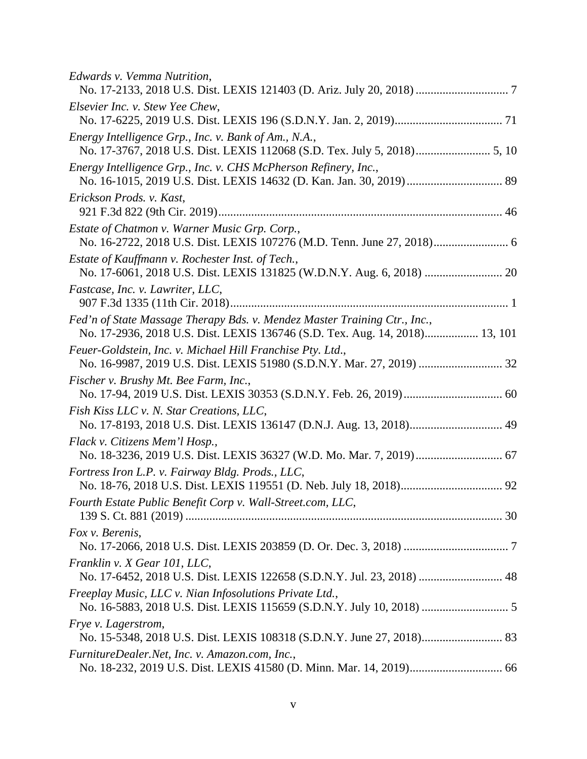| Edwards v. Vemma Nutrition,                                                                                                                              |  |
|----------------------------------------------------------------------------------------------------------------------------------------------------------|--|
| Elsevier Inc. v. Stew Yee Chew,                                                                                                                          |  |
| Energy Intelligence Grp., Inc. v. Bank of Am., N.A.,                                                                                                     |  |
| Energy Intelligence Grp., Inc. v. CHS McPherson Refinery, Inc.,                                                                                          |  |
| Erickson Prods. v. Kast,                                                                                                                                 |  |
| Estate of Chatmon v. Warner Music Grp. Corp.,                                                                                                            |  |
| Estate of Kauffmann v. Rochester Inst. of Tech.,                                                                                                         |  |
| Fastcase, Inc. v. Lawriter, LLC,                                                                                                                         |  |
| Fed'n of State Massage Therapy Bds. v. Mendez Master Training Ctr., Inc.,<br>No. 17-2936, 2018 U.S. Dist. LEXIS 136746 (S.D. Tex. Aug. 14, 2018) 13, 101 |  |
| Feuer-Goldstein, Inc. v. Michael Hill Franchise Pty. Ltd.,<br>No. 16-9987, 2019 U.S. Dist. LEXIS 51980 (S.D.N.Y. Mar. 27, 2019)  32                      |  |
| Fischer v. Brushy Mt. Bee Farm, Inc.,                                                                                                                    |  |
| Fish Kiss LLC v. N. Star Creations, LLC,<br>No. 17-8193, 2018 U.S. Dist. LEXIS 136147 (D.N.J. Aug. 13, 2018) 49                                          |  |
| Flack v. Citizens Mem'l Hosp.,                                                                                                                           |  |
| Fortress Iron L.P. v. Fairway Bldg. Prods., LLC,                                                                                                         |  |
| Fourth Estate Public Benefit Corp v. Wall-Street.com, LLC,                                                                                               |  |
| Fox v. Berenis,                                                                                                                                          |  |
| Franklin v. X Gear 101, LLC,<br>No. 17-6452, 2018 U.S. Dist. LEXIS 122658 (S.D.N.Y. Jul. 23, 2018)  48                                                   |  |
| Freeplay Music, LLC v. Nian Infosolutions Private Ltd.,                                                                                                  |  |
| Frye v. Lagerstrom,                                                                                                                                      |  |
| FurnitureDealer.Net, Inc. v. Amazon.com, Inc.,                                                                                                           |  |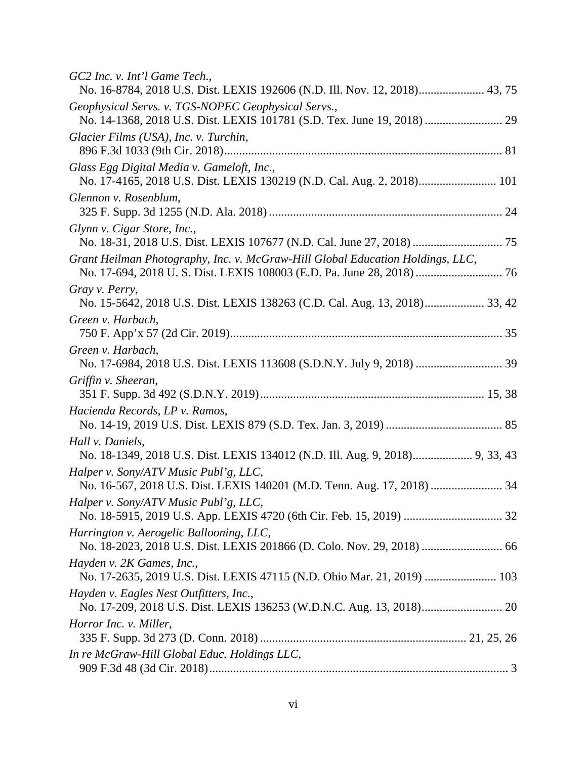| GC2 Inc. v. Int'l Game Tech.,<br>No. 16-8784, 2018 U.S. Dist. LEXIS 192606 (N.D. Ill. Nov. 12, 2018) 43, 75          |
|----------------------------------------------------------------------------------------------------------------------|
| Geophysical Servs. v. TGS-NOPEC Geophysical Servs.,                                                                  |
|                                                                                                                      |
| Glacier Films (USA), Inc. v. Turchin,                                                                                |
| Glass Egg Digital Media v. Gameloft, Inc.,<br>No. 17-4165, 2018 U.S. Dist. LEXIS 130219 (N.D. Cal. Aug. 2, 2018) 101 |
| Glennon v. Rosenblum,                                                                                                |
| Glynn v. Cigar Store, Inc.,                                                                                          |
| Grant Heilman Photography, Inc. v. McGraw-Hill Global Education Holdings, LLC,                                       |
| Gray v. Perry,<br>No. 15-5642, 2018 U.S. Dist. LEXIS 138263 (C.D. Cal. Aug. 13, 2018) 33, 42                         |
| Green v. Harbach,                                                                                                    |
| Green v. Harbach,                                                                                                    |
| Griffin v. Sheeran,                                                                                                  |
| Hacienda Records, LP v. Ramos,                                                                                       |
| Hall v. Daniels,<br>No. 18-1349, 2018 U.S. Dist. LEXIS 134012 (N.D. Ill. Aug. 9, 2018) 9, 33, 43                     |
| Halper v. Sony/ATV Music Publ'g, LLC,                                                                                |
| Halper v. Sony/ATV Music Publ'g, LLC,                                                                                |
| Harrington v. Aerogelic Ballooning, LLC,                                                                             |
| Hayden v. 2K Games, Inc.,<br>No. 17-2635, 2019 U.S. Dist. LEXIS 47115 (N.D. Ohio Mar. 21, 2019)  103                 |
| Hayden v. Eagles Nest Outfitters, Inc.,                                                                              |
| Horror Inc. v. Miller,                                                                                               |
| In re McGraw-Hill Global Educ. Holdings LLC,                                                                         |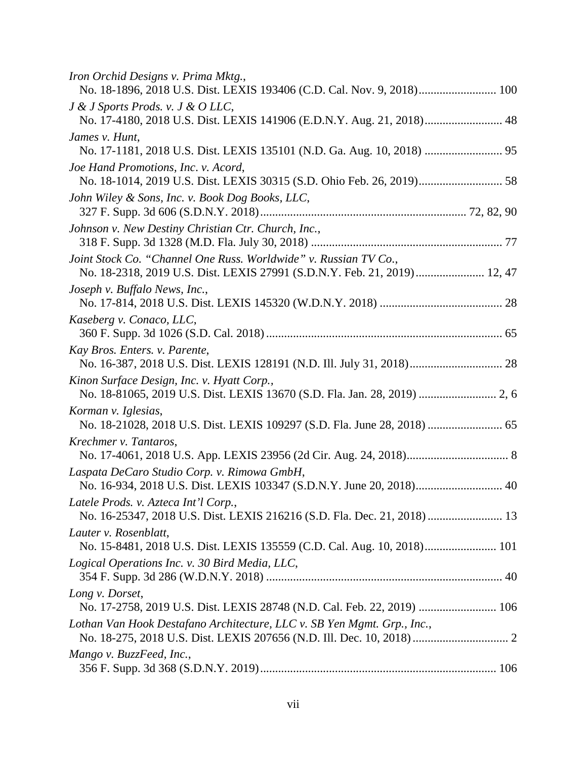| Iron Orchid Designs v. Prima Mktg.,<br>No. 18-1896, 2018 U.S. Dist. LEXIS 193406 (C.D. Cal. Nov. 9, 2018) 100                                |
|----------------------------------------------------------------------------------------------------------------------------------------------|
| J & J Sports Prods. v. J & O LLC,                                                                                                            |
| No. 17-4180, 2018 U.S. Dist. LEXIS 141906 (E.D.N.Y. Aug. 21, 2018) 48                                                                        |
| James v. Hunt,                                                                                                                               |
| Joe Hand Promotions, Inc. v. Acord,                                                                                                          |
|                                                                                                                                              |
| John Wiley & Sons, Inc. v. Book Dog Books, LLC,                                                                                              |
| Johnson v. New Destiny Christian Ctr. Church, Inc.,                                                                                          |
| Joint Stock Co. "Channel One Russ. Worldwide" v. Russian TV Co.,<br>No. 18-2318, 2019 U.S. Dist. LEXIS 27991 (S.D.N.Y. Feb. 21, 2019) 12, 47 |
| Joseph v. Buffalo News, Inc.,                                                                                                                |
| Kaseberg v. Conaco, LLC,                                                                                                                     |
| Kay Bros. Enters. v. Parente,<br>No. 16-387, 2018 U.S. Dist. LEXIS 128191 (N.D. Ill. July 31, 2018) 28                                       |
| Kinon Surface Design, Inc. v. Hyatt Corp.,<br>No. 18-81065, 2019 U.S. Dist. LEXIS 13670 (S.D. Fla. Jan. 28, 2019)  2, 6                      |
| Korman v. Iglesias,<br>No. 18-21028, 2018 U.S. Dist. LEXIS 109297 (S.D. Fla. June 28, 2018)  65                                              |
| Krechmer v. Tantaros,                                                                                                                        |
| Laspata DeCaro Studio Corp. v. Rimowa GmbH,<br>No. 16-934, 2018 U.S. Dist. LEXIS 103347 (S.D.N.Y. June 20, 2018) 40                          |
| Latele Prods. v. Azteca Int'l Corp.,                                                                                                         |
| Lauter v. Rosenblatt,<br>No. 15-8481, 2018 U.S. Dist. LEXIS 135559 (C.D. Cal. Aug. 10, 2018) 101                                             |
| Logical Operations Inc. v. 30 Bird Media, LLC,                                                                                               |
| Long v. Dorset,<br>No. 17-2758, 2019 U.S. Dist. LEXIS 28748 (N.D. Cal. Feb. 22, 2019)  106                                                   |
| Lothan Van Hook Destafano Architecture, LLC v. SB Yen Mgmt. Grp., Inc.,                                                                      |
| Mango v. BuzzFeed, Inc.,                                                                                                                     |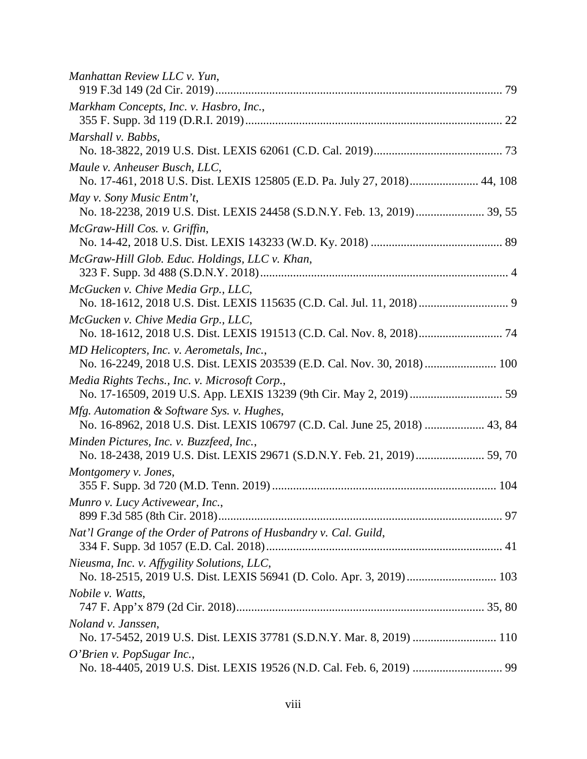| Manhattan Review LLC v. Yun,                                                                                              |  |
|---------------------------------------------------------------------------------------------------------------------------|--|
| Markham Concepts, Inc. v. Hasbro, Inc.,                                                                                   |  |
| Marshall v. Babbs,                                                                                                        |  |
| Maule v. Anheuser Busch, LLC,<br>No. 17-461, 2018 U.S. Dist. LEXIS 125805 (E.D. Pa. July 27, 2018) 44, 108                |  |
| May v. Sony Music Entm't,<br>No. 18-2238, 2019 U.S. Dist. LEXIS 24458 (S.D.N.Y. Feb. 13, 2019) 39, 55                     |  |
| McGraw-Hill Cos. v. Griffin,                                                                                              |  |
| McGraw-Hill Glob. Educ. Holdings, LLC v. Khan,                                                                            |  |
| McGucken v. Chive Media Grp., LLC,                                                                                        |  |
| McGucken v. Chive Media Grp., LLC,<br>No. 18-1612, 2018 U.S. Dist. LEXIS 191513 (C.D. Cal. Nov. 8, 2018) 74               |  |
| MD Helicopters, Inc. v. Aerometals, Inc.,<br>No. 16-2249, 2018 U.S. Dist. LEXIS 203539 (E.D. Cal. Nov. 30, 2018)  100     |  |
| Media Rights Techs., Inc. v. Microsoft Corp.,                                                                             |  |
| Mfg. Automation & Software Sys. v. Hughes,<br>No. 16-8962, 2018 U.S. Dist. LEXIS 106797 (C.D. Cal. June 25, 2018)  43, 84 |  |
| Minden Pictures, Inc. v. Buzzfeed, Inc.,<br>No. 18-2438, 2019 U.S. Dist. LEXIS 29671 (S.D.N.Y. Feb. 21, 2019) 59, 70      |  |
| Montgomery v. Jones,                                                                                                      |  |
| Munro v. Lucy Activewear, Inc.,                                                                                           |  |
| Nat'l Grange of the Order of Patrons of Husbandry v. Cal. Guild,                                                          |  |
| Nieusma, Inc. v. Affygility Solutions, LLC,                                                                               |  |
| <i>Nobile v. Watts,</i>                                                                                                   |  |
| Noland v. Janssen,<br>No. 17-5452, 2019 U.S. Dist. LEXIS 37781 (S.D.N.Y. Mar. 8, 2019)  110                               |  |
| O'Brien v. PopSugar Inc.,                                                                                                 |  |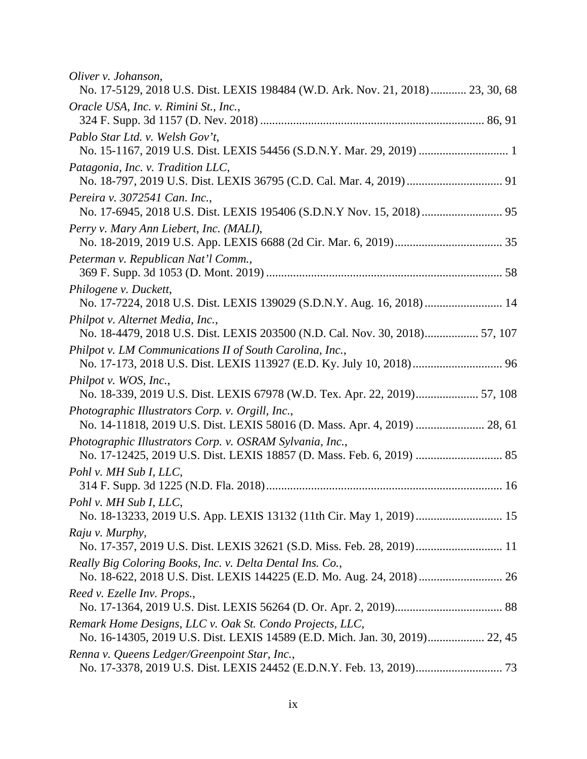| Oliver v. Johanson,<br>No. 17-5129, 2018 U.S. Dist. LEXIS 198484 (W.D. Ark. Nov. 21, 2018) 23, 30, 68                              |  |
|------------------------------------------------------------------------------------------------------------------------------------|--|
| Oracle USA, Inc. v. Rimini St., Inc.,                                                                                              |  |
| Pablo Star Ltd. v. Welsh Gov't,                                                                                                    |  |
| Patagonia, Inc. v. Tradition LLC,                                                                                                  |  |
| Pereira v. 3072541 Can. Inc.,                                                                                                      |  |
| Perry v. Mary Ann Liebert, Inc. (MALI),                                                                                            |  |
| Peterman v. Republican Nat'l Comm.,                                                                                                |  |
| Philogene v. Duckett,<br>No. 17-7224, 2018 U.S. Dist. LEXIS 139029 (S.D.N.Y. Aug. 16, 2018)  14                                    |  |
| Philpot v. Alternet Media, Inc.,<br>No. 18-4479, 2018 U.S. Dist. LEXIS 203500 (N.D. Cal. Nov. 30, 2018) 57, 107                    |  |
| Philpot v. LM Communications II of South Carolina, Inc.,<br>No. 17-173, 2018 U.S. Dist. LEXIS 113927 (E.D. Ky. July 10, 2018) 96   |  |
| Philpot v. WOS, Inc.,<br>No. 18-339, 2019 U.S. Dist. LEXIS 67978 (W.D. Tex. Apr. 22, 2019) 57, 108                                 |  |
| Photographic Illustrators Corp. v. Orgill, Inc.,<br>No. 14-11818, 2019 U.S. Dist. LEXIS 58016 (D. Mass. Apr. 4, 2019)  28, 61      |  |
| Photographic Illustrators Corp. v. OSRAM Sylvania, Inc.,                                                                           |  |
| Pohl v. MH Sub I, LLC,                                                                                                             |  |
| Pohl v. MH Sub I, LLC,                                                                                                             |  |
| Raju v. Murphy,<br>No. 17-357, 2019 U.S. Dist. LEXIS 32621 (S.D. Miss. Feb. 28, 2019) 11                                           |  |
| Really Big Coloring Books, Inc. v. Delta Dental Ins. Co.,<br>No. 18-622, 2018 U.S. Dist. LEXIS 144225 (E.D. Mo. Aug. 24, 2018)  26 |  |
| Reed v. Ezelle Inv. Props.,                                                                                                        |  |
| Remark Home Designs, LLC v. Oak St. Condo Projects, LLC,                                                                           |  |
| Renna v. Queens Ledger/Greenpoint Star, Inc.,                                                                                      |  |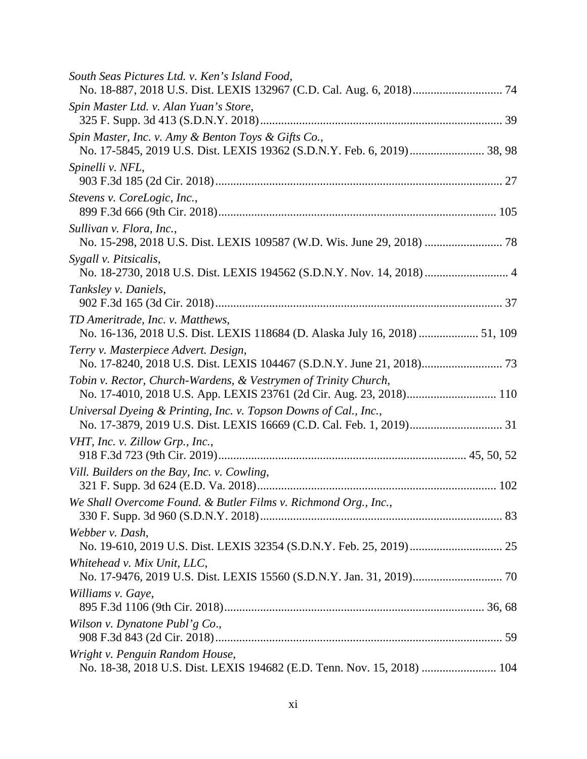| South Seas Pictures Ltd. v. Ken's Island Food,                                                                                         |  |
|----------------------------------------------------------------------------------------------------------------------------------------|--|
| Spin Master Ltd. v. Alan Yuan's Store,                                                                                                 |  |
| Spin Master, Inc. v. Amy & Benton Toys & Gifts Co.,                                                                                    |  |
| Spinelli v. NFL,                                                                                                                       |  |
| Stevens v. CoreLogic, Inc.,                                                                                                            |  |
| Sullivan v. Flora, Inc.,                                                                                                               |  |
| Sygall v. Pitsicalis,<br>No. 18-2730, 2018 U.S. Dist. LEXIS 194562 (S.D.N.Y. Nov. 14, 2018)  4                                         |  |
| Tanksley v. Daniels,                                                                                                                   |  |
| TD Ameritrade, Inc. v. Matthews,<br>No. 16-136, 2018 U.S. Dist. LEXIS 118684 (D. Alaska July 16, 2018)  51, 109                        |  |
| Terry v. Masterpiece Advert. Design,                                                                                                   |  |
| Tobin v. Rector, Church-Wardens, & Vestrymen of Trinity Church,<br>No. 17-4010, 2018 U.S. App. LEXIS 23761 (2d Cir. Aug. 23, 2018) 110 |  |
| Universal Dyeing & Printing, Inc. v. Topson Downs of Cal., Inc.,                                                                       |  |
| VHT, Inc. v. Zillow Grp., Inc.,                                                                                                        |  |
| Vill. Builders on the Bay, Inc. v. Cowling,                                                                                            |  |
| We Shall Overcome Found. & Butler Films v. Richmond Org., Inc.,                                                                        |  |
| Webber v. Dash,                                                                                                                        |  |
| Whitehead v. Mix Unit, LLC,                                                                                                            |  |
| Williams v. Gaye,                                                                                                                      |  |
| Wilson v. Dynatone Publ'g Co.,                                                                                                         |  |
| Wright v. Penguin Random House,<br>No. 18-38, 2018 U.S. Dist. LEXIS 194682 (E.D. Tenn. Nov. 15, 2018)  104                             |  |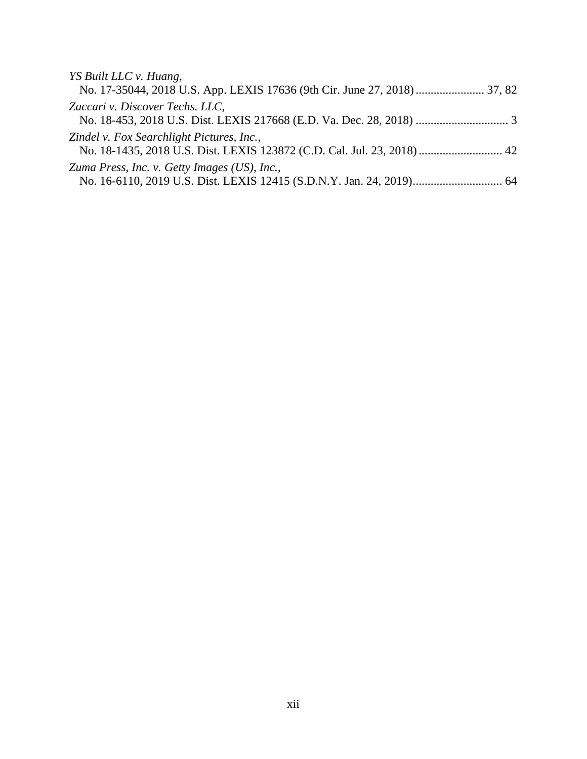| YS Built LLC v. Huang,                                                  |  |
|-------------------------------------------------------------------------|--|
|                                                                         |  |
| Zaccari v. Discover Techs. LLC,                                         |  |
|                                                                         |  |
| Zindel v. Fox Searchlight Pictures, Inc.,                               |  |
| No. 18-1435, 2018 U.S. Dist. LEXIS 123872 (C.D. Cal. Jul. 23, 2018)  42 |  |
| Zuma Press, Inc. v. Getty Images (US), Inc.,                            |  |
|                                                                         |  |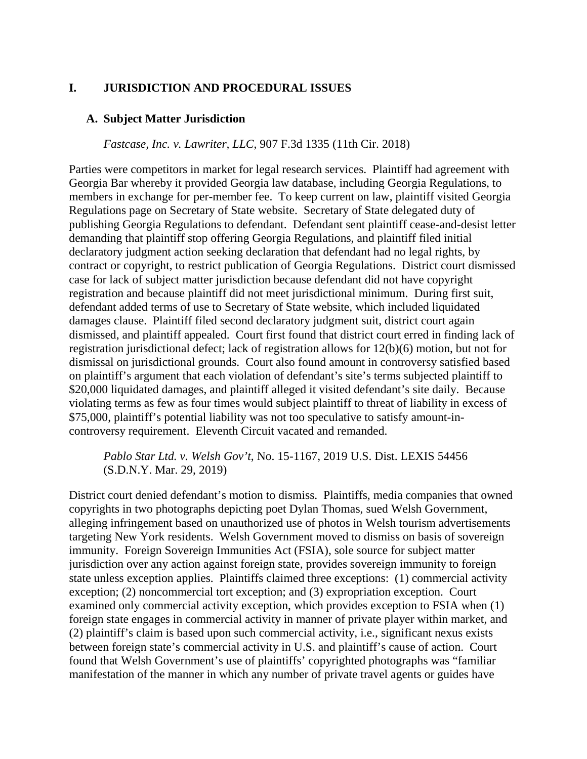# <span id="page-14-0"></span>**I. JURISDICTION AND PROCEDURAL ISSUES**

### <span id="page-14-1"></span>**A. Subject Matter Jurisdiction**

#### *Fastcase, Inc. v. Lawriter, LLC*, 907 F.3d 1335 (11th Cir. 2018)

Parties were competitors in market for legal research services. Plaintiff had agreement with Georgia Bar whereby it provided Georgia law database, including Georgia Regulations, to members in exchange for per-member fee. To keep current on law, plaintiff visited Georgia Regulations page on Secretary of State website. Secretary of State delegated duty of publishing Georgia Regulations to defendant. Defendant sent plaintiff cease-and-desist letter demanding that plaintiff stop offering Georgia Regulations, and plaintiff filed initial declaratory judgment action seeking declaration that defendant had no legal rights, by contract or copyright, to restrict publication of Georgia Regulations. District court dismissed case for lack of subject matter jurisdiction because defendant did not have copyright registration and because plaintiff did not meet jurisdictional minimum. During first suit, defendant added terms of use to Secretary of State website, which included liquidated damages clause. Plaintiff filed second declaratory judgment suit, district court again dismissed, and plaintiff appealed. Court first found that district court erred in finding lack of registration jurisdictional defect; lack of registration allows for 12(b)(6) motion, but not for dismissal on jurisdictional grounds. Court also found amount in controversy satisfied based on plaintiff's argument that each violation of defendant's site's terms subjected plaintiff to \$20,000 liquidated damages, and plaintiff alleged it visited defendant's site daily. Because violating terms as few as four times would subject plaintiff to threat of liability in excess of \$75,000, plaintiff's potential liability was not too speculative to satisfy amount-incontroversy requirement. Eleventh Circuit vacated and remanded.

# *Pablo Star Ltd. v. Welsh Gov't*, No. 15-1167, 2019 U.S. Dist. LEXIS 54456 (S.D.N.Y. Mar. 29, 2019)

District court denied defendant's motion to dismiss. Plaintiffs, media companies that owned copyrights in two photographs depicting poet Dylan Thomas, sued Welsh Government, alleging infringement based on unauthorized use of photos in Welsh tourism advertisements targeting New York residents. Welsh Government moved to dismiss on basis of sovereign immunity. Foreign Sovereign Immunities Act (FSIA), sole source for subject matter jurisdiction over any action against foreign state, provides sovereign immunity to foreign state unless exception applies. Plaintiffs claimed three exceptions: (1) commercial activity exception; (2) noncommercial tort exception; and (3) expropriation exception. Court examined only commercial activity exception, which provides exception to FSIA when (1) foreign state engages in commercial activity in manner of private player within market, and (2) plaintiff's claim is based upon such commercial activity, i.e., significant nexus exists between foreign state's commercial activity in U.S. and plaintiff's cause of action. Court found that Welsh Government's use of plaintiffs' copyrighted photographs was "familiar manifestation of the manner in which any number of private travel agents or guides have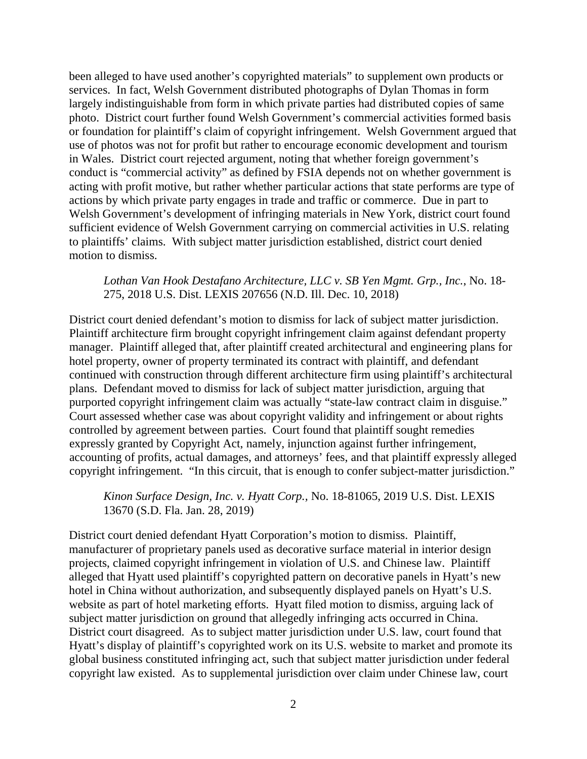been alleged to have used another's copyrighted materials" to supplement own products or services. In fact, Welsh Government distributed photographs of Dylan Thomas in form largely indistinguishable from form in which private parties had distributed copies of same photo. District court further found Welsh Government's commercial activities formed basis or foundation for plaintiff's claim of copyright infringement. Welsh Government argued that use of photos was not for profit but rather to encourage economic development and tourism in Wales. District court rejected argument, noting that whether foreign government's conduct is "commercial activity" as defined by FSIA depends not on whether government is acting with profit motive, but rather whether particular actions that state performs are type of actions by which private party engages in trade and traffic or commerce. Due in part to Welsh Government's development of infringing materials in New York, district court found sufficient evidence of Welsh Government carrying on commercial activities in U.S. relating to plaintiffs' claims. With subject matter jurisdiction established, district court denied motion to dismiss.

### *Lothan Van Hook Destafano Architecture, LLC v. SB Yen Mgmt. Grp., Inc.*, No. 18- 275, 2018 U.S. Dist. LEXIS 207656 (N.D. Ill. Dec. 10, 2018)

District court denied defendant's motion to dismiss for lack of subject matter jurisdiction. Plaintiff architecture firm brought copyright infringement claim against defendant property manager. Plaintiff alleged that, after plaintiff created architectural and engineering plans for hotel property, owner of property terminated its contract with plaintiff, and defendant continued with construction through different architecture firm using plaintiff's architectural plans. Defendant moved to dismiss for lack of subject matter jurisdiction, arguing that purported copyright infringement claim was actually "state-law contract claim in disguise." Court assessed whether case was about copyright validity and infringement or about rights controlled by agreement between parties. Court found that plaintiff sought remedies expressly granted by Copyright Act, namely, injunction against further infringement, accounting of profits, actual damages, and attorneys' fees, and that plaintiff expressly alleged copyright infringement. "In this circuit, that is enough to confer subject-matter jurisdiction."

*Kinon Surface Design, Inc. v. Hyatt Corp.,* No. 18-81065, 2019 U.S. Dist. LEXIS 13670 (S.D. Fla. Jan. 28, 2019)

District court denied defendant Hyatt Corporation's motion to dismiss. Plaintiff, manufacturer of proprietary panels used as decorative surface material in interior design projects, claimed copyright infringement in violation of U.S. and Chinese law. Plaintiff alleged that Hyatt used plaintiff's copyrighted pattern on decorative panels in Hyatt's new hotel in China without authorization, and subsequently displayed panels on Hyatt's U.S. website as part of hotel marketing efforts. Hyatt filed motion to dismiss, arguing lack of subject matter jurisdiction on ground that allegedly infringing acts occurred in China. District court disagreed. As to subject matter jurisdiction under U.S. law, court found that Hyatt's display of plaintiff's copyrighted work on its U.S. website to market and promote its global business constituted infringing act, such that subject matter jurisdiction under federal copyright law existed. As to supplemental jurisdiction over claim under Chinese law, court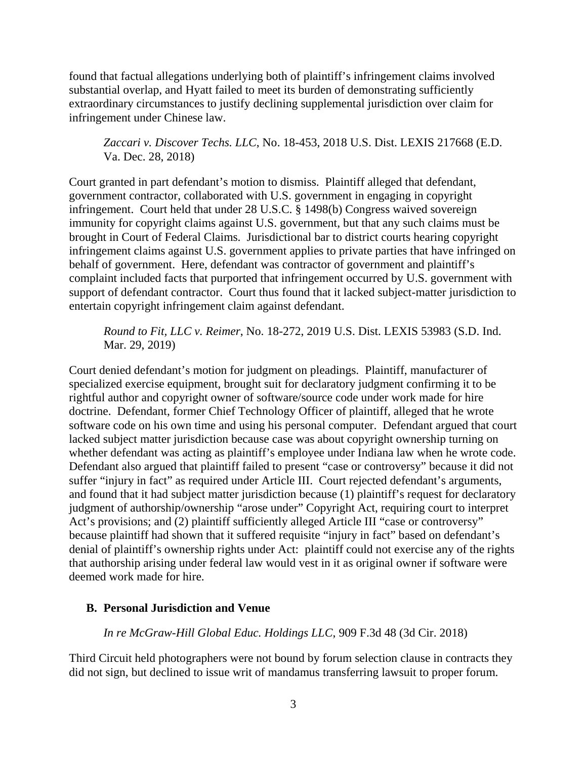found that factual allegations underlying both of plaintiff's infringement claims involved substantial overlap, and Hyatt failed to meet its burden of demonstrating sufficiently extraordinary circumstances to justify declining supplemental jurisdiction over claim for infringement under Chinese law.

*Zaccari v. Discover Techs. LLC*, No. 18-453, 2018 U.S. Dist. LEXIS 217668 (E.D. Va. Dec. 28, 2018)

Court granted in part defendant's motion to dismiss. Plaintiff alleged that defendant, government contractor, collaborated with U.S. government in engaging in copyright infringement. Court held that under 28 U.S.C. § 1498(b) Congress waived sovereign immunity for copyright claims against U.S. government, but that any such claims must be brought in Court of Federal Claims. Jurisdictional bar to district courts hearing copyright infringement claims against U.S. government applies to private parties that have infringed on behalf of government. Here, defendant was contractor of government and plaintiff's complaint included facts that purported that infringement occurred by U.S. government with support of defendant contractor. Court thus found that it lacked subject-matter jurisdiction to entertain copyright infringement claim against defendant.

*Round to Fit, LLC v. Reimer*, No. 18-272, 2019 U.S. Dist. LEXIS 53983 (S.D. Ind. Mar. 29, 2019)

Court denied defendant's motion for judgment on pleadings. Plaintiff, manufacturer of specialized exercise equipment, brought suit for declaratory judgment confirming it to be rightful author and copyright owner of software/source code under work made for hire doctrine. Defendant, former Chief Technology Officer of plaintiff, alleged that he wrote software code on his own time and using his personal computer. Defendant argued that court lacked subject matter jurisdiction because case was about copyright ownership turning on whether defendant was acting as plaintiff's employee under Indiana law when he wrote code. Defendant also argued that plaintiff failed to present "case or controversy" because it did not suffer "injury in fact" as required under Article III. Court rejected defendant's arguments, and found that it had subject matter jurisdiction because (1) plaintiff's request for declaratory judgment of authorship/ownership "arose under" Copyright Act, requiring court to interpret Act's provisions; and (2) plaintiff sufficiently alleged Article III "case or controversy" because plaintiff had shown that it suffered requisite "injury in fact" based on defendant's denial of plaintiff's ownership rights under Act: plaintiff could not exercise any of the rights that authorship arising under federal law would vest in it as original owner if software were deemed work made for hire.

### <span id="page-16-0"></span>**B. Personal Jurisdiction and Venue**

*In re McGraw-Hill Global Educ. Holdings LLC*, 909 F.3d 48 (3d Cir. 2018)

Third Circuit held photographers were not bound by forum selection clause in contracts they did not sign, but declined to issue writ of mandamus transferring lawsuit to proper forum.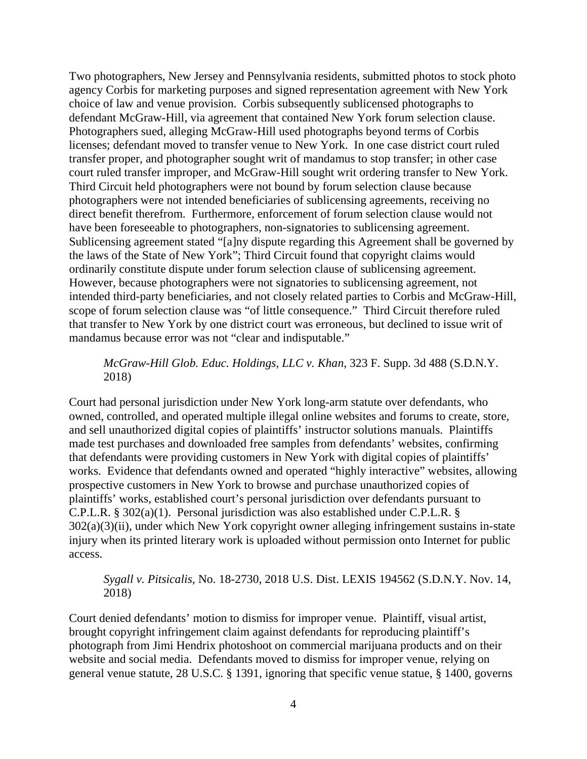Two photographers, New Jersey and Pennsylvania residents, submitted photos to stock photo agency Corbis for marketing purposes and signed representation agreement with New York choice of law and venue provision. Corbis subsequently sublicensed photographs to defendant McGraw-Hill, via agreement that contained New York forum selection clause. Photographers sued, alleging McGraw-Hill used photographs beyond terms of Corbis licenses; defendant moved to transfer venue to New York. In one case district court ruled transfer proper, and photographer sought writ of mandamus to stop transfer; in other case court ruled transfer improper, and McGraw-Hill sought writ ordering transfer to New York. Third Circuit held photographers were not bound by forum selection clause because photographers were not intended beneficiaries of sublicensing agreements, receiving no direct benefit therefrom. Furthermore, enforcement of forum selection clause would not have been foreseeable to photographers, non-signatories to sublicensing agreement. Sublicensing agreement stated "[a]ny dispute regarding this Agreement shall be governed by the laws of the State of New York"; Third Circuit found that copyright claims would ordinarily constitute dispute under forum selection clause of sublicensing agreement. However, because photographers were not signatories to sublicensing agreement, not intended third-party beneficiaries, and not closely related parties to Corbis and McGraw-Hill, scope of forum selection clause was "of little consequence." Third Circuit therefore ruled that transfer to New York by one district court was erroneous, but declined to issue writ of mandamus because error was not "clear and indisputable."

*McGraw-Hill Glob. Educ. Holdings, LLC v. Khan*, 323 F. Supp. 3d 488 (S.D.N.Y. 2018)

Court had personal jurisdiction under New York long-arm statute over defendants, who owned, controlled, and operated multiple illegal online websites and forums to create, store, and sell unauthorized digital copies of plaintiffs' instructor solutions manuals. Plaintiffs made test purchases and downloaded free samples from defendants' websites, confirming that defendants were providing customers in New York with digital copies of plaintiffs' works. Evidence that defendants owned and operated "highly interactive" websites, allowing prospective customers in New York to browse and purchase unauthorized copies of plaintiffs' works, established court's personal jurisdiction over defendants pursuant to C.P.L.R. § 302(a)(1). Personal jurisdiction was also established under C.P.L.R. §  $302(a)(3)(ii)$ , under which New York copyright owner alleging infringement sustains in-state injury when its printed literary work is uploaded without permission onto Internet for public access.

# *Sygall v. Pitsicalis*, No. 18-2730, 2018 U.S. Dist. LEXIS 194562 (S.D.N.Y. Nov. 14, 2018)

Court denied defendants' motion to dismiss for improper venue. Plaintiff, visual artist, brought copyright infringement claim against defendants for reproducing plaintiff's photograph from Jimi Hendrix photoshoot on commercial marijuana products and on their website and social media. Defendants moved to dismiss for improper venue, relying on general venue statute, 28 U.S.C. § 1391, ignoring that specific venue statue, § 1400, governs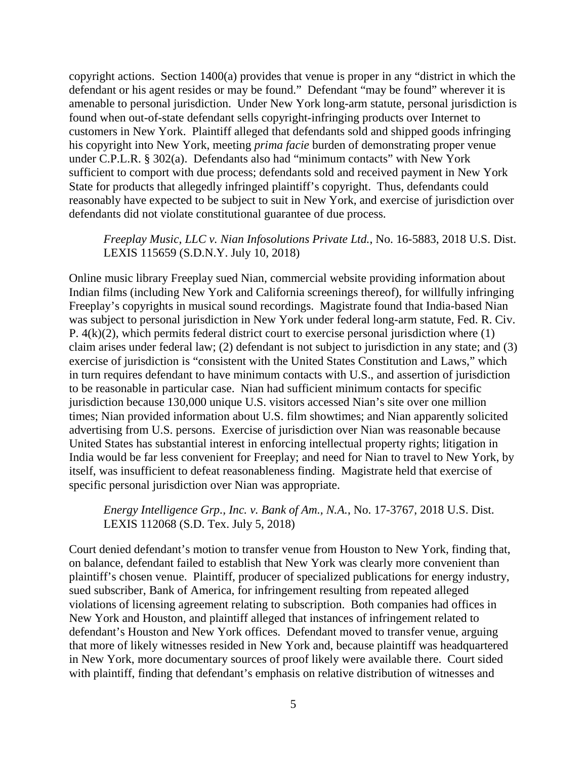copyright actions. Section 1400(a) provides that venue is proper in any "district in which the defendant or his agent resides or may be found." Defendant "may be found" wherever it is amenable to personal jurisdiction. Under New York long-arm statute, personal jurisdiction is found when out-of-state defendant sells copyright-infringing products over Internet to customers in New York. Plaintiff alleged that defendants sold and shipped goods infringing his copyright into New York, meeting *prima facie* burden of demonstrating proper venue under C.P.L.R. § 302(a). Defendants also had "minimum contacts" with New York sufficient to comport with due process; defendants sold and received payment in New York State for products that allegedly infringed plaintiff's copyright. Thus, defendants could reasonably have expected to be subject to suit in New York, and exercise of jurisdiction over defendants did not violate constitutional guarantee of due process.

### *Freeplay Music, LLC v. Nian Infosolutions Private Ltd.*, No. 16-5883, 2018 U.S. Dist. LEXIS 115659 (S.D.N.Y. July 10, 2018)

Online music library Freeplay sued Nian, commercial website providing information about Indian films (including New York and California screenings thereof), for willfully infringing Freeplay's copyrights in musical sound recordings. Magistrate found that India-based Nian was subject to personal jurisdiction in New York under federal long-arm statute, Fed. R. Civ. P. 4(k)(2), which permits federal district court to exercise personal jurisdiction where (1) claim arises under federal law; (2) defendant is not subject to jurisdiction in any state; and (3) exercise of jurisdiction is "consistent with the United States Constitution and Laws," which in turn requires defendant to have minimum contacts with U.S., and assertion of jurisdiction to be reasonable in particular case. Nian had sufficient minimum contacts for specific jurisdiction because 130,000 unique U.S. visitors accessed Nian's site over one million times; Nian provided information about U.S. film showtimes; and Nian apparently solicited advertising from U.S. persons. Exercise of jurisdiction over Nian was reasonable because United States has substantial interest in enforcing intellectual property rights; litigation in India would be far less convenient for Freeplay; and need for Nian to travel to New York, by itself, was insufficient to defeat reasonableness finding. Magistrate held that exercise of specific personal jurisdiction over Nian was appropriate.

*Energy Intelligence Grp., Inc. v. Bank of Am., N.A.*, No. 17-3767, 2018 U.S. Dist. LEXIS 112068 (S.D. Tex. July 5, 2018)

Court denied defendant's motion to transfer venue from Houston to New York, finding that, on balance, defendant failed to establish that New York was clearly more convenient than plaintiff's chosen venue. Plaintiff, producer of specialized publications for energy industry, sued subscriber, Bank of America, for infringement resulting from repeated alleged violations of licensing agreement relating to subscription. Both companies had offices in New York and Houston, and plaintiff alleged that instances of infringement related to defendant's Houston and New York offices. Defendant moved to transfer venue, arguing that more of likely witnesses resided in New York and, because plaintiff was headquartered in New York, more documentary sources of proof likely were available there. Court sided with plaintiff, finding that defendant's emphasis on relative distribution of witnesses and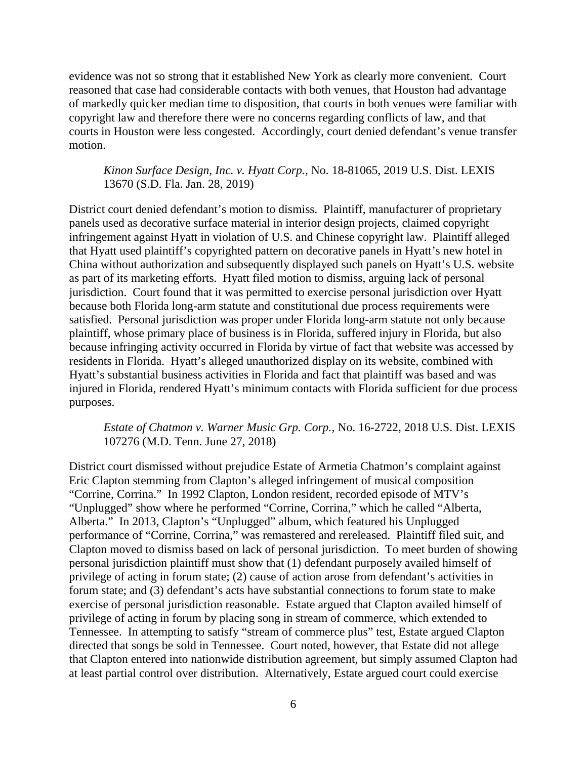evidence was not so strong that it established New York as clearly more convenient. Court reasoned that case had considerable contacts with both venues, that Houston had advantage of markedly quicker median time to disposition, that courts in both venues were familiar with copyright law and therefore there were no concerns regarding conflicts of law, and that courts in Houston were less congested. Accordingly, court denied defendant's venue transfer motion.

*Kinon Surface Design, Inc. v. Hyatt Corp.,* No. 18-81065, 2019 U.S. Dist. LEXIS 13670 (S.D. Fla. Jan. 28, 2019)

District court denied defendant's motion to dismiss. Plaintiff, manufacturer of proprietary panels used as decorative surface material in interior design projects, claimed copyright infringement against Hyatt in violation of U.S. and Chinese copyright law. Plaintiff alleged that Hyatt used plaintiff's copyrighted pattern on decorative panels in Hyatt's new hotel in China without authorization and subsequently displayed such panels on Hyatt's U.S. website as part of its marketing efforts. Hyatt filed motion to dismiss, arguing lack of personal jurisdiction. Court found that it was permitted to exercise personal jurisdiction over Hyatt because both Florida long-arm statute and constitutional due process requirements were satisfied. Personal jurisdiction was proper under Florida long-arm statute not only because plaintiff, whose primary place of business is in Florida, suffered injury in Florida, but also because infringing activity occurred in Florida by virtue of fact that website was accessed by residents in Florida. Hyatt's alleged unauthorized display on its website, combined with Hyatt's substantial business activities in Florida and fact that plaintiff was based and was injured in Florida, rendered Hyatt's minimum contacts with Florida sufficient for due process purposes.

# *Estate of Chatmon v. Warner Music Grp. Corp.*, No. 16-2722, 2018 U.S. Dist. LEXIS 107276 (M.D. Tenn. June 27, 2018)

District court dismissed without prejudice Estate of Armetia Chatmon's complaint against Eric Clapton stemming from Clapton's alleged infringement of musical composition "Corrine, Corrina." In 1992 Clapton, London resident, recorded episode of MTV's "Unplugged" show where he performed "Corrine, Corrina," which he called "Alberta, Alberta." In 2013, Clapton's "Unplugged" album, which featured his Unplugged performance of "Corrine, Corrina," was remastered and rereleased. Plaintiff filed suit, and Clapton moved to dismiss based on lack of personal jurisdiction. To meet burden of showing personal jurisdiction plaintiff must show that (1) defendant purposely availed himself of privilege of acting in forum state; (2) cause of action arose from defendant's activities in forum state; and (3) defendant's acts have substantial connections to forum state to make exercise of personal jurisdiction reasonable. Estate argued that Clapton availed himself of privilege of acting in forum by placing song in stream of commerce, which extended to Tennessee. In attempting to satisfy "stream of commerce plus" test, Estate argued Clapton directed that songs be sold in Tennessee. Court noted, however, that Estate did not allege that Clapton entered into nationwide distribution agreement, but simply assumed Clapton had at least partial control over distribution. Alternatively, Estate argued court could exercise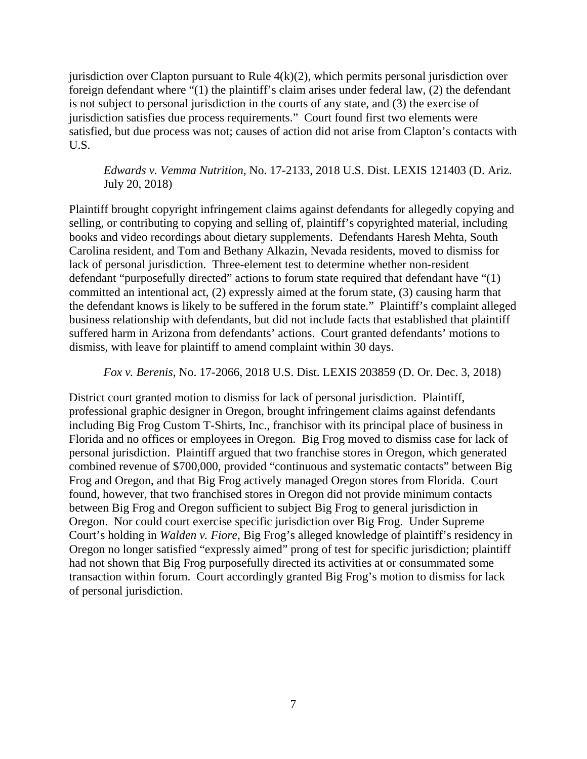jurisdiction over Clapton pursuant to Rule 4(k)(2), which permits personal jurisdiction over foreign defendant where "(1) the plaintiff's claim arises under federal law, (2) the defendant is not subject to personal jurisdiction in the courts of any state, and (3) the exercise of jurisdiction satisfies due process requirements." Court found first two elements were satisfied, but due process was not; causes of action did not arise from Clapton's contacts with U.S.

*Edwards v. Vemma Nutrition*, No. 17-2133, 2018 U.S. Dist. LEXIS 121403 (D. Ariz. July 20, 2018)

Plaintiff brought copyright infringement claims against defendants for allegedly copying and selling, or contributing to copying and selling of, plaintiff's copyrighted material, including books and video recordings about dietary supplements. Defendants Haresh Mehta, South Carolina resident, and Tom and Bethany Alkazin, Nevada residents, moved to dismiss for lack of personal jurisdiction. Three-element test to determine whether non-resident defendant "purposefully directed" actions to forum state required that defendant have "(1) committed an intentional act, (2) expressly aimed at the forum state, (3) causing harm that the defendant knows is likely to be suffered in the forum state." Plaintiff's complaint alleged business relationship with defendants, but did not include facts that established that plaintiff suffered harm in Arizona from defendants' actions. Court granted defendants' motions to dismiss, with leave for plaintiff to amend complaint within 30 days.

*Fox v. Berenis*, No. 17-2066, 2018 U.S. Dist. LEXIS 203859 (D. Or. Dec. 3, 2018)

District court granted motion to dismiss for lack of personal jurisdiction. Plaintiff, professional graphic designer in Oregon, brought infringement claims against defendants including Big Frog Custom T-Shirts, Inc., franchisor with its principal place of business in Florida and no offices or employees in Oregon. Big Frog moved to dismiss case for lack of personal jurisdiction. Plaintiff argued that two franchise stores in Oregon, which generated combined revenue of \$700,000, provided "continuous and systematic contacts" between Big Frog and Oregon, and that Big Frog actively managed Oregon stores from Florida. Court found, however, that two franchised stores in Oregon did not provide minimum contacts between Big Frog and Oregon sufficient to subject Big Frog to general jurisdiction in Oregon. Nor could court exercise specific jurisdiction over Big Frog. Under Supreme Court's holding in *Walden v. Fiore*, Big Frog's alleged knowledge of plaintiff's residency in Oregon no longer satisfied "expressly aimed" prong of test for specific jurisdiction; plaintiff had not shown that Big Frog purposefully directed its activities at or consummated some transaction within forum. Court accordingly granted Big Frog's motion to dismiss for lack of personal jurisdiction.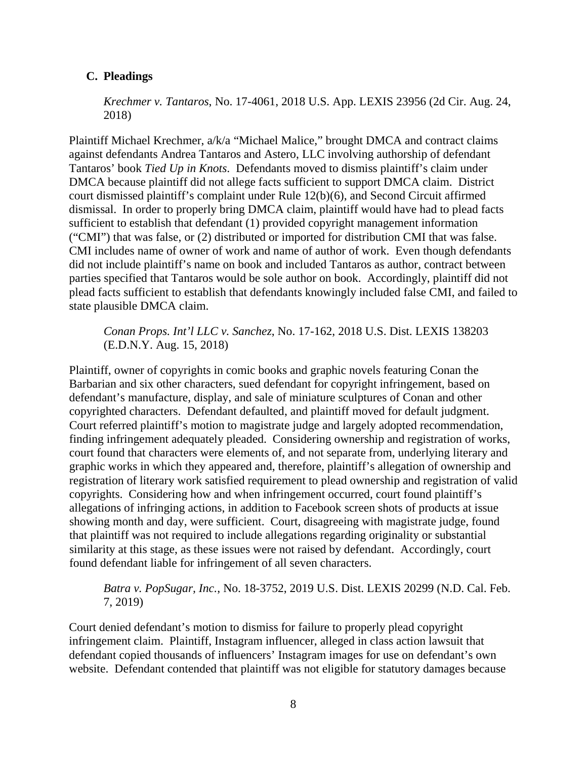# <span id="page-21-0"></span>**C. Pleadings**

*Krechmer v. Tantaros*, No. 17-4061, 2018 U.S. App. LEXIS 23956 (2d Cir. Aug. 24, 2018)

Plaintiff Michael Krechmer, a/k/a "Michael Malice," brought DMCA and contract claims against defendants Andrea Tantaros and Astero, LLC involving authorship of defendant Tantaros' book *Tied Up in Knots*. Defendants moved to dismiss plaintiff's claim under DMCA because plaintiff did not allege facts sufficient to support DMCA claim. District court dismissed plaintiff's complaint under Rule 12(b)(6), and Second Circuit affirmed dismissal. In order to properly bring DMCA claim, plaintiff would have had to plead facts sufficient to establish that defendant (1) provided copyright management information ("CMI") that was false, or (2) distributed or imported for distribution CMI that was false. CMI includes name of owner of work and name of author of work. Even though defendants did not include plaintiff's name on book and included Tantaros as author, contract between parties specified that Tantaros would be sole author on book. Accordingly, plaintiff did not plead facts sufficient to establish that defendants knowingly included false CMI, and failed to state plausible DMCA claim.

*Conan Props. Int'l LLC v. Sanchez*, No. 17-162, 2018 U.S. Dist. LEXIS 138203 (E.D.N.Y. Aug. 15, 2018)

Plaintiff, owner of copyrights in comic books and graphic novels featuring Conan the Barbarian and six other characters, sued defendant for copyright infringement, based on defendant's manufacture, display, and sale of miniature sculptures of Conan and other copyrighted characters. Defendant defaulted, and plaintiff moved for default judgment. Court referred plaintiff's motion to magistrate judge and largely adopted recommendation, finding infringement adequately pleaded. Considering ownership and registration of works, court found that characters were elements of, and not separate from, underlying literary and graphic works in which they appeared and, therefore, plaintiff's allegation of ownership and registration of literary work satisfied requirement to plead ownership and registration of valid copyrights. Considering how and when infringement occurred, court found plaintiff's allegations of infringing actions, in addition to Facebook screen shots of products at issue showing month and day, were sufficient. Court, disagreeing with magistrate judge, found that plaintiff was not required to include allegations regarding originality or substantial similarity at this stage, as these issues were not raised by defendant. Accordingly, court found defendant liable for infringement of all seven characters.

# *Batra v. PopSugar, Inc.*, No. 18-3752, 2019 U.S. Dist. LEXIS 20299 (N.D. Cal. Feb. 7, 2019)

Court denied defendant's motion to dismiss for failure to properly plead copyright infringement claim. Plaintiff, Instagram influencer, alleged in class action lawsuit that defendant copied thousands of influencers' Instagram images for use on defendant's own website. Defendant contended that plaintiff was not eligible for statutory damages because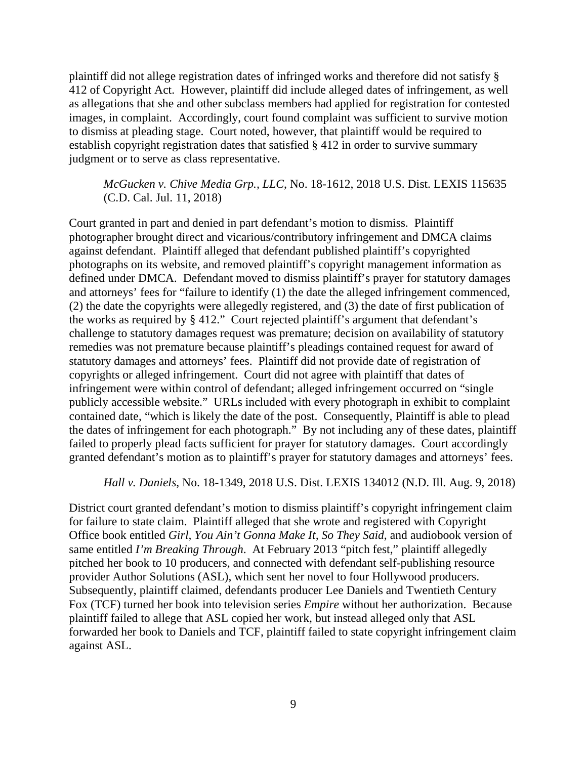plaintiff did not allege registration dates of infringed works and therefore did not satisfy § 412 of Copyright Act. However, plaintiff did include alleged dates of infringement, as well as allegations that she and other subclass members had applied for registration for contested images, in complaint. Accordingly, court found complaint was sufficient to survive motion to dismiss at pleading stage. Court noted, however, that plaintiff would be required to establish copyright registration dates that satisfied § 412 in order to survive summary judgment or to serve as class representative.

*McGucken v. Chive Media Grp., LLC*, No. 18-1612, 2018 U.S. Dist. LEXIS 115635 (C.D. Cal. Jul. 11, 2018)

Court granted in part and denied in part defendant's motion to dismiss. Plaintiff photographer brought direct and vicarious/contributory infringement and DMCA claims against defendant. Plaintiff alleged that defendant published plaintiff's copyrighted photographs on its website, and removed plaintiff's copyright management information as defined under DMCA. Defendant moved to dismiss plaintiff's prayer for statutory damages and attorneys' fees for "failure to identify (1) the date the alleged infringement commenced, (2) the date the copyrights were allegedly registered, and (3) the date of first publication of the works as required by § 412." Court rejected plaintiff's argument that defendant's challenge to statutory damages request was premature; decision on availability of statutory remedies was not premature because plaintiff's pleadings contained request for award of statutory damages and attorneys' fees. Plaintiff did not provide date of registration of copyrights or alleged infringement. Court did not agree with plaintiff that dates of infringement were within control of defendant; alleged infringement occurred on "single publicly accessible website." URLs included with every photograph in exhibit to complaint contained date, "which is likely the date of the post. Consequently, Plaintiff is able to plead the dates of infringement for each photograph." By not including any of these dates, plaintiff failed to properly plead facts sufficient for prayer for statutory damages. Court accordingly granted defendant's motion as to plaintiff's prayer for statutory damages and attorneys' fees.

*Hall v. Daniels*, No. 18-1349, 2018 U.S. Dist. LEXIS 134012 (N.D. Ill. Aug. 9, 2018)

District court granted defendant's motion to dismiss plaintiff's copyright infringement claim for failure to state claim. Plaintiff alleged that she wrote and registered with Copyright Office book entitled *Girl, You Ain't Gonna Make It, So They Said*, and audiobook version of same entitled *I'm Breaking Through*. At February 2013 "pitch fest," plaintiff allegedly pitched her book to 10 producers, and connected with defendant self-publishing resource provider Author Solutions (ASL), which sent her novel to four Hollywood producers. Subsequently, plaintiff claimed, defendants producer Lee Daniels and Twentieth Century Fox (TCF) turned her book into television series *Empire* without her authorization. Because plaintiff failed to allege that ASL copied her work, but instead alleged only that ASL forwarded her book to Daniels and TCF, plaintiff failed to state copyright infringement claim against ASL.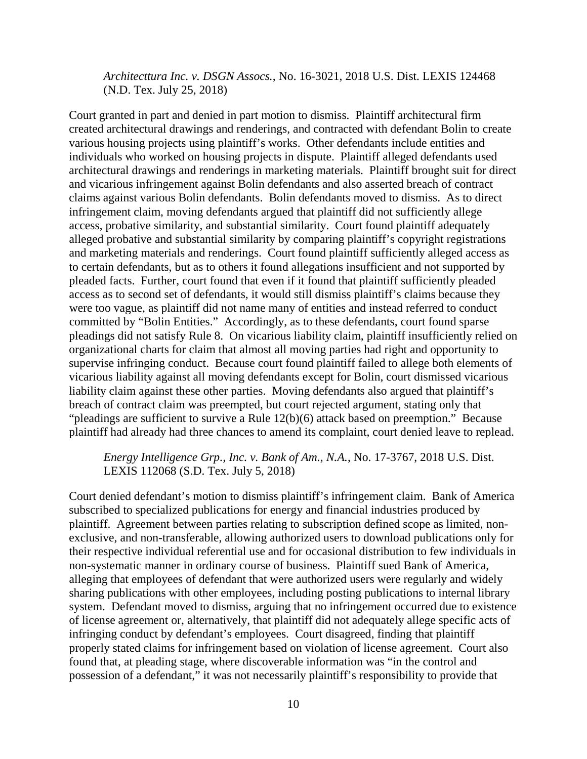*Architecttura Inc. v. DSGN Assocs.*, No. 16-3021, 2018 U.S. Dist. LEXIS 124468 (N.D. Tex. July 25, 2018)

Court granted in part and denied in part motion to dismiss. Plaintiff architectural firm created architectural drawings and renderings, and contracted with defendant Bolin to create various housing projects using plaintiff's works. Other defendants include entities and individuals who worked on housing projects in dispute. Plaintiff alleged defendants used architectural drawings and renderings in marketing materials. Plaintiff brought suit for direct and vicarious infringement against Bolin defendants and also asserted breach of contract claims against various Bolin defendants. Bolin defendants moved to dismiss. As to direct infringement claim, moving defendants argued that plaintiff did not sufficiently allege access, probative similarity, and substantial similarity. Court found plaintiff adequately alleged probative and substantial similarity by comparing plaintiff's copyright registrations and marketing materials and renderings. Court found plaintiff sufficiently alleged access as to certain defendants, but as to others it found allegations insufficient and not supported by pleaded facts. Further, court found that even if it found that plaintiff sufficiently pleaded access as to second set of defendants, it would still dismiss plaintiff's claims because they were too vague, as plaintiff did not name many of entities and instead referred to conduct committed by "Bolin Entities." Accordingly, as to these defendants, court found sparse pleadings did not satisfy Rule 8. On vicarious liability claim, plaintiff insufficiently relied on organizational charts for claim that almost all moving parties had right and opportunity to supervise infringing conduct. Because court found plaintiff failed to allege both elements of vicarious liability against all moving defendants except for Bolin, court dismissed vicarious liability claim against these other parties. Moving defendants also argued that plaintiff's breach of contract claim was preempted, but court rejected argument, stating only that "pleadings are sufficient to survive a Rule 12(b)(6) attack based on preemption." Because plaintiff had already had three chances to amend its complaint, court denied leave to replead.

*Energy Intelligence Grp., Inc. v. Bank of Am., N.A.*, No. 17-3767, 2018 U.S. Dist. LEXIS 112068 (S.D. Tex. July 5, 2018)

Court denied defendant's motion to dismiss plaintiff's infringement claim. Bank of America subscribed to specialized publications for energy and financial industries produced by plaintiff. Agreement between parties relating to subscription defined scope as limited, nonexclusive, and non-transferable, allowing authorized users to download publications only for their respective individual referential use and for occasional distribution to few individuals in non-systematic manner in ordinary course of business. Plaintiff sued Bank of America, alleging that employees of defendant that were authorized users were regularly and widely sharing publications with other employees, including posting publications to internal library system. Defendant moved to dismiss, arguing that no infringement occurred due to existence of license agreement or, alternatively, that plaintiff did not adequately allege specific acts of infringing conduct by defendant's employees. Court disagreed, finding that plaintiff properly stated claims for infringement based on violation of license agreement. Court also found that, at pleading stage, where discoverable information was "in the control and possession of a defendant," it was not necessarily plaintiff's responsibility to provide that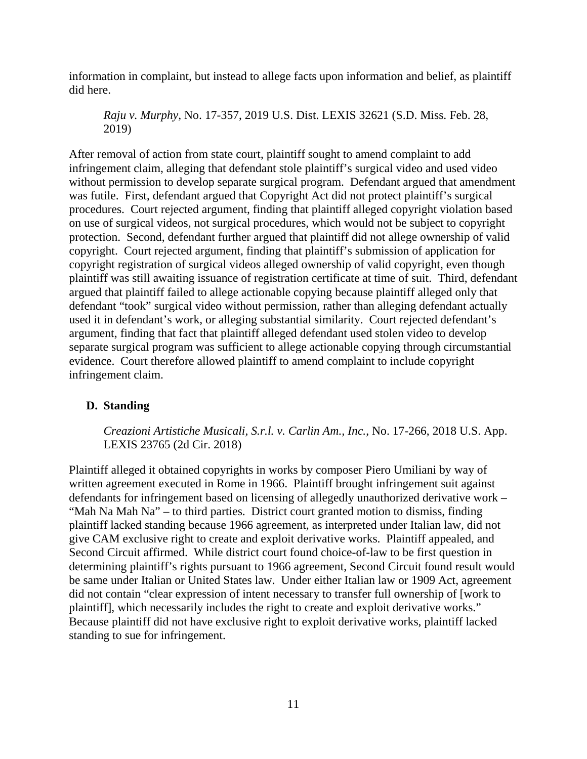information in complaint, but instead to allege facts upon information and belief, as plaintiff did here.

*Raju v. Murphy,* No. 17-357, 2019 U.S. Dist. LEXIS 32621 (S.D. Miss. Feb. 28, 2019)

After removal of action from state court, plaintiff sought to amend complaint to add infringement claim, alleging that defendant stole plaintiff's surgical video and used video without permission to develop separate surgical program. Defendant argued that amendment was futile. First, defendant argued that Copyright Act did not protect plaintiff's surgical procedures. Court rejected argument, finding that plaintiff alleged copyright violation based on use of surgical videos, not surgical procedures, which would not be subject to copyright protection. Second, defendant further argued that plaintiff did not allege ownership of valid copyright. Court rejected argument, finding that plaintiff's submission of application for copyright registration of surgical videos alleged ownership of valid copyright, even though plaintiff was still awaiting issuance of registration certificate at time of suit. Third, defendant argued that plaintiff failed to allege actionable copying because plaintiff alleged only that defendant "took" surgical video without permission, rather than alleging defendant actually used it in defendant's work, or alleging substantial similarity. Court rejected defendant's argument, finding that fact that plaintiff alleged defendant used stolen video to develop separate surgical program was sufficient to allege actionable copying through circumstantial evidence. Court therefore allowed plaintiff to amend complaint to include copyright infringement claim.

# <span id="page-24-0"></span>**D. Standing**

*Creazioni Artistiche Musicali, S.r.l. v. Carlin Am., Inc.*, No. 17-266, 2018 U.S. App. LEXIS 23765 (2d Cir. 2018)

Plaintiff alleged it obtained copyrights in works by composer Piero Umiliani by way of written agreement executed in Rome in 1966. Plaintiff brought infringement suit against defendants for infringement based on licensing of allegedly unauthorized derivative work – "Mah Na Mah Na" – to third parties. District court granted motion to dismiss, finding plaintiff lacked standing because 1966 agreement, as interpreted under Italian law, did not give CAM exclusive right to create and exploit derivative works. Plaintiff appealed, and Second Circuit affirmed. While district court found choice-of-law to be first question in determining plaintiff's rights pursuant to 1966 agreement, Second Circuit found result would be same under Italian or United States law. Under either Italian law or 1909 Act, agreement did not contain "clear expression of intent necessary to transfer full ownership of [work to plaintiff], which necessarily includes the right to create and exploit derivative works." Because plaintiff did not have exclusive right to exploit derivative works, plaintiff lacked standing to sue for infringement.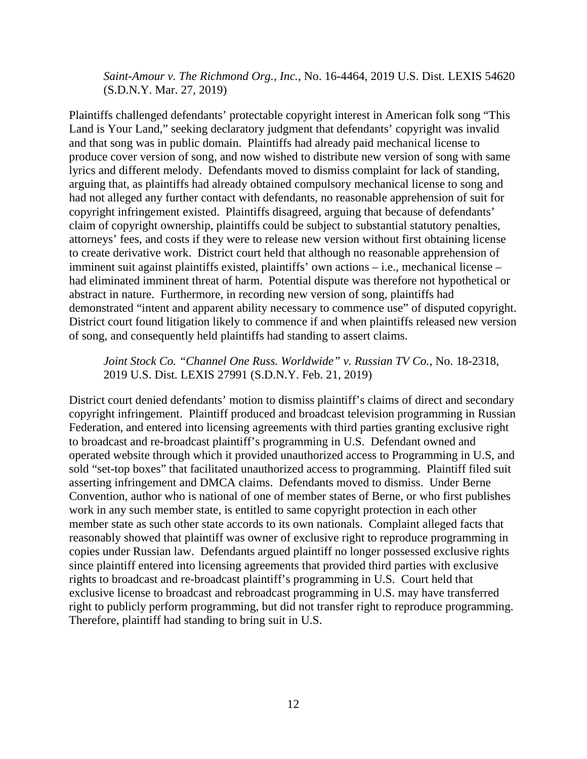*Saint-Amour v. The Richmond Org., Inc.*, No. 16-4464, 2019 U.S. Dist. LEXIS 54620 (S.D.N.Y. Mar. 27, 2019)

Plaintiffs challenged defendants' protectable copyright interest in American folk song "This Land is Your Land," seeking declaratory judgment that defendants' copyright was invalid and that song was in public domain. Plaintiffs had already paid mechanical license to produce cover version of song, and now wished to distribute new version of song with same lyrics and different melody. Defendants moved to dismiss complaint for lack of standing, arguing that, as plaintiffs had already obtained compulsory mechanical license to song and had not alleged any further contact with defendants, no reasonable apprehension of suit for copyright infringement existed. Plaintiffs disagreed, arguing that because of defendants' claim of copyright ownership, plaintiffs could be subject to substantial statutory penalties, attorneys' fees, and costs if they were to release new version without first obtaining license to create derivative work. District court held that although no reasonable apprehension of imminent suit against plaintiffs existed, plaintiffs' own actions – i.e., mechanical license – had eliminated imminent threat of harm. Potential dispute was therefore not hypothetical or abstract in nature. Furthermore, in recording new version of song, plaintiffs had demonstrated "intent and apparent ability necessary to commence use" of disputed copyright. District court found litigation likely to commence if and when plaintiffs released new version of song, and consequently held plaintiffs had standing to assert claims.

*Joint Stock Co. "Channel One Russ. Worldwide" v. Russian TV Co.*, No. 18-2318, 2019 U.S. Dist. LEXIS 27991 (S.D.N.Y. Feb. 21, 2019)

District court denied defendants' motion to dismiss plaintiff's claims of direct and secondary copyright infringement. Plaintiff produced and broadcast television programming in Russian Federation, and entered into licensing agreements with third parties granting exclusive right to broadcast and re-broadcast plaintiff's programming in U.S. Defendant owned and operated website through which it provided unauthorized access to Programming in U.S, and sold "set-top boxes" that facilitated unauthorized access to programming. Plaintiff filed suit asserting infringement and DMCA claims. Defendants moved to dismiss. Under Berne Convention, author who is national of one of member states of Berne, or who first publishes work in any such member state, is entitled to same copyright protection in each other member state as such other state accords to its own nationals. Complaint alleged facts that reasonably showed that plaintiff was owner of exclusive right to reproduce programming in copies under Russian law. Defendants argued plaintiff no longer possessed exclusive rights since plaintiff entered into licensing agreements that provided third parties with exclusive rights to broadcast and re-broadcast plaintiff's programming in U.S. Court held that exclusive license to broadcast and rebroadcast programming in U.S. may have transferred right to publicly perform programming, but did not transfer right to reproduce programming. Therefore, plaintiff had standing to bring suit in U.S.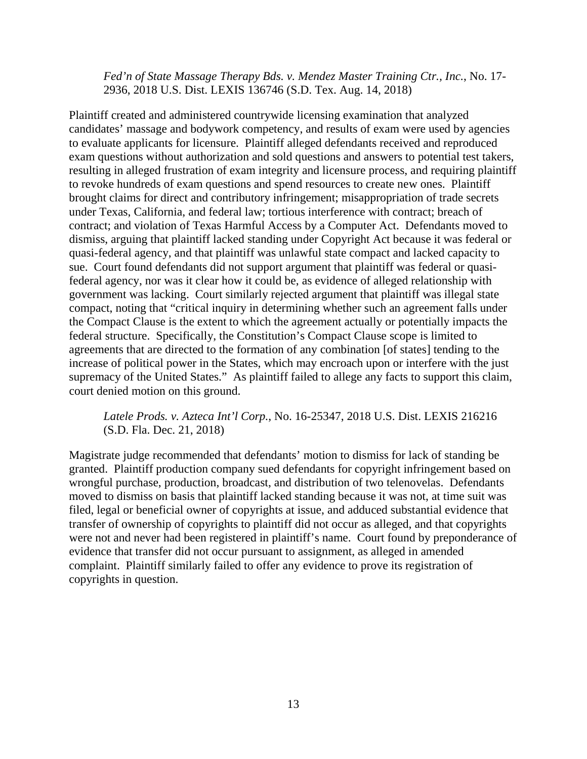*Fed'n of State Massage Therapy Bds. v. Mendez Master Training Ctr., Inc.*, No. 17- 2936, 2018 U.S. Dist. LEXIS 136746 (S.D. Tex. Aug. 14, 2018)

Plaintiff created and administered countrywide licensing examination that analyzed candidates' massage and bodywork competency, and results of exam were used by agencies to evaluate applicants for licensure. Plaintiff alleged defendants received and reproduced exam questions without authorization and sold questions and answers to potential test takers, resulting in alleged frustration of exam integrity and licensure process, and requiring plaintiff to revoke hundreds of exam questions and spend resources to create new ones. Plaintiff brought claims for direct and contributory infringement; misappropriation of trade secrets under Texas, California, and federal law; tortious interference with contract; breach of contract; and violation of Texas Harmful Access by a Computer Act. Defendants moved to dismiss, arguing that plaintiff lacked standing under Copyright Act because it was federal or quasi-federal agency, and that plaintiff was unlawful state compact and lacked capacity to sue. Court found defendants did not support argument that plaintiff was federal or quasifederal agency, nor was it clear how it could be, as evidence of alleged relationship with government was lacking. Court similarly rejected argument that plaintiff was illegal state compact, noting that "critical inquiry in determining whether such an agreement falls under the Compact Clause is the extent to which the agreement actually or potentially impacts the federal structure. Specifically, the Constitution's Compact Clause scope is limited to agreements that are directed to the formation of any combination [of states] tending to the increase of political power in the States, which may encroach upon or interfere with the just supremacy of the United States." As plaintiff failed to allege any facts to support this claim, court denied motion on this ground.

# *Latele Prods. v. Azteca Int'l Corp.*, No. 16-25347, 2018 U.S. Dist. LEXIS 216216 (S.D. Fla. Dec. 21, 2018)

Magistrate judge recommended that defendants' motion to dismiss for lack of standing be granted. Plaintiff production company sued defendants for copyright infringement based on wrongful purchase, production, broadcast, and distribution of two telenovelas. Defendants moved to dismiss on basis that plaintiff lacked standing because it was not, at time suit was filed, legal or beneficial owner of copyrights at issue, and adduced substantial evidence that transfer of ownership of copyrights to plaintiff did not occur as alleged, and that copyrights were not and never had been registered in plaintiff's name. Court found by preponderance of evidence that transfer did not occur pursuant to assignment, as alleged in amended complaint. Plaintiff similarly failed to offer any evidence to prove its registration of copyrights in question.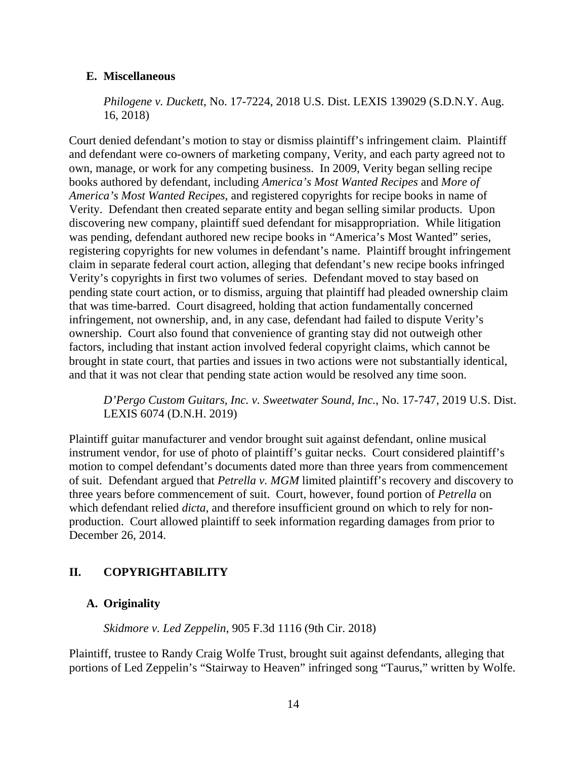# <span id="page-27-0"></span>**E. Miscellaneous**

*Philogene v. Duckett*, No. 17-7224, 2018 U.S. Dist. LEXIS 139029 (S.D.N.Y. Aug. 16, 2018)

Court denied defendant's motion to stay or dismiss plaintiff's infringement claim. Plaintiff and defendant were co-owners of marketing company, Verity, and each party agreed not to own, manage, or work for any competing business. In 2009, Verity began selling recipe books authored by defendant, including *America's Most Wanted Recipes* and *More of America's Most Wanted Recipes*, and registered copyrights for recipe books in name of Verity. Defendant then created separate entity and began selling similar products. Upon discovering new company, plaintiff sued defendant for misappropriation. While litigation was pending, defendant authored new recipe books in "America's Most Wanted" series, registering copyrights for new volumes in defendant's name. Plaintiff brought infringement claim in separate federal court action, alleging that defendant's new recipe books infringed Verity's copyrights in first two volumes of series. Defendant moved to stay based on pending state court action, or to dismiss, arguing that plaintiff had pleaded ownership claim that was time-barred. Court disagreed, holding that action fundamentally concerned infringement, not ownership, and, in any case, defendant had failed to dispute Verity's ownership. Court also found that convenience of granting stay did not outweigh other factors, including that instant action involved federal copyright claims, which cannot be brought in state court, that parties and issues in two actions were not substantially identical, and that it was not clear that pending state action would be resolved any time soon.

*D'Pergo Custom Guitars, Inc. v. Sweetwater Sound, Inc.*, No. 17-747, 2019 U.S. Dist. LEXIS 6074 (D.N.H. 2019)

Plaintiff guitar manufacturer and vendor brought suit against defendant, online musical instrument vendor, for use of photo of plaintiff's guitar necks. Court considered plaintiff's motion to compel defendant's documents dated more than three years from commencement of suit. Defendant argued that *Petrella v. MGM* limited plaintiff's recovery and discovery to three years before commencement of suit. Court, however, found portion of *Petrella* on which defendant relied *dicta*, and therefore insufficient ground on which to rely for nonproduction. Court allowed plaintiff to seek information regarding damages from prior to December 26, 2014.

# <span id="page-27-1"></span>**II. COPYRIGHTABILITY**

# <span id="page-27-2"></span>**A. Originality**

*Skidmore v. Led Zeppelin*, 905 F.3d 1116 (9th Cir. 2018)

Plaintiff, trustee to Randy Craig Wolfe Trust, brought suit against defendants, alleging that portions of Led Zeppelin's "Stairway to Heaven" infringed song "Taurus," written by Wolfe.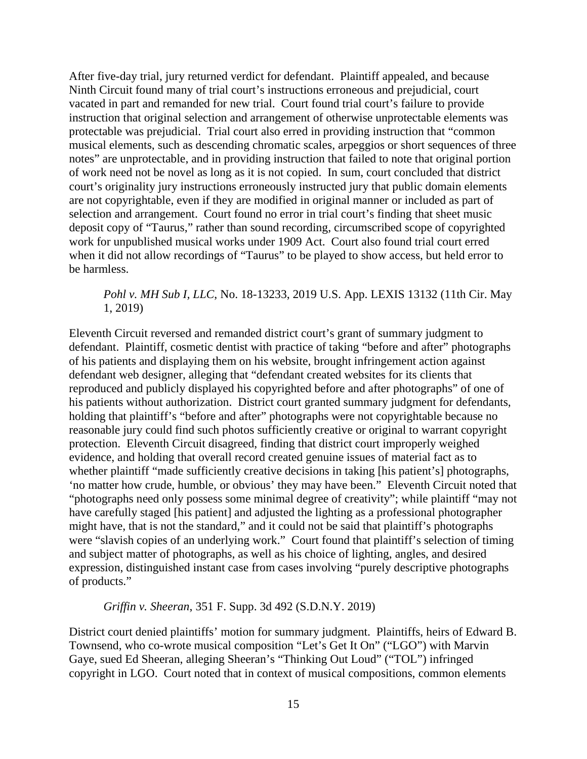After five-day trial, jury returned verdict for defendant. Plaintiff appealed, and because Ninth Circuit found many of trial court's instructions erroneous and prejudicial, court vacated in part and remanded for new trial. Court found trial court's failure to provide instruction that original selection and arrangement of otherwise unprotectable elements was protectable was prejudicial. Trial court also erred in providing instruction that "common musical elements, such as descending chromatic scales, arpeggios or short sequences of three notes" are unprotectable, and in providing instruction that failed to note that original portion of work need not be novel as long as it is not copied. In sum, court concluded that district court's originality jury instructions erroneously instructed jury that public domain elements are not copyrightable, even if they are modified in original manner or included as part of selection and arrangement. Court found no error in trial court's finding that sheet music deposit copy of "Taurus," rather than sound recording, circumscribed scope of copyrighted work for unpublished musical works under 1909 Act. Court also found trial court erred when it did not allow recordings of "Taurus" to be played to show access, but held error to be harmless.

# *Pohl v. MH Sub I, LLC*, No. 18-13233, 2019 U.S. App. LEXIS 13132 (11th Cir. May 1, 2019)

Eleventh Circuit reversed and remanded district court's grant of summary judgment to defendant. Plaintiff, cosmetic dentist with practice of taking "before and after" photographs of his patients and displaying them on his website, brought infringement action against defendant web designer, alleging that "defendant created websites for its clients that reproduced and publicly displayed his copyrighted before and after photographs" of one of his patients without authorization. District court granted summary judgment for defendants, holding that plaintiff's "before and after" photographs were not copyrightable because no reasonable jury could find such photos sufficiently creative or original to warrant copyright protection. Eleventh Circuit disagreed, finding that district court improperly weighed evidence, and holding that overall record created genuine issues of material fact as to whether plaintiff "made sufficiently creative decisions in taking [his patient's] photographs, 'no matter how crude, humble, or obvious' they may have been." Eleventh Circuit noted that "photographs need only possess some minimal degree of creativity"; while plaintiff "may not have carefully staged [his patient] and adjusted the lighting as a professional photographer might have, that is not the standard," and it could not be said that plaintiff's photographs were "slavish copies of an underlying work." Court found that plaintiff's selection of timing and subject matter of photographs, as well as his choice of lighting, angles, and desired expression, distinguished instant case from cases involving "purely descriptive photographs of products."

*Griffin v. Sheeran*, 351 F. Supp. 3d 492 (S.D.N.Y. 2019)

District court denied plaintiffs' motion for summary judgment. Plaintiffs, heirs of Edward B. Townsend, who co-wrote musical composition "Let's Get It On" ("LGO") with Marvin Gaye, sued Ed Sheeran, alleging Sheeran's "Thinking Out Loud" ("TOL") infringed copyright in LGO. Court noted that in context of musical compositions, common elements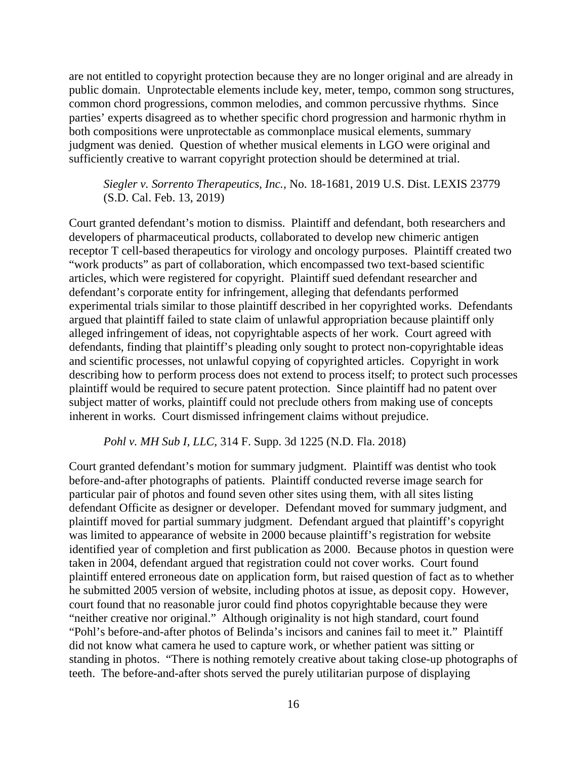are not entitled to copyright protection because they are no longer original and are already in public domain. Unprotectable elements include key, meter, tempo, common song structures, common chord progressions, common melodies, and common percussive rhythms. Since parties' experts disagreed as to whether specific chord progression and harmonic rhythm in both compositions were unprotectable as commonplace musical elements, summary judgment was denied. Question of whether musical elements in LGO were original and sufficiently creative to warrant copyright protection should be determined at trial.

*Siegler v. Sorrento Therapeutics, Inc.,* No. 18-1681, 2019 U.S. Dist. LEXIS 23779 (S.D. Cal. Feb. 13, 2019)

Court granted defendant's motion to dismiss. Plaintiff and defendant, both researchers and developers of pharmaceutical products, collaborated to develop new chimeric antigen receptor T cell-based therapeutics for virology and oncology purposes. Plaintiff created two "work products" as part of collaboration, which encompassed two text-based scientific articles, which were registered for copyright. Plaintiff sued defendant researcher and defendant's corporate entity for infringement, alleging that defendants performed experimental trials similar to those plaintiff described in her copyrighted works. Defendants argued that plaintiff failed to state claim of unlawful appropriation because plaintiff only alleged infringement of ideas, not copyrightable aspects of her work. Court agreed with defendants, finding that plaintiff's pleading only sought to protect non-copyrightable ideas and scientific processes, not unlawful copying of copyrighted articles. Copyright in work describing how to perform process does not extend to process itself; to protect such processes plaintiff would be required to secure patent protection. Since plaintiff had no patent over subject matter of works, plaintiff could not preclude others from making use of concepts inherent in works. Court dismissed infringement claims without prejudice.

#### *Pohl v. MH Sub I, LLC*, 314 F. Supp. 3d 1225 (N.D. Fla. 2018)

Court granted defendant's motion for summary judgment. Plaintiff was dentist who took before-and-after photographs of patients. Plaintiff conducted reverse image search for particular pair of photos and found seven other sites using them, with all sites listing defendant Officite as designer or developer. Defendant moved for summary judgment, and plaintiff moved for partial summary judgment. Defendant argued that plaintiff's copyright was limited to appearance of website in 2000 because plaintiff's registration for website identified year of completion and first publication as 2000. Because photos in question were taken in 2004, defendant argued that registration could not cover works. Court found plaintiff entered erroneous date on application form, but raised question of fact as to whether he submitted 2005 version of website, including photos at issue, as deposit copy. However, court found that no reasonable juror could find photos copyrightable because they were "neither creative nor original." Although originality is not high standard, court found "Pohl's before-and-after photos of Belinda's incisors and canines fail to meet it." Plaintiff did not know what camera he used to capture work, or whether patient was sitting or standing in photos. "There is nothing remotely creative about taking close-up photographs of teeth. The before-and-after shots served the purely utilitarian purpose of displaying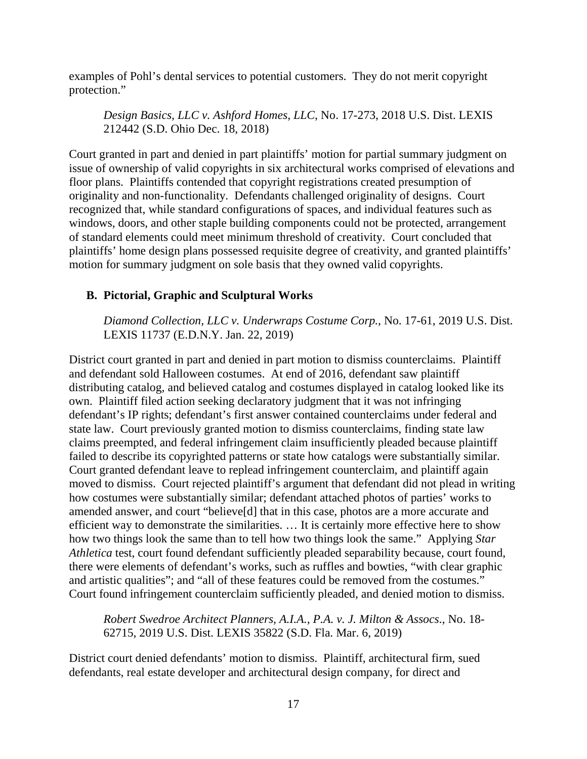examples of Pohl's dental services to potential customers. They do not merit copyright protection."

*Design Basics, LLC v. Ashford Homes, LLC*, No. 17-273, 2018 U.S. Dist. LEXIS 212442 (S.D. Ohio Dec. 18, 2018)

Court granted in part and denied in part plaintiffs' motion for partial summary judgment on issue of ownership of valid copyrights in six architectural works comprised of elevations and floor plans. Plaintiffs contended that copyright registrations created presumption of originality and non-functionality. Defendants challenged originality of designs. Court recognized that, while standard configurations of spaces, and individual features such as windows, doors, and other staple building components could not be protected, arrangement of standard elements could meet minimum threshold of creativity. Court concluded that plaintiffs' home design plans possessed requisite degree of creativity, and granted plaintiffs' motion for summary judgment on sole basis that they owned valid copyrights.

# <span id="page-30-0"></span>**B. Pictorial, Graphic and Sculptural Works**

*Diamond Collection, LLC v. Underwraps Costume Corp.*, No. 17-61, 2019 U.S. Dist. LEXIS 11737 (E.D.N.Y. Jan. 22, 2019)

District court granted in part and denied in part motion to dismiss counterclaims. Plaintiff and defendant sold Halloween costumes. At end of 2016, defendant saw plaintiff distributing catalog, and believed catalog and costumes displayed in catalog looked like its own. Plaintiff filed action seeking declaratory judgment that it was not infringing defendant's IP rights; defendant's first answer contained counterclaims under federal and state law. Court previously granted motion to dismiss counterclaims, finding state law claims preempted, and federal infringement claim insufficiently pleaded because plaintiff failed to describe its copyrighted patterns or state how catalogs were substantially similar. Court granted defendant leave to replead infringement counterclaim, and plaintiff again moved to dismiss. Court rejected plaintiff's argument that defendant did not plead in writing how costumes were substantially similar; defendant attached photos of parties' works to amended answer, and court "believe[d] that in this case, photos are a more accurate and efficient way to demonstrate the similarities. … It is certainly more effective here to show how two things look the same than to tell how two things look the same." Applying *Star Athletica* test, court found defendant sufficiently pleaded separability because, court found, there were elements of defendant's works, such as ruffles and bowties, "with clear graphic and artistic qualities"; and "all of these features could be removed from the costumes." Court found infringement counterclaim sufficiently pleaded, and denied motion to dismiss.

*Robert Swedroe Architect Planners, A.I.A., P.A. v. J. Milton & Assocs*., No. 18- 62715, 2019 U.S. Dist. LEXIS 35822 (S.D. Fla. Mar. 6, 2019)

District court denied defendants' motion to dismiss. Plaintiff, architectural firm, sued defendants, real estate developer and architectural design company, for direct and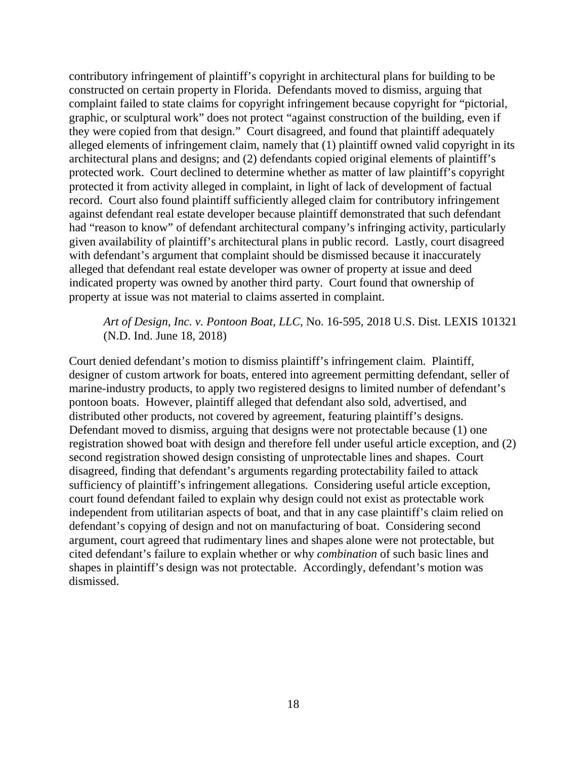contributory infringement of plaintiff's copyright in architectural plans for building to be constructed on certain property in Florida. Defendants moved to dismiss, arguing that complaint failed to state claims for copyright infringement because copyright for "pictorial, graphic, or sculptural work" does not protect "against construction of the building, even if they were copied from that design." Court disagreed, and found that plaintiff adequately alleged elements of infringement claim, namely that (1) plaintiff owned valid copyright in its architectural plans and designs; and (2) defendants copied original elements of plaintiff's protected work. Court declined to determine whether as matter of law plaintiff's copyright protected it from activity alleged in complaint, in light of lack of development of factual record. Court also found plaintiff sufficiently alleged claim for contributory infringement against defendant real estate developer because plaintiff demonstrated that such defendant had "reason to know" of defendant architectural company's infringing activity, particularly given availability of plaintiff's architectural plans in public record. Lastly, court disagreed with defendant's argument that complaint should be dismissed because it inaccurately alleged that defendant real estate developer was owner of property at issue and deed indicated property was owned by another third party. Court found that ownership of property at issue was not material to claims asserted in complaint.

# *Art of Design, Inc. v. Pontoon Boat, LLC*, No. 16-595, 2018 U.S. Dist. LEXIS 101321 (N.D. Ind. June 18, 2018)

Court denied defendant's motion to dismiss plaintiff's infringement claim. Plaintiff, designer of custom artwork for boats, entered into agreement permitting defendant, seller of marine-industry products, to apply two registered designs to limited number of defendant's pontoon boats. However, plaintiff alleged that defendant also sold, advertised, and distributed other products, not covered by agreement, featuring plaintiff's designs. Defendant moved to dismiss, arguing that designs were not protectable because (1) one registration showed boat with design and therefore fell under useful article exception, and (2) second registration showed design consisting of unprotectable lines and shapes. Court disagreed, finding that defendant's arguments regarding protectability failed to attack sufficiency of plaintiff's infringement allegations. Considering useful article exception, court found defendant failed to explain why design could not exist as protectable work independent from utilitarian aspects of boat, and that in any case plaintiff's claim relied on defendant's copying of design and not on manufacturing of boat. Considering second argument, court agreed that rudimentary lines and shapes alone were not protectable, but cited defendant's failure to explain whether or why *combination* of such basic lines and shapes in plaintiff's design was not protectable. Accordingly, defendant's motion was dismissed.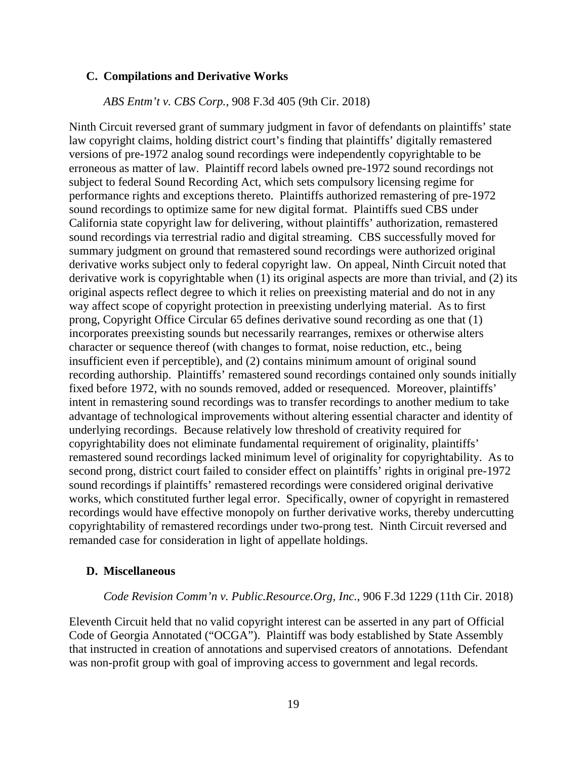#### <span id="page-32-0"></span>**C. Compilations and Derivative Works**

### *ABS Entm't v. CBS Corp.*, 908 F.3d 405 (9th Cir. 2018)

Ninth Circuit reversed grant of summary judgment in favor of defendants on plaintiffs' state law copyright claims, holding district court's finding that plaintiffs' digitally remastered versions of pre-1972 analog sound recordings were independently copyrightable to be erroneous as matter of law. Plaintiff record labels owned pre-1972 sound recordings not subject to federal Sound Recording Act, which sets compulsory licensing regime for performance rights and exceptions thereto. Plaintiffs authorized remastering of pre-1972 sound recordings to optimize same for new digital format. Plaintiffs sued CBS under California state copyright law for delivering, without plaintiffs' authorization, remastered sound recordings via terrestrial radio and digital streaming. CBS successfully moved for summary judgment on ground that remastered sound recordings were authorized original derivative works subject only to federal copyright law. On appeal, Ninth Circuit noted that derivative work is copyrightable when (1) its original aspects are more than trivial, and (2) its original aspects reflect degree to which it relies on preexisting material and do not in any way affect scope of copyright protection in preexisting underlying material. As to first prong, Copyright Office Circular 65 defines derivative sound recording as one that (1) incorporates preexisting sounds but necessarily rearranges, remixes or otherwise alters character or sequence thereof (with changes to format, noise reduction, etc., being insufficient even if perceptible), and (2) contains minimum amount of original sound recording authorship. Plaintiffs' remastered sound recordings contained only sounds initially fixed before 1972, with no sounds removed, added or resequenced. Moreover, plaintiffs' intent in remastering sound recordings was to transfer recordings to another medium to take advantage of technological improvements without altering essential character and identity of underlying recordings. Because relatively low threshold of creativity required for copyrightability does not eliminate fundamental requirement of originality, plaintiffs' remastered sound recordings lacked minimum level of originality for copyrightability. As to second prong, district court failed to consider effect on plaintiffs' rights in original pre-1972 sound recordings if plaintiffs' remastered recordings were considered original derivative works, which constituted further legal error. Specifically, owner of copyright in remastered recordings would have effective monopoly on further derivative works, thereby undercutting copyrightability of remastered recordings under two-prong test. Ninth Circuit reversed and remanded case for consideration in light of appellate holdings.

### <span id="page-32-1"></span>**D. Miscellaneous**

#### *Code Revision Comm'n v. Public.Resource.Org, Inc.*, 906 F.3d 1229 (11th Cir. 2018)

Eleventh Circuit held that no valid copyright interest can be asserted in any part of Official Code of Georgia Annotated ("OCGA"). Plaintiff was body established by State Assembly that instructed in creation of annotations and supervised creators of annotations. Defendant was non-profit group with goal of improving access to government and legal records.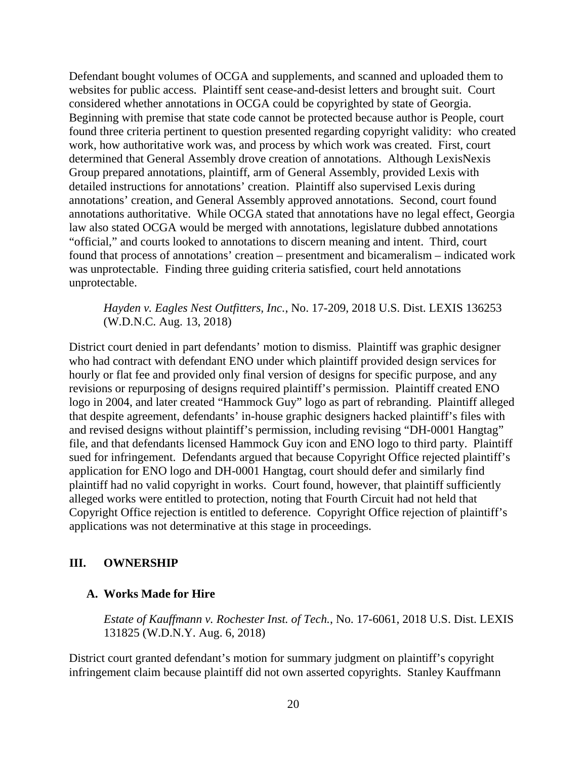Defendant bought volumes of OCGA and supplements, and scanned and uploaded them to websites for public access. Plaintiff sent cease-and-desist letters and brought suit. Court considered whether annotations in OCGA could be copyrighted by state of Georgia. Beginning with premise that state code cannot be protected because author is People, court found three criteria pertinent to question presented regarding copyright validity: who created work, how authoritative work was, and process by which work was created. First, court determined that General Assembly drove creation of annotations. Although LexisNexis Group prepared annotations, plaintiff, arm of General Assembly, provided Lexis with detailed instructions for annotations' creation. Plaintiff also supervised Lexis during annotations' creation, and General Assembly approved annotations. Second, court found annotations authoritative. While OCGA stated that annotations have no legal effect, Georgia law also stated OCGA would be merged with annotations, legislature dubbed annotations "official," and courts looked to annotations to discern meaning and intent. Third, court found that process of annotations' creation – presentment and bicameralism – indicated work was unprotectable. Finding three guiding criteria satisfied, court held annotations unprotectable.

*Hayden v. Eagles Nest Outfitters, Inc.*, No. 17-209, 2018 U.S. Dist. LEXIS 136253 (W.D.N.C. Aug. 13, 2018)

District court denied in part defendants' motion to dismiss. Plaintiff was graphic designer who had contract with defendant ENO under which plaintiff provided design services for hourly or flat fee and provided only final version of designs for specific purpose, and any revisions or repurposing of designs required plaintiff's permission. Plaintiff created ENO logo in 2004, and later created "Hammock Guy" logo as part of rebranding. Plaintiff alleged that despite agreement, defendants' in-house graphic designers hacked plaintiff's files with and revised designs without plaintiff's permission, including revising "DH-0001 Hangtag" file, and that defendants licensed Hammock Guy icon and ENO logo to third party. Plaintiff sued for infringement. Defendants argued that because Copyright Office rejected plaintiff's application for ENO logo and DH-0001 Hangtag, court should defer and similarly find plaintiff had no valid copyright in works. Court found, however, that plaintiff sufficiently alleged works were entitled to protection, noting that Fourth Circuit had not held that Copyright Office rejection is entitled to deference. Copyright Office rejection of plaintiff's applications was not determinative at this stage in proceedings.

### <span id="page-33-0"></span>**III. OWNERSHIP**

### <span id="page-33-1"></span>**A. Works Made for Hire**

*Estate of Kauffmann v. Rochester Inst. of Tech.*, No. 17-6061, 2018 U.S. Dist. LEXIS 131825 (W.D.N.Y. Aug. 6, 2018)

District court granted defendant's motion for summary judgment on plaintiff's copyright infringement claim because plaintiff did not own asserted copyrights. Stanley Kauffmann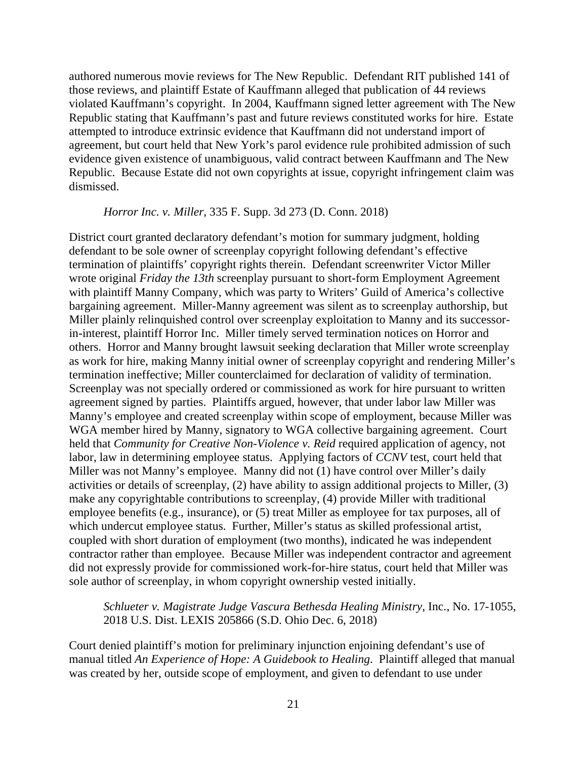authored numerous movie reviews for The New Republic. Defendant RIT published 141 of those reviews, and plaintiff Estate of Kauffmann alleged that publication of 44 reviews violated Kauffmann's copyright. In 2004, Kauffmann signed letter agreement with The New Republic stating that Kauffmann's past and future reviews constituted works for hire. Estate attempted to introduce extrinsic evidence that Kauffmann did not understand import of agreement, but court held that New York's parol evidence rule prohibited admission of such evidence given existence of unambiguous, valid contract between Kauffmann and The New Republic. Because Estate did not own copyrights at issue, copyright infringement claim was dismissed.

### *Horror Inc. v. Miller*, 335 F. Supp. 3d 273 (D. Conn. 2018)

District court granted declaratory defendant's motion for summary judgment, holding defendant to be sole owner of screenplay copyright following defendant's effective termination of plaintiffs' copyright rights therein. Defendant screenwriter Victor Miller wrote original *Friday the 13th* screenplay pursuant to short-form Employment Agreement with plaintiff Manny Company, which was party to Writers' Guild of America's collective bargaining agreement. Miller-Manny agreement was silent as to screenplay authorship, but Miller plainly relinquished control over screenplay exploitation to Manny and its successorin-interest, plaintiff Horror Inc. Miller timely served termination notices on Horror and others. Horror and Manny brought lawsuit seeking declaration that Miller wrote screenplay as work for hire, making Manny initial owner of screenplay copyright and rendering Miller's termination ineffective; Miller counterclaimed for declaration of validity of termination. Screenplay was not specially ordered or commissioned as work for hire pursuant to written agreement signed by parties. Plaintiffs argued, however, that under labor law Miller was Manny's employee and created screenplay within scope of employment, because Miller was WGA member hired by Manny, signatory to WGA collective bargaining agreement. Court held that *Community for Creative Non-Violence v. Reid* required application of agency, not labor, law in determining employee status. Applying factors of *CCNV* test, court held that Miller was not Manny's employee. Manny did not (1) have control over Miller's daily activities or details of screenplay, (2) have ability to assign additional projects to Miller, (3) make any copyrightable contributions to screenplay, (4) provide Miller with traditional employee benefits (e.g., insurance), or (5) treat Miller as employee for tax purposes, all of which undercut employee status. Further, Miller's status as skilled professional artist, coupled with short duration of employment (two months), indicated he was independent contractor rather than employee. Because Miller was independent contractor and agreement did not expressly provide for commissioned work-for-hire status, court held that Miller was sole author of screenplay, in whom copyright ownership vested initially.

*Schlueter v. Magistrate Judge Vascura Bethesda Healing Ministry*, Inc., No. 17-1055, 2018 U.S. Dist. LEXIS 205866 (S.D. Ohio Dec. 6, 2018)

Court denied plaintiff's motion for preliminary injunction enjoining defendant's use of manual titled *An Experience of Hope: A Guidebook to Healing*. Plaintiff alleged that manual was created by her, outside scope of employment, and given to defendant to use under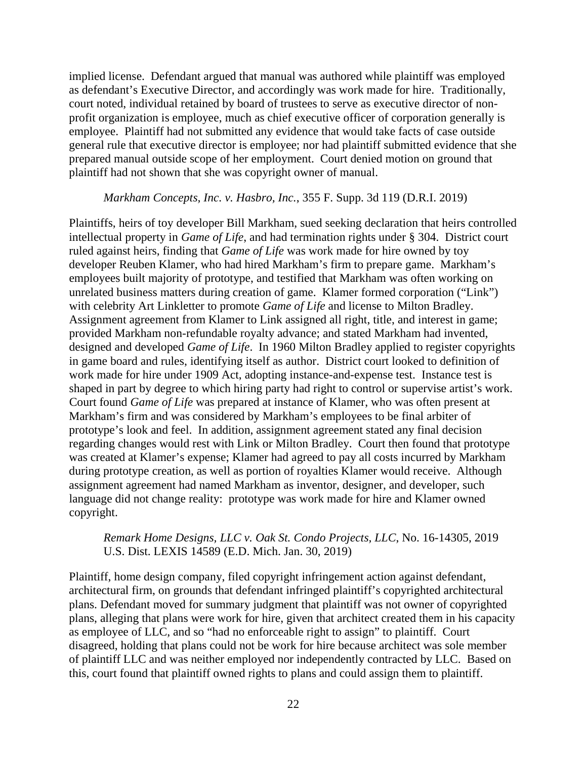implied license. Defendant argued that manual was authored while plaintiff was employed as defendant's Executive Director, and accordingly was work made for hire. Traditionally, court noted, individual retained by board of trustees to serve as executive director of nonprofit organization is employee, much as chief executive officer of corporation generally is employee. Plaintiff had not submitted any evidence that would take facts of case outside general rule that executive director is employee; nor had plaintiff submitted evidence that she prepared manual outside scope of her employment. Court denied motion on ground that plaintiff had not shown that she was copyright owner of manual.

#### *Markham Concepts, Inc. v. Hasbro, Inc.*, 355 F. Supp. 3d 119 (D.R.I. 2019)

Plaintiffs, heirs of toy developer Bill Markham, sued seeking declaration that heirs controlled intellectual property in *Game of Life*, and had termination rights under § 304. District court ruled against heirs, finding that *Game of Life* was work made for hire owned by toy developer Reuben Klamer, who had hired Markham's firm to prepare game. Markham's employees built majority of prototype, and testified that Markham was often working on unrelated business matters during creation of game. Klamer formed corporation ("Link") with celebrity Art Linkletter to promote *Game of Life* and license to Milton Bradley. Assignment agreement from Klamer to Link assigned all right, title, and interest in game; provided Markham non-refundable royalty advance; and stated Markham had invented, designed and developed *Game of Life*. In 1960 Milton Bradley applied to register copyrights in game board and rules, identifying itself as author. District court looked to definition of work made for hire under 1909 Act, adopting instance-and-expense test. Instance test is shaped in part by degree to which hiring party had right to control or supervise artist's work. Court found *Game of Life* was prepared at instance of Klamer, who was often present at Markham's firm and was considered by Markham's employees to be final arbiter of prototype's look and feel. In addition, assignment agreement stated any final decision regarding changes would rest with Link or Milton Bradley. Court then found that prototype was created at Klamer's expense; Klamer had agreed to pay all costs incurred by Markham during prototype creation, as well as portion of royalties Klamer would receive. Although assignment agreement had named Markham as inventor, designer, and developer, such language did not change reality: prototype was work made for hire and Klamer owned copyright.

# *Remark Home Designs, LLC v. Oak St. Condo Projects, LLC*, No. 16-14305, 2019 U.S. Dist. LEXIS 14589 (E.D. Mich. Jan. 30, 2019)

Plaintiff, home design company, filed copyright infringement action against defendant, architectural firm, on grounds that defendant infringed plaintiff's copyrighted architectural plans. Defendant moved for summary judgment that plaintiff was not owner of copyrighted plans, alleging that plans were work for hire, given that architect created them in his capacity as employee of LLC, and so "had no enforceable right to assign" to plaintiff. Court disagreed, holding that plans could not be work for hire because architect was sole member of plaintiff LLC and was neither employed nor independently contracted by LLC. Based on this, court found that plaintiff owned rights to plans and could assign them to plaintiff.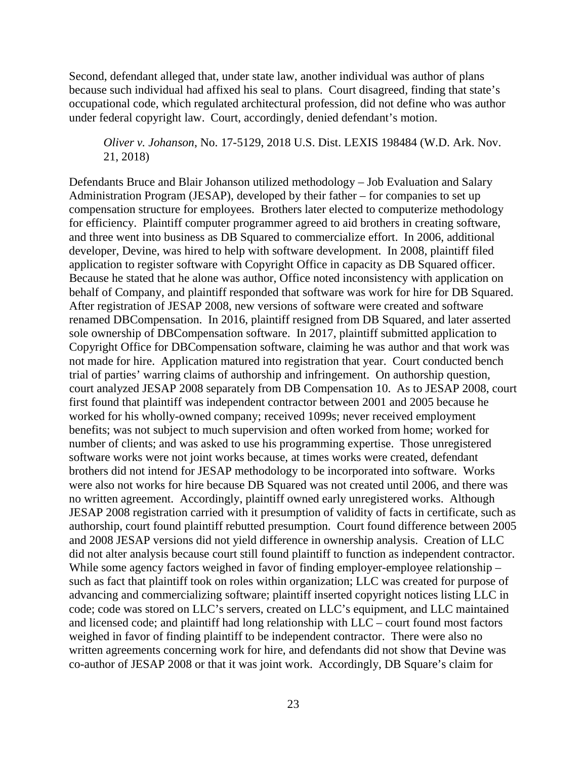Second, defendant alleged that, under state law, another individual was author of plans because such individual had affixed his seal to plans. Court disagreed, finding that state's occupational code, which regulated architectural profession, did not define who was author under federal copyright law. Court, accordingly, denied defendant's motion.

*Oliver v. Johanson*, No. 17-5129, 2018 U.S. Dist. LEXIS 198484 (W.D. Ark. Nov. 21, 2018)

Defendants Bruce and Blair Johanson utilized methodology – Job Evaluation and Salary Administration Program (JESAP), developed by their father – for companies to set up compensation structure for employees. Brothers later elected to computerize methodology for efficiency. Plaintiff computer programmer agreed to aid brothers in creating software, and three went into business as DB Squared to commercialize effort. In 2006, additional developer, Devine, was hired to help with software development. In 2008, plaintiff filed application to register software with Copyright Office in capacity as DB Squared officer. Because he stated that he alone was author, Office noted inconsistency with application on behalf of Company, and plaintiff responded that software was work for hire for DB Squared. After registration of JESAP 2008, new versions of software were created and software renamed DBCompensation. In 2016, plaintiff resigned from DB Squared, and later asserted sole ownership of DBCompensation software. In 2017, plaintiff submitted application to Copyright Office for DBCompensation software, claiming he was author and that work was not made for hire. Application matured into registration that year. Court conducted bench trial of parties' warring claims of authorship and infringement. On authorship question, court analyzed JESAP 2008 separately from DB Compensation 10. As to JESAP 2008, court first found that plaintiff was independent contractor between 2001 and 2005 because he worked for his wholly-owned company; received 1099s; never received employment benefits; was not subject to much supervision and often worked from home; worked for number of clients; and was asked to use his programming expertise. Those unregistered software works were not joint works because, at times works were created, defendant brothers did not intend for JESAP methodology to be incorporated into software. Works were also not works for hire because DB Squared was not created until 2006, and there was no written agreement. Accordingly, plaintiff owned early unregistered works. Although JESAP 2008 registration carried with it presumption of validity of facts in certificate, such as authorship, court found plaintiff rebutted presumption. Court found difference between 2005 and 2008 JESAP versions did not yield difference in ownership analysis. Creation of LLC did not alter analysis because court still found plaintiff to function as independent contractor. While some agency factors weighed in favor of finding employer-employee relationship – such as fact that plaintiff took on roles within organization; LLC was created for purpose of advancing and commercializing software; plaintiff inserted copyright notices listing LLC in code; code was stored on LLC's servers, created on LLC's equipment, and LLC maintained and licensed code; and plaintiff had long relationship with LLC – court found most factors weighed in favor of finding plaintiff to be independent contractor. There were also no written agreements concerning work for hire, and defendants did not show that Devine was co-author of JESAP 2008 or that it was joint work. Accordingly, DB Square's claim for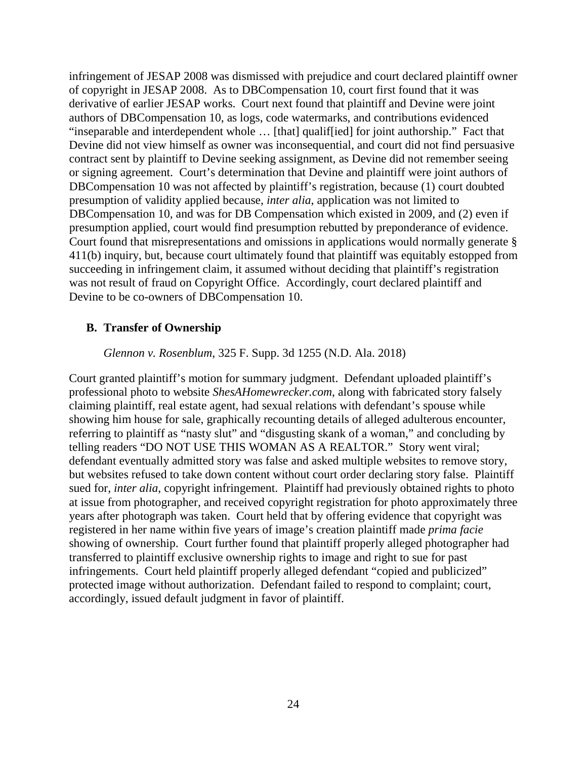infringement of JESAP 2008 was dismissed with prejudice and court declared plaintiff owner of copyright in JESAP 2008. As to DBCompensation 10, court first found that it was derivative of earlier JESAP works. Court next found that plaintiff and Devine were joint authors of DBCompensation 10, as logs, code watermarks, and contributions evidenced "inseparable and interdependent whole … [that] qualif[ied] for joint authorship." Fact that Devine did not view himself as owner was inconsequential, and court did not find persuasive contract sent by plaintiff to Devine seeking assignment, as Devine did not remember seeing or signing agreement. Court's determination that Devine and plaintiff were joint authors of DBCompensation 10 was not affected by plaintiff's registration, because (1) court doubted presumption of validity applied because, *inter alia*, application was not limited to DBCompensation 10, and was for DB Compensation which existed in 2009, and (2) even if presumption applied, court would find presumption rebutted by preponderance of evidence. Court found that misrepresentations and omissions in applications would normally generate § 411(b) inquiry, but, because court ultimately found that plaintiff was equitably estopped from succeeding in infringement claim, it assumed without deciding that plaintiff's registration was not result of fraud on Copyright Office. Accordingly, court declared plaintiff and Devine to be co-owners of DBCompensation 10.

### **B. Transfer of Ownership**

*Glennon v. Rosenblum*, 325 F. Supp. 3d 1255 (N.D. Ala. 2018)

Court granted plaintiff's motion for summary judgment. Defendant uploaded plaintiff's professional photo to website *ShesAHomewrecker.com*, along with fabricated story falsely claiming plaintiff, real estate agent, had sexual relations with defendant's spouse while showing him house for sale, graphically recounting details of alleged adulterous encounter, referring to plaintiff as "nasty slut" and "disgusting skank of a woman," and concluding by telling readers "DO NOT USE THIS WOMAN AS A REALTOR." Story went viral; defendant eventually admitted story was false and asked multiple websites to remove story, but websites refused to take down content without court order declaring story false. Plaintiff sued for, *inter alia*, copyright infringement. Plaintiff had previously obtained rights to photo at issue from photographer, and received copyright registration for photo approximately three years after photograph was taken. Court held that by offering evidence that copyright was registered in her name within five years of image's creation plaintiff made *prima facie* showing of ownership. Court further found that plaintiff properly alleged photographer had transferred to plaintiff exclusive ownership rights to image and right to sue for past infringements. Court held plaintiff properly alleged defendant "copied and publicized" protected image without authorization. Defendant failed to respond to complaint; court, accordingly, issued default judgment in favor of plaintiff.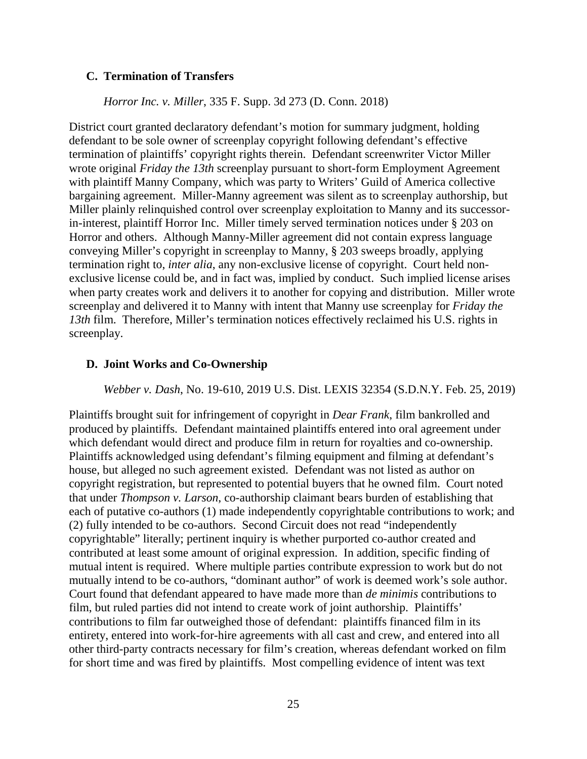### **C. Termination of Transfers**

## *Horror Inc. v. Miller*, 335 F. Supp. 3d 273 (D. Conn. 2018)

District court granted declaratory defendant's motion for summary judgment, holding defendant to be sole owner of screenplay copyright following defendant's effective termination of plaintiffs' copyright rights therein. Defendant screenwriter Victor Miller wrote original *Friday the 13th* screenplay pursuant to short-form Employment Agreement with plaintiff Manny Company, which was party to Writers' Guild of America collective bargaining agreement. Miller-Manny agreement was silent as to screenplay authorship, but Miller plainly relinquished control over screenplay exploitation to Manny and its successorin-interest, plaintiff Horror Inc. Miller timely served termination notices under § 203 on Horror and others. Although Manny-Miller agreement did not contain express language conveying Miller's copyright in screenplay to Manny, § 203 sweeps broadly, applying termination right to, *inter alia*, any non-exclusive license of copyright. Court held nonexclusive license could be, and in fact was, implied by conduct. Such implied license arises when party creates work and delivers it to another for copying and distribution. Miller wrote screenplay and delivered it to Manny with intent that Manny use screenplay for *Friday the 13th* film. Therefore, Miller's termination notices effectively reclaimed his U.S. rights in screenplay.

### **D. Joint Works and Co-Ownership**

### *Webber v. Dash*, No. 19-610, 2019 U.S. Dist. LEXIS 32354 (S.D.N.Y. Feb. 25, 2019)

Plaintiffs brought suit for infringement of copyright in *Dear Frank*, film bankrolled and produced by plaintiffs. Defendant maintained plaintiffs entered into oral agreement under which defendant would direct and produce film in return for royalties and co-ownership. Plaintiffs acknowledged using defendant's filming equipment and filming at defendant's house, but alleged no such agreement existed. Defendant was not listed as author on copyright registration, but represented to potential buyers that he owned film. Court noted that under *Thompson v. Larson*, co-authorship claimant bears burden of establishing that each of putative co-authors (1) made independently copyrightable contributions to work; and (2) fully intended to be co-authors. Second Circuit does not read "independently copyrightable" literally; pertinent inquiry is whether purported co-author created and contributed at least some amount of original expression. In addition, specific finding of mutual intent is required. Where multiple parties contribute expression to work but do not mutually intend to be co-authors, "dominant author" of work is deemed work's sole author. Court found that defendant appeared to have made more than *de minimis* contributions to film, but ruled parties did not intend to create work of joint authorship. Plaintiffs' contributions to film far outweighed those of defendant: plaintiffs financed film in its entirety, entered into work-for-hire agreements with all cast and crew, and entered into all other third-party contracts necessary for film's creation, whereas defendant worked on film for short time and was fired by plaintiffs. Most compelling evidence of intent was text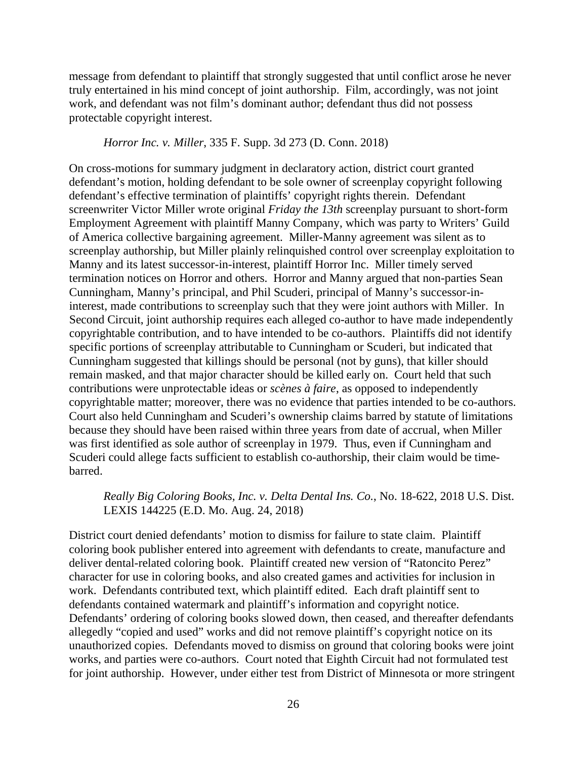message from defendant to plaintiff that strongly suggested that until conflict arose he never truly entertained in his mind concept of joint authorship. Film, accordingly, was not joint work, and defendant was not film's dominant author; defendant thus did not possess protectable copyright interest.

### *Horror Inc. v. Miller*, 335 F. Supp. 3d 273 (D. Conn. 2018)

On cross-motions for summary judgment in declaratory action, district court granted defendant's motion, holding defendant to be sole owner of screenplay copyright following defendant's effective termination of plaintiffs' copyright rights therein. Defendant screenwriter Victor Miller wrote original *Friday the 13th* screenplay pursuant to short-form Employment Agreement with plaintiff Manny Company, which was party to Writers' Guild of America collective bargaining agreement. Miller-Manny agreement was silent as to screenplay authorship, but Miller plainly relinquished control over screenplay exploitation to Manny and its latest successor-in-interest, plaintiff Horror Inc. Miller timely served termination notices on Horror and others. Horror and Manny argued that non-parties Sean Cunningham, Manny's principal, and Phil Scuderi, principal of Manny's successor-ininterest, made contributions to screenplay such that they were joint authors with Miller. In Second Circuit, joint authorship requires each alleged co-author to have made independently copyrightable contribution, and to have intended to be co-authors. Plaintiffs did not identify specific portions of screenplay attributable to Cunningham or Scuderi, but indicated that Cunningham suggested that killings should be personal (not by guns), that killer should remain masked, and that major character should be killed early on. Court held that such contributions were unprotectable ideas or *scènes à faire*, as opposed to independently copyrightable matter; moreover, there was no evidence that parties intended to be co-authors. Court also held Cunningham and Scuderi's ownership claims barred by statute of limitations because they should have been raised within three years from date of accrual, when Miller was first identified as sole author of screenplay in 1979. Thus, even if Cunningham and Scuderi could allege facts sufficient to establish co-authorship, their claim would be timebarred.

# *Really Big Coloring Books, Inc. v. Delta Dental Ins. Co.*, No. 18-622, 2018 U.S. Dist. LEXIS 144225 (E.D. Mo. Aug. 24, 2018)

District court denied defendants' motion to dismiss for failure to state claim. Plaintiff coloring book publisher entered into agreement with defendants to create, manufacture and deliver dental-related coloring book. Plaintiff created new version of "Ratoncito Perez" character for use in coloring books, and also created games and activities for inclusion in work. Defendants contributed text, which plaintiff edited. Each draft plaintiff sent to defendants contained watermark and plaintiff's information and copyright notice. Defendants' ordering of coloring books slowed down, then ceased, and thereafter defendants allegedly "copied and used" works and did not remove plaintiff's copyright notice on its unauthorized copies. Defendants moved to dismiss on ground that coloring books were joint works, and parties were co-authors. Court noted that Eighth Circuit had not formulated test for joint authorship. However, under either test from District of Minnesota or more stringent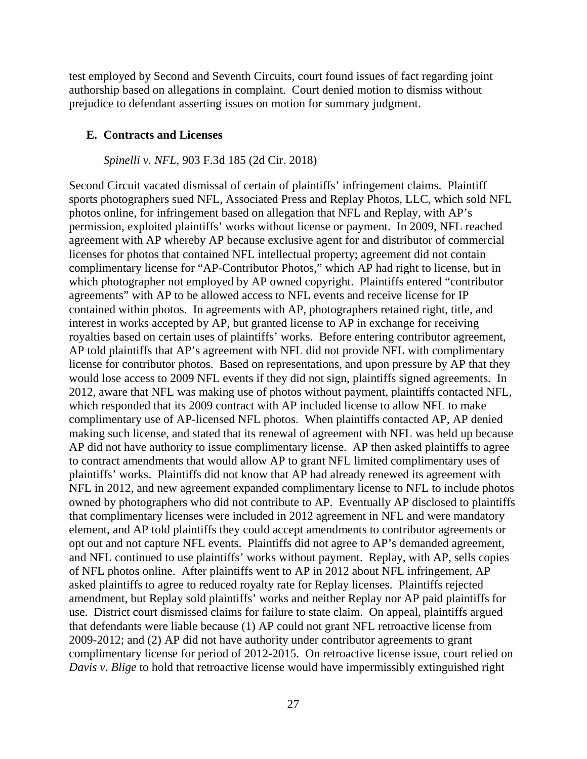test employed by Second and Seventh Circuits, court found issues of fact regarding joint authorship based on allegations in complaint. Court denied motion to dismiss without prejudice to defendant asserting issues on motion for summary judgment.

#### **E. Contracts and Licenses**

*Spinelli v. NFL*, 903 F.3d 185 (2d Cir. 2018)

Second Circuit vacated dismissal of certain of plaintiffs' infringement claims. Plaintiff sports photographers sued NFL, Associated Press and Replay Photos, LLC, which sold NFL photos online, for infringement based on allegation that NFL and Replay, with AP's permission, exploited plaintiffs' works without license or payment. In 2009, NFL reached agreement with AP whereby AP because exclusive agent for and distributor of commercial licenses for photos that contained NFL intellectual property; agreement did not contain complimentary license for "AP-Contributor Photos," which AP had right to license, but in which photographer not employed by AP owned copyright. Plaintiffs entered "contributor agreements" with AP to be allowed access to NFL events and receive license for IP contained within photos. In agreements with AP, photographers retained right, title, and interest in works accepted by AP, but granted license to AP in exchange for receiving royalties based on certain uses of plaintiffs' works. Before entering contributor agreement, AP told plaintiffs that AP's agreement with NFL did not provide NFL with complimentary license for contributor photos. Based on representations, and upon pressure by AP that they would lose access to 2009 NFL events if they did not sign, plaintiffs signed agreements. In 2012, aware that NFL was making use of photos without payment, plaintiffs contacted NFL, which responded that its 2009 contract with AP included license to allow NFL to make complimentary use of AP-licensed NFL photos. When plaintiffs contacted AP, AP denied making such license, and stated that its renewal of agreement with NFL was held up because AP did not have authority to issue complimentary license. AP then asked plaintiffs to agree to contract amendments that would allow AP to grant NFL limited complimentary uses of plaintiffs' works. Plaintiffs did not know that AP had already renewed its agreement with NFL in 2012, and new agreement expanded complimentary license to NFL to include photos owned by photographers who did not contribute to AP. Eventually AP disclosed to plaintiffs that complimentary licenses were included in 2012 agreement in NFL and were mandatory element, and AP told plaintiffs they could accept amendments to contributor agreements or opt out and not capture NFL events. Plaintiffs did not agree to AP's demanded agreement, and NFL continued to use plaintiffs' works without payment. Replay, with AP, sells copies of NFL photos online. After plaintiffs went to AP in 2012 about NFL infringement, AP asked plaintiffs to agree to reduced royalty rate for Replay licenses. Plaintiffs rejected amendment, but Replay sold plaintiffs' works and neither Replay nor AP paid plaintiffs for use. District court dismissed claims for failure to state claim. On appeal, plaintiffs argued that defendants were liable because (1) AP could not grant NFL retroactive license from 2009-2012; and (2) AP did not have authority under contributor agreements to grant complimentary license for period of 2012-2015. On retroactive license issue, court relied on *Davis v. Blige* to hold that retroactive license would have impermissibly extinguished right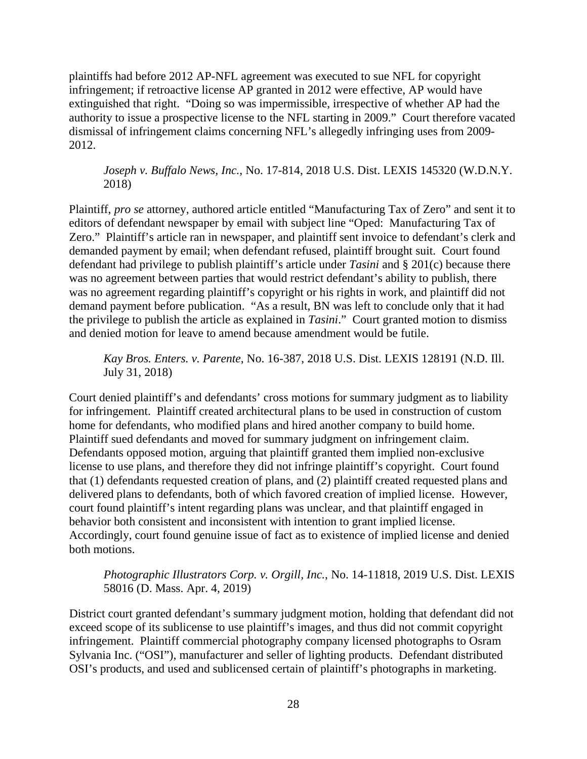plaintiffs had before 2012 AP-NFL agreement was executed to sue NFL for copyright infringement; if retroactive license AP granted in 2012 were effective, AP would have extinguished that right. "Doing so was impermissible, irrespective of whether AP had the authority to issue a prospective license to the NFL starting in 2009." Court therefore vacated dismissal of infringement claims concerning NFL's allegedly infringing uses from 2009- 2012.

*Joseph v. Buffalo News, Inc.*, No. 17-814, 2018 U.S. Dist. LEXIS 145320 (W.D.N.Y. 2018)

Plaintiff, *pro se* attorney, authored article entitled "Manufacturing Tax of Zero" and sent it to editors of defendant newspaper by email with subject line "Oped: Manufacturing Tax of Zero." Plaintiff's article ran in newspaper, and plaintiff sent invoice to defendant's clerk and demanded payment by email; when defendant refused, plaintiff brought suit. Court found defendant had privilege to publish plaintiff's article under *Tasini* and § 201(c) because there was no agreement between parties that would restrict defendant's ability to publish, there was no agreement regarding plaintiff's copyright or his rights in work, and plaintiff did not demand payment before publication. "As a result, BN was left to conclude only that it had the privilege to publish the article as explained in *Tasini*." Court granted motion to dismiss and denied motion for leave to amend because amendment would be futile.

*Kay Bros. Enters. v. Parente*, No. 16-387, 2018 U.S. Dist. LEXIS 128191 (N.D. Ill. July 31, 2018)

Court denied plaintiff's and defendants' cross motions for summary judgment as to liability for infringement. Plaintiff created architectural plans to be used in construction of custom home for defendants, who modified plans and hired another company to build home. Plaintiff sued defendants and moved for summary judgment on infringement claim. Defendants opposed motion, arguing that plaintiff granted them implied non-exclusive license to use plans, and therefore they did not infringe plaintiff's copyright. Court found that (1) defendants requested creation of plans, and (2) plaintiff created requested plans and delivered plans to defendants, both of which favored creation of implied license. However, court found plaintiff's intent regarding plans was unclear, and that plaintiff engaged in behavior both consistent and inconsistent with intention to grant implied license. Accordingly, court found genuine issue of fact as to existence of implied license and denied both motions.

*Photographic Illustrators Corp. v. Orgill, Inc.*, No. 14-11818, 2019 U.S. Dist. LEXIS 58016 (D. Mass. Apr. 4, 2019)

District court granted defendant's summary judgment motion, holding that defendant did not exceed scope of its sublicense to use plaintiff's images, and thus did not commit copyright infringement. Plaintiff commercial photography company licensed photographs to Osram Sylvania Inc. ("OSI"), manufacturer and seller of lighting products. Defendant distributed OSI's products, and used and sublicensed certain of plaintiff's photographs in marketing.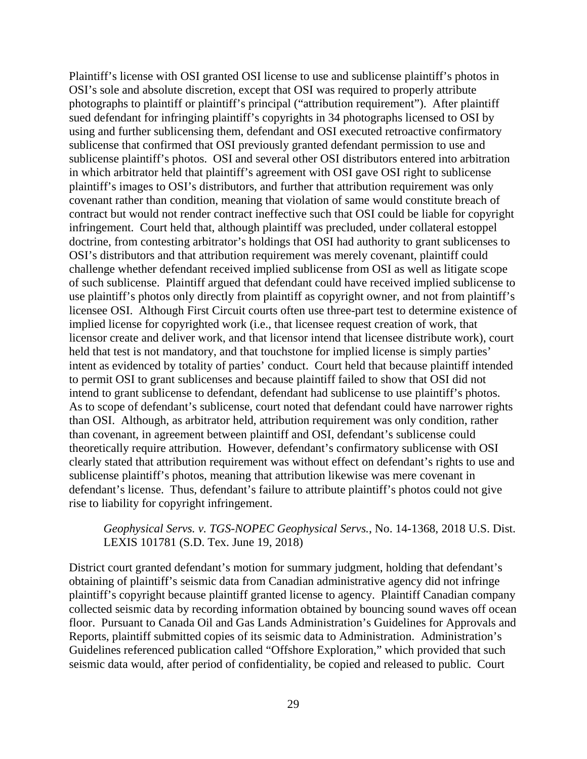Plaintiff's license with OSI granted OSI license to use and sublicense plaintiff's photos in OSI's sole and absolute discretion, except that OSI was required to properly attribute photographs to plaintiff or plaintiff's principal ("attribution requirement"). After plaintiff sued defendant for infringing plaintiff's copyrights in 34 photographs licensed to OSI by using and further sublicensing them, defendant and OSI executed retroactive confirmatory sublicense that confirmed that OSI previously granted defendant permission to use and sublicense plaintiff's photos. OSI and several other OSI distributors entered into arbitration in which arbitrator held that plaintiff's agreement with OSI gave OSI right to sublicense plaintiff's images to OSI's distributors, and further that attribution requirement was only covenant rather than condition, meaning that violation of same would constitute breach of contract but would not render contract ineffective such that OSI could be liable for copyright infringement. Court held that, although plaintiff was precluded, under collateral estoppel doctrine, from contesting arbitrator's holdings that OSI had authority to grant sublicenses to OSI's distributors and that attribution requirement was merely covenant, plaintiff could challenge whether defendant received implied sublicense from OSI as well as litigate scope of such sublicense. Plaintiff argued that defendant could have received implied sublicense to use plaintiff's photos only directly from plaintiff as copyright owner, and not from plaintiff's licensee OSI. Although First Circuit courts often use three-part test to determine existence of implied license for copyrighted work (i.e., that licensee request creation of work, that licensor create and deliver work, and that licensor intend that licensee distribute work), court held that test is not mandatory, and that touchstone for implied license is simply parties' intent as evidenced by totality of parties' conduct. Court held that because plaintiff intended to permit OSI to grant sublicenses and because plaintiff failed to show that OSI did not intend to grant sublicense to defendant, defendant had sublicense to use plaintiff's photos. As to scope of defendant's sublicense, court noted that defendant could have narrower rights than OSI. Although, as arbitrator held, attribution requirement was only condition, rather than covenant, in agreement between plaintiff and OSI, defendant's sublicense could theoretically require attribution. However, defendant's confirmatory sublicense with OSI clearly stated that attribution requirement was without effect on defendant's rights to use and sublicense plaintiff's photos, meaning that attribution likewise was mere covenant in defendant's license. Thus, defendant's failure to attribute plaintiff's photos could not give rise to liability for copyright infringement.

# *Geophysical Servs. v. TGS-NOPEC Geophysical Servs.*, No. 14-1368, 2018 U.S. Dist. LEXIS 101781 (S.D. Tex. June 19, 2018)

District court granted defendant's motion for summary judgment, holding that defendant's obtaining of plaintiff's seismic data from Canadian administrative agency did not infringe plaintiff's copyright because plaintiff granted license to agency. Plaintiff Canadian company collected seismic data by recording information obtained by bouncing sound waves off ocean floor. Pursuant to Canada Oil and Gas Lands Administration's Guidelines for Approvals and Reports, plaintiff submitted copies of its seismic data to Administration. Administration's Guidelines referenced publication called "Offshore Exploration," which provided that such seismic data would, after period of confidentiality, be copied and released to public. Court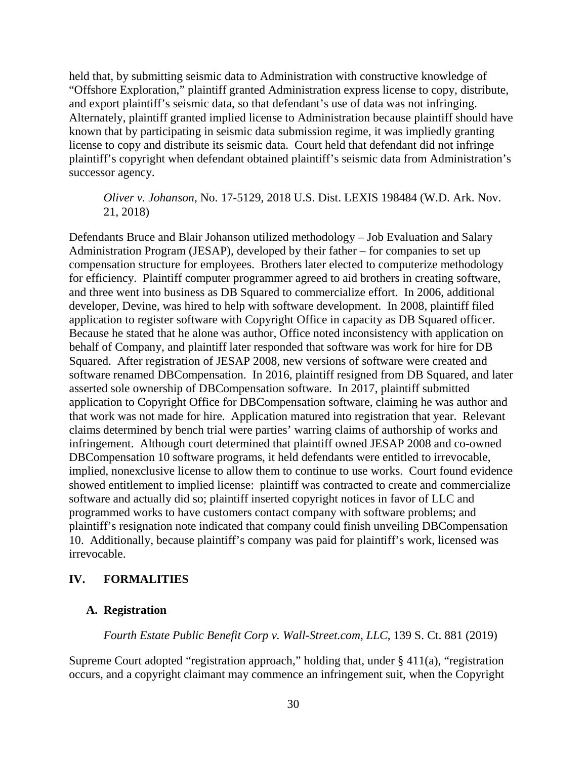held that, by submitting seismic data to Administration with constructive knowledge of "Offshore Exploration," plaintiff granted Administration express license to copy, distribute, and export plaintiff's seismic data, so that defendant's use of data was not infringing. Alternately, plaintiff granted implied license to Administration because plaintiff should have known that by participating in seismic data submission regime, it was impliedly granting license to copy and distribute its seismic data. Court held that defendant did not infringe plaintiff's copyright when defendant obtained plaintiff's seismic data from Administration's successor agency.

## *Oliver v. Johanson*, No. 17-5129, 2018 U.S. Dist. LEXIS 198484 (W.D. Ark. Nov. 21, 2018)

Defendants Bruce and Blair Johanson utilized methodology – Job Evaluation and Salary Administration Program (JESAP), developed by their father – for companies to set up compensation structure for employees. Brothers later elected to computerize methodology for efficiency. Plaintiff computer programmer agreed to aid brothers in creating software, and three went into business as DB Squared to commercialize effort. In 2006, additional developer, Devine, was hired to help with software development. In 2008, plaintiff filed application to register software with Copyright Office in capacity as DB Squared officer. Because he stated that he alone was author, Office noted inconsistency with application on behalf of Company, and plaintiff later responded that software was work for hire for DB Squared. After registration of JESAP 2008, new versions of software were created and software renamed DBCompensation. In 2016, plaintiff resigned from DB Squared, and later asserted sole ownership of DBCompensation software. In 2017, plaintiff submitted application to Copyright Office for DBCompensation software, claiming he was author and that work was not made for hire. Application matured into registration that year. Relevant claims determined by bench trial were parties' warring claims of authorship of works and infringement. Although court determined that plaintiff owned JESAP 2008 and co-owned DBCompensation 10 software programs, it held defendants were entitled to irrevocable, implied, nonexclusive license to allow them to continue to use works. Court found evidence showed entitlement to implied license: plaintiff was contracted to create and commercialize software and actually did so; plaintiff inserted copyright notices in favor of LLC and programmed works to have customers contact company with software problems; and plaintiff's resignation note indicated that company could finish unveiling DBCompensation 10. Additionally, because plaintiff's company was paid for plaintiff's work, licensed was irrevocable.

# **IV. FORMALITIES**

# **A. Registration**

*Fourth Estate Public Benefit Corp v. Wall-Street.com, LLC*, 139 S. Ct. 881 (2019)

Supreme Court adopted "registration approach," holding that, under  $\S 411(a)$ , "registration" occurs, and a copyright claimant may commence an infringement suit, when the Copyright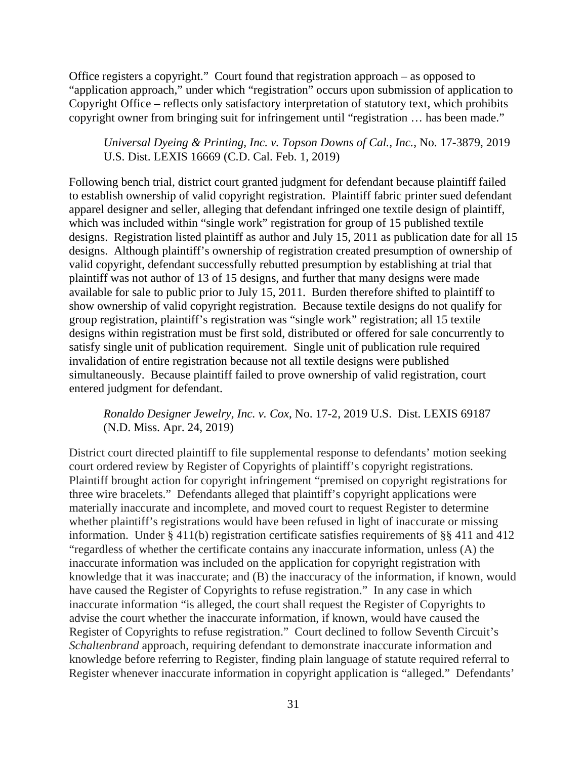Office registers a copyright." Court found that registration approach – as opposed to "application approach," under which "registration" occurs upon submission of application to Copyright Office – reflects only satisfactory interpretation of statutory text, which prohibits copyright owner from bringing suit for infringement until "registration … has been made."

# *Universal Dyeing & Printing, Inc. v. Topson Downs of Cal., Inc.*, No. 17-3879, 2019 U.S. Dist. LEXIS 16669 (C.D. Cal. Feb. 1, 2019)

Following bench trial, district court granted judgment for defendant because plaintiff failed to establish ownership of valid copyright registration. Plaintiff fabric printer sued defendant apparel designer and seller, alleging that defendant infringed one textile design of plaintiff, which was included within "single work" registration for group of 15 published textile designs. Registration listed plaintiff as author and July 15, 2011 as publication date for all 15 designs. Although plaintiff's ownership of registration created presumption of ownership of valid copyright, defendant successfully rebutted presumption by establishing at trial that plaintiff was not author of 13 of 15 designs, and further that many designs were made available for sale to public prior to July 15, 2011. Burden therefore shifted to plaintiff to show ownership of valid copyright registration. Because textile designs do not qualify for group registration, plaintiff's registration was "single work" registration; all 15 textile designs within registration must be first sold, distributed or offered for sale concurrently to satisfy single unit of publication requirement. Single unit of publication rule required invalidation of entire registration because not all textile designs were published simultaneously. Because plaintiff failed to prove ownership of valid registration, court entered judgment for defendant.

# *Ronaldo Designer Jewelry, Inc. v. Cox*, No. 17-2, 2019 U.S. Dist. LEXIS 69187 (N.D. Miss. Apr. 24, 2019)

District court directed plaintiff to file supplemental response to defendants' motion seeking court ordered review by Register of Copyrights of plaintiff's copyright registrations. Plaintiff brought action for copyright infringement "premised on copyright registrations for three wire bracelets." Defendants alleged that plaintiff's copyright applications were materially inaccurate and incomplete, and moved court to request Register to determine whether plaintiff's registrations would have been refused in light of inaccurate or missing information. Under § 411(b) registration certificate satisfies requirements of §§ 411 and 412 "regardless of whether the certificate contains any inaccurate information, unless (A) the inaccurate information was included on the application for copyright registration with knowledge that it was inaccurate; and (B) the inaccuracy of the information, if known, would have caused the Register of Copyrights to refuse registration." In any case in which inaccurate information "is alleged, the court shall request the Register of Copyrights to advise the court whether the inaccurate information, if known, would have caused the Register of Copyrights to refuse registration." Court declined to follow Seventh Circuit's *Schaltenbrand* approach, requiring defendant to demonstrate inaccurate information and knowledge before referring to Register, finding plain language of statute required referral to Register whenever inaccurate information in copyright application is "alleged." Defendants'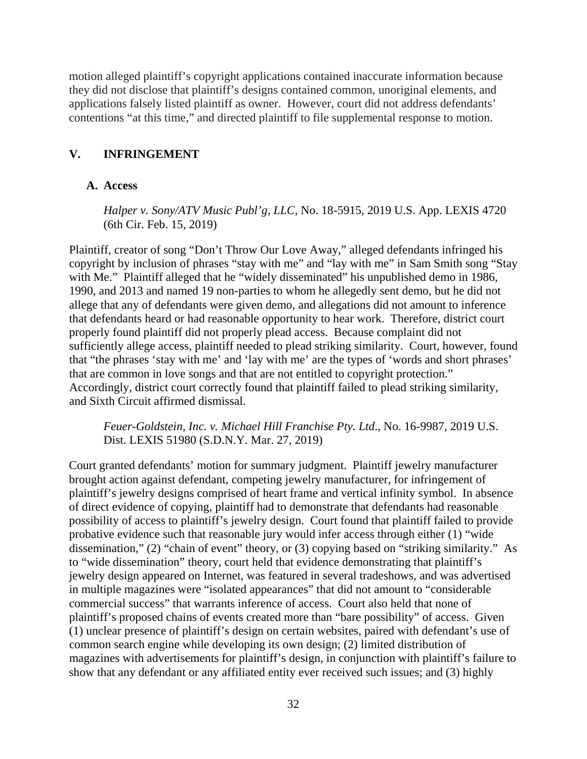motion alleged plaintiff's copyright applications contained inaccurate information because they did not disclose that plaintiff's designs contained common, unoriginal elements, and applications falsely listed plaintiff as owner. However, court did not address defendants' contentions "at this time," and directed plaintiff to file supplemental response to motion.

# **V. INFRINGEMENT**

#### **A. Access**

*Halper v. Sony/ATV Music Publ'g, LLC*, No. 18-5915, 2019 U.S. App. LEXIS 4720 (6th Cir. Feb. 15, 2019)

Plaintiff, creator of song "Don't Throw Our Love Away," alleged defendants infringed his copyright by inclusion of phrases "stay with me" and "lay with me" in Sam Smith song "Stay with Me." Plaintiff alleged that he "widely disseminated" his unpublished demo in 1986, 1990, and 2013 and named 19 non-parties to whom he allegedly sent demo, but he did not allege that any of defendants were given demo, and allegations did not amount to inference that defendants heard or had reasonable opportunity to hear work. Therefore, district court properly found plaintiff did not properly plead access. Because complaint did not sufficiently allege access, plaintiff needed to plead striking similarity. Court, however, found that "the phrases 'stay with me' and 'lay with me' are the types of 'words and short phrases' that are common in love songs and that are not entitled to copyright protection." Accordingly, district court correctly found that plaintiff failed to plead striking similarity, and Sixth Circuit affirmed dismissal.

*Feuer-Goldstein, Inc. v. Michael Hill Franchise Pty. Ltd*., No. 16-9987, 2019 U.S. Dist. LEXIS 51980 (S.D.N.Y. Mar. 27, 2019)

Court granted defendants' motion for summary judgment. Plaintiff jewelry manufacturer brought action against defendant, competing jewelry manufacturer, for infringement of plaintiff's jewelry designs comprised of heart frame and vertical infinity symbol. In absence of direct evidence of copying, plaintiff had to demonstrate that defendants had reasonable possibility of access to plaintiff's jewelry design. Court found that plaintiff failed to provide probative evidence such that reasonable jury would infer access through either (1) "wide dissemination," (2) "chain of event" theory, or (3) copying based on "striking similarity." As to "wide dissemination" theory, court held that evidence demonstrating that plaintiff's jewelry design appeared on Internet, was featured in several tradeshows, and was advertised in multiple magazines were "isolated appearances" that did not amount to "considerable commercial success" that warrants inference of access. Court also held that none of plaintiff's proposed chains of events created more than "bare possibility" of access. Given (1) unclear presence of plaintiff's design on certain websites, paired with defendant's use of common search engine while developing its own design; (2) limited distribution of magazines with advertisements for plaintiff's design, in conjunction with plaintiff's failure to show that any defendant or any affiliated entity ever received such issues; and (3) highly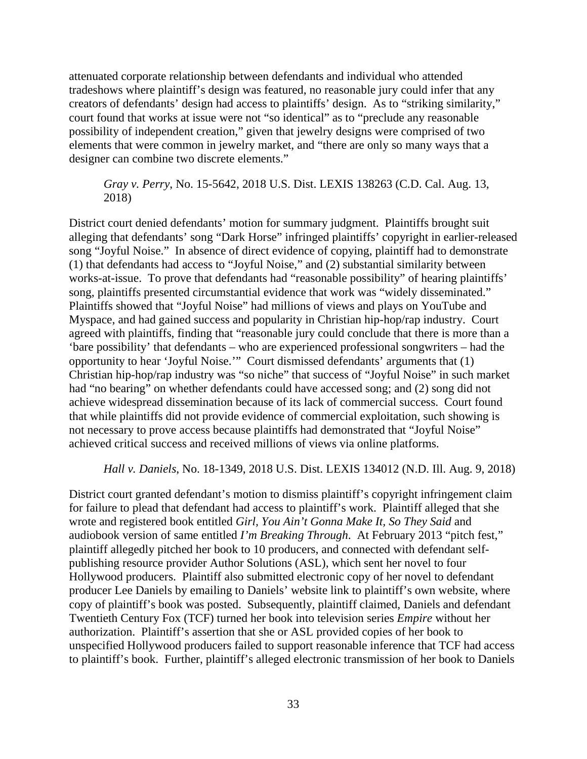attenuated corporate relationship between defendants and individual who attended tradeshows where plaintiff's design was featured, no reasonable jury could infer that any creators of defendants' design had access to plaintiffs' design. As to "striking similarity," court found that works at issue were not "so identical" as to "preclude any reasonable possibility of independent creation," given that jewelry designs were comprised of two elements that were common in jewelry market, and "there are only so many ways that a designer can combine two discrete elements."

*Gray v. Perry*, No. 15-5642, 2018 U.S. Dist. LEXIS 138263 (C.D. Cal. Aug. 13, 2018)

District court denied defendants' motion for summary judgment. Plaintiffs brought suit alleging that defendants' song "Dark Horse" infringed plaintiffs' copyright in earlier-released song "Joyful Noise." In absence of direct evidence of copying, plaintiff had to demonstrate (1) that defendants had access to "Joyful Noise," and (2) substantial similarity between works-at-issue. To prove that defendants had "reasonable possibility" of hearing plaintiffs' song, plaintiffs presented circumstantial evidence that work was "widely disseminated." Plaintiffs showed that "Joyful Noise" had millions of views and plays on YouTube and Myspace, and had gained success and popularity in Christian hip-hop/rap industry. Court agreed with plaintiffs, finding that "reasonable jury could conclude that there is more than a 'bare possibility' that defendants – who are experienced professional songwriters – had the opportunity to hear 'Joyful Noise.'" Court dismissed defendants' arguments that (1) Christian hip-hop/rap industry was "so niche" that success of "Joyful Noise" in such market had "no bearing" on whether defendants could have accessed song; and (2) song did not achieve widespread dissemination because of its lack of commercial success. Court found that while plaintiffs did not provide evidence of commercial exploitation, such showing is not necessary to prove access because plaintiffs had demonstrated that "Joyful Noise" achieved critical success and received millions of views via online platforms.

*Hall v. Daniels*, No. 18-1349, 2018 U.S. Dist. LEXIS 134012 (N.D. Ill. Aug. 9, 2018)

District court granted defendant's motion to dismiss plaintiff's copyright infringement claim for failure to plead that defendant had access to plaintiff's work. Plaintiff alleged that she wrote and registered book entitled *Girl, You Ain't Gonna Make It, So They Said* and audiobook version of same entitled *I'm Breaking Through*. At February 2013 "pitch fest," plaintiff allegedly pitched her book to 10 producers, and connected with defendant selfpublishing resource provider Author Solutions (ASL), which sent her novel to four Hollywood producers. Plaintiff also submitted electronic copy of her novel to defendant producer Lee Daniels by emailing to Daniels' website link to plaintiff's own website, where copy of plaintiff's book was posted. Subsequently, plaintiff claimed, Daniels and defendant Twentieth Century Fox (TCF) turned her book into television series *Empire* without her authorization. Plaintiff's assertion that she or ASL provided copies of her book to unspecified Hollywood producers failed to support reasonable inference that TCF had access to plaintiff's book. Further, plaintiff's alleged electronic transmission of her book to Daniels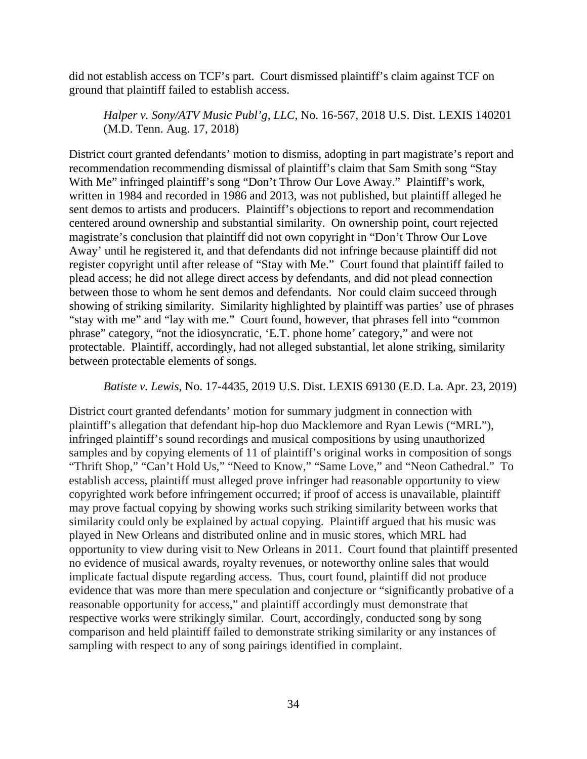did not establish access on TCF's part. Court dismissed plaintiff's claim against TCF on ground that plaintiff failed to establish access.

*Halper v. Sony/ATV Music Publ'g, LLC*, No. 16-567, 2018 U.S. Dist. LEXIS 140201 (M.D. Tenn. Aug. 17, 2018)

District court granted defendants' motion to dismiss, adopting in part magistrate's report and recommendation recommending dismissal of plaintiff's claim that Sam Smith song "Stay With Me" infringed plaintiff's song "Don't Throw Our Love Away." Plaintiff's work, written in 1984 and recorded in 1986 and 2013, was not published, but plaintiff alleged he sent demos to artists and producers. Plaintiff's objections to report and recommendation centered around ownership and substantial similarity. On ownership point, court rejected magistrate's conclusion that plaintiff did not own copyright in "Don't Throw Our Love Away' until he registered it, and that defendants did not infringe because plaintiff did not register copyright until after release of "Stay with Me." Court found that plaintiff failed to plead access; he did not allege direct access by defendants, and did not plead connection between those to whom he sent demos and defendants. Nor could claim succeed through showing of striking similarity. Similarity highlighted by plaintiff was parties' use of phrases "stay with me" and "lay with me." Court found, however, that phrases fell into "common phrase" category, "not the idiosyncratic, 'E.T. phone home' category," and were not protectable. Plaintiff, accordingly, had not alleged substantial, let alone striking, similarity between protectable elements of songs.

### *Batiste v. Lewis*, No. 17-4435, 2019 U.S. Dist. LEXIS 69130 (E.D. La. Apr. 23, 2019)

District court granted defendants' motion for summary judgment in connection with plaintiff's allegation that defendant hip-hop duo Macklemore and Ryan Lewis ("MRL"), infringed plaintiff's sound recordings and musical compositions by using unauthorized samples and by copying elements of 11 of plaintiff's original works in composition of songs "Thrift Shop," "Can't Hold Us," "Need to Know," "Same Love," and "Neon Cathedral." To establish access, plaintiff must alleged prove infringer had reasonable opportunity to view copyrighted work before infringement occurred; if proof of access is unavailable, plaintiff may prove factual copying by showing works such striking similarity between works that similarity could only be explained by actual copying. Plaintiff argued that his music was played in New Orleans and distributed online and in music stores, which MRL had opportunity to view during visit to New Orleans in 2011. Court found that plaintiff presented no evidence of musical awards, royalty revenues, or noteworthy online sales that would implicate factual dispute regarding access. Thus, court found, plaintiff did not produce evidence that was more than mere speculation and conjecture or "significantly probative of a reasonable opportunity for access," and plaintiff accordingly must demonstrate that respective works were strikingly similar. Court, accordingly, conducted song by song comparison and held plaintiff failed to demonstrate striking similarity or any instances of sampling with respect to any of song pairings identified in complaint.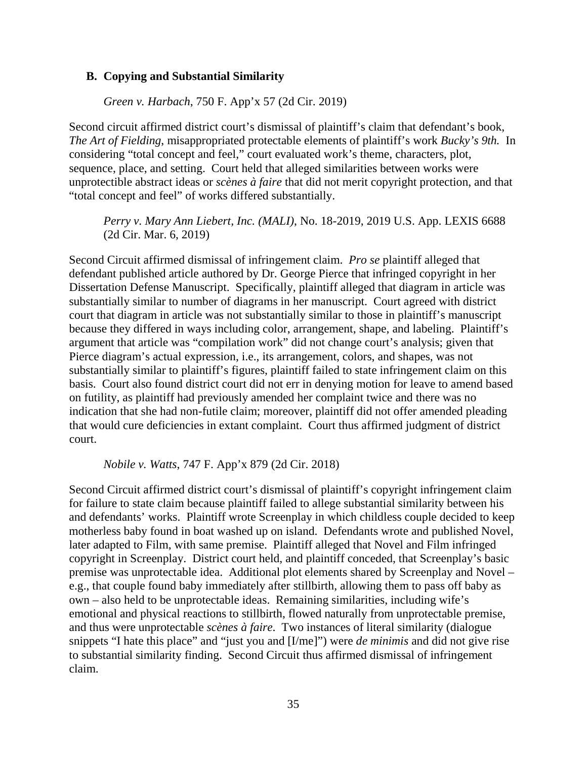#### **B. Copying and Substantial Similarity**

*Green v. Harbach*, 750 F. App'x 57 (2d Cir. 2019)

Second circuit affirmed district court's dismissal of plaintiff's claim that defendant's book, *The Art of Fielding*, misappropriated protectable elements of plaintiff's work *Bucky's 9th.* In considering "total concept and feel," court evaluated work's theme, characters, plot, sequence, place, and setting. Court held that alleged similarities between works were unprotectible abstract ideas or *scènes à faire* that did not merit copyright protection, and that "total concept and feel" of works differed substantially.

*Perry v. Mary Ann Liebert, Inc. (MALI)*, No. 18-2019, 2019 U.S. App. LEXIS 6688 (2d Cir. Mar. 6, 2019)

Second Circuit affirmed dismissal of infringement claim. *Pro se* plaintiff alleged that defendant published article authored by Dr. George Pierce that infringed copyright in her Dissertation Defense Manuscript. Specifically, plaintiff alleged that diagram in article was substantially similar to number of diagrams in her manuscript. Court agreed with district court that diagram in article was not substantially similar to those in plaintiff's manuscript because they differed in ways including color, arrangement, shape, and labeling. Plaintiff's argument that article was "compilation work" did not change court's analysis; given that Pierce diagram's actual expression, i.e., its arrangement, colors, and shapes, was not substantially similar to plaintiff's figures, plaintiff failed to state infringement claim on this basis. Court also found district court did not err in denying motion for leave to amend based on futility, as plaintiff had previously amended her complaint twice and there was no indication that she had non-futile claim; moreover, plaintiff did not offer amended pleading that would cure deficiencies in extant complaint. Court thus affirmed judgment of district court.

*Nobile v. Watts*, 747 F. App'x 879 (2d Cir. 2018)

Second Circuit affirmed district court's dismissal of plaintiff's copyright infringement claim for failure to state claim because plaintiff failed to allege substantial similarity between his and defendants' works. Plaintiff wrote Screenplay in which childless couple decided to keep motherless baby found in boat washed up on island. Defendants wrote and published Novel, later adapted to Film, with same premise. Plaintiff alleged that Novel and Film infringed copyright in Screenplay. District court held, and plaintiff conceded, that Screenplay's basic premise was unprotectable idea. Additional plot elements shared by Screenplay and Novel – e.g., that couple found baby immediately after stillbirth, allowing them to pass off baby as own – also held to be unprotectable ideas. Remaining similarities, including wife's emotional and physical reactions to stillbirth, flowed naturally from unprotectable premise, and thus were unprotectable *scènes à faire*. Two instances of literal similarity (dialogue snippets "I hate this place" and "just you and [I/me]") were *de minimis* and did not give rise to substantial similarity finding. Second Circuit thus affirmed dismissal of infringement claim.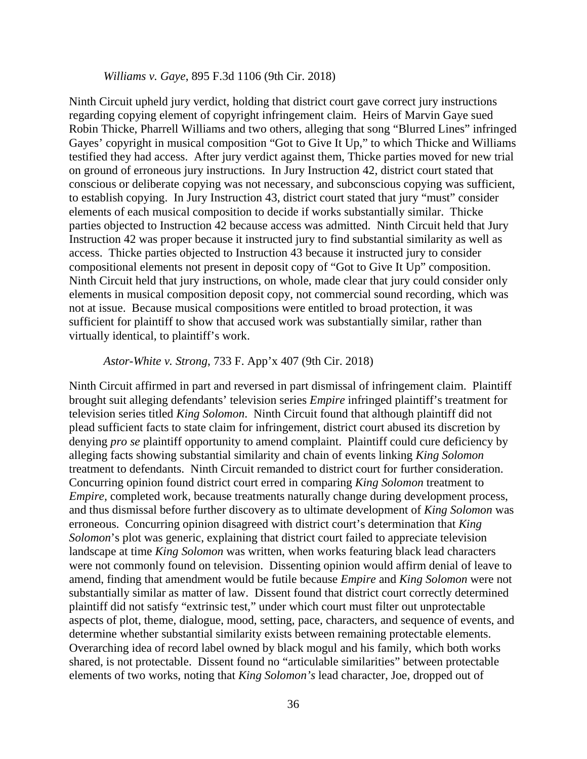#### *Williams v. Gaye*, 895 F.3d 1106 (9th Cir. 2018)

Ninth Circuit upheld jury verdict, holding that district court gave correct jury instructions regarding copying element of copyright infringement claim. Heirs of Marvin Gaye sued Robin Thicke, Pharrell Williams and two others, alleging that song "Blurred Lines" infringed Gayes' copyright in musical composition "Got to Give It Up," to which Thicke and Williams testified they had access. After jury verdict against them, Thicke parties moved for new trial on ground of erroneous jury instructions. In Jury Instruction 42, district court stated that conscious or deliberate copying was not necessary, and subconscious copying was sufficient, to establish copying. In Jury Instruction 43, district court stated that jury "must" consider elements of each musical composition to decide if works substantially similar. Thicke parties objected to Instruction 42 because access was admitted. Ninth Circuit held that Jury Instruction 42 was proper because it instructed jury to find substantial similarity as well as access. Thicke parties objected to Instruction 43 because it instructed jury to consider compositional elements not present in deposit copy of "Got to Give It Up" composition. Ninth Circuit held that jury instructions, on whole, made clear that jury could consider only elements in musical composition deposit copy, not commercial sound recording, which was not at issue. Because musical compositions were entitled to broad protection, it was sufficient for plaintiff to show that accused work was substantially similar, rather than virtually identical, to plaintiff's work.

#### *Astor-White v. Strong*, 733 F. App'x 407 (9th Cir. 2018)

Ninth Circuit affirmed in part and reversed in part dismissal of infringement claim. Plaintiff brought suit alleging defendants' television series *Empire* infringed plaintiff's treatment for television series titled *King Solomon*. Ninth Circuit found that although plaintiff did not plead sufficient facts to state claim for infringement, district court abused its discretion by denying *pro se* plaintiff opportunity to amend complaint. Plaintiff could cure deficiency by alleging facts showing substantial similarity and chain of events linking *King Solomon* treatment to defendants. Ninth Circuit remanded to district court for further consideration. Concurring opinion found district court erred in comparing *King Solomon* treatment to *Empire*, completed work, because treatments naturally change during development process, and thus dismissal before further discovery as to ultimate development of *King Solomon* was erroneous. Concurring opinion disagreed with district court's determination that *King Solomon*'s plot was generic, explaining that district court failed to appreciate television landscape at time *King Solomon* was written, when works featuring black lead characters were not commonly found on television. Dissenting opinion would affirm denial of leave to amend, finding that amendment would be futile because *Empire* and *King Solomon* were not substantially similar as matter of law. Dissent found that district court correctly determined plaintiff did not satisfy "extrinsic test," under which court must filter out unprotectable aspects of plot, theme, dialogue, mood, setting, pace, characters, and sequence of events, and determine whether substantial similarity exists between remaining protectable elements. Overarching idea of record label owned by black mogul and his family, which both works shared, is not protectable. Dissent found no "articulable similarities" between protectable elements of two works, noting that *King Solomon's* lead character, Joe, dropped out of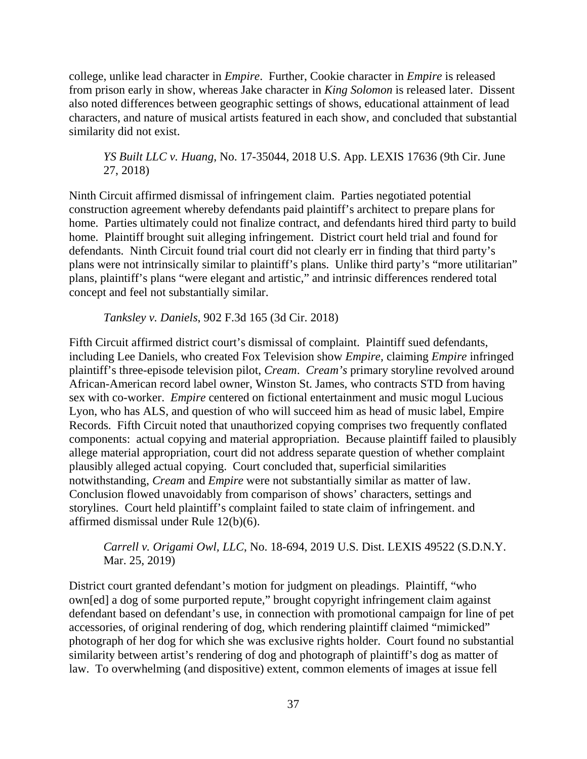college, unlike lead character in *Empire*. Further, Cookie character in *Empire* is released from prison early in show, whereas Jake character in *King Solomon* is released later. Dissent also noted differences between geographic settings of shows, educational attainment of lead characters, and nature of musical artists featured in each show, and concluded that substantial similarity did not exist.

*YS Built LLC v. Huang*, No. 17-35044, 2018 U.S. App. LEXIS 17636 (9th Cir. June 27, 2018)

Ninth Circuit affirmed dismissal of infringement claim. Parties negotiated potential construction agreement whereby defendants paid plaintiff's architect to prepare plans for home. Parties ultimately could not finalize contract, and defendants hired third party to build home. Plaintiff brought suit alleging infringement. District court held trial and found for defendants. Ninth Circuit found trial court did not clearly err in finding that third party's plans were not intrinsically similar to plaintiff's plans. Unlike third party's "more utilitarian" plans, plaintiff's plans "were elegant and artistic," and intrinsic differences rendered total concept and feel not substantially similar.

*Tanksley v. Daniels*, 902 F.3d 165 (3d Cir. 2018)

Fifth Circuit affirmed district court's dismissal of complaint. Plaintiff sued defendants, including Lee Daniels, who created Fox Television show *Empire,* claiming *Empire* infringed plaintiff's three-episode television pilot, *Cream*. *Cream's* primary storyline revolved around African-American record label owner, Winston St. James, who contracts STD from having sex with co-worker. *Empire* centered on fictional entertainment and music mogul Lucious Lyon, who has ALS, and question of who will succeed him as head of music label, Empire Records. Fifth Circuit noted that unauthorized copying comprises two frequently conflated components: actual copying and material appropriation. Because plaintiff failed to plausibly allege material appropriation, court did not address separate question of whether complaint plausibly alleged actual copying. Court concluded that, superficial similarities notwithstanding, *Cream* and *Empire* were not substantially similar as matter of law. Conclusion flowed unavoidably from comparison of shows' characters, settings and storylines. Court held plaintiff's complaint failed to state claim of infringement. and affirmed dismissal under Rule 12(b)(6).

*Carrell v. Origami Owl, LLC*, No. 18-694, 2019 U.S. Dist. LEXIS 49522 (S.D.N.Y. Mar. 25, 2019)

District court granted defendant's motion for judgment on pleadings. Plaintiff, "who own[ed] a dog of some purported repute," brought copyright infringement claim against defendant based on defendant's use, in connection with promotional campaign for line of pet accessories, of original rendering of dog, which rendering plaintiff claimed "mimicked" photograph of her dog for which she was exclusive rights holder. Court found no substantial similarity between artist's rendering of dog and photograph of plaintiff's dog as matter of law. To overwhelming (and dispositive) extent, common elements of images at issue fell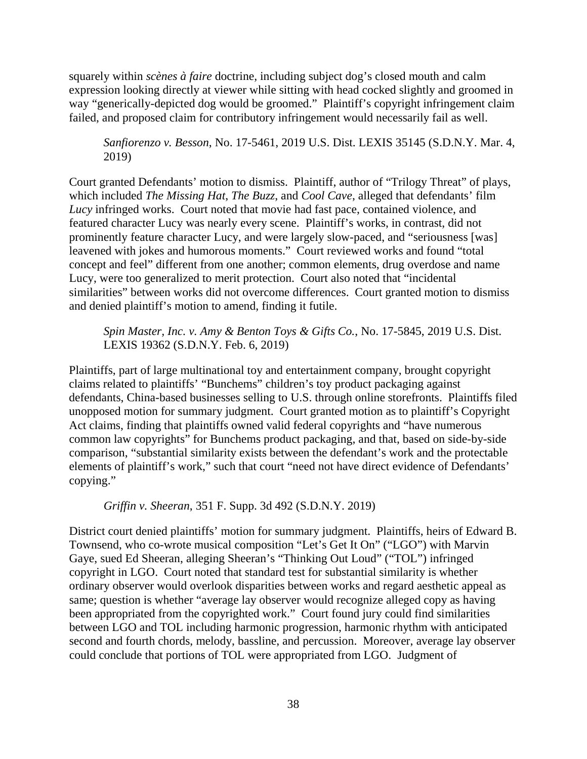squarely within *scènes à faire* doctrine, including subject dog's closed mouth and calm expression looking directly at viewer while sitting with head cocked slightly and groomed in way "generically-depicted dog would be groomed." Plaintiff's copyright infringement claim failed, and proposed claim for contributory infringement would necessarily fail as well.

*Sanfiorenzo v. Besson*, No. 17-5461, 2019 U.S. Dist. LEXIS 35145 (S.D.N.Y. Mar. 4, 2019)

Court granted Defendants' motion to dismiss. Plaintiff, author of "Trilogy Threat" of plays, which included *The Missing Hat*, *The Buzz*, and *Cool Cave*, alleged that defendants' film *Lucy* infringed works. Court noted that movie had fast pace, contained violence, and featured character Lucy was nearly every scene. Plaintiff's works, in contrast, did not prominently feature character Lucy, and were largely slow-paced, and "seriousness [was] leavened with jokes and humorous moments." Court reviewed works and found "total concept and feel" different from one another; common elements, drug overdose and name Lucy, were too generalized to merit protection. Court also noted that "incidental similarities" between works did not overcome differences. Court granted motion to dismiss and denied plaintiff's motion to amend, finding it futile.

*Spin Master, Inc. v. Amy & Benton Toys & Gifts Co.*, No. 17-5845, 2019 U.S. Dist. LEXIS 19362 (S.D.N.Y. Feb. 6, 2019)

Plaintiffs, part of large multinational toy and entertainment company, brought copyright claims related to plaintiffs' "Bunchems" children's toy product packaging against defendants, China-based businesses selling to U.S. through online storefronts. Plaintiffs filed unopposed motion for summary judgment. Court granted motion as to plaintiff's Copyright Act claims, finding that plaintiffs owned valid federal copyrights and "have numerous common law copyrights" for Bunchems product packaging, and that, based on side-by-side comparison, "substantial similarity exists between the defendant's work and the protectable elements of plaintiff's work," such that court "need not have direct evidence of Defendants' copying."

*Griffin v. Sheeran*, 351 F. Supp. 3d 492 (S.D.N.Y. 2019)

District court denied plaintiffs' motion for summary judgment. Plaintiffs, heirs of Edward B. Townsend, who co-wrote musical composition "Let's Get It On" ("LGO") with Marvin Gaye, sued Ed Sheeran, alleging Sheeran's "Thinking Out Loud" ("TOL") infringed copyright in LGO. Court noted that standard test for substantial similarity is whether ordinary observer would overlook disparities between works and regard aesthetic appeal as same; question is whether "average lay observer would recognize alleged copy as having been appropriated from the copyrighted work." Court found jury could find similarities between LGO and TOL including harmonic progression, harmonic rhythm with anticipated second and fourth chords, melody, bassline, and percussion. Moreover, average lay observer could conclude that portions of TOL were appropriated from LGO. Judgment of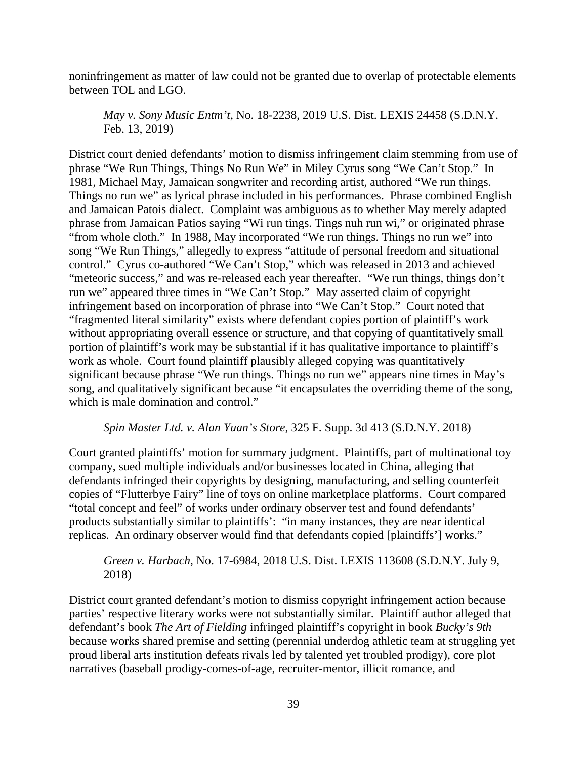noninfringement as matter of law could not be granted due to overlap of protectable elements between TOL and LGO.

*May v. Sony Music Entm't*, No. 18-2238, 2019 U.S. Dist. LEXIS 24458 (S.D.N.Y. Feb. 13, 2019)

District court denied defendants' motion to dismiss infringement claim stemming from use of phrase "We Run Things, Things No Run We" in Miley Cyrus song "We Can't Stop." In 1981, Michael May, Jamaican songwriter and recording artist, authored "We run things. Things no run we" as lyrical phrase included in his performances. Phrase combined English and Jamaican Patois dialect. Complaint was ambiguous as to whether May merely adapted phrase from Jamaican Patios saying "Wi run tings. Tings nuh run wi," or originated phrase "from whole cloth." In 1988, May incorporated "We run things. Things no run we" into song "We Run Things," allegedly to express "attitude of personal freedom and situational control." Cyrus co-authored "We Can't Stop," which was released in 2013 and achieved "meteoric success," and was re-released each year thereafter. "We run things, things don't run we" appeared three times in "We Can't Stop." May asserted claim of copyright infringement based on incorporation of phrase into "We Can't Stop." Court noted that "fragmented literal similarity" exists where defendant copies portion of plaintiff's work without appropriating overall essence or structure, and that copying of quantitatively small portion of plaintiff's work may be substantial if it has qualitative importance to plaintiff's work as whole. Court found plaintiff plausibly alleged copying was quantitatively significant because phrase "We run things. Things no run we" appears nine times in May's song, and qualitatively significant because "it encapsulates the overriding theme of the song, which is male domination and control."

### *Spin Master Ltd. v. Alan Yuan's Store*, 325 F. Supp. 3d 413 (S.D.N.Y. 2018)

Court granted plaintiffs' motion for summary judgment. Plaintiffs, part of multinational toy company, sued multiple individuals and/or businesses located in China, alleging that defendants infringed their copyrights by designing, manufacturing, and selling counterfeit copies of "Flutterbye Fairy" line of toys on online marketplace platforms. Court compared "total concept and feel" of works under ordinary observer test and found defendants' products substantially similar to plaintiffs': "in many instances, they are near identical replicas. An ordinary observer would find that defendants copied [plaintiffs'] works."

# *Green v. Harbach*, No. 17-6984, 2018 U.S. Dist. LEXIS 113608 (S.D.N.Y. July 9, 2018)

District court granted defendant's motion to dismiss copyright infringement action because parties' respective literary works were not substantially similar. Plaintiff author alleged that defendant's book *The Art of Fielding* infringed plaintiff's copyright in book *Bucky's 9th* because works shared premise and setting (perennial underdog athletic team at struggling yet proud liberal arts institution defeats rivals led by talented yet troubled prodigy), core plot narratives (baseball prodigy-comes-of-age, recruiter-mentor, illicit romance, and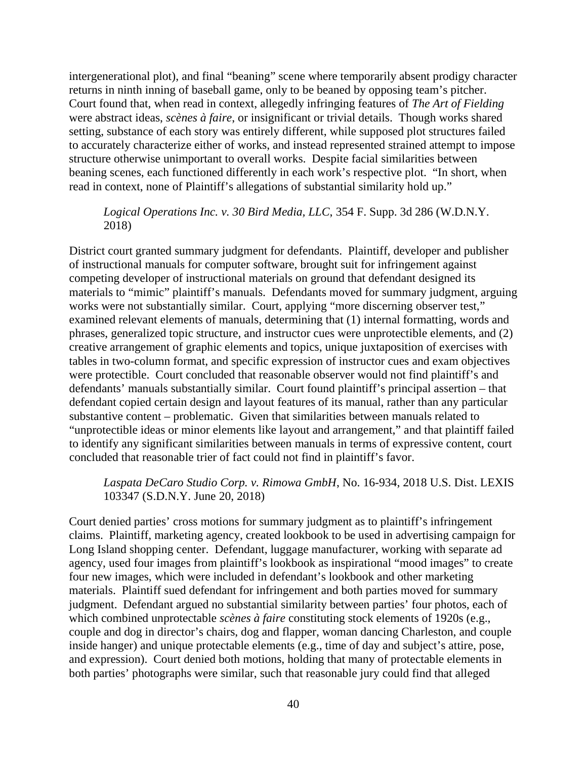intergenerational plot), and final "beaning" scene where temporarily absent prodigy character returns in ninth inning of baseball game, only to be beaned by opposing team's pitcher. Court found that, when read in context, allegedly infringing features of *The Art of Fielding* were abstract ideas, *scènes à faire*, or insignificant or trivial details. Though works shared setting, substance of each story was entirely different, while supposed plot structures failed to accurately characterize either of works, and instead represented strained attempt to impose structure otherwise unimportant to overall works. Despite facial similarities between beaning scenes, each functioned differently in each work's respective plot. "In short, when read in context, none of Plaintiff's allegations of substantial similarity hold up."

## *Logical Operations Inc. v. 30 Bird Media, LLC*, 354 F. Supp. 3d 286 (W.D.N.Y. 2018)

District court granted summary judgment for defendants. Plaintiff, developer and publisher of instructional manuals for computer software, brought suit for infringement against competing developer of instructional materials on ground that defendant designed its materials to "mimic" plaintiff's manuals. Defendants moved for summary judgment, arguing works were not substantially similar. Court, applying "more discerning observer test," examined relevant elements of manuals, determining that (1) internal formatting, words and phrases, generalized topic structure, and instructor cues were unprotectible elements, and (2) creative arrangement of graphic elements and topics, unique juxtaposition of exercises with tables in two-column format, and specific expression of instructor cues and exam objectives were protectible. Court concluded that reasonable observer would not find plaintiff's and defendants' manuals substantially similar. Court found plaintiff's principal assertion – that defendant copied certain design and layout features of its manual, rather than any particular substantive content – problematic. Given that similarities between manuals related to "unprotectible ideas or minor elements like layout and arrangement," and that plaintiff failed to identify any significant similarities between manuals in terms of expressive content, court concluded that reasonable trier of fact could not find in plaintiff's favor.

### *Laspata DeCaro Studio Corp. v. Rimowa GmbH*, No. 16-934, 2018 U.S. Dist. LEXIS 103347 (S.D.N.Y. June 20, 2018)

Court denied parties' cross motions for summary judgment as to plaintiff's infringement claims. Plaintiff, marketing agency, created lookbook to be used in advertising campaign for Long Island shopping center. Defendant, luggage manufacturer, working with separate ad agency, used four images from plaintiff's lookbook as inspirational "mood images" to create four new images, which were included in defendant's lookbook and other marketing materials. Plaintiff sued defendant for infringement and both parties moved for summary judgment. Defendant argued no substantial similarity between parties' four photos, each of which combined unprotectable *scènes à faire* constituting stock elements of 1920s (e.g., couple and dog in director's chairs, dog and flapper, woman dancing Charleston, and couple inside hanger) and unique protectable elements (e.g., time of day and subject's attire, pose, and expression). Court denied both motions, holding that many of protectable elements in both parties' photographs were similar, such that reasonable jury could find that alleged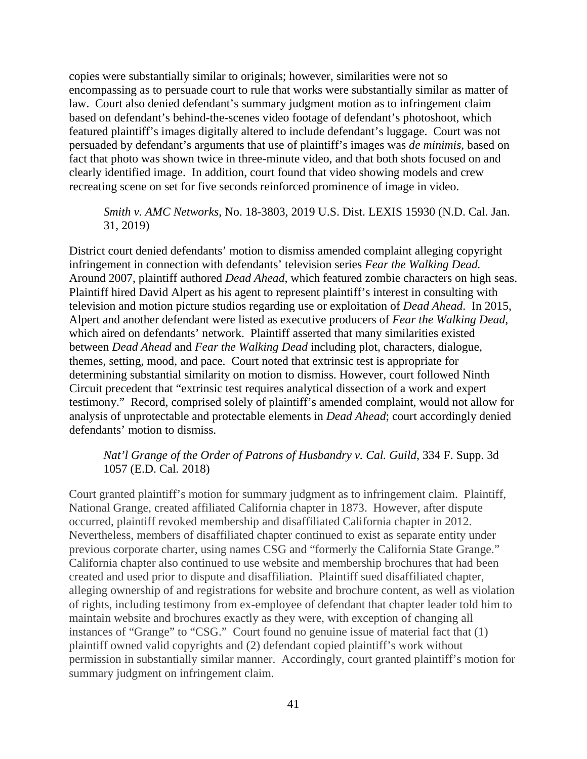copies were substantially similar to originals; however, similarities were not so encompassing as to persuade court to rule that works were substantially similar as matter of law. Court also denied defendant's summary judgment motion as to infringement claim based on defendant's behind-the-scenes video footage of defendant's photoshoot, which featured plaintiff's images digitally altered to include defendant's luggage. Court was not persuaded by defendant's arguments that use of plaintiff's images was *de minimis*, based on fact that photo was shown twice in three-minute video, and that both shots focused on and clearly identified image. In addition, court found that video showing models and crew recreating scene on set for five seconds reinforced prominence of image in video.

## *Smith v. AMC Networks*, No. 18-3803, 2019 U.S. Dist. LEXIS 15930 (N.D. Cal. Jan. 31, 2019)

District court denied defendants' motion to dismiss amended complaint alleging copyright infringement in connection with defendants' television series *Fear the Walking Dead.*  Around 2007, plaintiff authored *Dead Ahead*, which featured zombie characters on high seas. Plaintiff hired David Alpert as his agent to represent plaintiff's interest in consulting with television and motion picture studios regarding use or exploitation of *Dead Ahead*. In 2015, Alpert and another defendant were listed as executive producers of *Fear the Walking Dead*, which aired on defendants' network. Plaintiff asserted that many similarities existed between *Dead Ahead* and *Fear the Walking Dead* including plot, characters, dialogue, themes, setting, mood, and pace. Court noted that extrinsic test is appropriate for determining substantial similarity on motion to dismiss. However, court followed Ninth Circuit precedent that "extrinsic test requires analytical dissection of a work and expert testimony." Record, comprised solely of plaintiff's amended complaint, would not allow for analysis of unprotectable and protectable elements in *Dead Ahead*; court accordingly denied defendants' motion to dismiss.

# *Nat'l Grange of the Order of Patrons of Husbandry v. Cal. Guild*, 334 F. Supp. 3d 1057 (E.D. Cal. 2018)

Court granted plaintiff's motion for summary judgment as to infringement claim. Plaintiff, National Grange, created affiliated California chapter in 1873. However, after dispute occurred, plaintiff revoked membership and disaffiliated California chapter in 2012. Nevertheless, members of disaffiliated chapter continued to exist as separate entity under previous corporate charter, using names CSG and "formerly the California State Grange." California chapter also continued to use website and membership brochures that had been created and used prior to dispute and disaffiliation. Plaintiff sued disaffiliated chapter, alleging ownership of and registrations for website and brochure content, as well as violation of rights, including testimony from ex-employee of defendant that chapter leader told him to maintain website and brochures exactly as they were, with exception of changing all instances of "Grange" to "CSG." Court found no genuine issue of material fact that (1) plaintiff owned valid copyrights and (2) defendant copied plaintiff's work without permission in substantially similar manner. Accordingly, court granted plaintiff's motion for summary judgment on infringement claim.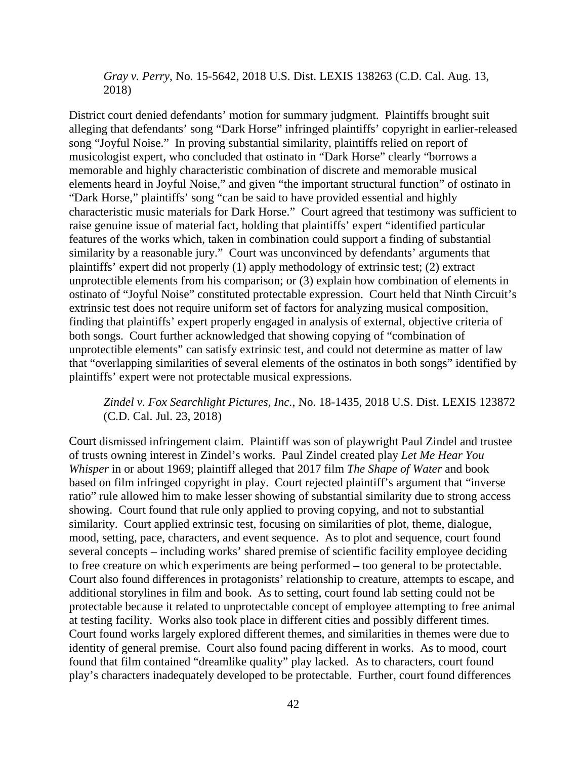*Gray v. Perry*, No. 15-5642, 2018 U.S. Dist. LEXIS 138263 (C.D. Cal. Aug. 13, 2018)

District court denied defendants' motion for summary judgment. Plaintiffs brought suit alleging that defendants' song "Dark Horse" infringed plaintiffs' copyright in earlier-released song "Joyful Noise." In proving substantial similarity, plaintiffs relied on report of musicologist expert, who concluded that ostinato in "Dark Horse" clearly "borrows a memorable and highly characteristic combination of discrete and memorable musical elements heard in Joyful Noise," and given "the important structural function" of ostinato in "Dark Horse," plaintiffs' song "can be said to have provided essential and highly characteristic music materials for Dark Horse." Court agreed that testimony was sufficient to raise genuine issue of material fact, holding that plaintiffs' expert "identified particular features of the works which, taken in combination could support a finding of substantial similarity by a reasonable jury." Court was unconvinced by defendants' arguments that plaintiffs' expert did not properly (1) apply methodology of extrinsic test; (2) extract unprotectible elements from his comparison; or (3) explain how combination of elements in ostinato of "Joyful Noise" constituted protectable expression. Court held that Ninth Circuit's extrinsic test does not require uniform set of factors for analyzing musical composition, finding that plaintiffs' expert properly engaged in analysis of external, objective criteria of both songs. Court further acknowledged that showing copying of "combination of unprotectible elements" can satisfy extrinsic test, and could not determine as matter of law that "overlapping similarities of several elements of the ostinatos in both songs" identified by plaintiffs' expert were not protectable musical expressions.

# *Zindel v. Fox Searchlight Pictures, Inc.*, No. 18-1435, 2018 U.S. Dist. LEXIS 123872 (C.D. Cal. Jul. 23, 2018)

Court dismissed infringement claim. Plaintiff was son of playwright Paul Zindel and trustee of trusts owning interest in Zindel's works. Paul Zindel created play *Let Me Hear You Whisper* in or about 1969; plaintiff alleged that 2017 film *The Shape of Water* and book based on film infringed copyright in play. Court rejected plaintiff's argument that "inverse ratio" rule allowed him to make lesser showing of substantial similarity due to strong access showing. Court found that rule only applied to proving copying, and not to substantial similarity. Court applied extrinsic test, focusing on similarities of plot, theme, dialogue, mood, setting, pace, characters, and event sequence. As to plot and sequence, court found several concepts – including works' shared premise of scientific facility employee deciding to free creature on which experiments are being performed – too general to be protectable. Court also found differences in protagonists' relationship to creature, attempts to escape, and additional storylines in film and book. As to setting, court found lab setting could not be protectable because it related to unprotectable concept of employee attempting to free animal at testing facility. Works also took place in different cities and possibly different times. Court found works largely explored different themes, and similarities in themes were due to identity of general premise. Court also found pacing different in works. As to mood, court found that film contained "dreamlike quality" play lacked. As to characters, court found play's characters inadequately developed to be protectable. Further, court found differences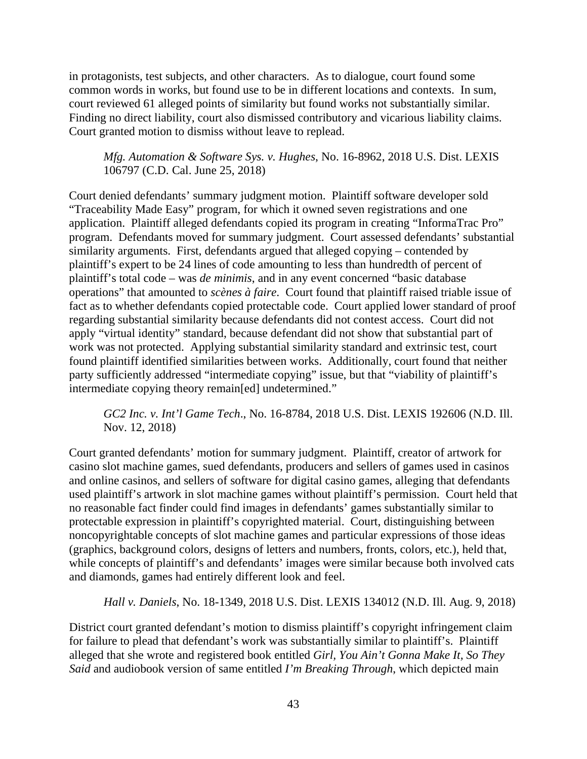in protagonists, test subjects, and other characters. As to dialogue, court found some common words in works, but found use to be in different locations and contexts. In sum, court reviewed 61 alleged points of similarity but found works not substantially similar. Finding no direct liability, court also dismissed contributory and vicarious liability claims. Court granted motion to dismiss without leave to replead.

*Mfg. Automation & Software Sys. v. Hughes*, No. 16-8962, 2018 U.S. Dist. LEXIS 106797 (C.D. Cal. June 25, 2018)

Court denied defendants' summary judgment motion. Plaintiff software developer sold "Traceability Made Easy" program, for which it owned seven registrations and one application. Plaintiff alleged defendants copied its program in creating "InformaTrac Pro" program. Defendants moved for summary judgment. Court assessed defendants' substantial similarity arguments. First, defendants argued that alleged copying – contended by plaintiff's expert to be 24 lines of code amounting to less than hundredth of percent of plaintiff's total code – was *de minimis*, and in any event concerned "basic database operations" that amounted to *scènes à faire*. Court found that plaintiff raised triable issue of fact as to whether defendants copied protectable code. Court applied lower standard of proof regarding substantial similarity because defendants did not contest access. Court did not apply "virtual identity" standard, because defendant did not show that substantial part of work was not protected. Applying substantial similarity standard and extrinsic test, court found plaintiff identified similarities between works. Additionally, court found that neither party sufficiently addressed "intermediate copying" issue, but that "viability of plaintiff's intermediate copying theory remain[ed] undetermined."

*GC2 Inc. v. Int'l Game Tech*., No. 16-8784, 2018 U.S. Dist. LEXIS 192606 (N.D. Ill. Nov. 12, 2018)

Court granted defendants' motion for summary judgment. Plaintiff, creator of artwork for casino slot machine games, sued defendants, producers and sellers of games used in casinos and online casinos, and sellers of software for digital casino games, alleging that defendants used plaintiff's artwork in slot machine games without plaintiff's permission. Court held that no reasonable fact finder could find images in defendants' games substantially similar to protectable expression in plaintiff's copyrighted material. Court, distinguishing between noncopyrightable concepts of slot machine games and particular expressions of those ideas (graphics, background colors, designs of letters and numbers, fronts, colors, etc.), held that, while concepts of plaintiff's and defendants' images were similar because both involved cats and diamonds, games had entirely different look and feel.

*Hall v. Daniels*, No. 18-1349, 2018 U.S. Dist. LEXIS 134012 (N.D. Ill. Aug. 9, 2018)

District court granted defendant's motion to dismiss plaintiff's copyright infringement claim for failure to plead that defendant's work was substantially similar to plaintiff's. Plaintiff alleged that she wrote and registered book entitled *Girl, You Ain't Gonna Make It, So They Said* and audiobook version of same entitled *I'm Breaking Through*, which depicted main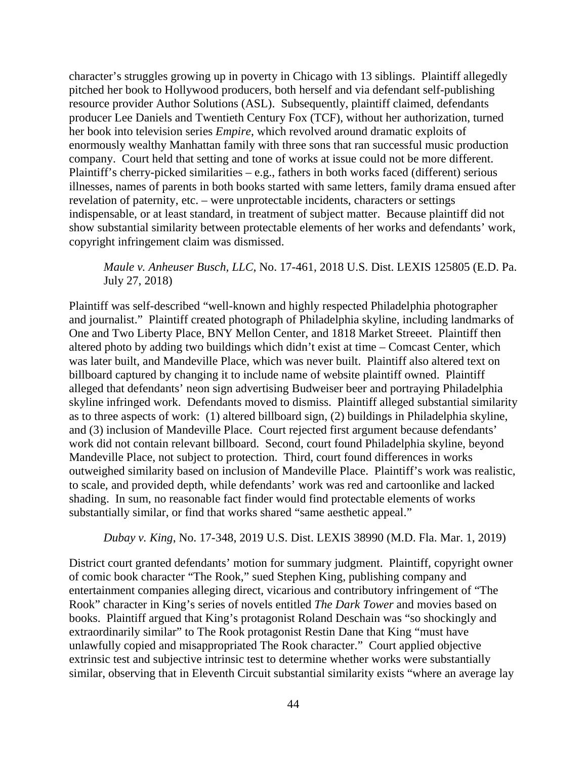character's struggles growing up in poverty in Chicago with 13 siblings. Plaintiff allegedly pitched her book to Hollywood producers, both herself and via defendant self-publishing resource provider Author Solutions (ASL). Subsequently, plaintiff claimed, defendants producer Lee Daniels and Twentieth Century Fox (TCF), without her authorization, turned her book into television series *Empire*, which revolved around dramatic exploits of enormously wealthy Manhattan family with three sons that ran successful music production company. Court held that setting and tone of works at issue could not be more different. Plaintiff's cherry-picked similarities – e.g., fathers in both works faced (different) serious illnesses, names of parents in both books started with same letters, family drama ensued after revelation of paternity, etc. – were unprotectable incidents, characters or settings indispensable, or at least standard, in treatment of subject matter. Because plaintiff did not show substantial similarity between protectable elements of her works and defendants' work, copyright infringement claim was dismissed.

## *Maule v. Anheuser Busch, LLC*, No. 17-461, 2018 U.S. Dist. LEXIS 125805 (E.D. Pa. July 27, 2018)

Plaintiff was self-described "well-known and highly respected Philadelphia photographer and journalist." Plaintiff created photograph of Philadelphia skyline, including landmarks of One and Two Liberty Place, BNY Mellon Center, and 1818 Market Streeet. Plaintiff then altered photo by adding two buildings which didn't exist at time – Comcast Center, which was later built, and Mandeville Place, which was never built. Plaintiff also altered text on billboard captured by changing it to include name of website plaintiff owned. Plaintiff alleged that defendants' neon sign advertising Budweiser beer and portraying Philadelphia skyline infringed work. Defendants moved to dismiss. Plaintiff alleged substantial similarity as to three aspects of work: (1) altered billboard sign, (2) buildings in Philadelphia skyline, and (3) inclusion of Mandeville Place. Court rejected first argument because defendants' work did not contain relevant billboard. Second, court found Philadelphia skyline, beyond Mandeville Place, not subject to protection. Third, court found differences in works outweighed similarity based on inclusion of Mandeville Place. Plaintiff's work was realistic, to scale, and provided depth, while defendants' work was red and cartoonlike and lacked shading. In sum, no reasonable fact finder would find protectable elements of works substantially similar, or find that works shared "same aesthetic appeal."

## *Dubay v. King*, No. 17-348, 2019 U.S. Dist. LEXIS 38990 (M.D. Fla. Mar. 1, 2019)

District court granted defendants' motion for summary judgment. Plaintiff, copyright owner of comic book character "The Rook," sued Stephen King, publishing company and entertainment companies alleging direct, vicarious and contributory infringement of "The Rook" character in King's series of novels entitled *The Dark Tower* and movies based on books. Plaintiff argued that King's protagonist Roland Deschain was "so shockingly and extraordinarily similar" to The Rook protagonist Restin Dane that King "must have unlawfully copied and misappropriated The Rook character." Court applied objective extrinsic test and subjective intrinsic test to determine whether works were substantially similar, observing that in Eleventh Circuit substantial similarity exists "where an average lay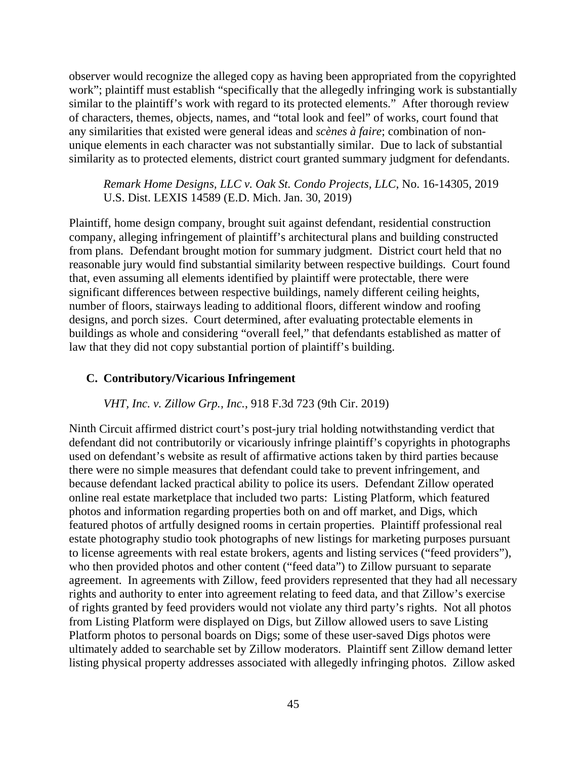observer would recognize the alleged copy as having been appropriated from the copyrighted work"; plaintiff must establish "specifically that the allegedly infringing work is substantially similar to the plaintiff's work with regard to its protected elements." After thorough review of characters, themes, objects, names, and "total look and feel" of works, court found that any similarities that existed were general ideas and *scènes à faire*; combination of nonunique elements in each character was not substantially similar. Due to lack of substantial similarity as to protected elements, district court granted summary judgment for defendants.

*Remark Home Designs, LLC v. Oak St. Condo Projects, LLC*, No. 16-14305, 2019 U.S. Dist. LEXIS 14589 (E.D. Mich. Jan. 30, 2019)

Plaintiff, home design company, brought suit against defendant, residential construction company, alleging infringement of plaintiff's architectural plans and building constructed from plans. Defendant brought motion for summary judgment. District court held that no reasonable jury would find substantial similarity between respective buildings. Court found that, even assuming all elements identified by plaintiff were protectable, there were significant differences between respective buildings, namely different ceiling heights, number of floors, stairways leading to additional floors, different window and roofing designs, and porch sizes. Court determined, after evaluating protectable elements in buildings as whole and considering "overall feel," that defendants established as matter of law that they did not copy substantial portion of plaintiff's building.

#### **C. Contributory/Vicarious Infringement**

*VHT, Inc. v. Zillow Grp., Inc.*, 918 F.3d 723 (9th Cir. 2019)

Ninth Circuit affirmed district court's post-jury trial holding notwithstanding verdict that defendant did not contributorily or vicariously infringe plaintiff's copyrights in photographs used on defendant's website as result of affirmative actions taken by third parties because there were no simple measures that defendant could take to prevent infringement, and because defendant lacked practical ability to police its users. Defendant Zillow operated online real estate marketplace that included two parts: Listing Platform, which featured photos and information regarding properties both on and off market, and Digs, which featured photos of artfully designed rooms in certain properties. Plaintiff professional real estate photography studio took photographs of new listings for marketing purposes pursuant to license agreements with real estate brokers, agents and listing services ("feed providers"), who then provided photos and other content ("feed data") to Zillow pursuant to separate agreement. In agreements with Zillow, feed providers represented that they had all necessary rights and authority to enter into agreement relating to feed data, and that Zillow's exercise of rights granted by feed providers would not violate any third party's rights. Not all photos from Listing Platform were displayed on Digs, but Zillow allowed users to save Listing Platform photos to personal boards on Digs; some of these user-saved Digs photos were ultimately added to searchable set by Zillow moderators. Plaintiff sent Zillow demand letter listing physical property addresses associated with allegedly infringing photos. Zillow asked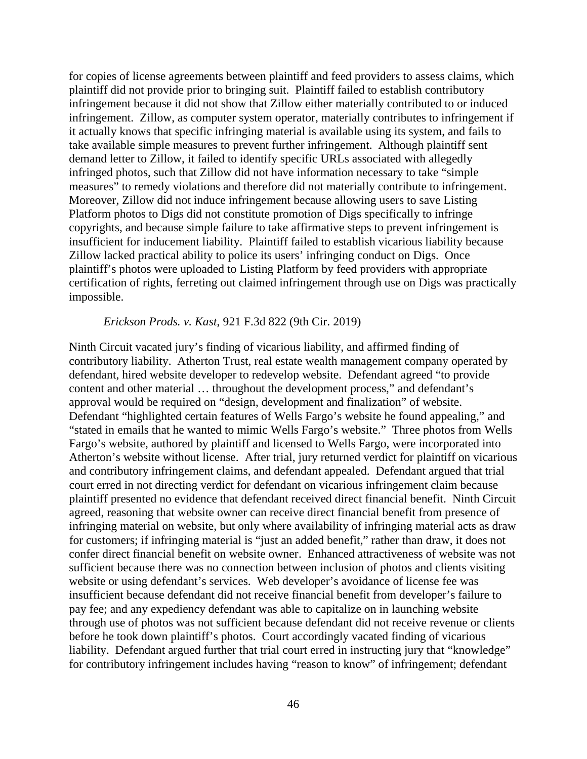for copies of license agreements between plaintiff and feed providers to assess claims, which plaintiff did not provide prior to bringing suit. Plaintiff failed to establish contributory infringement because it did not show that Zillow either materially contributed to or induced infringement. Zillow, as computer system operator, materially contributes to infringement if it actually knows that specific infringing material is available using its system, and fails to take available simple measures to prevent further infringement. Although plaintiff sent demand letter to Zillow, it failed to identify specific URLs associated with allegedly infringed photos, such that Zillow did not have information necessary to take "simple measures" to remedy violations and therefore did not materially contribute to infringement. Moreover, Zillow did not induce infringement because allowing users to save Listing Platform photos to Digs did not constitute promotion of Digs specifically to infringe copyrights, and because simple failure to take affirmative steps to prevent infringement is insufficient for inducement liability. Plaintiff failed to establish vicarious liability because Zillow lacked practical ability to police its users' infringing conduct on Digs. Once plaintiff's photos were uploaded to Listing Platform by feed providers with appropriate certification of rights, ferreting out claimed infringement through use on Digs was practically impossible.

### *Erickson Prods. v. Kast*, 921 F.3d 822 (9th Cir. 2019)

Ninth Circuit vacated jury's finding of vicarious liability, and affirmed finding of contributory liability. Atherton Trust, real estate wealth management company operated by defendant, hired website developer to redevelop website. Defendant agreed "to provide content and other material … throughout the development process," and defendant's approval would be required on "design, development and finalization" of website. Defendant "highlighted certain features of Wells Fargo's website he found appealing," and "stated in emails that he wanted to mimic Wells Fargo's website." Three photos from Wells Fargo's website, authored by plaintiff and licensed to Wells Fargo, were incorporated into Atherton's website without license. After trial, jury returned verdict for plaintiff on vicarious and contributory infringement claims, and defendant appealed. Defendant argued that trial court erred in not directing verdict for defendant on vicarious infringement claim because plaintiff presented no evidence that defendant received direct financial benefit. Ninth Circuit agreed, reasoning that website owner can receive direct financial benefit from presence of infringing material on website, but only where availability of infringing material acts as draw for customers; if infringing material is "just an added benefit," rather than draw, it does not confer direct financial benefit on website owner. Enhanced attractiveness of website was not sufficient because there was no connection between inclusion of photos and clients visiting website or using defendant's services. Web developer's avoidance of license fee was insufficient because defendant did not receive financial benefit from developer's failure to pay fee; and any expediency defendant was able to capitalize on in launching website through use of photos was not sufficient because defendant did not receive revenue or clients before he took down plaintiff's photos. Court accordingly vacated finding of vicarious liability. Defendant argued further that trial court erred in instructing jury that "knowledge" for contributory infringement includes having "reason to know" of infringement; defendant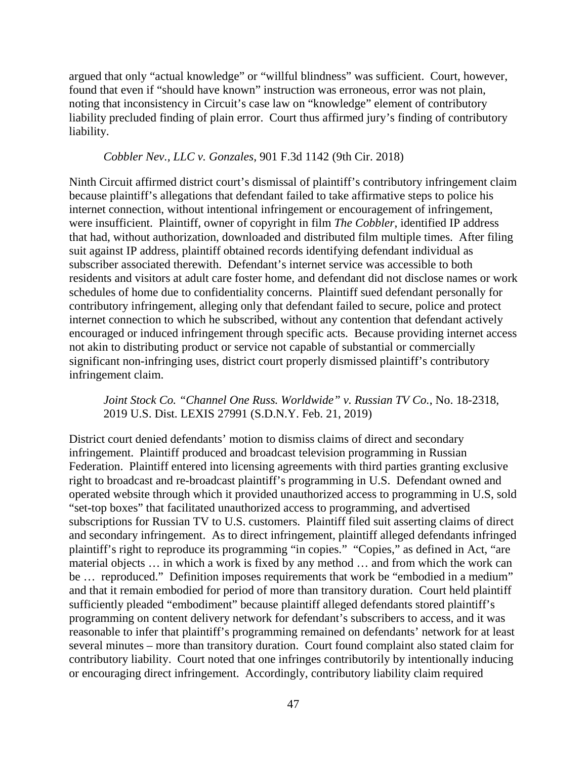argued that only "actual knowledge" or "willful blindness" was sufficient. Court, however, found that even if "should have known" instruction was erroneous, error was not plain, noting that inconsistency in Circuit's case law on "knowledge" element of contributory liability precluded finding of plain error. Court thus affirmed jury's finding of contributory liability.

#### *Cobbler Nev., LLC v. Gonzales*, 901 F.3d 1142 (9th Cir. 2018)

Ninth Circuit affirmed district court's dismissal of plaintiff's contributory infringement claim because plaintiff's allegations that defendant failed to take affirmative steps to police his internet connection, without intentional infringement or encouragement of infringement, were insufficient. Plaintiff, owner of copyright in film *The Cobbler*, identified IP address that had, without authorization, downloaded and distributed film multiple times. After filing suit against IP address, plaintiff obtained records identifying defendant individual as subscriber associated therewith. Defendant's internet service was accessible to both residents and visitors at adult care foster home, and defendant did not disclose names or work schedules of home due to confidentiality concerns. Plaintiff sued defendant personally for contributory infringement, alleging only that defendant failed to secure, police and protect internet connection to which he subscribed, without any contention that defendant actively encouraged or induced infringement through specific acts. Because providing internet access not akin to distributing product or service not capable of substantial or commercially significant non-infringing uses, district court properly dismissed plaintiff's contributory infringement claim.

### *Joint Stock Co. "Channel One Russ. Worldwide" v. Russian TV Co.*, No. 18-2318, 2019 U.S. Dist. LEXIS 27991 (S.D.N.Y. Feb. 21, 2019)

District court denied defendants' motion to dismiss claims of direct and secondary infringement. Plaintiff produced and broadcast television programming in Russian Federation. Plaintiff entered into licensing agreements with third parties granting exclusive right to broadcast and re-broadcast plaintiff's programming in U.S. Defendant owned and operated website through which it provided unauthorized access to programming in U.S, sold "set-top boxes" that facilitated unauthorized access to programming, and advertised subscriptions for Russian TV to U.S. customers. Plaintiff filed suit asserting claims of direct and secondary infringement. As to direct infringement, plaintiff alleged defendants infringed plaintiff's right to reproduce its programming "in copies." "Copies," as defined in Act, "are material objects … in which a work is fixed by any method … and from which the work can be … reproduced." Definition imposes requirements that work be "embodied in a medium" and that it remain embodied for period of more than transitory duration. Court held plaintiff sufficiently pleaded "embodiment" because plaintiff alleged defendants stored plaintiff's programming on content delivery network for defendant's subscribers to access, and it was reasonable to infer that plaintiff's programming remained on defendants' network for at least several minutes – more than transitory duration. Court found complaint also stated claim for contributory liability. Court noted that one infringes contributorily by intentionally inducing or encouraging direct infringement. Accordingly, contributory liability claim required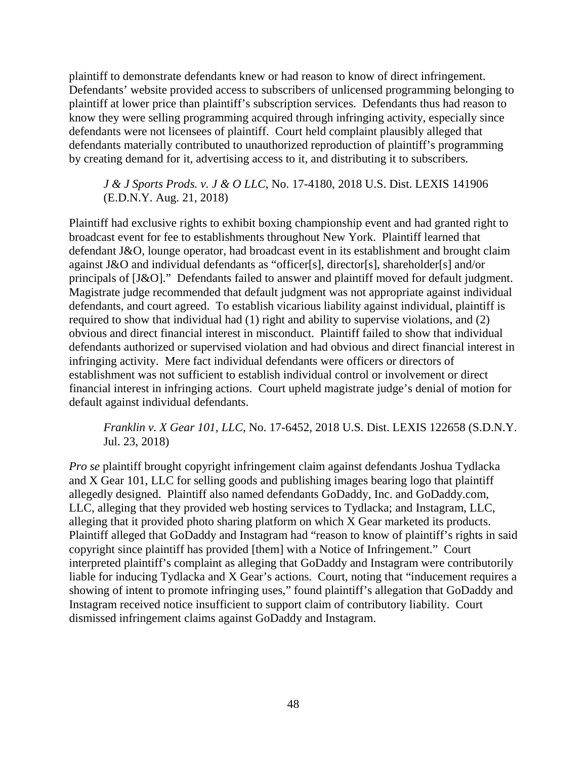plaintiff to demonstrate defendants knew or had reason to know of direct infringement. Defendants' website provided access to subscribers of unlicensed programming belonging to plaintiff at lower price than plaintiff's subscription services. Defendants thus had reason to know they were selling programming acquired through infringing activity, especially since defendants were not licensees of plaintiff. Court held complaint plausibly alleged that defendants materially contributed to unauthorized reproduction of plaintiff's programming by creating demand for it, advertising access to it, and distributing it to subscribers.

*J & J Sports Prods. v. J & O LLC*, No. 17-4180, 2018 U.S. Dist. LEXIS 141906 (E.D.N.Y. Aug. 21, 2018)

Plaintiff had exclusive rights to exhibit boxing championship event and had granted right to broadcast event for fee to establishments throughout New York. Plaintiff learned that defendant J&O, lounge operator, had broadcast event in its establishment and brought claim against J&O and individual defendants as "officer[s], director[s], shareholder[s] and/or principals of [J&O]." Defendants failed to answer and plaintiff moved for default judgment. Magistrate judge recommended that default judgment was not appropriate against individual defendants, and court agreed. To establish vicarious liability against individual, plaintiff is required to show that individual had (1) right and ability to supervise violations, and (2) obvious and direct financial interest in misconduct. Plaintiff failed to show that individual defendants authorized or supervised violation and had obvious and direct financial interest in infringing activity. Mere fact individual defendants were officers or directors of establishment was not sufficient to establish individual control or involvement or direct financial interest in infringing actions. Court upheld magistrate judge's denial of motion for default against individual defendants.

# *Franklin v. X Gear 101, LLC*, No. 17-6452, 2018 U.S. Dist. LEXIS 122658 (S.D.N.Y. Jul. 23, 2018)

*Pro se* plaintiff brought copyright infringement claim against defendants Joshua Tydlacka and X Gear 101, LLC for selling goods and publishing images bearing logo that plaintiff allegedly designed. Plaintiff also named defendants GoDaddy, Inc. and GoDaddy.com, LLC, alleging that they provided web hosting services to Tydlacka; and Instagram, LLC, alleging that it provided photo sharing platform on which X Gear marketed its products. Plaintiff alleged that GoDaddy and Instagram had "reason to know of plaintiff's rights in said copyright since plaintiff has provided [them] with a Notice of Infringement." Court interpreted plaintiff's complaint as alleging that GoDaddy and Instagram were contributorily liable for inducing Tydlacka and X Gear's actions. Court, noting that "inducement requires a showing of intent to promote infringing uses," found plaintiff's allegation that GoDaddy and Instagram received notice insufficient to support claim of contributory liability. Court dismissed infringement claims against GoDaddy and Instagram.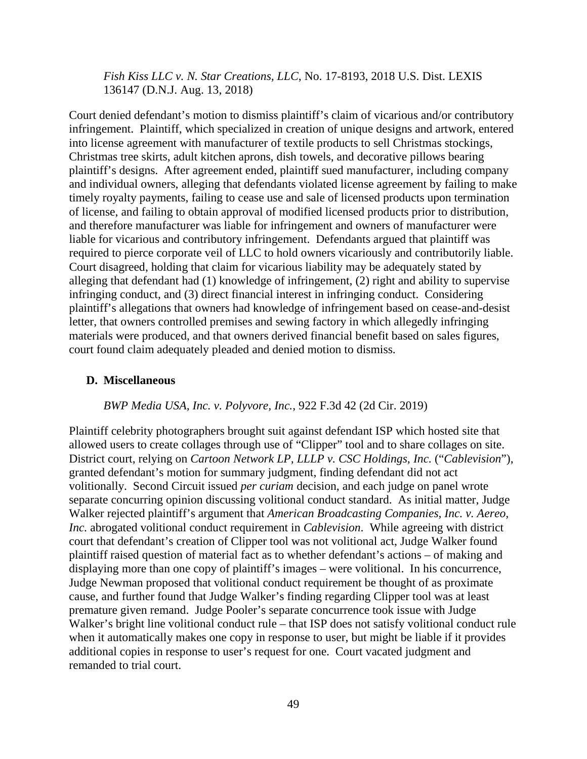*Fish Kiss LLC v. N. Star Creations, LLC*, No. 17-8193, 2018 U.S. Dist. LEXIS 136147 (D.N.J. Aug. 13, 2018)

Court denied defendant's motion to dismiss plaintiff's claim of vicarious and/or contributory infringement. Plaintiff, which specialized in creation of unique designs and artwork, entered into license agreement with manufacturer of textile products to sell Christmas stockings, Christmas tree skirts, adult kitchen aprons, dish towels, and decorative pillows bearing plaintiff's designs. After agreement ended, plaintiff sued manufacturer, including company and individual owners, alleging that defendants violated license agreement by failing to make timely royalty payments, failing to cease use and sale of licensed products upon termination of license, and failing to obtain approval of modified licensed products prior to distribution, and therefore manufacturer was liable for infringement and owners of manufacturer were liable for vicarious and contributory infringement. Defendants argued that plaintiff was required to pierce corporate veil of LLC to hold owners vicariously and contributorily liable. Court disagreed, holding that claim for vicarious liability may be adequately stated by alleging that defendant had (1) knowledge of infringement, (2) right and ability to supervise infringing conduct, and (3) direct financial interest in infringing conduct. Considering plaintiff's allegations that owners had knowledge of infringement based on cease-and-desist letter, that owners controlled premises and sewing factory in which allegedly infringing materials were produced, and that owners derived financial benefit based on sales figures, court found claim adequately pleaded and denied motion to dismiss.

### **D. Miscellaneous**

#### *BWP Media USA, Inc. v. Polyvore, Inc.*, 922 F.3d 42 (2d Cir. 2019)

Plaintiff celebrity photographers brought suit against defendant ISP which hosted site that allowed users to create collages through use of "Clipper" tool and to share collages on site. District court, relying on *Cartoon Network LP, LLLP v. CSC Holdings, Inc.* ("*Cablevision*"), granted defendant's motion for summary judgment, finding defendant did not act volitionally. Second Circuit issued *per curiam* decision, and each judge on panel wrote separate concurring opinion discussing volitional conduct standard. As initial matter, Judge Walker rejected plaintiff's argument that *American Broadcasting Companies, Inc. v. Aereo, Inc.* abrogated volitional conduct requirement in *Cablevision*. While agreeing with district court that defendant's creation of Clipper tool was not volitional act, Judge Walker found plaintiff raised question of material fact as to whether defendant's actions – of making and displaying more than one copy of plaintiff's images – were volitional. In his concurrence, Judge Newman proposed that volitional conduct requirement be thought of as proximate cause, and further found that Judge Walker's finding regarding Clipper tool was at least premature given remand. Judge Pooler's separate concurrence took issue with Judge Walker's bright line volitional conduct rule – that ISP does not satisfy volitional conduct rule when it automatically makes one copy in response to user, but might be liable if it provides additional copies in response to user's request for one. Court vacated judgment and remanded to trial court.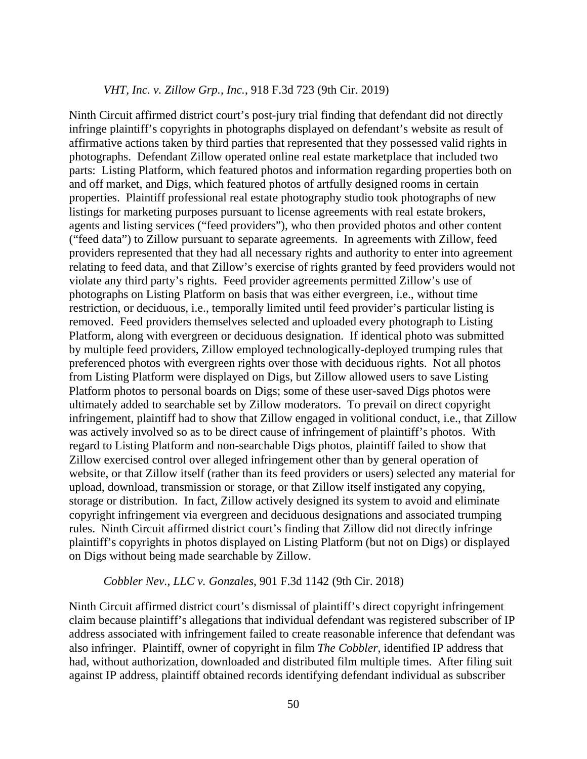### *VHT, Inc. v. Zillow Grp., Inc.*, 918 F.3d 723 (9th Cir. 2019)

Ninth Circuit affirmed district court's post-jury trial finding that defendant did not directly infringe plaintiff's copyrights in photographs displayed on defendant's website as result of affirmative actions taken by third parties that represented that they possessed valid rights in photographs. Defendant Zillow operated online real estate marketplace that included two parts: Listing Platform, which featured photos and information regarding properties both on and off market, and Digs, which featured photos of artfully designed rooms in certain properties. Plaintiff professional real estate photography studio took photographs of new listings for marketing purposes pursuant to license agreements with real estate brokers, agents and listing services ("feed providers"), who then provided photos and other content ("feed data") to Zillow pursuant to separate agreements. In agreements with Zillow, feed providers represented that they had all necessary rights and authority to enter into agreement relating to feed data, and that Zillow's exercise of rights granted by feed providers would not violate any third party's rights. Feed provider agreements permitted Zillow's use of photographs on Listing Platform on basis that was either evergreen, i.e., without time restriction, or deciduous, i.e., temporally limited until feed provider's particular listing is removed. Feed providers themselves selected and uploaded every photograph to Listing Platform, along with evergreen or deciduous designation. If identical photo was submitted by multiple feed providers, Zillow employed technologically-deployed trumping rules that preferenced photos with evergreen rights over those with deciduous rights. Not all photos from Listing Platform were displayed on Digs, but Zillow allowed users to save Listing Platform photos to personal boards on Digs; some of these user-saved Digs photos were ultimately added to searchable set by Zillow moderators. To prevail on direct copyright infringement, plaintiff had to show that Zillow engaged in volitional conduct, i.e., that Zillow was actively involved so as to be direct cause of infringement of plaintiff's photos. With regard to Listing Platform and non-searchable Digs photos, plaintiff failed to show that Zillow exercised control over alleged infringement other than by general operation of website, or that Zillow itself (rather than its feed providers or users) selected any material for upload, download, transmission or storage, or that Zillow itself instigated any copying, storage or distribution. In fact, Zillow actively designed its system to avoid and eliminate copyright infringement via evergreen and deciduous designations and associated trumping rules. Ninth Circuit affirmed district court's finding that Zillow did not directly infringe plaintiff's copyrights in photos displayed on Listing Platform (but not on Digs) or displayed on Digs without being made searchable by Zillow.

#### *Cobbler Nev., LLC v. Gonzales*, 901 F.3d 1142 (9th Cir. 2018)

Ninth Circuit affirmed district court's dismissal of plaintiff's direct copyright infringement claim because plaintiff's allegations that individual defendant was registered subscriber of IP address associated with infringement failed to create reasonable inference that defendant was also infringer. Plaintiff, owner of copyright in film *The Cobbler*, identified IP address that had, without authorization, downloaded and distributed film multiple times. After filing suit against IP address, plaintiff obtained records identifying defendant individual as subscriber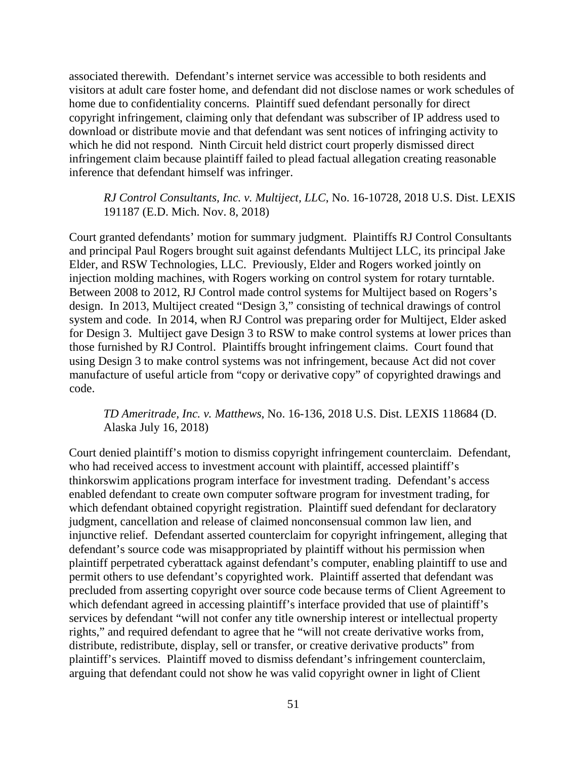associated therewith. Defendant's internet service was accessible to both residents and visitors at adult care foster home, and defendant did not disclose names or work schedules of home due to confidentiality concerns. Plaintiff sued defendant personally for direct copyright infringement, claiming only that defendant was subscriber of IP address used to download or distribute movie and that defendant was sent notices of infringing activity to which he did not respond. Ninth Circuit held district court properly dismissed direct infringement claim because plaintiff failed to plead factual allegation creating reasonable inference that defendant himself was infringer.

### *RJ Control Consultants, Inc. v. Multiject, LLC*, No. 16-10728, 2018 U.S. Dist. LEXIS 191187 (E.D. Mich. Nov. 8, 2018)

Court granted defendants' motion for summary judgment. Plaintiffs RJ Control Consultants and principal Paul Rogers brought suit against defendants Multiject LLC, its principal Jake Elder, and RSW Technologies, LLC. Previously, Elder and Rogers worked jointly on injection molding machines, with Rogers working on control system for rotary turntable. Between 2008 to 2012, RJ Control made control systems for Multiject based on Rogers's design. In 2013, Multiject created "Design 3," consisting of technical drawings of control system and code. In 2014, when RJ Control was preparing order for Multiject, Elder asked for Design 3. Multiject gave Design 3 to RSW to make control systems at lower prices than those furnished by RJ Control. Plaintiffs brought infringement claims. Court found that using Design 3 to make control systems was not infringement, because Act did not cover manufacture of useful article from "copy or derivative copy" of copyrighted drawings and code.

# *TD Ameritrade, Inc. v. Matthews*, No. 16-136, 2018 U.S. Dist. LEXIS 118684 (D. Alaska July 16, 2018)

Court denied plaintiff's motion to dismiss copyright infringement counterclaim. Defendant, who had received access to investment account with plaintiff, accessed plaintiff's thinkorswim applications program interface for investment trading. Defendant's access enabled defendant to create own computer software program for investment trading, for which defendant obtained copyright registration. Plaintiff sued defendant for declaratory judgment, cancellation and release of claimed nonconsensual common law lien, and injunctive relief. Defendant asserted counterclaim for copyright infringement, alleging that defendant's source code was misappropriated by plaintiff without his permission when plaintiff perpetrated cyberattack against defendant's computer, enabling plaintiff to use and permit others to use defendant's copyrighted work. Plaintiff asserted that defendant was precluded from asserting copyright over source code because terms of Client Agreement to which defendant agreed in accessing plaintiff's interface provided that use of plaintiff's services by defendant "will not confer any title ownership interest or intellectual property rights," and required defendant to agree that he "will not create derivative works from, distribute, redistribute, display, sell or transfer, or creative derivative products" from plaintiff's services. Plaintiff moved to dismiss defendant's infringement counterclaim, arguing that defendant could not show he was valid copyright owner in light of Client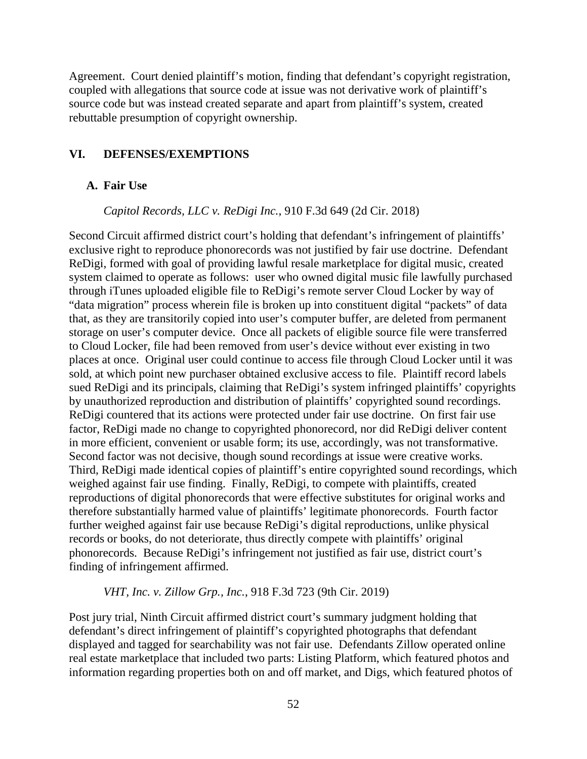Agreement. Court denied plaintiff's motion, finding that defendant's copyright registration, coupled with allegations that source code at issue was not derivative work of plaintiff's source code but was instead created separate and apart from plaintiff's system, created rebuttable presumption of copyright ownership.

### **VI. DEFENSES/EXEMPTIONS**

#### **A. Fair Use**

### *Capitol Records, LLC v. ReDigi Inc.*, 910 F.3d 649 (2d Cir. 2018)

Second Circuit affirmed district court's holding that defendant's infringement of plaintiffs' exclusive right to reproduce phonorecords was not justified by fair use doctrine. Defendant ReDigi, formed with goal of providing lawful resale marketplace for digital music, created system claimed to operate as follows: user who owned digital music file lawfully purchased through iTunes uploaded eligible file to ReDigi's remote server Cloud Locker by way of "data migration" process wherein file is broken up into constituent digital "packets" of data that, as they are transitorily copied into user's computer buffer, are deleted from permanent storage on user's computer device. Once all packets of eligible source file were transferred to Cloud Locker, file had been removed from user's device without ever existing in two places at once. Original user could continue to access file through Cloud Locker until it was sold, at which point new purchaser obtained exclusive access to file. Plaintiff record labels sued ReDigi and its principals, claiming that ReDigi's system infringed plaintiffs' copyrights by unauthorized reproduction and distribution of plaintiffs' copyrighted sound recordings. ReDigi countered that its actions were protected under fair use doctrine. On first fair use factor, ReDigi made no change to copyrighted phonorecord, nor did ReDigi deliver content in more efficient, convenient or usable form; its use, accordingly, was not transformative. Second factor was not decisive, though sound recordings at issue were creative works. Third, ReDigi made identical copies of plaintiff's entire copyrighted sound recordings, which weighed against fair use finding. Finally, ReDigi, to compete with plaintiffs, created reproductions of digital phonorecords that were effective substitutes for original works and therefore substantially harmed value of plaintiffs' legitimate phonorecords. Fourth factor further weighed against fair use because ReDigi's digital reproductions, unlike physical records or books, do not deteriorate, thus directly compete with plaintiffs' original phonorecords. Because ReDigi's infringement not justified as fair use, district court's finding of infringement affirmed.

#### *VHT, Inc. v. Zillow Grp., Inc.*, 918 F.3d 723 (9th Cir. 2019)

Post jury trial, Ninth Circuit affirmed district court's summary judgment holding that defendant's direct infringement of plaintiff's copyrighted photographs that defendant displayed and tagged for searchability was not fair use. Defendants Zillow operated online real estate marketplace that included two parts: Listing Platform, which featured photos and information regarding properties both on and off market, and Digs, which featured photos of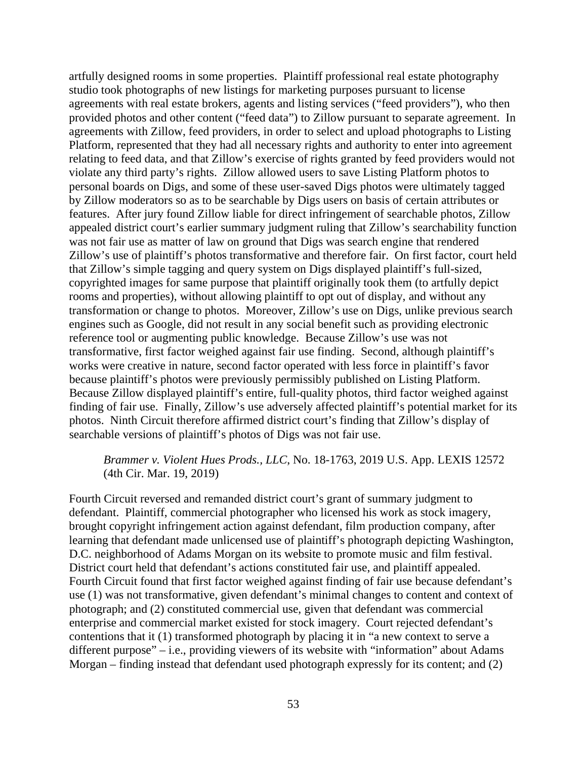artfully designed rooms in some properties. Plaintiff professional real estate photography studio took photographs of new listings for marketing purposes pursuant to license agreements with real estate brokers, agents and listing services ("feed providers"), who then provided photos and other content ("feed data") to Zillow pursuant to separate agreement. In agreements with Zillow, feed providers, in order to select and upload photographs to Listing Platform, represented that they had all necessary rights and authority to enter into agreement relating to feed data, and that Zillow's exercise of rights granted by feed providers would not violate any third party's rights. Zillow allowed users to save Listing Platform photos to personal boards on Digs, and some of these user-saved Digs photos were ultimately tagged by Zillow moderators so as to be searchable by Digs users on basis of certain attributes or features. After jury found Zillow liable for direct infringement of searchable photos, Zillow appealed district court's earlier summary judgment ruling that Zillow's searchability function was not fair use as matter of law on ground that Digs was search engine that rendered Zillow's use of plaintiff's photos transformative and therefore fair. On first factor, court held that Zillow's simple tagging and query system on Digs displayed plaintiff's full-sized, copyrighted images for same purpose that plaintiff originally took them (to artfully depict rooms and properties), without allowing plaintiff to opt out of display, and without any transformation or change to photos. Moreover, Zillow's use on Digs, unlike previous search engines such as Google, did not result in any social benefit such as providing electronic reference tool or augmenting public knowledge. Because Zillow's use was not transformative, first factor weighed against fair use finding. Second, although plaintiff's works were creative in nature, second factor operated with less force in plaintiff's favor because plaintiff's photos were previously permissibly published on Listing Platform. Because Zillow displayed plaintiff's entire, full-quality photos, third factor weighed against finding of fair use. Finally, Zillow's use adversely affected plaintiff's potential market for its photos. Ninth Circuit therefore affirmed district court's finding that Zillow's display of searchable versions of plaintiff's photos of Digs was not fair use.

# *Brammer v. Violent Hues Prods., LLC*, No. 18-1763, 2019 U.S. App. LEXIS 12572 (4th Cir. Mar. 19, 2019)

Fourth Circuit reversed and remanded district court's grant of summary judgment to defendant. Plaintiff, commercial photographer who licensed his work as stock imagery, brought copyright infringement action against defendant, film production company, after learning that defendant made unlicensed use of plaintiff's photograph depicting Washington, D.C. neighborhood of Adams Morgan on its website to promote music and film festival. District court held that defendant's actions constituted fair use, and plaintiff appealed. Fourth Circuit found that first factor weighed against finding of fair use because defendant's use (1) was not transformative, given defendant's minimal changes to content and context of photograph; and (2) constituted commercial use, given that defendant was commercial enterprise and commercial market existed for stock imagery. Court rejected defendant's contentions that it (1) transformed photograph by placing it in "a new context to serve a different purpose" – i.e., providing viewers of its website with "information" about Adams Morgan – finding instead that defendant used photograph expressly for its content; and (2)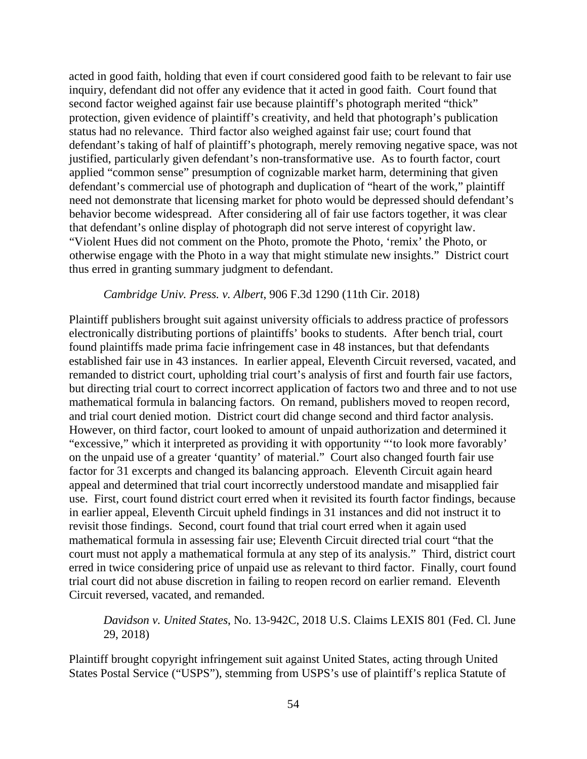acted in good faith, holding that even if court considered good faith to be relevant to fair use inquiry, defendant did not offer any evidence that it acted in good faith. Court found that second factor weighed against fair use because plaintiff's photograph merited "thick" protection, given evidence of plaintiff's creativity, and held that photograph's publication status had no relevance. Third factor also weighed against fair use; court found that defendant's taking of half of plaintiff's photograph, merely removing negative space, was not justified, particularly given defendant's non-transformative use. As to fourth factor, court applied "common sense" presumption of cognizable market harm, determining that given defendant's commercial use of photograph and duplication of "heart of the work," plaintiff need not demonstrate that licensing market for photo would be depressed should defendant's behavior become widespread. After considering all of fair use factors together, it was clear that defendant's online display of photograph did not serve interest of copyright law. "Violent Hues did not comment on the Photo, promote the Photo, 'remix' the Photo, or otherwise engage with the Photo in a way that might stimulate new insights." District court thus erred in granting summary judgment to defendant.

## *Cambridge Univ. Press. v. Albert*, 906 F.3d 1290 (11th Cir. 2018)

Plaintiff publishers brought suit against university officials to address practice of professors electronically distributing portions of plaintiffs' books to students. After bench trial, court found plaintiffs made prima facie infringement case in 48 instances, but that defendants established fair use in 43 instances. In earlier appeal, Eleventh Circuit reversed, vacated, and remanded to district court, upholding trial court's analysis of first and fourth fair use factors, but directing trial court to correct incorrect application of factors two and three and to not use mathematical formula in balancing factors. On remand, publishers moved to reopen record, and trial court denied motion. District court did change second and third factor analysis. However, on third factor, court looked to amount of unpaid authorization and determined it "excessive," which it interpreted as providing it with opportunity "'to look more favorably' on the unpaid use of a greater 'quantity' of material." Court also changed fourth fair use factor for 31 excerpts and changed its balancing approach. Eleventh Circuit again heard appeal and determined that trial court incorrectly understood mandate and misapplied fair use. First, court found district court erred when it revisited its fourth factor findings, because in earlier appeal, Eleventh Circuit upheld findings in 31 instances and did not instruct it to revisit those findings. Second, court found that trial court erred when it again used mathematical formula in assessing fair use; Eleventh Circuit directed trial court "that the court must not apply a mathematical formula at any step of its analysis." Third, district court erred in twice considering price of unpaid use as relevant to third factor. Finally, court found trial court did not abuse discretion in failing to reopen record on earlier remand. Eleventh Circuit reversed, vacated, and remanded.

*Davidson v. United States*, No. 13-942C, 2018 U.S. Claims LEXIS 801 (Fed. Cl. June 29, 2018)

Plaintiff brought copyright infringement suit against United States, acting through United States Postal Service ("USPS"), stemming from USPS's use of plaintiff's replica Statute of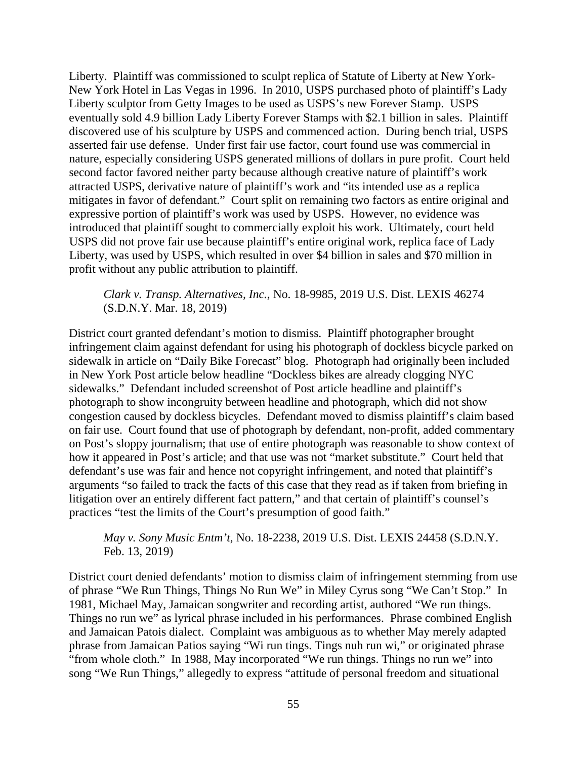Liberty. Plaintiff was commissioned to sculpt replica of Statute of Liberty at New York-New York Hotel in Las Vegas in 1996. In 2010, USPS purchased photo of plaintiff's Lady Liberty sculptor from Getty Images to be used as USPS's new Forever Stamp. USPS eventually sold 4.9 billion Lady Liberty Forever Stamps with \$2.1 billion in sales. Plaintiff discovered use of his sculpture by USPS and commenced action. During bench trial, USPS asserted fair use defense. Under first fair use factor, court found use was commercial in nature, especially considering USPS generated millions of dollars in pure profit. Court held second factor favored neither party because although creative nature of plaintiff's work attracted USPS, derivative nature of plaintiff's work and "its intended use as a replica mitigates in favor of defendant." Court split on remaining two factors as entire original and expressive portion of plaintiff's work was used by USPS. However, no evidence was introduced that plaintiff sought to commercially exploit his work. Ultimately, court held USPS did not prove fair use because plaintiff's entire original work, replica face of Lady Liberty, was used by USPS, which resulted in over \$4 billion in sales and \$70 million in profit without any public attribution to plaintiff.

### *Clark v. Transp. Alternatives, Inc.*, No. 18-9985, 2019 U.S. Dist. LEXIS 46274 (S.D.N.Y. Mar. 18, 2019)

District court granted defendant's motion to dismiss. Plaintiff photographer brought infringement claim against defendant for using his photograph of dockless bicycle parked on sidewalk in article on "Daily Bike Forecast" blog. Photograph had originally been included in New York Post article below headline "Dockless bikes are already clogging NYC sidewalks." Defendant included screenshot of Post article headline and plaintiff's photograph to show incongruity between headline and photograph, which did not show congestion caused by dockless bicycles. Defendant moved to dismiss plaintiff's claim based on fair use. Court found that use of photograph by defendant, non-profit, added commentary on Post's sloppy journalism; that use of entire photograph was reasonable to show context of how it appeared in Post's article; and that use was not "market substitute." Court held that defendant's use was fair and hence not copyright infringement, and noted that plaintiff's arguments "so failed to track the facts of this case that they read as if taken from briefing in litigation over an entirely different fact pattern," and that certain of plaintiff's counsel's practices "test the limits of the Court's presumption of good faith."

*May v. Sony Music Entm't*, No. 18-2238, 2019 U.S. Dist. LEXIS 24458 (S.D.N.Y. Feb. 13, 2019)

District court denied defendants' motion to dismiss claim of infringement stemming from use of phrase "We Run Things, Things No Run We" in Miley Cyrus song "We Can't Stop." In 1981, Michael May, Jamaican songwriter and recording artist, authored "We run things. Things no run we" as lyrical phrase included in his performances. Phrase combined English and Jamaican Patois dialect. Complaint was ambiguous as to whether May merely adapted phrase from Jamaican Patios saying "Wi run tings. Tings nuh run wi," or originated phrase "from whole cloth." In 1988, May incorporated "We run things. Things no run we" into song "We Run Things," allegedly to express "attitude of personal freedom and situational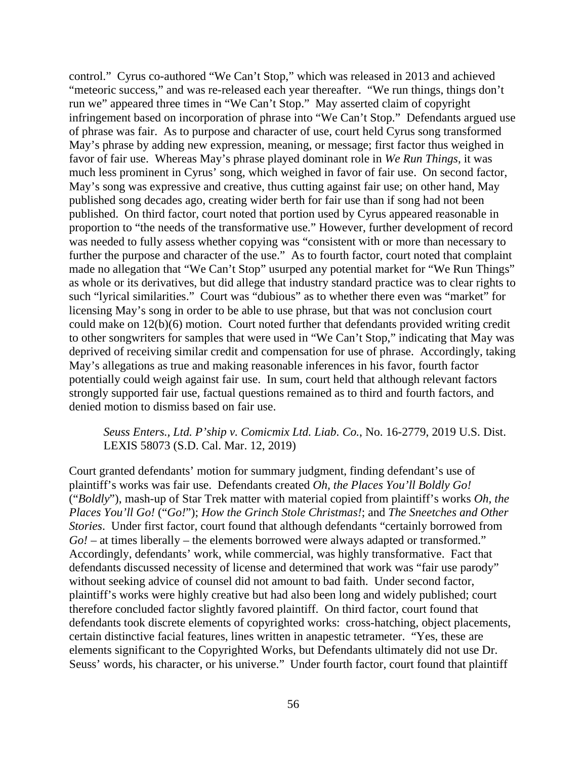control." Cyrus co-authored "We Can't Stop," which was released in 2013 and achieved "meteoric success," and was re-released each year thereafter. "We run things, things don't run we" appeared three times in "We Can't Stop." May asserted claim of copyright infringement based on incorporation of phrase into "We Can't Stop." Defendants argued use of phrase was fair. As to purpose and character of use, court held Cyrus song transformed May's phrase by adding new expression, meaning, or message; first factor thus weighed in favor of fair use. Whereas May's phrase played dominant role in *We Run Things*, it was much less prominent in Cyrus' song, which weighed in favor of fair use. On second factor, May's song was expressive and creative, thus cutting against fair use; on other hand, May published song decades ago, creating wider berth for fair use than if song had not been published. On third factor, court noted that portion used by Cyrus appeared reasonable in proportion to "the needs of the transformative use." However, further development of record was needed to fully assess whether copying was "consistent with or more than necessary to further the purpose and character of the use." As to fourth factor, court noted that complaint made no allegation that "We Can't Stop" usurped any potential market for "We Run Things" as whole or its derivatives, but did allege that industry standard practice was to clear rights to such "lyrical similarities." Court was "dubious" as to whether there even was "market" for licensing May's song in order to be able to use phrase, but that was not conclusion court could make on 12(b)(6) motion. Court noted further that defendants provided writing credit to other songwriters for samples that were used in "We Can't Stop," indicating that May was deprived of receiving similar credit and compensation for use of phrase. Accordingly, taking May's allegations as true and making reasonable inferences in his favor, fourth factor potentially could weigh against fair use. In sum, court held that although relevant factors strongly supported fair use, factual questions remained as to third and fourth factors, and denied motion to dismiss based on fair use.

*Seuss Enters., Ltd. P'ship v. Comicmix Ltd. Liab. Co.*, No. 16-2779, 2019 U.S. Dist. LEXIS 58073 (S.D. Cal. Mar. 12, 2019)

Court granted defendants' motion for summary judgment, finding defendant's use of plaintiff's works was fair use. Defendants created *Oh, the Places You'll Boldly Go!* ("*Boldly*"), mash-up of Star Trek matter with material copied from plaintiff's works *Oh, the Places You'll Go!* ("*Go!*"); *How the Grinch Stole Christmas!*; and *The Sneetches and Other Stories*. Under first factor, court found that although defendants "certainly borrowed from *Go!* – at times liberally – the elements borrowed were always adapted or transformed." Accordingly, defendants' work, while commercial, was highly transformative. Fact that defendants discussed necessity of license and determined that work was "fair use parody" without seeking advice of counsel did not amount to bad faith. Under second factor, plaintiff's works were highly creative but had also been long and widely published; court therefore concluded factor slightly favored plaintiff. On third factor, court found that defendants took discrete elements of copyrighted works: cross-hatching, object placements, certain distinctive facial features, lines written in anapestic tetrameter. "Yes, these are elements significant to the Copyrighted Works, but Defendants ultimately did not use Dr. Seuss' words, his character, or his universe." Under fourth factor, court found that plaintiff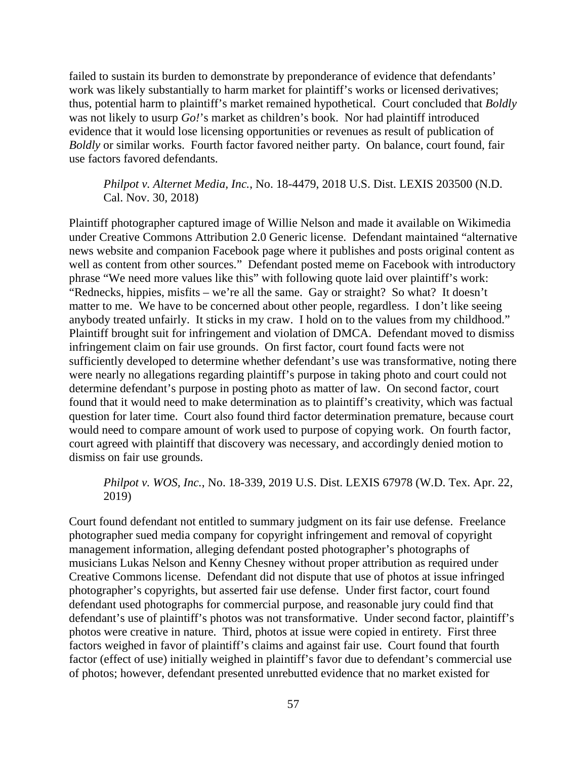failed to sustain its burden to demonstrate by preponderance of evidence that defendants' work was likely substantially to harm market for plaintiff's works or licensed derivatives; thus, potential harm to plaintiff's market remained hypothetical. Court concluded that *Boldly* was not likely to usurp *Go!*'s market as children's book. Nor had plaintiff introduced evidence that it would lose licensing opportunities or revenues as result of publication of *Boldly* or similar works. Fourth factor favored neither party. On balance, court found, fair use factors favored defendants.

*Philpot v. Alternet Media, Inc.*, No. 18-4479, 2018 U.S. Dist. LEXIS 203500 (N.D. Cal. Nov. 30, 2018)

Plaintiff photographer captured image of Willie Nelson and made it available on Wikimedia under Creative Commons Attribution 2.0 Generic license. Defendant maintained "alternative news website and companion Facebook page where it publishes and posts original content as well as content from other sources." Defendant posted meme on Facebook with introductory phrase "We need more values like this" with following quote laid over plaintiff's work: "Rednecks, hippies, misfits – we're all the same. Gay or straight? So what? It doesn't matter to me. We have to be concerned about other people, regardless. I don't like seeing anybody treated unfairly. It sticks in my craw. I hold on to the values from my childhood." Plaintiff brought suit for infringement and violation of DMCA. Defendant moved to dismiss infringement claim on fair use grounds. On first factor, court found facts were not sufficiently developed to determine whether defendant's use was transformative, noting there were nearly no allegations regarding plaintiff's purpose in taking photo and court could not determine defendant's purpose in posting photo as matter of law. On second factor, court found that it would need to make determination as to plaintiff's creativity, which was factual question for later time. Court also found third factor determination premature, because court would need to compare amount of work used to purpose of copying work. On fourth factor, court agreed with plaintiff that discovery was necessary, and accordingly denied motion to dismiss on fair use grounds.

## *Philpot v. WOS, Inc.*, No. 18-339, 2019 U.S. Dist. LEXIS 67978 (W.D. Tex. Apr. 22, 2019)

Court found defendant not entitled to summary judgment on its fair use defense. Freelance photographer sued media company for copyright infringement and removal of copyright management information, alleging defendant posted photographer's photographs of musicians Lukas Nelson and Kenny Chesney without proper attribution as required under Creative Commons license. Defendant did not dispute that use of photos at issue infringed photographer's copyrights, but asserted fair use defense. Under first factor, court found defendant used photographs for commercial purpose, and reasonable jury could find that defendant's use of plaintiff's photos was not transformative. Under second factor, plaintiff's photos were creative in nature. Third, photos at issue were copied in entirety. First three factors weighed in favor of plaintiff's claims and against fair use. Court found that fourth factor (effect of use) initially weighed in plaintiff's favor due to defendant's commercial use of photos; however, defendant presented unrebutted evidence that no market existed for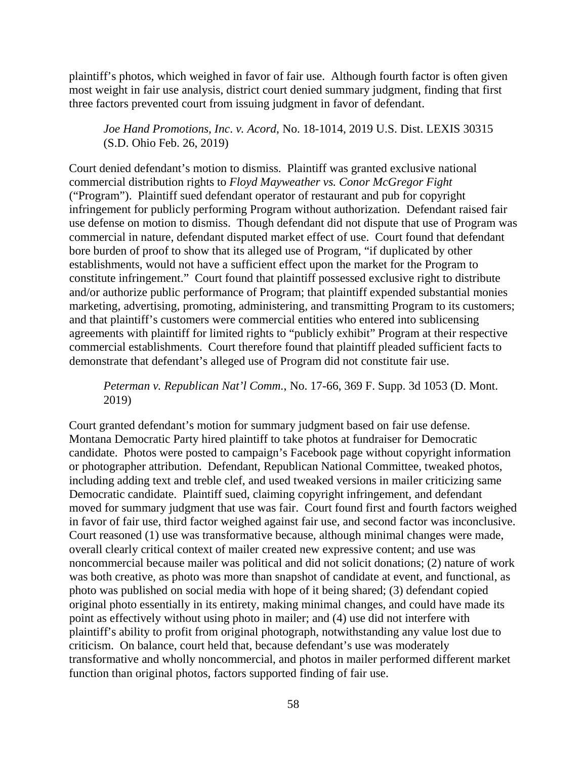plaintiff's photos, which weighed in favor of fair use. Although fourth factor is often given most weight in fair use analysis, district court denied summary judgment, finding that first three factors prevented court from issuing judgment in favor of defendant.

*Joe Hand Promotions, Inc*. *v. Acord*, No. 18-1014, 2019 U.S. Dist. LEXIS 30315 (S.D. Ohio Feb. 26, 2019)

Court denied defendant's motion to dismiss. Plaintiff was granted exclusive national commercial distribution rights to *Floyd Mayweather vs. Conor McGregor Fight*  ("Program"). Plaintiff sued defendant operator of restaurant and pub for copyright infringement for publicly performing Program without authorization. Defendant raised fair use defense on motion to dismiss. Though defendant did not dispute that use of Program was commercial in nature, defendant disputed market effect of use. Court found that defendant bore burden of proof to show that its alleged use of Program, "if duplicated by other establishments, would not have a sufficient effect upon the market for the Program to constitute infringement." Court found that plaintiff possessed exclusive right to distribute and/or authorize public performance of Program; that plaintiff expended substantial monies marketing, advertising, promoting, administering, and transmitting Program to its customers; and that plaintiff's customers were commercial entities who entered into sublicensing agreements with plaintiff for limited rights to "publicly exhibit" Program at their respective commercial establishments. Court therefore found that plaintiff pleaded sufficient facts to demonstrate that defendant's alleged use of Program did not constitute fair use.

*Peterman v. Republican Nat'l Comm.*, No. 17-66, 369 F. Supp. 3d 1053 (D. Mont. 2019)

Court granted defendant's motion for summary judgment based on fair use defense. Montana Democratic Party hired plaintiff to take photos at fundraiser for Democratic candidate. Photos were posted to campaign's Facebook page without copyright information or photographer attribution. Defendant, Republican National Committee, tweaked photos, including adding text and treble clef, and used tweaked versions in mailer criticizing same Democratic candidate. Plaintiff sued, claiming copyright infringement, and defendant moved for summary judgment that use was fair. Court found first and fourth factors weighed in favor of fair use, third factor weighed against fair use, and second factor was inconclusive. Court reasoned (1) use was transformative because, although minimal changes were made, overall clearly critical context of mailer created new expressive content; and use was noncommercial because mailer was political and did not solicit donations; (2) nature of work was both creative, as photo was more than snapshot of candidate at event, and functional, as photo was published on social media with hope of it being shared; (3) defendant copied original photo essentially in its entirety, making minimal changes, and could have made its point as effectively without using photo in mailer; and (4) use did not interfere with plaintiff's ability to profit from original photograph, notwithstanding any value lost due to criticism. On balance, court held that, because defendant's use was moderately transformative and wholly noncommercial, and photos in mailer performed different market function than original photos, factors supported finding of fair use.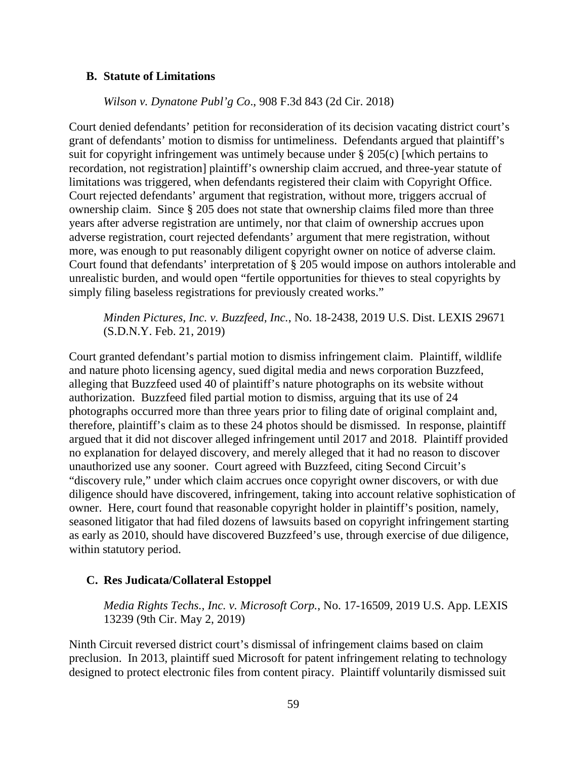### **B. Statute of Limitations**

#### *Wilson v. Dynatone Publ'g Co*., 908 F.3d 843 (2d Cir. 2018)

Court denied defendants' petition for reconsideration of its decision vacating district court's grant of defendants' motion to dismiss for untimeliness. Defendants argued that plaintiff's suit for copyright infringement was untimely because under § 205(c) [which pertains to recordation, not registration] plaintiff's ownership claim accrued, and three-year statute of limitations was triggered, when defendants registered their claim with Copyright Office. Court rejected defendants' argument that registration, without more, triggers accrual of ownership claim. Since § 205 does not state that ownership claims filed more than three years after adverse registration are untimely, nor that claim of ownership accrues upon adverse registration, court rejected defendants' argument that mere registration, without more, was enough to put reasonably diligent copyright owner on notice of adverse claim. Court found that defendants' interpretation of § 205 would impose on authors intolerable and unrealistic burden, and would open "fertile opportunities for thieves to steal copyrights by simply filing baseless registrations for previously created works."

*Minden Pictures, Inc. v. Buzzfeed, Inc.*, No. 18-2438, 2019 U.S. Dist. LEXIS 29671 (S.D.N.Y. Feb. 21, 2019)

Court granted defendant's partial motion to dismiss infringement claim. Plaintiff, wildlife and nature photo licensing agency, sued digital media and news corporation Buzzfeed, alleging that Buzzfeed used 40 of plaintiff's nature photographs on its website without authorization. Buzzfeed filed partial motion to dismiss, arguing that its use of 24 photographs occurred more than three years prior to filing date of original complaint and, therefore, plaintiff's claim as to these 24 photos should be dismissed. In response, plaintiff argued that it did not discover alleged infringement until 2017 and 2018. Plaintiff provided no explanation for delayed discovery, and merely alleged that it had no reason to discover unauthorized use any sooner. Court agreed with Buzzfeed, citing Second Circuit's "discovery rule," under which claim accrues once copyright owner discovers, or with due diligence should have discovered, infringement, taking into account relative sophistication of owner. Here, court found that reasonable copyright holder in plaintiff's position, namely, seasoned litigator that had filed dozens of lawsuits based on copyright infringement starting as early as 2010, should have discovered Buzzfeed's use, through exercise of due diligence, within statutory period.

### **C. Res Judicata/Collateral Estoppel**

*Media Rights Techs., Inc. v. Microsoft Corp.*, No. 17-16509, 2019 U.S. App. LEXIS 13239 (9th Cir. May 2, 2019)

Ninth Circuit reversed district court's dismissal of infringement claims based on claim preclusion. In 2013, plaintiff sued Microsoft for patent infringement relating to technology designed to protect electronic files from content piracy. Plaintiff voluntarily dismissed suit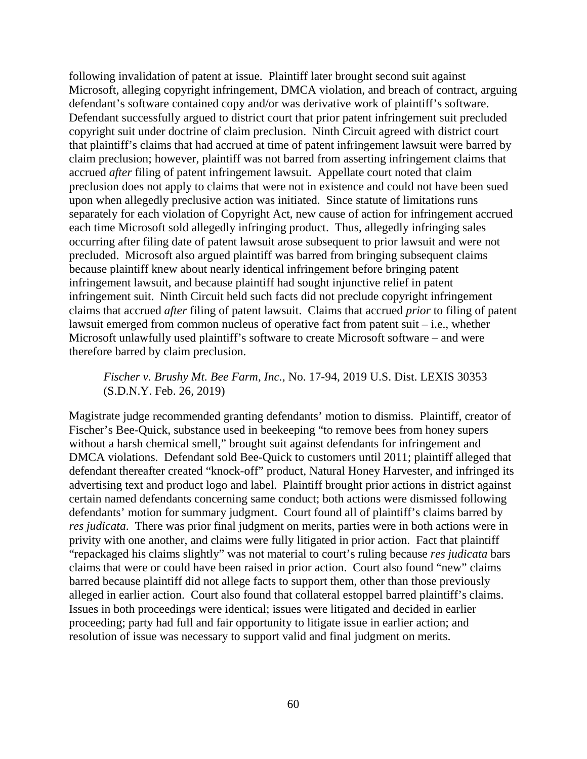following invalidation of patent at issue. Plaintiff later brought second suit against Microsoft, alleging copyright infringement, DMCA violation, and breach of contract, arguing defendant's software contained copy and/or was derivative work of plaintiff's software. Defendant successfully argued to district court that prior patent infringement suit precluded copyright suit under doctrine of claim preclusion. Ninth Circuit agreed with district court that plaintiff's claims that had accrued at time of patent infringement lawsuit were barred by claim preclusion; however, plaintiff was not barred from asserting infringement claims that accrued *after* filing of patent infringement lawsuit. Appellate court noted that claim preclusion does not apply to claims that were not in existence and could not have been sued upon when allegedly preclusive action was initiated. Since statute of limitations runs separately for each violation of Copyright Act, new cause of action for infringement accrued each time Microsoft sold allegedly infringing product. Thus, allegedly infringing sales occurring after filing date of patent lawsuit arose subsequent to prior lawsuit and were not precluded. Microsoft also argued plaintiff was barred from bringing subsequent claims because plaintiff knew about nearly identical infringement before bringing patent infringement lawsuit, and because plaintiff had sought injunctive relief in patent infringement suit. Ninth Circuit held such facts did not preclude copyright infringement claims that accrued *after* filing of patent lawsuit. Claims that accrued *prior* to filing of patent lawsuit emerged from common nucleus of operative fact from patent suit – i.e., whether Microsoft unlawfully used plaintiff's software to create Microsoft software – and were therefore barred by claim preclusion.

### *Fischer v. Brushy Mt. Bee Farm, Inc.*, No. 17-94, 2019 U.S. Dist. LEXIS 30353 (S.D.N.Y. Feb. 26, 2019)

Magistrate judge recommended granting defendants' motion to dismiss. Plaintiff, creator of Fischer's Bee-Quick, substance used in beekeeping "to remove bees from honey supers without a harsh chemical smell," brought suit against defendants for infringement and DMCA violations. Defendant sold Bee-Quick to customers until 2011; plaintiff alleged that defendant thereafter created "knock-off" product, Natural Honey Harvester, and infringed its advertising text and product logo and label. Plaintiff brought prior actions in district against certain named defendants concerning same conduct; both actions were dismissed following defendants' motion for summary judgment. Court found all of plaintiff's claims barred by *res judicata*. There was prior final judgment on merits, parties were in both actions were in privity with one another, and claims were fully litigated in prior action. Fact that plaintiff "repackaged his claims slightly" was not material to court's ruling because *res judicata* bars claims that were or could have been raised in prior action. Court also found "new" claims barred because plaintiff did not allege facts to support them, other than those previously alleged in earlier action. Court also found that collateral estoppel barred plaintiff's claims. Issues in both proceedings were identical; issues were litigated and decided in earlier proceeding; party had full and fair opportunity to litigate issue in earlier action; and resolution of issue was necessary to support valid and final judgment on merits.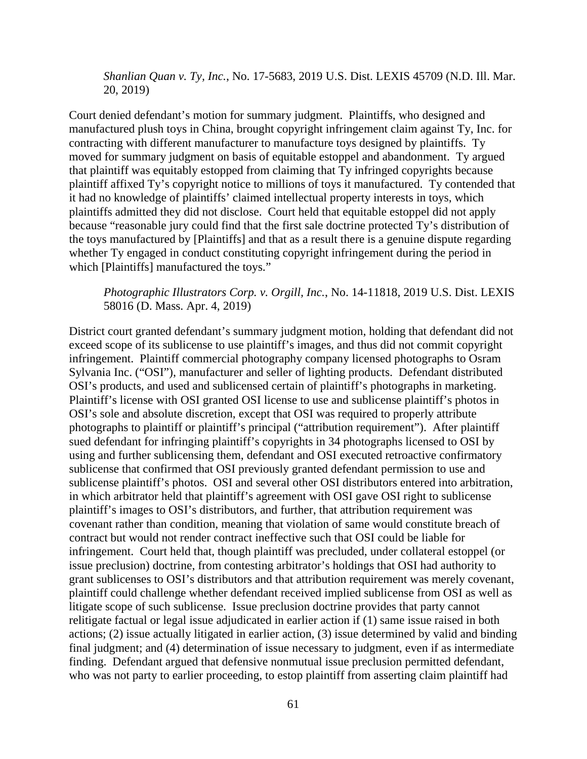*Shanlian Quan v. Ty, Inc.*, No. 17-5683, 2019 U.S. Dist. LEXIS 45709 (N.D. Ill. Mar. 20, 2019)

Court denied defendant's motion for summary judgment. Plaintiffs, who designed and manufactured plush toys in China, brought copyright infringement claim against Ty, Inc. for contracting with different manufacturer to manufacture toys designed by plaintiffs. Ty moved for summary judgment on basis of equitable estoppel and abandonment. Ty argued that plaintiff was equitably estopped from claiming that Ty infringed copyrights because plaintiff affixed Ty's copyright notice to millions of toys it manufactured. Ty contended that it had no knowledge of plaintiffs' claimed intellectual property interests in toys, which plaintiffs admitted they did not disclose. Court held that equitable estoppel did not apply because "reasonable jury could find that the first sale doctrine protected Ty's distribution of the toys manufactured by [Plaintiffs] and that as a result there is a genuine dispute regarding whether Ty engaged in conduct constituting copyright infringement during the period in which [Plaintiffs] manufactured the toys."

*Photographic Illustrators Corp. v. Orgill, Inc.*, No. 14-11818, 2019 U.S. Dist. LEXIS 58016 (D. Mass. Apr. 4, 2019)

District court granted defendant's summary judgment motion, holding that defendant did not exceed scope of its sublicense to use plaintiff's images, and thus did not commit copyright infringement. Plaintiff commercial photography company licensed photographs to Osram Sylvania Inc. ("OSI"), manufacturer and seller of lighting products. Defendant distributed OSI's products, and used and sublicensed certain of plaintiff's photographs in marketing. Plaintiff's license with OSI granted OSI license to use and sublicense plaintiff's photos in OSI's sole and absolute discretion, except that OSI was required to properly attribute photographs to plaintiff or plaintiff's principal ("attribution requirement"). After plaintiff sued defendant for infringing plaintiff's copyrights in 34 photographs licensed to OSI by using and further sublicensing them, defendant and OSI executed retroactive confirmatory sublicense that confirmed that OSI previously granted defendant permission to use and sublicense plaintiff's photos. OSI and several other OSI distributors entered into arbitration, in which arbitrator held that plaintiff's agreement with OSI gave OSI right to sublicense plaintiff's images to OSI's distributors, and further, that attribution requirement was covenant rather than condition, meaning that violation of same would constitute breach of contract but would not render contract ineffective such that OSI could be liable for infringement. Court held that, though plaintiff was precluded, under collateral estoppel (or issue preclusion) doctrine, from contesting arbitrator's holdings that OSI had authority to grant sublicenses to OSI's distributors and that attribution requirement was merely covenant, plaintiff could challenge whether defendant received implied sublicense from OSI as well as litigate scope of such sublicense. Issue preclusion doctrine provides that party cannot relitigate factual or legal issue adjudicated in earlier action if (1) same issue raised in both actions; (2) issue actually litigated in earlier action, (3) issue determined by valid and binding final judgment; and (4) determination of issue necessary to judgment, even if as intermediate finding. Defendant argued that defensive nonmutual issue preclusion permitted defendant, who was not party to earlier proceeding, to estop plaintiff from asserting claim plaintiff had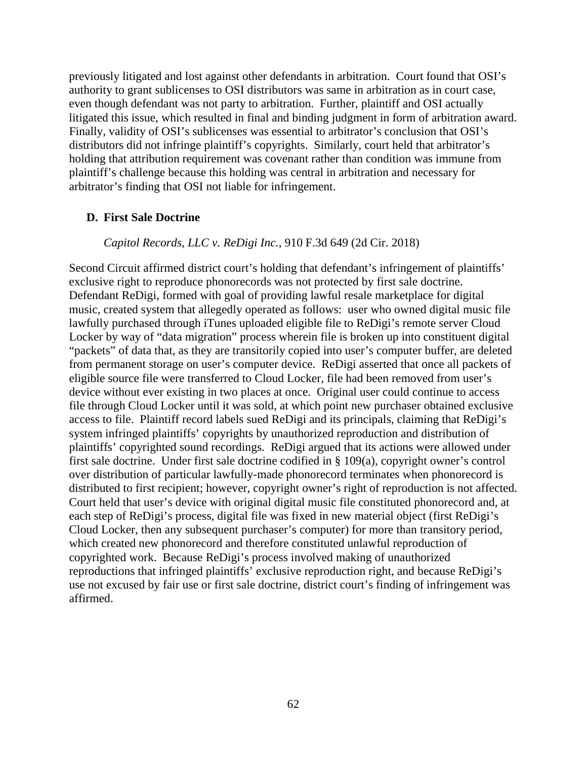previously litigated and lost against other defendants in arbitration. Court found that OSI's authority to grant sublicenses to OSI distributors was same in arbitration as in court case, even though defendant was not party to arbitration. Further, plaintiff and OSI actually litigated this issue, which resulted in final and binding judgment in form of arbitration award. Finally, validity of OSI's sublicenses was essential to arbitrator's conclusion that OSI's distributors did not infringe plaintiff's copyrights. Similarly, court held that arbitrator's holding that attribution requirement was covenant rather than condition was immune from plaintiff's challenge because this holding was central in arbitration and necessary for arbitrator's finding that OSI not liable for infringement.

#### **D. First Sale Doctrine**

#### *Capitol Records, LLC v. ReDigi Inc.*, 910 F.3d 649 (2d Cir. 2018)

Second Circuit affirmed district court's holding that defendant's infringement of plaintiffs' exclusive right to reproduce phonorecords was not protected by first sale doctrine. Defendant ReDigi, formed with goal of providing lawful resale marketplace for digital music, created system that allegedly operated as follows: user who owned digital music file lawfully purchased through iTunes uploaded eligible file to ReDigi's remote server Cloud Locker by way of "data migration" process wherein file is broken up into constituent digital "packets" of data that, as they are transitorily copied into user's computer buffer, are deleted from permanent storage on user's computer device. ReDigi asserted that once all packets of eligible source file were transferred to Cloud Locker, file had been removed from user's device without ever existing in two places at once. Original user could continue to access file through Cloud Locker until it was sold, at which point new purchaser obtained exclusive access to file. Plaintiff record labels sued ReDigi and its principals, claiming that ReDigi's system infringed plaintiffs' copyrights by unauthorized reproduction and distribution of plaintiffs' copyrighted sound recordings. ReDigi argued that its actions were allowed under first sale doctrine. Under first sale doctrine codified in § 109(a), copyright owner's control over distribution of particular lawfully-made phonorecord terminates when phonorecord is distributed to first recipient; however, copyright owner's right of reproduction is not affected. Court held that user's device with original digital music file constituted phonorecord and, at each step of ReDigi's process, digital file was fixed in new material object (first ReDigi's Cloud Locker, then any subsequent purchaser's computer) for more than transitory period, which created new phonorecord and therefore constituted unlawful reproduction of copyrighted work. Because ReDigi's process involved making of unauthorized reproductions that infringed plaintiffs' exclusive reproduction right, and because ReDigi's use not excused by fair use or first sale doctrine, district court's finding of infringement was affirmed.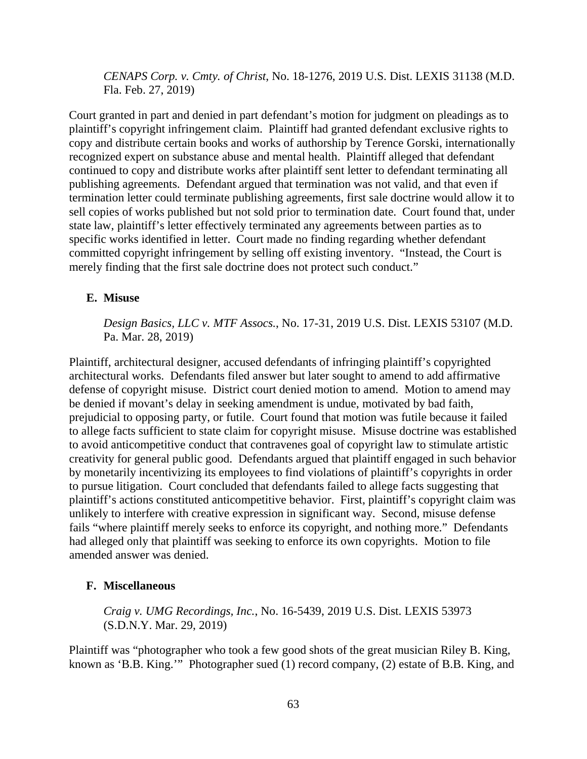*CENAPS Corp. v. Cmty. of Christ*, No. 18-1276, 2019 U.S. Dist. LEXIS 31138 (M.D. Fla. Feb. 27, 2019)

Court granted in part and denied in part defendant's motion for judgment on pleadings as to plaintiff's copyright infringement claim. Plaintiff had granted defendant exclusive rights to copy and distribute certain books and works of authorship by Terence Gorski, internationally recognized expert on substance abuse and mental health. Plaintiff alleged that defendant continued to copy and distribute works after plaintiff sent letter to defendant terminating all publishing agreements. Defendant argued that termination was not valid, and that even if termination letter could terminate publishing agreements, first sale doctrine would allow it to sell copies of works published but not sold prior to termination date. Court found that, under state law, plaintiff's letter effectively terminated any agreements between parties as to specific works identified in letter. Court made no finding regarding whether defendant committed copyright infringement by selling off existing inventory. "Instead, the Court is merely finding that the first sale doctrine does not protect such conduct."

## **E. Misuse**

*Design Basics, LLC v. MTF Assocs.*, No. 17-31, 2019 U.S. Dist. LEXIS 53107 (M.D. Pa. Mar. 28, 2019)

Plaintiff, architectural designer, accused defendants of infringing plaintiff's copyrighted architectural works. Defendants filed answer but later sought to amend to add affirmative defense of copyright misuse. District court denied motion to amend. Motion to amend may be denied if movant's delay in seeking amendment is undue, motivated by bad faith, prejudicial to opposing party, or futile. Court found that motion was futile because it failed to allege facts sufficient to state claim for copyright misuse. Misuse doctrine was established to avoid anticompetitive conduct that contravenes goal of copyright law to stimulate artistic creativity for general public good. Defendants argued that plaintiff engaged in such behavior by monetarily incentivizing its employees to find violations of plaintiff's copyrights in order to pursue litigation. Court concluded that defendants failed to allege facts suggesting that plaintiff's actions constituted anticompetitive behavior. First, plaintiff's copyright claim was unlikely to interfere with creative expression in significant way. Second, misuse defense fails "where plaintiff merely seeks to enforce its copyright, and nothing more." Defendants had alleged only that plaintiff was seeking to enforce its own copyrights. Motion to file amended answer was denied.

# **F. Miscellaneous**

*Craig v. UMG Recordings, Inc.*, No. 16-5439, 2019 U.S. Dist. LEXIS 53973 (S.D.N.Y. Mar. 29, 2019)

Plaintiff was "photographer who took a few good shots of the great musician Riley B. King, known as 'B.B. King.'" Photographer sued (1) record company, (2) estate of B.B. King, and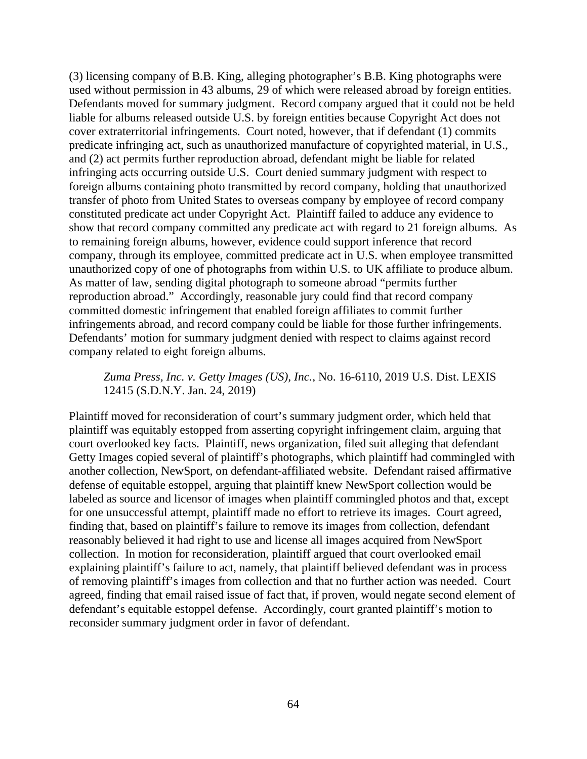(3) licensing company of B.B. King, alleging photographer's B.B. King photographs were used without permission in 43 albums, 29 of which were released abroad by foreign entities. Defendants moved for summary judgment. Record company argued that it could not be held liable for albums released outside U.S. by foreign entities because Copyright Act does not cover extraterritorial infringements. Court noted, however, that if defendant (1) commits predicate infringing act, such as unauthorized manufacture of copyrighted material, in U.S., and (2) act permits further reproduction abroad, defendant might be liable for related infringing acts occurring outside U.S. Court denied summary judgment with respect to foreign albums containing photo transmitted by record company, holding that unauthorized transfer of photo from United States to overseas company by employee of record company constituted predicate act under Copyright Act. Plaintiff failed to adduce any evidence to show that record company committed any predicate act with regard to 21 foreign albums. As to remaining foreign albums, however, evidence could support inference that record company, through its employee, committed predicate act in U.S. when employee transmitted unauthorized copy of one of photographs from within U.S. to UK affiliate to produce album. As matter of law, sending digital photograph to someone abroad "permits further reproduction abroad." Accordingly, reasonable jury could find that record company committed domestic infringement that enabled foreign affiliates to commit further infringements abroad, and record company could be liable for those further infringements. Defendants' motion for summary judgment denied with respect to claims against record company related to eight foreign albums.

*Zuma Press, Inc. v. Getty Images (US), Inc.*, No. 16-6110, 2019 U.S. Dist. LEXIS 12415 (S.D.N.Y. Jan. 24, 2019)

Plaintiff moved for reconsideration of court's summary judgment order, which held that plaintiff was equitably estopped from asserting copyright infringement claim, arguing that court overlooked key facts. Plaintiff, news organization, filed suit alleging that defendant Getty Images copied several of plaintiff's photographs, which plaintiff had commingled with another collection, NewSport, on defendant-affiliated website. Defendant raised affirmative defense of equitable estoppel, arguing that plaintiff knew NewSport collection would be labeled as source and licensor of images when plaintiff commingled photos and that, except for one unsuccessful attempt, plaintiff made no effort to retrieve its images. Court agreed, finding that, based on plaintiff's failure to remove its images from collection, defendant reasonably believed it had right to use and license all images acquired from NewSport collection. In motion for reconsideration, plaintiff argued that court overlooked email explaining plaintiff's failure to act, namely, that plaintiff believed defendant was in process of removing plaintiff's images from collection and that no further action was needed. Court agreed, finding that email raised issue of fact that, if proven, would negate second element of defendant's equitable estoppel defense. Accordingly, court granted plaintiff's motion to reconsider summary judgment order in favor of defendant.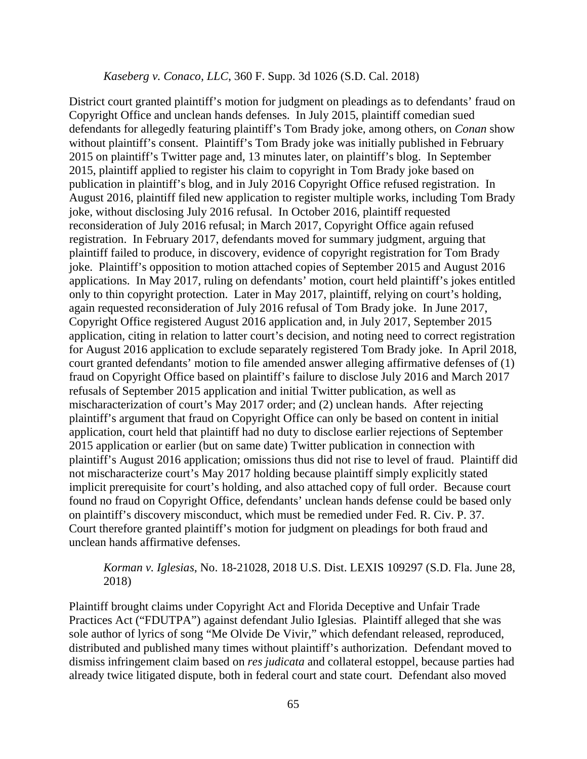#### *Kaseberg v. Conaco, LLC*, 360 F. Supp. 3d 1026 (S.D. Cal. 2018)

District court granted plaintiff's motion for judgment on pleadings as to defendants' fraud on Copyright Office and unclean hands defenses. In July 2015, plaintiff comedian sued defendants for allegedly featuring plaintiff's Tom Brady joke, among others, on *Conan* show without plaintiff's consent. Plaintiff's Tom Brady joke was initially published in February 2015 on plaintiff's Twitter page and, 13 minutes later, on plaintiff's blog. In September 2015, plaintiff applied to register his claim to copyright in Tom Brady joke based on publication in plaintiff's blog, and in July 2016 Copyright Office refused registration. In August 2016, plaintiff filed new application to register multiple works, including Tom Brady joke, without disclosing July 2016 refusal. In October 2016, plaintiff requested reconsideration of July 2016 refusal; in March 2017, Copyright Office again refused registration. In February 2017, defendants moved for summary judgment, arguing that plaintiff failed to produce, in discovery, evidence of copyright registration for Tom Brady joke. Plaintiff's opposition to motion attached copies of September 2015 and August 2016 applications. In May 2017, ruling on defendants' motion, court held plaintiff's jokes entitled only to thin copyright protection. Later in May 2017, plaintiff, relying on court's holding, again requested reconsideration of July 2016 refusal of Tom Brady joke. In June 2017, Copyright Office registered August 2016 application and, in July 2017, September 2015 application, citing in relation to latter court's decision, and noting need to correct registration for August 2016 application to exclude separately registered Tom Brady joke. In April 2018, court granted defendants' motion to file amended answer alleging affirmative defenses of (1) fraud on Copyright Office based on plaintiff's failure to disclose July 2016 and March 2017 refusals of September 2015 application and initial Twitter publication, as well as mischaracterization of court's May 2017 order; and (2) unclean hands. After rejecting plaintiff's argument that fraud on Copyright Office can only be based on content in initial application, court held that plaintiff had no duty to disclose earlier rejections of September 2015 application or earlier (but on same date) Twitter publication in connection with plaintiff's August 2016 application; omissions thus did not rise to level of fraud. Plaintiff did not mischaracterize court's May 2017 holding because plaintiff simply explicitly stated implicit prerequisite for court's holding, and also attached copy of full order. Because court found no fraud on Copyright Office, defendants' unclean hands defense could be based only on plaintiff's discovery misconduct, which must be remedied under Fed. R. Civ. P. 37. Court therefore granted plaintiff's motion for judgment on pleadings for both fraud and unclean hands affirmative defenses.

*Korman v. Iglesias*, No. 18-21028, 2018 U.S. Dist. LEXIS 109297 (S.D. Fla. June 28, 2018)

Plaintiff brought claims under Copyright Act and Florida Deceptive and Unfair Trade Practices Act ("FDUTPA") against defendant Julio Iglesias. Plaintiff alleged that she was sole author of lyrics of song "Me Olvide De Vivir," which defendant released, reproduced, distributed and published many times without plaintiff's authorization. Defendant moved to dismiss infringement claim based on *res judicata* and collateral estoppel, because parties had already twice litigated dispute, both in federal court and state court. Defendant also moved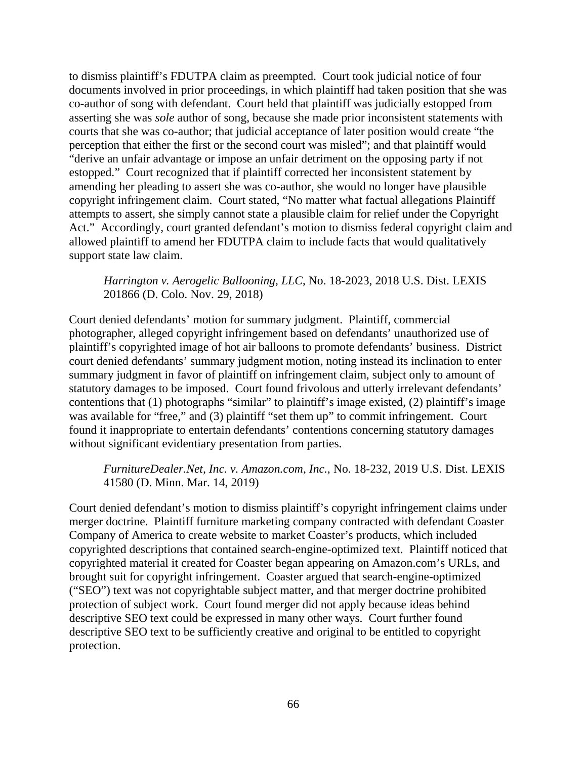to dismiss plaintiff's FDUTPA claim as preempted. Court took judicial notice of four documents involved in prior proceedings, in which plaintiff had taken position that she was co-author of song with defendant. Court held that plaintiff was judicially estopped from asserting she was *sole* author of song, because she made prior inconsistent statements with courts that she was co-author; that judicial acceptance of later position would create "the perception that either the first or the second court was misled"; and that plaintiff would "derive an unfair advantage or impose an unfair detriment on the opposing party if not estopped." Court recognized that if plaintiff corrected her inconsistent statement by amending her pleading to assert she was co-author, she would no longer have plausible copyright infringement claim. Court stated, "No matter what factual allegations Plaintiff attempts to assert, she simply cannot state a plausible claim for relief under the Copyright Act." Accordingly, court granted defendant's motion to dismiss federal copyright claim and allowed plaintiff to amend her FDUTPA claim to include facts that would qualitatively support state law claim.

*Harrington v. Aerogelic Ballooning, LLC*, No. 18-2023, 2018 U.S. Dist. LEXIS 201866 (D. Colo. Nov. 29, 2018)

Court denied defendants' motion for summary judgment. Plaintiff, commercial photographer, alleged copyright infringement based on defendants' unauthorized use of plaintiff's copyrighted image of hot air balloons to promote defendants' business. District court denied defendants' summary judgment motion, noting instead its inclination to enter summary judgment in favor of plaintiff on infringement claim, subject only to amount of statutory damages to be imposed. Court found frivolous and utterly irrelevant defendants' contentions that (1) photographs "similar" to plaintiff's image existed, (2) plaintiff's image was available for "free," and (3) plaintiff "set them up" to commit infringement. Court found it inappropriate to entertain defendants' contentions concerning statutory damages without significant evidentiary presentation from parties.

*FurnitureDealer.Net, Inc. v. Amazon.com, Inc.*, No. 18-232, 2019 U.S. Dist. LEXIS 41580 (D. Minn. Mar. 14, 2019)

Court denied defendant's motion to dismiss plaintiff's copyright infringement claims under merger doctrine. Plaintiff furniture marketing company contracted with defendant Coaster Company of America to create website to market Coaster's products, which included copyrighted descriptions that contained search-engine-optimized text. Plaintiff noticed that copyrighted material it created for Coaster began appearing on Amazon.com's URLs, and brought suit for copyright infringement. Coaster argued that search-engine-optimized ("SEO") text was not copyrightable subject matter, and that merger doctrine prohibited protection of subject work. Court found merger did not apply because ideas behind descriptive SEO text could be expressed in many other ways. Court further found descriptive SEO text to be sufficiently creative and original to be entitled to copyright protection.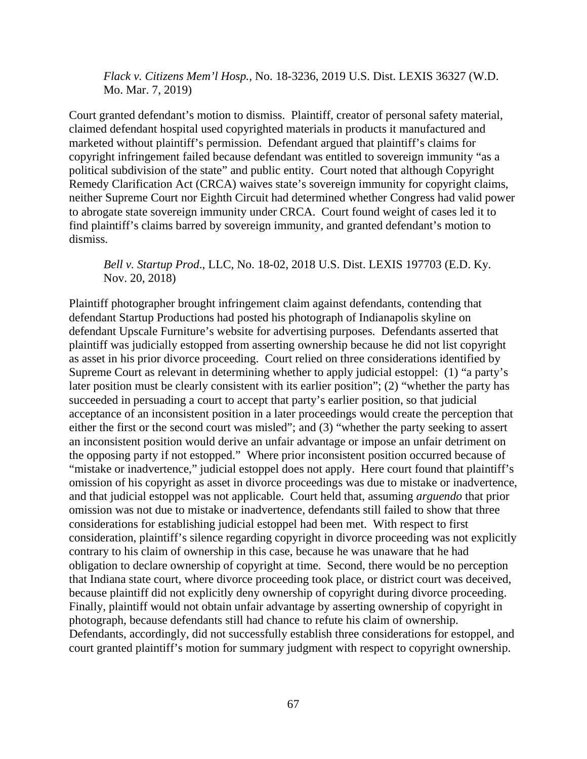*Flack v. Citizens Mem'l Hosp.,* No. 18-3236, 2019 U.S. Dist. LEXIS 36327 (W.D. Mo. Mar. 7, 2019)

Court granted defendant's motion to dismiss. Plaintiff, creator of personal safety material, claimed defendant hospital used copyrighted materials in products it manufactured and marketed without plaintiff's permission. Defendant argued that plaintiff's claims for copyright infringement failed because defendant was entitled to sovereign immunity "as a political subdivision of the state" and public entity. Court noted that although Copyright Remedy Clarification Act (CRCA) waives state's sovereign immunity for copyright claims, neither Supreme Court nor Eighth Circuit had determined whether Congress had valid power to abrogate state sovereign immunity under CRCA. Court found weight of cases led it to find plaintiff's claims barred by sovereign immunity, and granted defendant's motion to dismiss.

*Bell v. Startup Prod*., LLC, No. 18-02, 2018 U.S. Dist. LEXIS 197703 (E.D. Ky. Nov. 20, 2018)

Plaintiff photographer brought infringement claim against defendants, contending that defendant Startup Productions had posted his photograph of Indianapolis skyline on defendant Upscale Furniture's website for advertising purposes. Defendants asserted that plaintiff was judicially estopped from asserting ownership because he did not list copyright as asset in his prior divorce proceeding. Court relied on three considerations identified by Supreme Court as relevant in determining whether to apply judicial estoppel: (1) "a party's later position must be clearly consistent with its earlier position"; (2) "whether the party has succeeded in persuading a court to accept that party's earlier position, so that judicial acceptance of an inconsistent position in a later proceedings would create the perception that either the first or the second court was misled"; and (3) "whether the party seeking to assert an inconsistent position would derive an unfair advantage or impose an unfair detriment on the opposing party if not estopped." Where prior inconsistent position occurred because of "mistake or inadvertence," judicial estoppel does not apply. Here court found that plaintiff's omission of his copyright as asset in divorce proceedings was due to mistake or inadvertence, and that judicial estoppel was not applicable. Court held that, assuming *arguendo* that prior omission was not due to mistake or inadvertence, defendants still failed to show that three considerations for establishing judicial estoppel had been met. With respect to first consideration, plaintiff's silence regarding copyright in divorce proceeding was not explicitly contrary to his claim of ownership in this case, because he was unaware that he had obligation to declare ownership of copyright at time. Second, there would be no perception that Indiana state court, where divorce proceeding took place, or district court was deceived, because plaintiff did not explicitly deny ownership of copyright during divorce proceeding. Finally, plaintiff would not obtain unfair advantage by asserting ownership of copyright in photograph, because defendants still had chance to refute his claim of ownership. Defendants, accordingly, did not successfully establish three considerations for estoppel, and court granted plaintiff's motion for summary judgment with respect to copyright ownership.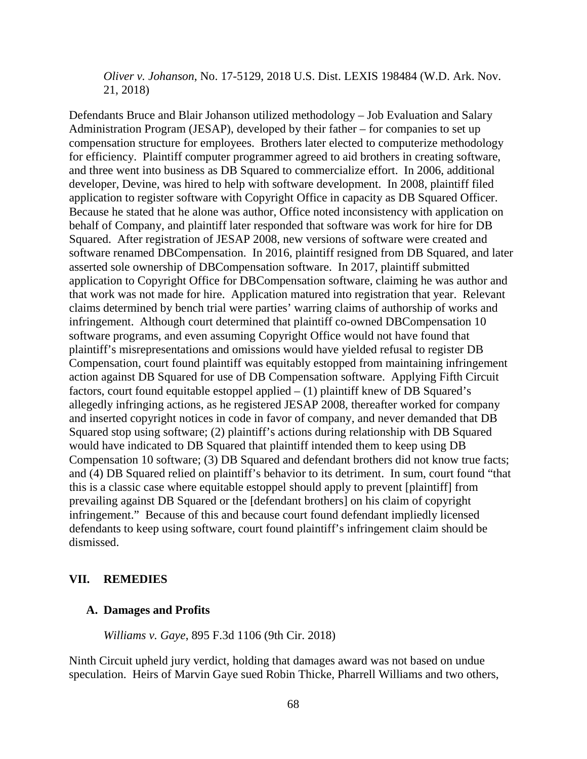*Oliver v. Johanson*, No. 17-5129, 2018 U.S. Dist. LEXIS 198484 (W.D. Ark. Nov. 21, 2018)

Defendants Bruce and Blair Johanson utilized methodology – Job Evaluation and Salary Administration Program (JESAP), developed by their father – for companies to set up compensation structure for employees. Brothers later elected to computerize methodology for efficiency. Plaintiff computer programmer agreed to aid brothers in creating software, and three went into business as DB Squared to commercialize effort. In 2006, additional developer, Devine, was hired to help with software development. In 2008, plaintiff filed application to register software with Copyright Office in capacity as DB Squared Officer. Because he stated that he alone was author, Office noted inconsistency with application on behalf of Company, and plaintiff later responded that software was work for hire for DB Squared. After registration of JESAP 2008, new versions of software were created and software renamed DBCompensation. In 2016, plaintiff resigned from DB Squared, and later asserted sole ownership of DBCompensation software. In 2017, plaintiff submitted application to Copyright Office for DBCompensation software, claiming he was author and that work was not made for hire. Application matured into registration that year. Relevant claims determined by bench trial were parties' warring claims of authorship of works and infringement. Although court determined that plaintiff co-owned DBCompensation 10 software programs, and even assuming Copyright Office would not have found that plaintiff's misrepresentations and omissions would have yielded refusal to register DB Compensation, court found plaintiff was equitably estopped from maintaining infringement action against DB Squared for use of DB Compensation software. Applying Fifth Circuit factors, court found equitable estoppel applied  $- (1)$  plaintiff knew of DB Squared's allegedly infringing actions, as he registered JESAP 2008, thereafter worked for company and inserted copyright notices in code in favor of company, and never demanded that DB Squared stop using software; (2) plaintiff's actions during relationship with DB Squared would have indicated to DB Squared that plaintiff intended them to keep using DB Compensation 10 software; (3) DB Squared and defendant brothers did not know true facts; and (4) DB Squared relied on plaintiff's behavior to its detriment. In sum, court found "that this is a classic case where equitable estoppel should apply to prevent [plaintiff] from prevailing against DB Squared or the [defendant brothers] on his claim of copyright infringement." Because of this and because court found defendant impliedly licensed defendants to keep using software, court found plaintiff's infringement claim should be dismissed.

#### **VII. REMEDIES**

#### **A. Damages and Profits**

*Williams v. Gaye*, 895 F.3d 1106 (9th Cir. 2018)

Ninth Circuit upheld jury verdict, holding that damages award was not based on undue speculation. Heirs of Marvin Gaye sued Robin Thicke, Pharrell Williams and two others,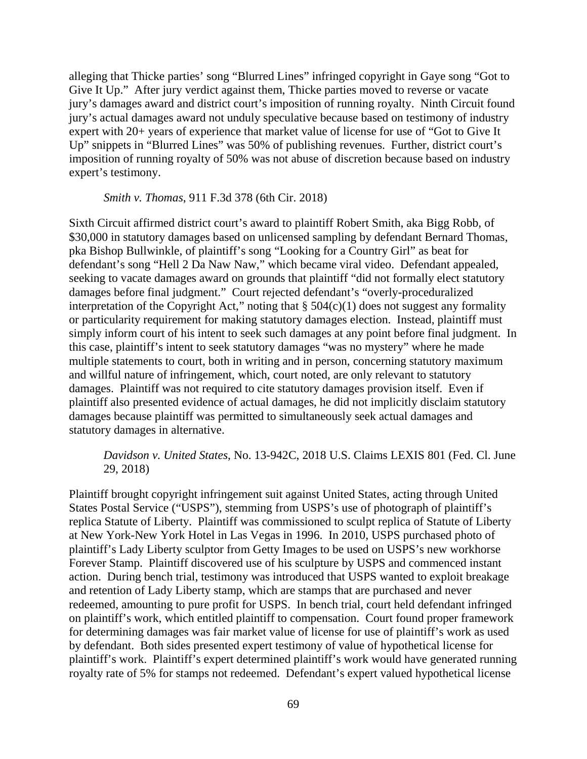alleging that Thicke parties' song "Blurred Lines" infringed copyright in Gaye song "Got to Give It Up." After jury verdict against them, Thicke parties moved to reverse or vacate jury's damages award and district court's imposition of running royalty. Ninth Circuit found jury's actual damages award not unduly speculative because based on testimony of industry expert with 20+ years of experience that market value of license for use of "Got to Give It Up" snippets in "Blurred Lines" was 50% of publishing revenues. Further, district court's imposition of running royalty of 50% was not abuse of discretion because based on industry expert's testimony.

#### *Smith v. Thomas*, 911 F.3d 378 (6th Cir. 2018)

Sixth Circuit affirmed district court's award to plaintiff Robert Smith, aka Bigg Robb, of \$30,000 in statutory damages based on unlicensed sampling by defendant Bernard Thomas, pka Bishop Bullwinkle, of plaintiff's song "Looking for a Country Girl" as beat for defendant's song "Hell 2 Da Naw Naw," which became viral video. Defendant appealed, seeking to vacate damages award on grounds that plaintiff "did not formally elect statutory damages before final judgment." Court rejected defendant's "overly-proceduralized interpretation of the Copyright Act," noting that  $\S$  504(c)(1) does not suggest any formality or particularity requirement for making statutory damages election. Instead, plaintiff must simply inform court of his intent to seek such damages at any point before final judgment. In this case, plaintiff's intent to seek statutory damages "was no mystery" where he made multiple statements to court, both in writing and in person, concerning statutory maximum and willful nature of infringement, which, court noted, are only relevant to statutory damages. Plaintiff was not required to cite statutory damages provision itself. Even if plaintiff also presented evidence of actual damages, he did not implicitly disclaim statutory damages because plaintiff was permitted to simultaneously seek actual damages and statutory damages in alternative.

## *Davidson v. United States*, No. 13-942C, 2018 U.S. Claims LEXIS 801 (Fed. Cl. June 29, 2018)

Plaintiff brought copyright infringement suit against United States, acting through United States Postal Service ("USPS"), stemming from USPS's use of photograph of plaintiff's replica Statute of Liberty. Plaintiff was commissioned to sculpt replica of Statute of Liberty at New York-New York Hotel in Las Vegas in 1996. In 2010, USPS purchased photo of plaintiff's Lady Liberty sculptor from Getty Images to be used on USPS's new workhorse Forever Stamp. Plaintiff discovered use of his sculpture by USPS and commenced instant action. During bench trial, testimony was introduced that USPS wanted to exploit breakage and retention of Lady Liberty stamp, which are stamps that are purchased and never redeemed, amounting to pure profit for USPS. In bench trial, court held defendant infringed on plaintiff's work, which entitled plaintiff to compensation. Court found proper framework for determining damages was fair market value of license for use of plaintiff's work as used by defendant. Both sides presented expert testimony of value of hypothetical license for plaintiff's work. Plaintiff's expert determined plaintiff's work would have generated running royalty rate of 5% for stamps not redeemed. Defendant's expert valued hypothetical license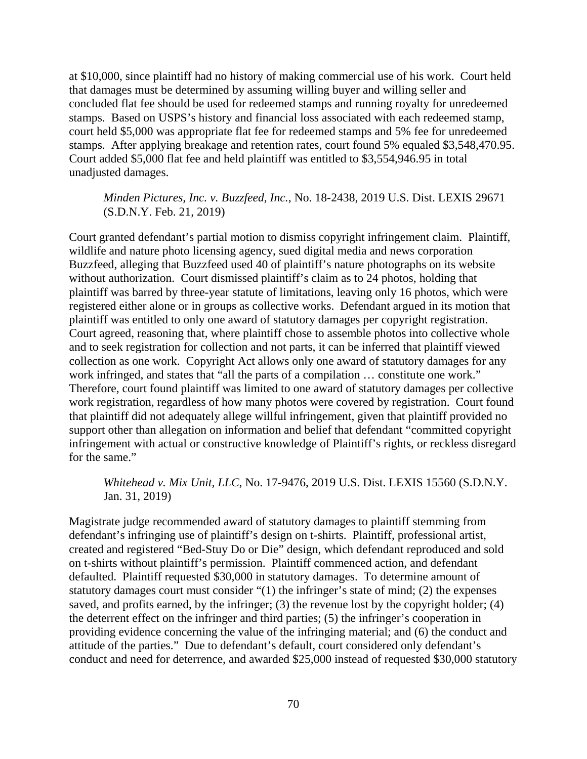at \$10,000, since plaintiff had no history of making commercial use of his work. Court held that damages must be determined by assuming willing buyer and willing seller and concluded flat fee should be used for redeemed stamps and running royalty for unredeemed stamps. Based on USPS's history and financial loss associated with each redeemed stamp, court held \$5,000 was appropriate flat fee for redeemed stamps and 5% fee for unredeemed stamps. After applying breakage and retention rates, court found 5% equaled \$3,548,470.95. Court added \$5,000 flat fee and held plaintiff was entitled to \$3,554,946.95 in total unadjusted damages.

### *Minden Pictures, Inc. v. Buzzfeed, Inc.*, No. 18-2438, 2019 U.S. Dist. LEXIS 29671 (S.D.N.Y. Feb. 21, 2019)

Court granted defendant's partial motion to dismiss copyright infringement claim. Plaintiff, wildlife and nature photo licensing agency, sued digital media and news corporation Buzzfeed, alleging that Buzzfeed used 40 of plaintiff's nature photographs on its website without authorization. Court dismissed plaintiff's claim as to 24 photos, holding that plaintiff was barred by three-year statute of limitations, leaving only 16 photos, which were registered either alone or in groups as collective works. Defendant argued in its motion that plaintiff was entitled to only one award of statutory damages per copyright registration. Court agreed, reasoning that, where plaintiff chose to assemble photos into collective whole and to seek registration for collection and not parts, it can be inferred that plaintiff viewed collection as one work. Copyright Act allows only one award of statutory damages for any work infringed, and states that "all the parts of a compilation … constitute one work." Therefore, court found plaintiff was limited to one award of statutory damages per collective work registration, regardless of how many photos were covered by registration. Court found that plaintiff did not adequately allege willful infringement, given that plaintiff provided no support other than allegation on information and belief that defendant "committed copyright infringement with actual or constructive knowledge of Plaintiff's rights, or reckless disregard for the same."

#### *Whitehead v. Mix Unit, LLC*, No. 17-9476, 2019 U.S. Dist. LEXIS 15560 (S.D.N.Y. Jan. 31, 2019)

Magistrate judge recommended award of statutory damages to plaintiff stemming from defendant's infringing use of plaintiff's design on t-shirts. Plaintiff, professional artist, created and registered "Bed-Stuy Do or Die" design, which defendant reproduced and sold on t-shirts without plaintiff's permission. Plaintiff commenced action, and defendant defaulted. Plaintiff requested \$30,000 in statutory damages. To determine amount of statutory damages court must consider "(1) the infringer's state of mind; (2) the expenses saved, and profits earned, by the infringer; (3) the revenue lost by the copyright holder; (4) the deterrent effect on the infringer and third parties; (5) the infringer's cooperation in providing evidence concerning the value of the infringing material; and (6) the conduct and attitude of the parties." Due to defendant's default, court considered only defendant's conduct and need for deterrence, and awarded \$25,000 instead of requested \$30,000 statutory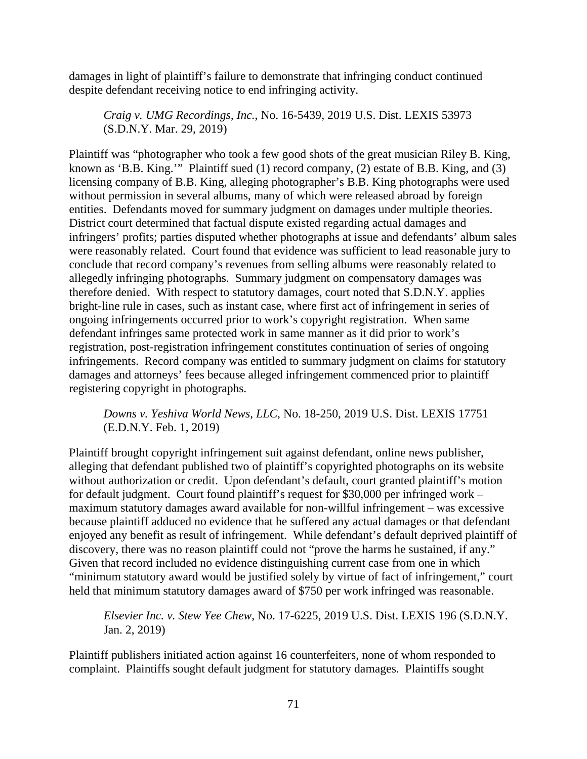damages in light of plaintiff's failure to demonstrate that infringing conduct continued despite defendant receiving notice to end infringing activity.

*Craig v. UMG Recordings, Inc.*, No. 16-5439, 2019 U.S. Dist. LEXIS 53973 (S.D.N.Y. Mar. 29, 2019)

Plaintiff was "photographer who took a few good shots of the great musician Riley B. King, known as 'B.B. King.'" Plaintiff sued (1) record company, (2) estate of B.B. King, and (3) licensing company of B.B. King, alleging photographer's B.B. King photographs were used without permission in several albums, many of which were released abroad by foreign entities. Defendants moved for summary judgment on damages under multiple theories. District court determined that factual dispute existed regarding actual damages and infringers' profits; parties disputed whether photographs at issue and defendants' album sales were reasonably related. Court found that evidence was sufficient to lead reasonable jury to conclude that record company's revenues from selling albums were reasonably related to allegedly infringing photographs. Summary judgment on compensatory damages was therefore denied. With respect to statutory damages, court noted that S.D.N.Y. applies bright-line rule in cases, such as instant case, where first act of infringement in series of ongoing infringements occurred prior to work's copyright registration. When same defendant infringes same protected work in same manner as it did prior to work's registration, post-registration infringement constitutes continuation of series of ongoing infringements. Record company was entitled to summary judgment on claims for statutory damages and attorneys' fees because alleged infringement commenced prior to plaintiff registering copyright in photographs.

## *Downs v. Yeshiva World News, LLC*, No. 18-250, 2019 U.S. Dist. LEXIS 17751 (E.D.N.Y. Feb. 1, 2019)

Plaintiff brought copyright infringement suit against defendant, online news publisher, alleging that defendant published two of plaintiff's copyrighted photographs on its website without authorization or credit. Upon defendant's default, court granted plaintiff's motion for default judgment. Court found plaintiff's request for \$30,000 per infringed work – maximum statutory damages award available for non-willful infringement – was excessive because plaintiff adduced no evidence that he suffered any actual damages or that defendant enjoyed any benefit as result of infringement. While defendant's default deprived plaintiff of discovery, there was no reason plaintiff could not "prove the harms he sustained, if any." Given that record included no evidence distinguishing current case from one in which "minimum statutory award would be justified solely by virtue of fact of infringement," court held that minimum statutory damages award of \$750 per work infringed was reasonable.

*Elsevier Inc. v. Stew Yee Chew*, No. 17-6225, 2019 U.S. Dist. LEXIS 196 (S.D.N.Y. Jan. 2, 2019)

Plaintiff publishers initiated action against 16 counterfeiters, none of whom responded to complaint. Plaintiffs sought default judgment for statutory damages. Plaintiffs sought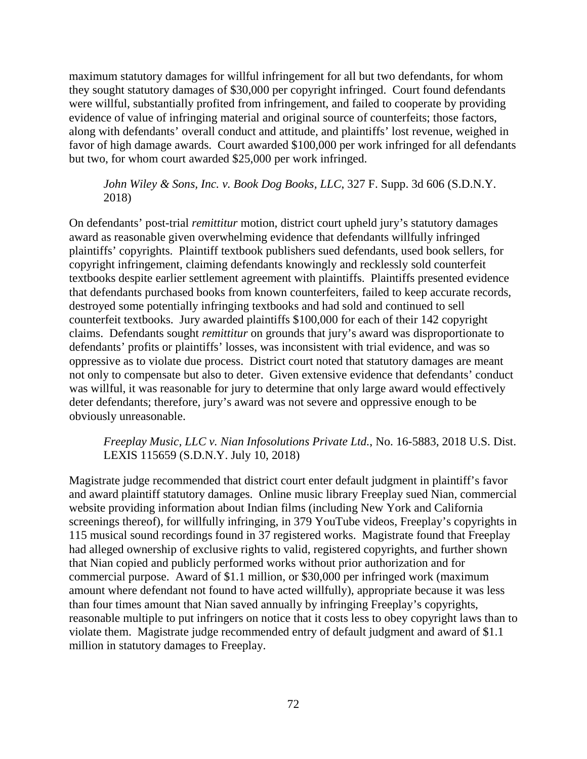maximum statutory damages for willful infringement for all but two defendants, for whom they sought statutory damages of \$30,000 per copyright infringed. Court found defendants were willful, substantially profited from infringement, and failed to cooperate by providing evidence of value of infringing material and original source of counterfeits; those factors, along with defendants' overall conduct and attitude, and plaintiffs' lost revenue, weighed in favor of high damage awards. Court awarded \$100,000 per work infringed for all defendants but two, for whom court awarded \$25,000 per work infringed.

*John Wiley & Sons, Inc. v. Book Dog Books, LLC*, 327 F. Supp. 3d 606 (S.D.N.Y. 2018)

On defendants' post-trial *remittitur* motion, district court upheld jury's statutory damages award as reasonable given overwhelming evidence that defendants willfully infringed plaintiffs' copyrights. Plaintiff textbook publishers sued defendants, used book sellers, for copyright infringement, claiming defendants knowingly and recklessly sold counterfeit textbooks despite earlier settlement agreement with plaintiffs. Plaintiffs presented evidence that defendants purchased books from known counterfeiters, failed to keep accurate records, destroyed some potentially infringing textbooks and had sold and continued to sell counterfeit textbooks. Jury awarded plaintiffs \$100,000 for each of their 142 copyright claims. Defendants sought *remittitur* on grounds that jury's award was disproportionate to defendants' profits or plaintiffs' losses, was inconsistent with trial evidence, and was so oppressive as to violate due process. District court noted that statutory damages are meant not only to compensate but also to deter. Given extensive evidence that defendants' conduct was willful, it was reasonable for jury to determine that only large award would effectively deter defendants; therefore, jury's award was not severe and oppressive enough to be obviously unreasonable.

### *Freeplay Music, LLC v. Nian Infosolutions Private Ltd.*, No. 16-5883, 2018 U.S. Dist. LEXIS 115659 (S.D.N.Y. July 10, 2018)

Magistrate judge recommended that district court enter default judgment in plaintiff's favor and award plaintiff statutory damages. Online music library Freeplay sued Nian, commercial website providing information about Indian films (including New York and California screenings thereof), for willfully infringing, in 379 YouTube videos, Freeplay's copyrights in 115 musical sound recordings found in 37 registered works. Magistrate found that Freeplay had alleged ownership of exclusive rights to valid, registered copyrights, and further shown that Nian copied and publicly performed works without prior authorization and for commercial purpose. Award of \$1.1 million, or \$30,000 per infringed work (maximum amount where defendant not found to have acted willfully), appropriate because it was less than four times amount that Nian saved annually by infringing Freeplay's copyrights, reasonable multiple to put infringers on notice that it costs less to obey copyright laws than to violate them. Magistrate judge recommended entry of default judgment and award of \$1.1 million in statutory damages to Freeplay.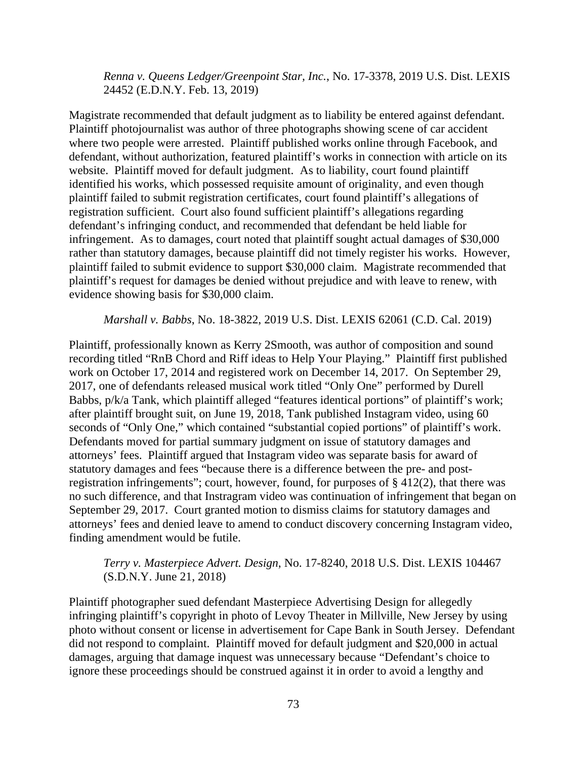*Renna v. Queens Ledger/Greenpoint Star, Inc.*, No. 17-3378, 2019 U.S. Dist. LEXIS 24452 (E.D.N.Y. Feb. 13, 2019)

Magistrate recommended that default judgment as to liability be entered against defendant. Plaintiff photojournalist was author of three photographs showing scene of car accident where two people were arrested. Plaintiff published works online through Facebook, and defendant, without authorization, featured plaintiff's works in connection with article on its website. Plaintiff moved for default judgment. As to liability, court found plaintiff identified his works, which possessed requisite amount of originality, and even though plaintiff failed to submit registration certificates, court found plaintiff's allegations of registration sufficient. Court also found sufficient plaintiff's allegations regarding defendant's infringing conduct, and recommended that defendant be held liable for infringement. As to damages, court noted that plaintiff sought actual damages of \$30,000 rather than statutory damages, because plaintiff did not timely register his works. However, plaintiff failed to submit evidence to support \$30,000 claim. Magistrate recommended that plaintiff's request for damages be denied without prejudice and with leave to renew, with evidence showing basis for \$30,000 claim.

*Marshall v. Babbs*, No. 18-3822, 2019 U.S. Dist. LEXIS 62061 (C.D. Cal. 2019)

Plaintiff, professionally known as Kerry 2Smooth, was author of composition and sound recording titled "RnB Chord and Riff ideas to Help Your Playing." Plaintiff first published work on October 17, 2014 and registered work on December 14, 2017. On September 29, 2017, one of defendants released musical work titled "Only One" performed by Durell Babbs,  $p/k/a$  Tank, which plaintiff alleged "features identical portions" of plaintiff's work; after plaintiff brought suit, on June 19, 2018, Tank published Instagram video, using 60 seconds of "Only One," which contained "substantial copied portions" of plaintiff's work. Defendants moved for partial summary judgment on issue of statutory damages and attorneys' fees. Plaintiff argued that Instagram video was separate basis for award of statutory damages and fees "because there is a difference between the pre- and postregistration infringements"; court, however, found, for purposes of § 412(2), that there was no such difference, and that Instragram video was continuation of infringement that began on September 29, 2017. Court granted motion to dismiss claims for statutory damages and attorneys' fees and denied leave to amend to conduct discovery concerning Instagram video, finding amendment would be futile.

### *Terry v. Masterpiece Advert. Design*, No. 17-8240, 2018 U.S. Dist. LEXIS 104467 (S.D.N.Y. June 21, 2018)

Plaintiff photographer sued defendant Masterpiece Advertising Design for allegedly infringing plaintiff's copyright in photo of Levoy Theater in Millville, New Jersey by using photo without consent or license in advertisement for Cape Bank in South Jersey. Defendant did not respond to complaint. Plaintiff moved for default judgment and \$20,000 in actual damages, arguing that damage inquest was unnecessary because "Defendant's choice to ignore these proceedings should be construed against it in order to avoid a lengthy and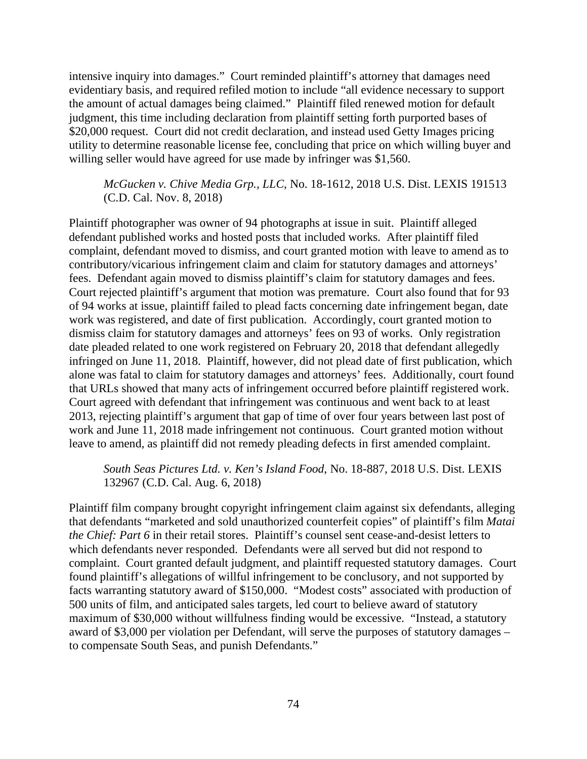intensive inquiry into damages." Court reminded plaintiff's attorney that damages need evidentiary basis, and required refiled motion to include "all evidence necessary to support the amount of actual damages being claimed." Plaintiff filed renewed motion for default judgment, this time including declaration from plaintiff setting forth purported bases of \$20,000 request. Court did not credit declaration, and instead used Getty Images pricing utility to determine reasonable license fee, concluding that price on which willing buyer and willing seller would have agreed for use made by infringer was \$1,560.

*McGucken v. Chive Media Grp., LLC*, No. 18-1612, 2018 U.S. Dist. LEXIS 191513 (C.D. Cal. Nov. 8, 2018)

Plaintiff photographer was owner of 94 photographs at issue in suit. Plaintiff alleged defendant published works and hosted posts that included works. After plaintiff filed complaint, defendant moved to dismiss, and court granted motion with leave to amend as to contributory/vicarious infringement claim and claim for statutory damages and attorneys' fees. Defendant again moved to dismiss plaintiff's claim for statutory damages and fees. Court rejected plaintiff's argument that motion was premature. Court also found that for 93 of 94 works at issue, plaintiff failed to plead facts concerning date infringement began, date work was registered, and date of first publication. Accordingly, court granted motion to dismiss claim for statutory damages and attorneys' fees on 93 of works. Only registration date pleaded related to one work registered on February 20, 2018 that defendant allegedly infringed on June 11, 2018. Plaintiff, however, did not plead date of first publication, which alone was fatal to claim for statutory damages and attorneys' fees. Additionally, court found that URLs showed that many acts of infringement occurred before plaintiff registered work. Court agreed with defendant that infringement was continuous and went back to at least 2013, rejecting plaintiff's argument that gap of time of over four years between last post of work and June 11, 2018 made infringement not continuous. Court granted motion without leave to amend, as plaintiff did not remedy pleading defects in first amended complaint.

*South Seas Pictures Ltd. v. Ken's Island Food*, No. 18-887, 2018 U.S. Dist. LEXIS 132967 (C.D. Cal. Aug. 6, 2018)

Plaintiff film company brought copyright infringement claim against six defendants, alleging that defendants "marketed and sold unauthorized counterfeit copies" of plaintiff's film *Matai the Chief: Part 6* in their retail stores. Plaintiff's counsel sent cease-and-desist letters to which defendants never responded. Defendants were all served but did not respond to complaint. Court granted default judgment, and plaintiff requested statutory damages. Court found plaintiff's allegations of willful infringement to be conclusory, and not supported by facts warranting statutory award of \$150,000. "Modest costs" associated with production of 500 units of film, and anticipated sales targets, led court to believe award of statutory maximum of \$30,000 without willfulness finding would be excessive. "Instead, a statutory award of \$3,000 per violation per Defendant, will serve the purposes of statutory damages – to compensate South Seas, and punish Defendants."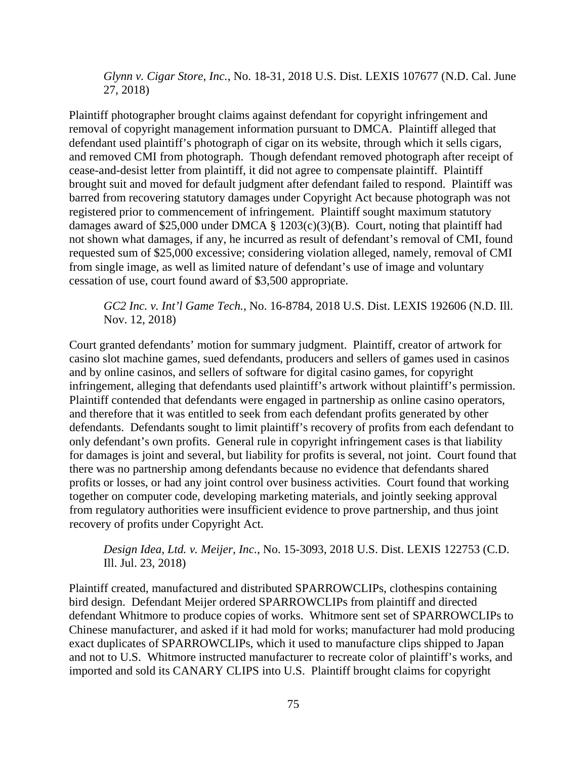*Glynn v. Cigar Store, Inc.*, No. 18-31, 2018 U.S. Dist. LEXIS 107677 (N.D. Cal. June 27, 2018)

Plaintiff photographer brought claims against defendant for copyright infringement and removal of copyright management information pursuant to DMCA. Plaintiff alleged that defendant used plaintiff's photograph of cigar on its website, through which it sells cigars, and removed CMI from photograph. Though defendant removed photograph after receipt of cease-and-desist letter from plaintiff, it did not agree to compensate plaintiff. Plaintiff brought suit and moved for default judgment after defendant failed to respond. Plaintiff was barred from recovering statutory damages under Copyright Act because photograph was not registered prior to commencement of infringement. Plaintiff sought maximum statutory damages award of \$25,000 under DMCA § 1203(c)(3)(B). Court, noting that plaintiff had not shown what damages, if any, he incurred as result of defendant's removal of CMI, found requested sum of \$25,000 excessive; considering violation alleged, namely, removal of CMI from single image, as well as limited nature of defendant's use of image and voluntary cessation of use, court found award of \$3,500 appropriate.

*GC2 Inc. v. Int'l Game Tech.*, No. 16-8784, 2018 U.S. Dist. LEXIS 192606 (N.D. Ill. Nov. 12, 2018)

Court granted defendants' motion for summary judgment. Plaintiff, creator of artwork for casino slot machine games, sued defendants, producers and sellers of games used in casinos and by online casinos, and sellers of software for digital casino games, for copyright infringement, alleging that defendants used plaintiff's artwork without plaintiff's permission. Plaintiff contended that defendants were engaged in partnership as online casino operators, and therefore that it was entitled to seek from each defendant profits generated by other defendants. Defendants sought to limit plaintiff's recovery of profits from each defendant to only defendant's own profits. General rule in copyright infringement cases is that liability for damages is joint and several, but liability for profits is several, not joint. Court found that there was no partnership among defendants because no evidence that defendants shared profits or losses, or had any joint control over business activities. Court found that working together on computer code, developing marketing materials, and jointly seeking approval from regulatory authorities were insufficient evidence to prove partnership, and thus joint recovery of profits under Copyright Act.

*Design Idea, Ltd. v. Meijer, Inc.*, No. 15-3093, 2018 U.S. Dist. LEXIS 122753 (C.D. Ill. Jul. 23, 2018)

Plaintiff created, manufactured and distributed SPARROWCLIPs, clothespins containing bird design. Defendant Meijer ordered SPARROWCLIPs from plaintiff and directed defendant Whitmore to produce copies of works. Whitmore sent set of SPARROWCLIPs to Chinese manufacturer, and asked if it had mold for works; manufacturer had mold producing exact duplicates of SPARROWCLIPs, which it used to manufacture clips shipped to Japan and not to U.S. Whitmore instructed manufacturer to recreate color of plaintiff's works, and imported and sold its CANARY CLIPS into U.S. Plaintiff brought claims for copyright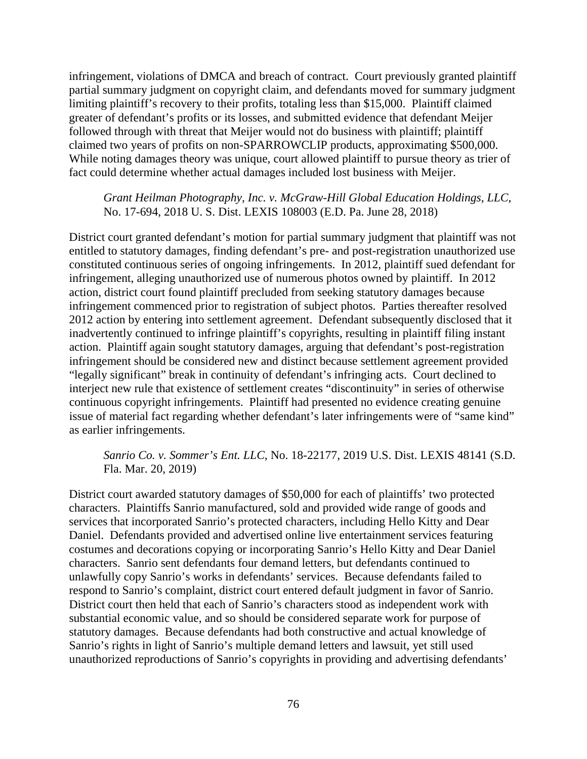infringement, violations of DMCA and breach of contract. Court previously granted plaintiff partial summary judgment on copyright claim, and defendants moved for summary judgment limiting plaintiff's recovery to their profits, totaling less than \$15,000. Plaintiff claimed greater of defendant's profits or its losses, and submitted evidence that defendant Meijer followed through with threat that Meijer would not do business with plaintiff; plaintiff claimed two years of profits on non-SPARROWCLIP products, approximating \$500,000. While noting damages theory was unique, court allowed plaintiff to pursue theory as trier of fact could determine whether actual damages included lost business with Meijer.

### *Grant Heilman Photography, Inc. v. McGraw-Hill Global Education Holdings, LLC*, No. 17-694, 2018 U. S. Dist. LEXIS 108003 (E.D. Pa. June 28, 2018)

District court granted defendant's motion for partial summary judgment that plaintiff was not entitled to statutory damages, finding defendant's pre- and post-registration unauthorized use constituted continuous series of ongoing infringements. In 2012, plaintiff sued defendant for infringement, alleging unauthorized use of numerous photos owned by plaintiff. In 2012 action, district court found plaintiff precluded from seeking statutory damages because infringement commenced prior to registration of subject photos. Parties thereafter resolved 2012 action by entering into settlement agreement. Defendant subsequently disclosed that it inadvertently continued to infringe plaintiff's copyrights, resulting in plaintiff filing instant action. Plaintiff again sought statutory damages, arguing that defendant's post-registration infringement should be considered new and distinct because settlement agreement provided "legally significant" break in continuity of defendant's infringing acts. Court declined to interject new rule that existence of settlement creates "discontinuity" in series of otherwise continuous copyright infringements. Plaintiff had presented no evidence creating genuine issue of material fact regarding whether defendant's later infringements were of "same kind" as earlier infringements.

## *Sanrio Co. v. Sommer's Ent. LLC*, No. 18-22177, 2019 U.S. Dist. LEXIS 48141 (S.D. Fla. Mar. 20, 2019)

District court awarded statutory damages of \$50,000 for each of plaintiffs' two protected characters. Plaintiffs Sanrio manufactured, sold and provided wide range of goods and services that incorporated Sanrio's protected characters, including Hello Kitty and Dear Daniel. Defendants provided and advertised online live entertainment services featuring costumes and decorations copying or incorporating Sanrio's Hello Kitty and Dear Daniel characters. Sanrio sent defendants four demand letters, but defendants continued to unlawfully copy Sanrio's works in defendants' services. Because defendants failed to respond to Sanrio's complaint, district court entered default judgment in favor of Sanrio. District court then held that each of Sanrio's characters stood as independent work with substantial economic value, and so should be considered separate work for purpose of statutory damages. Because defendants had both constructive and actual knowledge of Sanrio's rights in light of Sanrio's multiple demand letters and lawsuit, yet still used unauthorized reproductions of Sanrio's copyrights in providing and advertising defendants'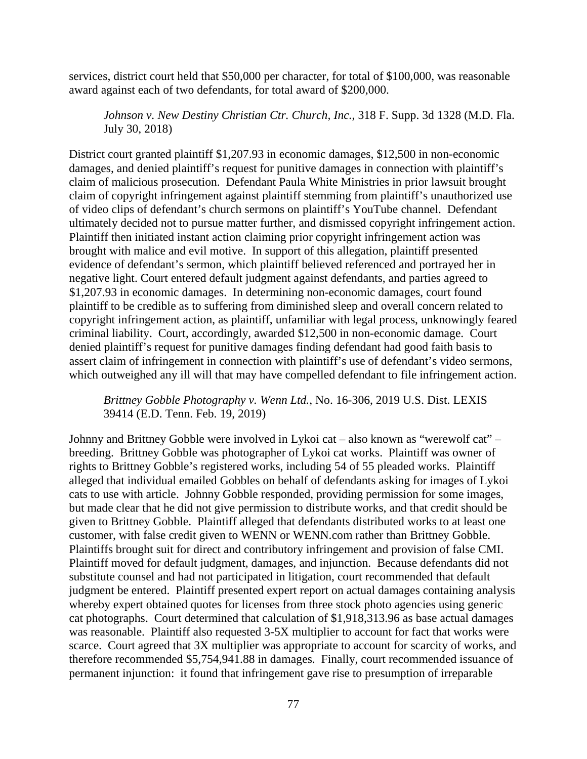services, district court held that \$50,000 per character, for total of \$100,000, was reasonable award against each of two defendants, for total award of \$200,000.

*Johnson v. New Destiny Christian Ctr. Church, Inc.*, 318 F. Supp. 3d 1328 (M.D. Fla. July 30, 2018)

District court granted plaintiff \$1,207.93 in economic damages, \$12,500 in non-economic damages, and denied plaintiff's request for punitive damages in connection with plaintiff's claim of malicious prosecution. Defendant Paula White Ministries in prior lawsuit brought claim of copyright infringement against plaintiff stemming from plaintiff's unauthorized use of video clips of defendant's church sermons on plaintiff's YouTube channel. Defendant ultimately decided not to pursue matter further, and dismissed copyright infringement action. Plaintiff then initiated instant action claiming prior copyright infringement action was brought with malice and evil motive. In support of this allegation, plaintiff presented evidence of defendant's sermon, which plaintiff believed referenced and portrayed her in negative light. Court entered default judgment against defendants, and parties agreed to \$1,207.93 in economic damages. In determining non-economic damages, court found plaintiff to be credible as to suffering from diminished sleep and overall concern related to copyright infringement action, as plaintiff, unfamiliar with legal process, unknowingly feared criminal liability. Court, accordingly, awarded \$12,500 in non-economic damage. Court denied plaintiff's request for punitive damages finding defendant had good faith basis to assert claim of infringement in connection with plaintiff's use of defendant's video sermons, which outweighed any ill will that may have compelled defendant to file infringement action.

*Brittney Gobble Photography v. Wenn Ltd.*, No. 16-306, 2019 U.S. Dist. LEXIS 39414 (E.D. Tenn. Feb. 19, 2019)

Johnny and Brittney Gobble were involved in Lykoi cat – also known as "werewolf cat" – breeding. Brittney Gobble was photographer of Lykoi cat works. Plaintiff was owner of rights to Brittney Gobble's registered works, including 54 of 55 pleaded works. Plaintiff alleged that individual emailed Gobbles on behalf of defendants asking for images of Lykoi cats to use with article. Johnny Gobble responded, providing permission for some images, but made clear that he did not give permission to distribute works, and that credit should be given to Brittney Gobble. Plaintiff alleged that defendants distributed works to at least one customer, with false credit given to WENN or WENN.com rather than Brittney Gobble. Plaintiffs brought suit for direct and contributory infringement and provision of false CMI. Plaintiff moved for default judgment, damages, and injunction. Because defendants did not substitute counsel and had not participated in litigation, court recommended that default judgment be entered. Plaintiff presented expert report on actual damages containing analysis whereby expert obtained quotes for licenses from three stock photo agencies using generic cat photographs. Court determined that calculation of \$1,918,313.96 as base actual damages was reasonable. Plaintiff also requested 3-5X multiplier to account for fact that works were scarce. Court agreed that 3X multiplier was appropriate to account for scarcity of works, and therefore recommended \$5,754,941.88 in damages. Finally, court recommended issuance of permanent injunction: it found that infringement gave rise to presumption of irreparable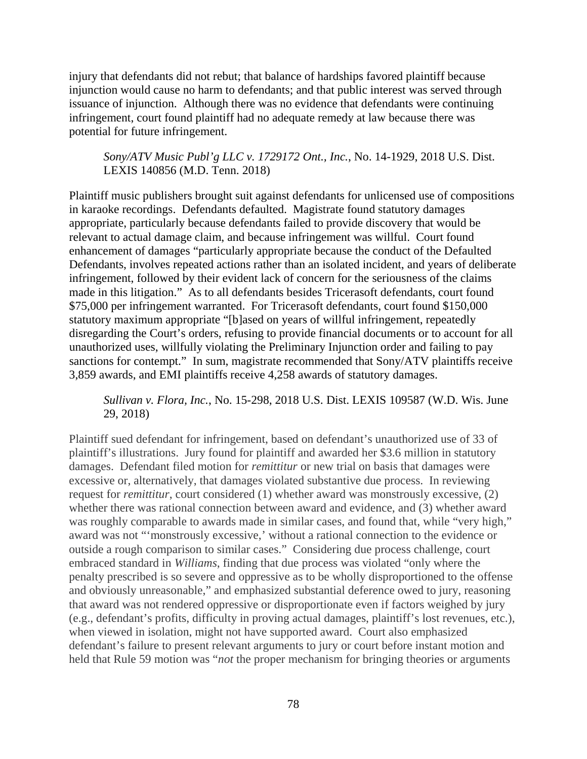injury that defendants did not rebut; that balance of hardships favored plaintiff because injunction would cause no harm to defendants; and that public interest was served through issuance of injunction. Although there was no evidence that defendants were continuing infringement, court found plaintiff had no adequate remedy at law because there was potential for future infringement.

*Sony/ATV Music Publ'g LLC v. 1729172 Ont., Inc.*, No. 14-1929, 2018 U.S. Dist. LEXIS 140856 (M.D. Tenn. 2018)

Plaintiff music publishers brought suit against defendants for unlicensed use of compositions in karaoke recordings. Defendants defaulted. Magistrate found statutory damages appropriate, particularly because defendants failed to provide discovery that would be relevant to actual damage claim, and because infringement was willful. Court found enhancement of damages "particularly appropriate because the conduct of the Defaulted Defendants, involves repeated actions rather than an isolated incident, and years of deliberate infringement, followed by their evident lack of concern for the seriousness of the claims made in this litigation." As to all defendants besides Tricerasoft defendants, court found \$75,000 per infringement warranted. For Tricerasoft defendants, court found \$150,000 statutory maximum appropriate "[b]ased on years of willful infringement, repeatedly disregarding the Court's orders, refusing to provide financial documents or to account for all unauthorized uses, willfully violating the Preliminary Injunction order and failing to pay sanctions for contempt." In sum, magistrate recommended that Sony/ATV plaintiffs receive 3,859 awards, and EMI plaintiffs receive 4,258 awards of statutory damages.

*Sullivan v. Flora, Inc.*, No. 15-298, 2018 U.S. Dist. LEXIS 109587 (W.D. Wis. June 29, 2018)

Plaintiff sued defendant for infringement, based on defendant's unauthorized use of 33 of plaintiff's illustrations. Jury found for plaintiff and awarded her \$3.6 million in statutory damages. Defendant filed motion for *remittitur* or new trial on basis that damages were excessive or, alternatively, that damages violated substantive due process. In reviewing request for *remittitur*, court considered (1) whether award was monstrously excessive, (2) whether there was rational connection between award and evidence, and (3) whether award was roughly comparable to awards made in similar cases, and found that, while "very high," award was not "'monstrously excessive,' without a rational connection to the evidence or outside a rough comparison to similar cases." Considering due process challenge, court embraced standard in *Williams*, finding that due process was violated "only where the penalty prescribed is so severe and oppressive as to be wholly disproportioned to the offense and obviously unreasonable," and emphasized substantial deference owed to jury, reasoning that award was not rendered oppressive or disproportionate even if factors weighed by jury (e.g., defendant's profits, difficulty in proving actual damages, plaintiff's lost revenues, etc.), when viewed in isolation, might not have supported award. Court also emphasized defendant's failure to present relevant arguments to jury or court before instant motion and held that Rule 59 motion was "*not* the proper mechanism for bringing theories or arguments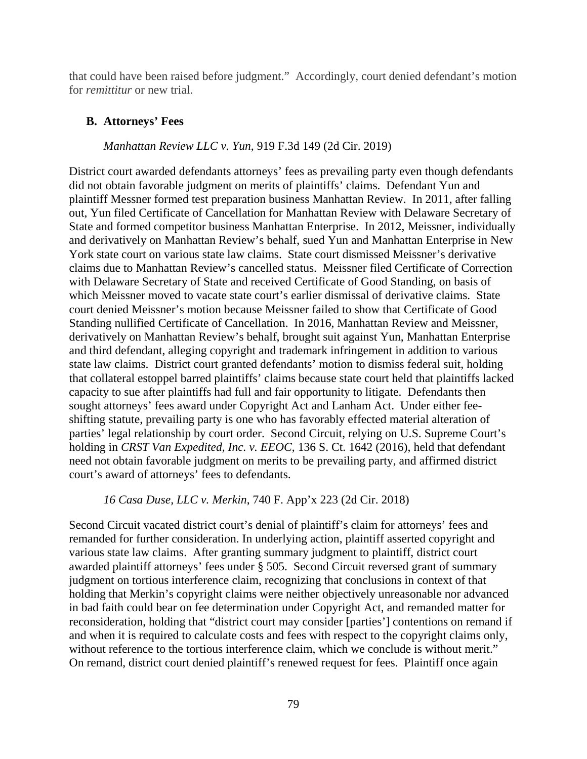that could have been raised before judgment." Accordingly, court denied defendant's motion for *remittitur* or new trial.

### **B. Attorneys' Fees**

### *Manhattan Review LLC v. Yun*, 919 F.3d 149 (2d Cir. 2019)

District court awarded defendants attorneys' fees as prevailing party even though defendants did not obtain favorable judgment on merits of plaintiffs' claims. Defendant Yun and plaintiff Messner formed test preparation business Manhattan Review. In 2011, after falling out, Yun filed Certificate of Cancellation for Manhattan Review with Delaware Secretary of State and formed competitor business Manhattan Enterprise. In 2012, Meissner, individually and derivatively on Manhattan Review's behalf, sued Yun and Manhattan Enterprise in New York state court on various state law claims. State court dismissed Meissner's derivative claims due to Manhattan Review's cancelled status. Meissner filed Certificate of Correction with Delaware Secretary of State and received Certificate of Good Standing, on basis of which Meissner moved to vacate state court's earlier dismissal of derivative claims. State court denied Meissner's motion because Meissner failed to show that Certificate of Good Standing nullified Certificate of Cancellation. In 2016, Manhattan Review and Meissner, derivatively on Manhattan Review's behalf, brought suit against Yun, Manhattan Enterprise and third defendant, alleging copyright and trademark infringement in addition to various state law claims. District court granted defendants' motion to dismiss federal suit, holding that collateral estoppel barred plaintiffs' claims because state court held that plaintiffs lacked capacity to sue after plaintiffs had full and fair opportunity to litigate. Defendants then sought attorneys' fees award under Copyright Act and Lanham Act. Under either feeshifting statute, prevailing party is one who has favorably effected material alteration of parties' legal relationship by court order. Second Circuit, relying on U.S. Supreme Court's holding in *CRST Van Expedited, Inc. v. EEOC*, 136 S. Ct. 1642 (2016), held that defendant need not obtain favorable judgment on merits to be prevailing party, and affirmed district court's award of attorneys' fees to defendants.

#### *16 Casa Duse, LLC v. Merkin*, 740 F. App'x 223 (2d Cir. 2018)

Second Circuit vacated district court's denial of plaintiff's claim for attorneys' fees and remanded for further consideration. In underlying action, plaintiff asserted copyright and various state law claims. After granting summary judgment to plaintiff, district court awarded plaintiff attorneys' fees under § 505. Second Circuit reversed grant of summary judgment on tortious interference claim, recognizing that conclusions in context of that holding that Merkin's copyright claims were neither objectively unreasonable nor advanced in bad faith could bear on fee determination under Copyright Act, and remanded matter for reconsideration, holding that "district court may consider [parties'] contentions on remand if and when it is required to calculate costs and fees with respect to the copyright claims only, without reference to the tortious interference claim, which we conclude is without merit." On remand, district court denied plaintiff's renewed request for fees. Plaintiff once again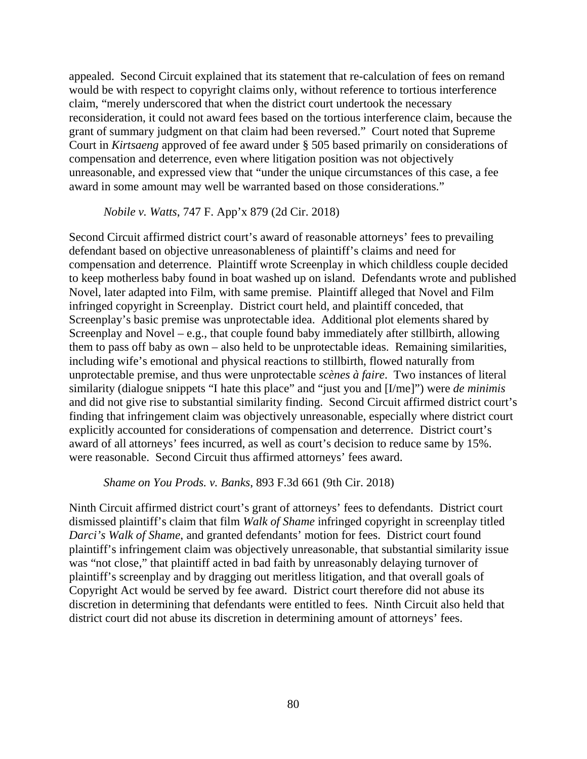appealed. Second Circuit explained that its statement that re-calculation of fees on remand would be with respect to copyright claims only, without reference to tortious interference claim, "merely underscored that when the district court undertook the necessary reconsideration, it could not award fees based on the tortious interference claim, because the grant of summary judgment on that claim had been reversed." Court noted that Supreme Court in *Kirtsaeng* approved of fee award under § 505 based primarily on considerations of compensation and deterrence, even where litigation position was not objectively unreasonable, and expressed view that "under the unique circumstances of this case, a fee award in some amount may well be warranted based on those considerations."

#### *Nobile v. Watts*, 747 F. App'x 879 (2d Cir. 2018)

Second Circuit affirmed district court's award of reasonable attorneys' fees to prevailing defendant based on objective unreasonableness of plaintiff's claims and need for compensation and deterrence. Plaintiff wrote Screenplay in which childless couple decided to keep motherless baby found in boat washed up on island. Defendants wrote and published Novel, later adapted into Film, with same premise. Plaintiff alleged that Novel and Film infringed copyright in Screenplay. District court held, and plaintiff conceded, that Screenplay's basic premise was unprotectable idea. Additional plot elements shared by Screenplay and Novel – e.g., that couple found baby immediately after stillbirth, allowing them to pass off baby as own – also held to be unprotectable ideas. Remaining similarities, including wife's emotional and physical reactions to stillbirth, flowed naturally from unprotectable premise, and thus were unprotectable *scènes à faire*. Two instances of literal similarity (dialogue snippets "I hate this place" and "just you and [I/me]") were *de minimis* and did not give rise to substantial similarity finding. Second Circuit affirmed district court's finding that infringement claim was objectively unreasonable, especially where district court explicitly accounted for considerations of compensation and deterrence. District court's award of all attorneys' fees incurred, as well as court's decision to reduce same by 15%. were reasonable. Second Circuit thus affirmed attorneys' fees award.

#### *Shame on You Prods. v. Banks*, 893 F.3d 661 (9th Cir. 2018)

Ninth Circuit affirmed district court's grant of attorneys' fees to defendants. District court dismissed plaintiff's claim that film *Walk of Shame* infringed copyright in screenplay titled *Darci's Walk of Shame*, and granted defendants' motion for fees. District court found plaintiff's infringement claim was objectively unreasonable, that substantial similarity issue was "not close," that plaintiff acted in bad faith by unreasonably delaying turnover of plaintiff's screenplay and by dragging out meritless litigation, and that overall goals of Copyright Act would be served by fee award. District court therefore did not abuse its discretion in determining that defendants were entitled to fees. Ninth Circuit also held that district court did not abuse its discretion in determining amount of attorneys' fees.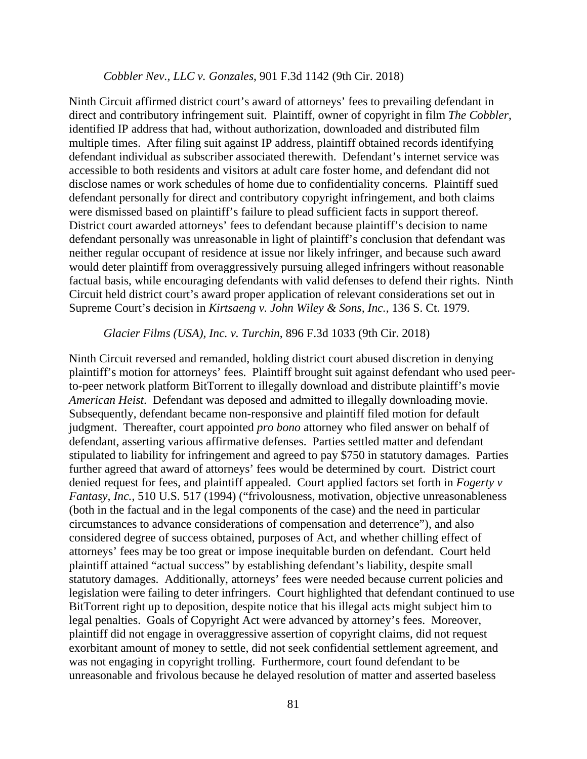#### *Cobbler Nev., LLC v. Gonzales*, 901 F.3d 1142 (9th Cir. 2018)

Ninth Circuit affirmed district court's award of attorneys' fees to prevailing defendant in direct and contributory infringement suit. Plaintiff, owner of copyright in film *The Cobbler*, identified IP address that had, without authorization, downloaded and distributed film multiple times. After filing suit against IP address, plaintiff obtained records identifying defendant individual as subscriber associated therewith. Defendant's internet service was accessible to both residents and visitors at adult care foster home, and defendant did not disclose names or work schedules of home due to confidentiality concerns. Plaintiff sued defendant personally for direct and contributory copyright infringement, and both claims were dismissed based on plaintiff's failure to plead sufficient facts in support thereof. District court awarded attorneys' fees to defendant because plaintiff's decision to name defendant personally was unreasonable in light of plaintiff's conclusion that defendant was neither regular occupant of residence at issue nor likely infringer, and because such award would deter plaintiff from overaggressively pursuing alleged infringers without reasonable factual basis, while encouraging defendants with valid defenses to defend their rights. Ninth Circuit held district court's award proper application of relevant considerations set out in Supreme Court's decision in *Kirtsaeng v. John Wiley & Sons, Inc.*, 136 S. Ct. 1979.

#### *Glacier Films (USA), Inc. v. Turchin*, 896 F.3d 1033 (9th Cir. 2018)

Ninth Circuit reversed and remanded, holding district court abused discretion in denying plaintiff's motion for attorneys' fees. Plaintiff brought suit against defendant who used peerto-peer network platform BitTorrent to illegally download and distribute plaintiff's movie *American Heist*. Defendant was deposed and admitted to illegally downloading movie. Subsequently, defendant became non-responsive and plaintiff filed motion for default judgment. Thereafter, court appointed *pro bono* attorney who filed answer on behalf of defendant, asserting various affirmative defenses. Parties settled matter and defendant stipulated to liability for infringement and agreed to pay \$750 in statutory damages. Parties further agreed that award of attorneys' fees would be determined by court. District court denied request for fees, and plaintiff appealed. Court applied factors set forth in *Fogerty v Fantasy, Inc.*, 510 U.S. 517 (1994) ("frivolousness, motivation, objective unreasonableness (both in the factual and in the legal components of the case) and the need in particular circumstances to advance considerations of compensation and deterrence"), and also considered degree of success obtained, purposes of Act, and whether chilling effect of attorneys' fees may be too great or impose inequitable burden on defendant. Court held plaintiff attained "actual success" by establishing defendant's liability, despite small statutory damages. Additionally, attorneys' fees were needed because current policies and legislation were failing to deter infringers. Court highlighted that defendant continued to use BitTorrent right up to deposition, despite notice that his illegal acts might subject him to legal penalties. Goals of Copyright Act were advanced by attorney's fees. Moreover, plaintiff did not engage in overaggressive assertion of copyright claims, did not request exorbitant amount of money to settle, did not seek confidential settlement agreement, and was not engaging in copyright trolling. Furthermore, court found defendant to be unreasonable and frivolous because he delayed resolution of matter and asserted baseless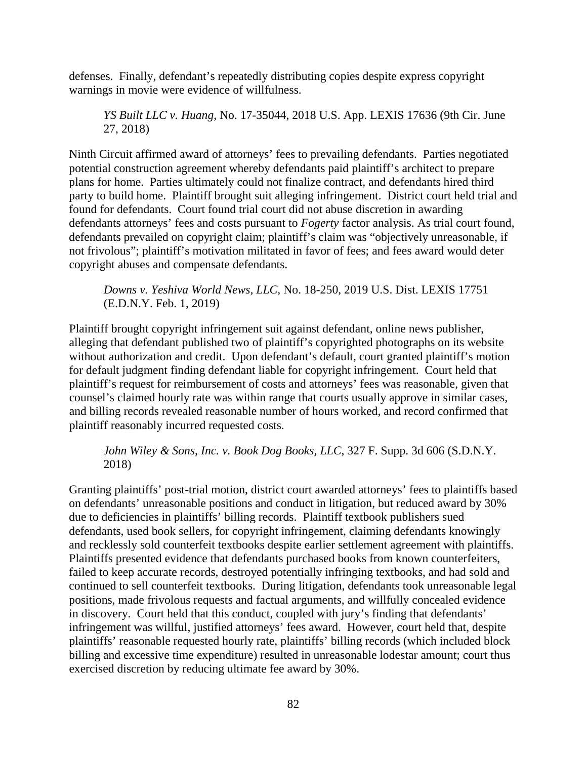defenses. Finally, defendant's repeatedly distributing copies despite express copyright warnings in movie were evidence of willfulness.

*YS Built LLC v. Huang*, No. 17-35044, 2018 U.S. App. LEXIS 17636 (9th Cir. June 27, 2018)

Ninth Circuit affirmed award of attorneys' fees to prevailing defendants. Parties negotiated potential construction agreement whereby defendants paid plaintiff's architect to prepare plans for home. Parties ultimately could not finalize contract, and defendants hired third party to build home. Plaintiff brought suit alleging infringement. District court held trial and found for defendants. Court found trial court did not abuse discretion in awarding defendants attorneys' fees and costs pursuant to *Fogerty* factor analysis. As trial court found, defendants prevailed on copyright claim; plaintiff's claim was "objectively unreasonable, if not frivolous"; plaintiff's motivation militated in favor of fees; and fees award would deter copyright abuses and compensate defendants.

*Downs v. Yeshiva World News, LLC*, No. 18-250, 2019 U.S. Dist. LEXIS 17751 (E.D.N.Y. Feb. 1, 2019)

Plaintiff brought copyright infringement suit against defendant, online news publisher, alleging that defendant published two of plaintiff's copyrighted photographs on its website without authorization and credit. Upon defendant's default, court granted plaintiff's motion for default judgment finding defendant liable for copyright infringement. Court held that plaintiff's request for reimbursement of costs and attorneys' fees was reasonable, given that counsel's claimed hourly rate was within range that courts usually approve in similar cases, and billing records revealed reasonable number of hours worked, and record confirmed that plaintiff reasonably incurred requested costs.

*John Wiley & Sons, Inc. v. Book Dog Books, LLC*, 327 F. Supp. 3d 606 (S.D.N.Y. 2018)

Granting plaintiffs' post-trial motion, district court awarded attorneys' fees to plaintiffs based on defendants' unreasonable positions and conduct in litigation, but reduced award by 30% due to deficiencies in plaintiffs' billing records. Plaintiff textbook publishers sued defendants, used book sellers, for copyright infringement, claiming defendants knowingly and recklessly sold counterfeit textbooks despite earlier settlement agreement with plaintiffs. Plaintiffs presented evidence that defendants purchased books from known counterfeiters, failed to keep accurate records, destroyed potentially infringing textbooks, and had sold and continued to sell counterfeit textbooks. During litigation, defendants took unreasonable legal positions, made frivolous requests and factual arguments, and willfully concealed evidence in discovery. Court held that this conduct, coupled with jury's finding that defendants' infringement was willful, justified attorneys' fees award. However, court held that, despite plaintiffs' reasonable requested hourly rate, plaintiffs' billing records (which included block billing and excessive time expenditure) resulted in unreasonable lodestar amount; court thus exercised discretion by reducing ultimate fee award by 30%.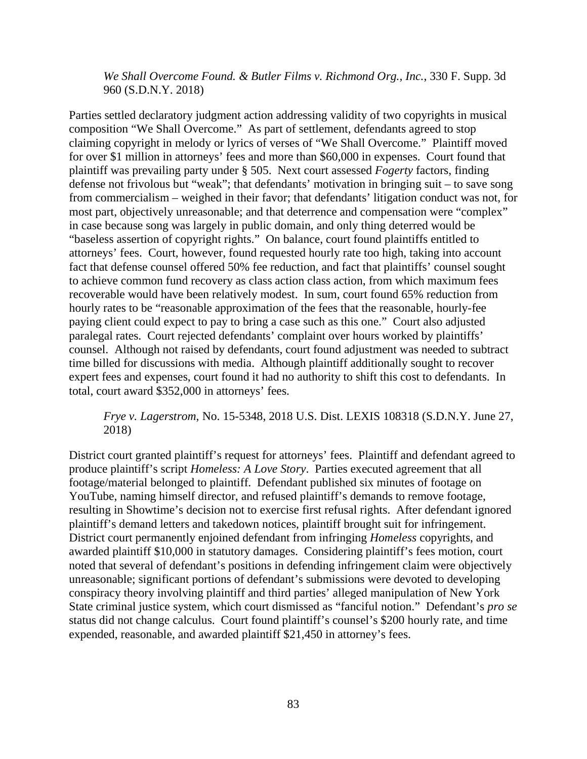*We Shall Overcome Found. & Butler Films v. Richmond Org., Inc.*, 330 F. Supp. 3d 960 (S.D.N.Y. 2018)

Parties settled declaratory judgment action addressing validity of two copyrights in musical composition "We Shall Overcome." As part of settlement, defendants agreed to stop claiming copyright in melody or lyrics of verses of "We Shall Overcome." Plaintiff moved for over \$1 million in attorneys' fees and more than \$60,000 in expenses. Court found that plaintiff was prevailing party under § 505. Next court assessed *Fogerty* factors, finding defense not frivolous but "weak"; that defendants' motivation in bringing suit – to save song from commercialism – weighed in their favor; that defendants' litigation conduct was not, for most part, objectively unreasonable; and that deterrence and compensation were "complex" in case because song was largely in public domain, and only thing deterred would be "baseless assertion of copyright rights." On balance, court found plaintiffs entitled to attorneys' fees. Court, however, found requested hourly rate too high, taking into account fact that defense counsel offered 50% fee reduction, and fact that plaintiffs' counsel sought to achieve common fund recovery as class action class action, from which maximum fees recoverable would have been relatively modest. In sum, court found 65% reduction from hourly rates to be "reasonable approximation of the fees that the reasonable, hourly-fee paying client could expect to pay to bring a case such as this one." Court also adjusted paralegal rates. Court rejected defendants' complaint over hours worked by plaintiffs' counsel. Although not raised by defendants, court found adjustment was needed to subtract time billed for discussions with media. Although plaintiff additionally sought to recover expert fees and expenses, court found it had no authority to shift this cost to defendants. In total, court award \$352,000 in attorneys' fees.

## *Frye v. Lagerstrom*, No. 15-5348, 2018 U.S. Dist. LEXIS 108318 (S.D.N.Y. June 27, 2018)

District court granted plaintiff's request for attorneys' fees. Plaintiff and defendant agreed to produce plaintiff's script *Homeless: A Love Story*. Parties executed agreement that all footage/material belonged to plaintiff. Defendant published six minutes of footage on YouTube, naming himself director, and refused plaintiff's demands to remove footage, resulting in Showtime's decision not to exercise first refusal rights. After defendant ignored plaintiff's demand letters and takedown notices, plaintiff brought suit for infringement. District court permanently enjoined defendant from infringing *Homeless* copyrights, and awarded plaintiff \$10,000 in statutory damages. Considering plaintiff's fees motion, court noted that several of defendant's positions in defending infringement claim were objectively unreasonable; significant portions of defendant's submissions were devoted to developing conspiracy theory involving plaintiff and third parties' alleged manipulation of New York State criminal justice system, which court dismissed as "fanciful notion." Defendant's *pro se* status did not change calculus. Court found plaintiff's counsel's \$200 hourly rate, and time expended, reasonable, and awarded plaintiff \$21,450 in attorney's fees.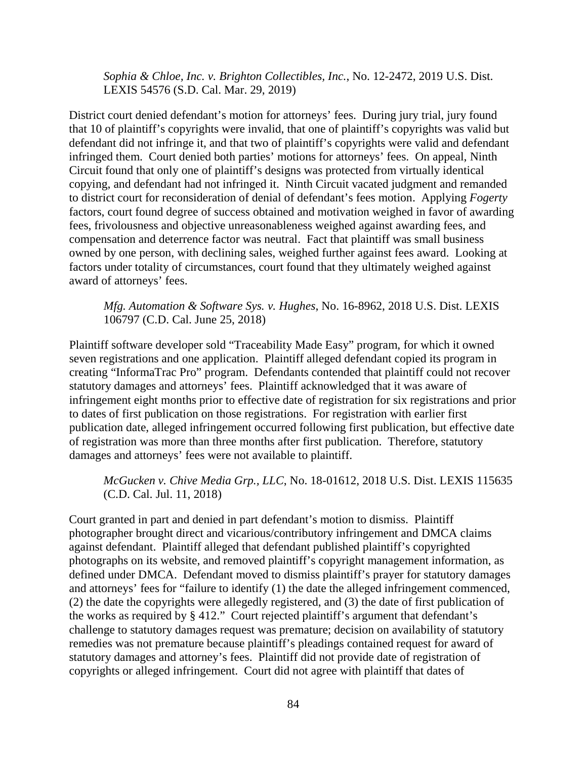*Sophia & Chloe, Inc. v. Brighton Collectibles, Inc.*, No. 12-2472, 2019 U.S. Dist. LEXIS 54576 (S.D. Cal. Mar. 29, 2019)

District court denied defendant's motion for attorneys' fees. During jury trial, jury found that 10 of plaintiff's copyrights were invalid, that one of plaintiff's copyrights was valid but defendant did not infringe it, and that two of plaintiff's copyrights were valid and defendant infringed them. Court denied both parties' motions for attorneys' fees. On appeal, Ninth Circuit found that only one of plaintiff's designs was protected from virtually identical copying, and defendant had not infringed it. Ninth Circuit vacated judgment and remanded to district court for reconsideration of denial of defendant's fees motion. Applying *Fogerty* factors, court found degree of success obtained and motivation weighed in favor of awarding fees, frivolousness and objective unreasonableness weighed against awarding fees, and compensation and deterrence factor was neutral. Fact that plaintiff was small business owned by one person, with declining sales, weighed further against fees award. Looking at factors under totality of circumstances, court found that they ultimately weighed against award of attorneys' fees.

*Mfg. Automation & Software Sys. v. Hughes*, No. 16-8962, 2018 U.S. Dist. LEXIS 106797 (C.D. Cal. June 25, 2018)

Plaintiff software developer sold "Traceability Made Easy" program, for which it owned seven registrations and one application. Plaintiff alleged defendant copied its program in creating "InformaTrac Pro" program. Defendants contended that plaintiff could not recover statutory damages and attorneys' fees. Plaintiff acknowledged that it was aware of infringement eight months prior to effective date of registration for six registrations and prior to dates of first publication on those registrations. For registration with earlier first publication date, alleged infringement occurred following first publication, but effective date of registration was more than three months after first publication. Therefore, statutory damages and attorneys' fees were not available to plaintiff.

*McGucken v. Chive Media Grp., LLC*, No. 18-01612, 2018 U.S. Dist. LEXIS 115635 (C.D. Cal. Jul. 11, 2018)

Court granted in part and denied in part defendant's motion to dismiss. Plaintiff photographer brought direct and vicarious/contributory infringement and DMCA claims against defendant. Plaintiff alleged that defendant published plaintiff's copyrighted photographs on its website, and removed plaintiff's copyright management information, as defined under DMCA. Defendant moved to dismiss plaintiff's prayer for statutory damages and attorneys' fees for "failure to identify (1) the date the alleged infringement commenced, (2) the date the copyrights were allegedly registered, and (3) the date of first publication of the works as required by § 412." Court rejected plaintiff's argument that defendant's challenge to statutory damages request was premature; decision on availability of statutory remedies was not premature because plaintiff's pleadings contained request for award of statutory damages and attorney's fees. Plaintiff did not provide date of registration of copyrights or alleged infringement. Court did not agree with plaintiff that dates of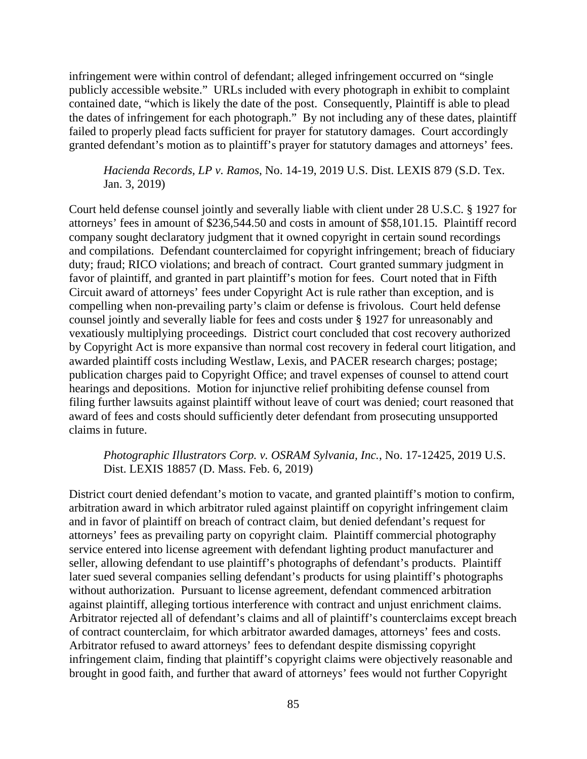infringement were within control of defendant; alleged infringement occurred on "single publicly accessible website." URLs included with every photograph in exhibit to complaint contained date, "which is likely the date of the post. Consequently, Plaintiff is able to plead the dates of infringement for each photograph." By not including any of these dates, plaintiff failed to properly plead facts sufficient for prayer for statutory damages. Court accordingly granted defendant's motion as to plaintiff's prayer for statutory damages and attorneys' fees.

*Hacienda Records, LP v. Ramos*, No. 14-19, 2019 U.S. Dist. LEXIS 879 (S.D. Tex. Jan. 3, 2019)

Court held defense counsel jointly and severally liable with client under 28 U.S.C. § 1927 for attorneys' fees in amount of \$236,544.50 and costs in amount of \$58,101.15. Plaintiff record company sought declaratory judgment that it owned copyright in certain sound recordings and compilations. Defendant counterclaimed for copyright infringement; breach of fiduciary duty; fraud; RICO violations; and breach of contract. Court granted summary judgment in favor of plaintiff, and granted in part plaintiff's motion for fees. Court noted that in Fifth Circuit award of attorneys' fees under Copyright Act is rule rather than exception, and is compelling when non-prevailing party's claim or defense is frivolous. Court held defense counsel jointly and severally liable for fees and costs under § 1927 for unreasonably and vexatiously multiplying proceedings. District court concluded that cost recovery authorized by Copyright Act is more expansive than normal cost recovery in federal court litigation, and awarded plaintiff costs including Westlaw, Lexis, and PACER research charges; postage; publication charges paid to Copyright Office; and travel expenses of counsel to attend court hearings and depositions. Motion for injunctive relief prohibiting defense counsel from filing further lawsuits against plaintiff without leave of court was denied; court reasoned that award of fees and costs should sufficiently deter defendant from prosecuting unsupported claims in future.

*Photographic Illustrators Corp. v. OSRAM Sylvania, Inc.*, No. 17-12425, 2019 U.S. Dist. LEXIS 18857 (D. Mass. Feb. 6, 2019)

District court denied defendant's motion to vacate, and granted plaintiff's motion to confirm, arbitration award in which arbitrator ruled against plaintiff on copyright infringement claim and in favor of plaintiff on breach of contract claim, but denied defendant's request for attorneys' fees as prevailing party on copyright claim. Plaintiff commercial photography service entered into license agreement with defendant lighting product manufacturer and seller, allowing defendant to use plaintiff's photographs of defendant's products. Plaintiff later sued several companies selling defendant's products for using plaintiff's photographs without authorization. Pursuant to license agreement, defendant commenced arbitration against plaintiff, alleging tortious interference with contract and unjust enrichment claims. Arbitrator rejected all of defendant's claims and all of plaintiff's counterclaims except breach of contract counterclaim, for which arbitrator awarded damages, attorneys' fees and costs. Arbitrator refused to award attorneys' fees to defendant despite dismissing copyright infringement claim, finding that plaintiff's copyright claims were objectively reasonable and brought in good faith, and further that award of attorneys' fees would not further Copyright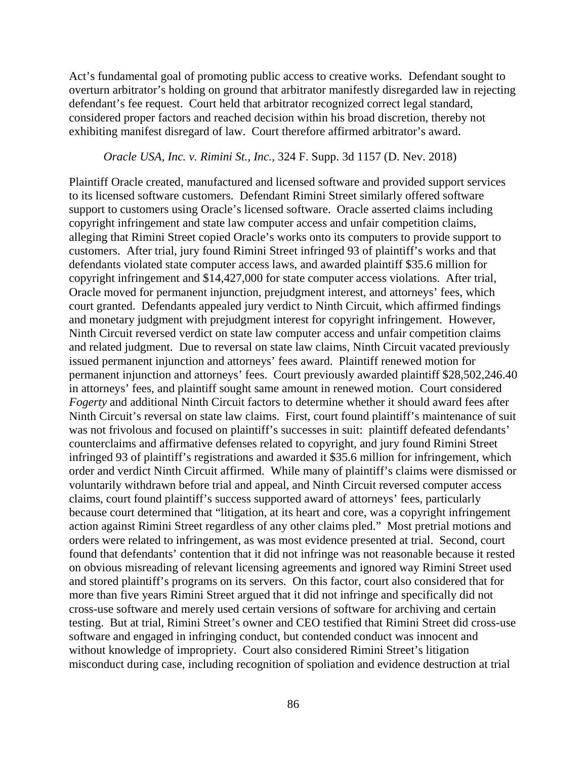Act's fundamental goal of promoting public access to creative works. Defendant sought to overturn arbitrator's holding on ground that arbitrator manifestly disregarded law in rejecting defendant's fee request. Court held that arbitrator recognized correct legal standard, considered proper factors and reached decision within his broad discretion, thereby not exhibiting manifest disregard of law. Court therefore affirmed arbitrator's award.

#### *Oracle USA, Inc. v. Rimini St., Inc.*, 324 F. Supp. 3d 1157 (D. Nev. 2018)

Plaintiff Oracle created, manufactured and licensed software and provided support services to its licensed software customers. Defendant Rimini Street similarly offered software support to customers using Oracle's licensed software. Oracle asserted claims including copyright infringement and state law computer access and unfair competition claims, alleging that Rimini Street copied Oracle's works onto its computers to provide support to customers. After trial, jury found Rimini Street infringed 93 of plaintiff's works and that defendants violated state computer access laws, and awarded plaintiff \$35.6 million for copyright infringement and \$14,427,000 for state computer access violations. After trial, Oracle moved for permanent injunction, prejudgment interest, and attorneys' fees, which court granted. Defendants appealed jury verdict to Ninth Circuit, which affirmed findings and monetary judgment with prejudgment interest for copyright infringement. However, Ninth Circuit reversed verdict on state law computer access and unfair competition claims and related judgment. Due to reversal on state law claims, Ninth Circuit vacated previously issued permanent injunction and attorneys' fees award. Plaintiff renewed motion for permanent injunction and attorneys' fees. Court previously awarded plaintiff \$28,502,246.40 in attorneys' fees, and plaintiff sought same amount in renewed motion. Court considered *Fogerty* and additional Ninth Circuit factors to determine whether it should award fees after Ninth Circuit's reversal on state law claims. First, court found plaintiff's maintenance of suit was not frivolous and focused on plaintiff's successes in suit: plaintiff defeated defendants' counterclaims and affirmative defenses related to copyright, and jury found Rimini Street infringed 93 of plaintiff's registrations and awarded it \$35.6 million for infringement, which order and verdict Ninth Circuit affirmed. While many of plaintiff's claims were dismissed or voluntarily withdrawn before trial and appeal, and Ninth Circuit reversed computer access claims, court found plaintiff's success supported award of attorneys' fees, particularly because court determined that "litigation, at its heart and core, was a copyright infringement action against Rimini Street regardless of any other claims pled." Most pretrial motions and orders were related to infringement, as was most evidence presented at trial. Second, court found that defendants' contention that it did not infringe was not reasonable because it rested on obvious misreading of relevant licensing agreements and ignored way Rimini Street used and stored plaintiff's programs on its servers. On this factor, court also considered that for more than five years Rimini Street argued that it did not infringe and specifically did not cross-use software and merely used certain versions of software for archiving and certain testing. But at trial, Rimini Street's owner and CEO testified that Rimini Street did cross-use software and engaged in infringing conduct, but contended conduct was innocent and without knowledge of impropriety. Court also considered Rimini Street's litigation misconduct during case, including recognition of spoliation and evidence destruction at trial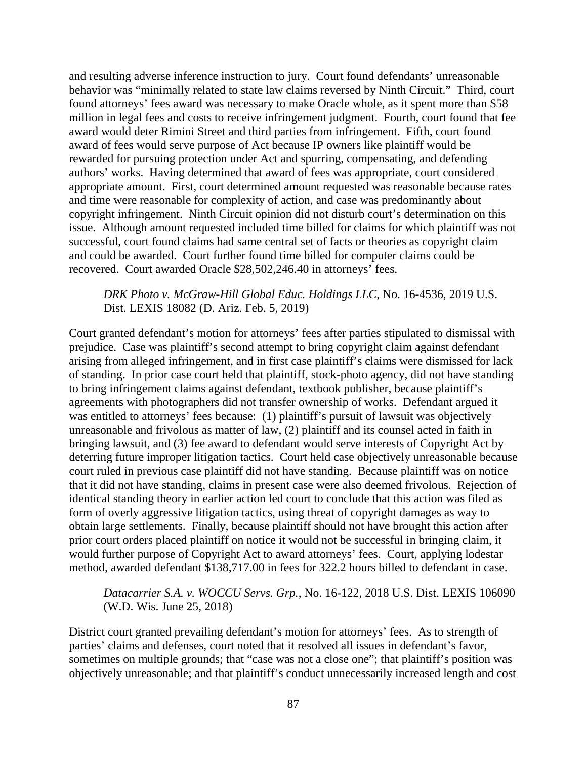and resulting adverse inference instruction to jury. Court found defendants' unreasonable behavior was "minimally related to state law claims reversed by Ninth Circuit." Third, court found attorneys' fees award was necessary to make Oracle whole, as it spent more than \$58 million in legal fees and costs to receive infringement judgment. Fourth, court found that fee award would deter Rimini Street and third parties from infringement. Fifth, court found award of fees would serve purpose of Act because IP owners like plaintiff would be rewarded for pursuing protection under Act and spurring, compensating, and defending authors' works. Having determined that award of fees was appropriate, court considered appropriate amount. First, court determined amount requested was reasonable because rates and time were reasonable for complexity of action, and case was predominantly about copyright infringement. Ninth Circuit opinion did not disturb court's determination on this issue. Although amount requested included time billed for claims for which plaintiff was not successful, court found claims had same central set of facts or theories as copyright claim and could be awarded. Court further found time billed for computer claims could be recovered. Court awarded Oracle \$28,502,246.40 in attorneys' fees.

### *DRK Photo v. McGraw-Hill Global Educ. Holdings LLC*, No. 16-4536, 2019 U.S. Dist. LEXIS 18082 (D. Ariz. Feb. 5, 2019)

Court granted defendant's motion for attorneys' fees after parties stipulated to dismissal with prejudice. Case was plaintiff's second attempt to bring copyright claim against defendant arising from alleged infringement, and in first case plaintiff's claims were dismissed for lack of standing. In prior case court held that plaintiff, stock-photo agency, did not have standing to bring infringement claims against defendant, textbook publisher, because plaintiff's agreements with photographers did not transfer ownership of works. Defendant argued it was entitled to attorneys' fees because: (1) plaintiff's pursuit of lawsuit was objectively unreasonable and frivolous as matter of law, (2) plaintiff and its counsel acted in faith in bringing lawsuit, and (3) fee award to defendant would serve interests of Copyright Act by deterring future improper litigation tactics. Court held case objectively unreasonable because court ruled in previous case plaintiff did not have standing. Because plaintiff was on notice that it did not have standing, claims in present case were also deemed frivolous. Rejection of identical standing theory in earlier action led court to conclude that this action was filed as form of overly aggressive litigation tactics, using threat of copyright damages as way to obtain large settlements. Finally, because plaintiff should not have brought this action after prior court orders placed plaintiff on notice it would not be successful in bringing claim, it would further purpose of Copyright Act to award attorneys' fees. Court, applying lodestar method, awarded defendant \$138,717.00 in fees for 322.2 hours billed to defendant in case.

### *Datacarrier S.A. v. WOCCU Servs. Grp.*, No. 16-122, 2018 U.S. Dist. LEXIS 106090 (W.D. Wis. June 25, 2018)

District court granted prevailing defendant's motion for attorneys' fees. As to strength of parties' claims and defenses, court noted that it resolved all issues in defendant's favor, sometimes on multiple grounds; that "case was not a close one"; that plaintiff's position was objectively unreasonable; and that plaintiff's conduct unnecessarily increased length and cost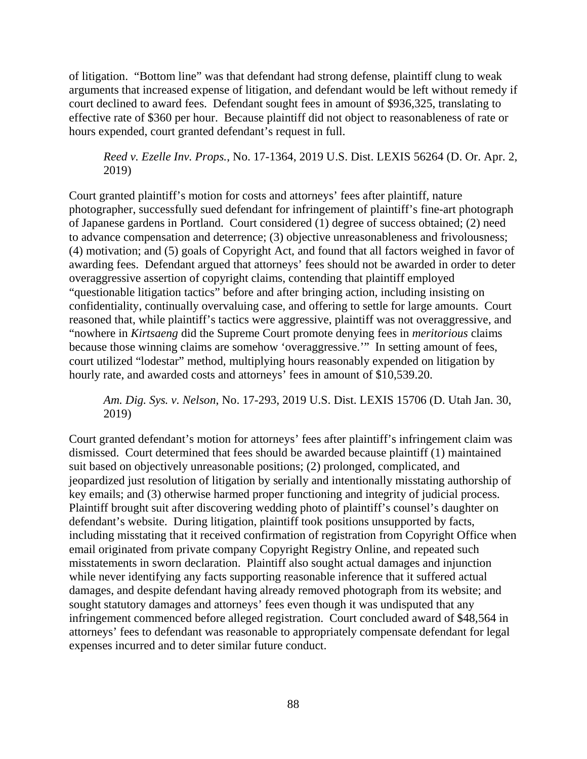of litigation. "Bottom line" was that defendant had strong defense, plaintiff clung to weak arguments that increased expense of litigation, and defendant would be left without remedy if court declined to award fees. Defendant sought fees in amount of \$936,325, translating to effective rate of \$360 per hour. Because plaintiff did not object to reasonableness of rate or hours expended, court granted defendant's request in full.

*Reed v. Ezelle Inv. Props.*, No. 17-1364, 2019 U.S. Dist. LEXIS 56264 (D. Or. Apr. 2, 2019)

Court granted plaintiff's motion for costs and attorneys' fees after plaintiff, nature photographer, successfully sued defendant for infringement of plaintiff's fine-art photograph of Japanese gardens in Portland. Court considered (1) degree of success obtained; (2) need to advance compensation and deterrence; (3) objective unreasonableness and frivolousness; (4) motivation; and (5) goals of Copyright Act, and found that all factors weighed in favor of awarding fees. Defendant argued that attorneys' fees should not be awarded in order to deter overaggressive assertion of copyright claims, contending that plaintiff employed "questionable litigation tactics" before and after bringing action, including insisting on confidentiality, continually overvaluing case, and offering to settle for large amounts. Court reasoned that, while plaintiff's tactics were aggressive, plaintiff was not overaggressive, and "nowhere in *Kirtsaeng* did the Supreme Court promote denying fees in *meritorious* claims because those winning claims are somehow 'overaggressive.'" In setting amount of fees, court utilized "lodestar" method, multiplying hours reasonably expended on litigation by hourly rate, and awarded costs and attorneys' fees in amount of \$10,539.20.

*Am. Dig. Sys. v. Nelson*, No. 17-293, 2019 U.S. Dist. LEXIS 15706 (D. Utah Jan. 30, 2019)

Court granted defendant's motion for attorneys' fees after plaintiff's infringement claim was dismissed. Court determined that fees should be awarded because plaintiff (1) maintained suit based on objectively unreasonable positions; (2) prolonged, complicated, and jeopardized just resolution of litigation by serially and intentionally misstating authorship of key emails; and (3) otherwise harmed proper functioning and integrity of judicial process. Plaintiff brought suit after discovering wedding photo of plaintiff's counsel's daughter on defendant's website. During litigation, plaintiff took positions unsupported by facts, including misstating that it received confirmation of registration from Copyright Office when email originated from private company Copyright Registry Online, and repeated such misstatements in sworn declaration. Plaintiff also sought actual damages and injunction while never identifying any facts supporting reasonable inference that it suffered actual damages, and despite defendant having already removed photograph from its website; and sought statutory damages and attorneys' fees even though it was undisputed that any infringement commenced before alleged registration. Court concluded award of \$48,564 in attorneys' fees to defendant was reasonable to appropriately compensate defendant for legal expenses incurred and to deter similar future conduct.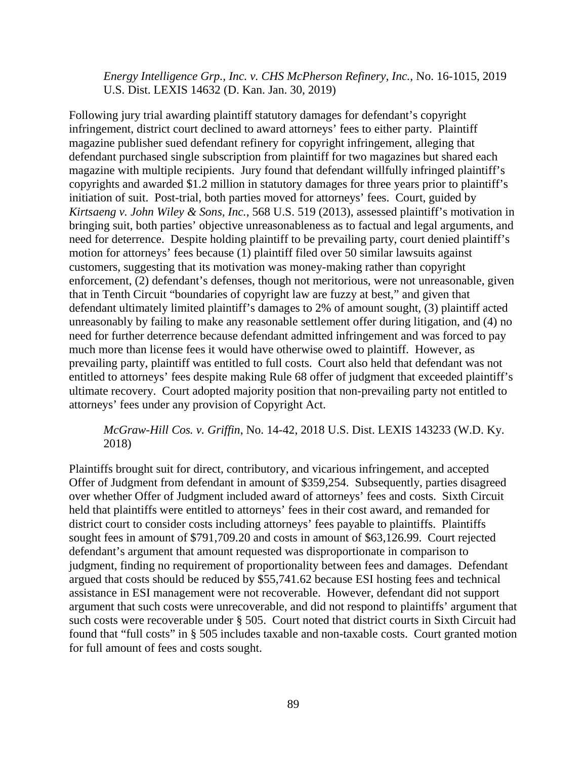*Energy Intelligence Grp., Inc. v. CHS McPherson Refinery, Inc.*, No. 16-1015, 2019 U.S. Dist. LEXIS 14632 (D. Kan. Jan. 30, 2019)

Following jury trial awarding plaintiff statutory damages for defendant's copyright infringement, district court declined to award attorneys' fees to either party. Plaintiff magazine publisher sued defendant refinery for copyright infringement, alleging that defendant purchased single subscription from plaintiff for two magazines but shared each magazine with multiple recipients. Jury found that defendant willfully infringed plaintiff's copyrights and awarded \$1.2 million in statutory damages for three years prior to plaintiff's initiation of suit. Post-trial, both parties moved for attorneys' fees. Court, guided by *Kirtsaeng v. John Wiley & Sons, Inc.*, 568 U.S. 519 (2013), assessed plaintiff's motivation in bringing suit, both parties' objective unreasonableness as to factual and legal arguments, and need for deterrence. Despite holding plaintiff to be prevailing party, court denied plaintiff's motion for attorneys' fees because (1) plaintiff filed over 50 similar lawsuits against customers, suggesting that its motivation was money-making rather than copyright enforcement, (2) defendant's defenses, though not meritorious, were not unreasonable, given that in Tenth Circuit "boundaries of copyright law are fuzzy at best," and given that defendant ultimately limited plaintiff's damages to 2% of amount sought, (3) plaintiff acted unreasonably by failing to make any reasonable settlement offer during litigation, and (4) no need for further deterrence because defendant admitted infringement and was forced to pay much more than license fees it would have otherwise owed to plaintiff. However, as prevailing party, plaintiff was entitled to full costs. Court also held that defendant was not entitled to attorneys' fees despite making Rule 68 offer of judgment that exceeded plaintiff's ultimate recovery. Court adopted majority position that non-prevailing party not entitled to attorneys' fees under any provision of Copyright Act.

### *McGraw-Hill Cos. v. Griffin*, No. 14-42, 2018 U.S. Dist. LEXIS 143233 (W.D. Ky. 2018)

Plaintiffs brought suit for direct, contributory, and vicarious infringement, and accepted Offer of Judgment from defendant in amount of \$359,254. Subsequently, parties disagreed over whether Offer of Judgment included award of attorneys' fees and costs. Sixth Circuit held that plaintiffs were entitled to attorneys' fees in their cost award, and remanded for district court to consider costs including attorneys' fees payable to plaintiffs. Plaintiffs sought fees in amount of \$791,709.20 and costs in amount of \$63,126.99. Court rejected defendant's argument that amount requested was disproportionate in comparison to judgment, finding no requirement of proportionality between fees and damages. Defendant argued that costs should be reduced by \$55,741.62 because ESI hosting fees and technical assistance in ESI management were not recoverable. However, defendant did not support argument that such costs were unrecoverable, and did not respond to plaintiffs' argument that such costs were recoverable under § 505. Court noted that district courts in Sixth Circuit had found that "full costs" in § 505 includes taxable and non-taxable costs. Court granted motion for full amount of fees and costs sought.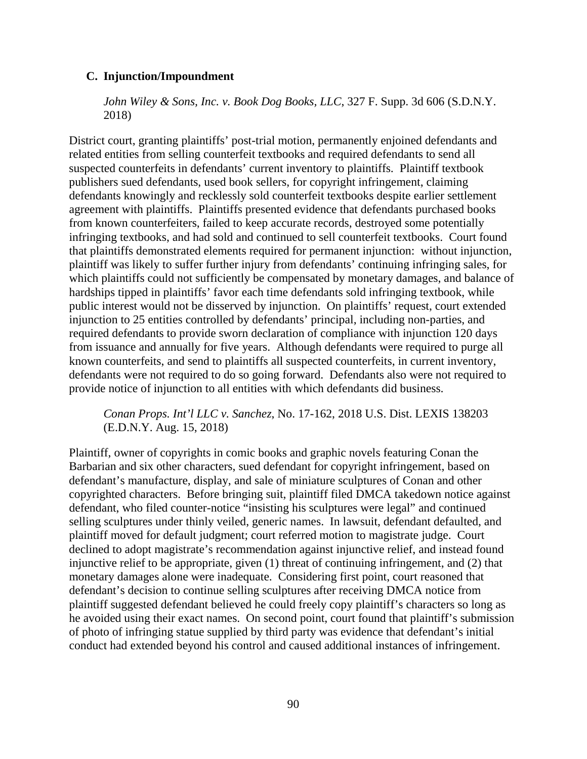## **C. Injunction/Impoundment**

*John Wiley & Sons, Inc. v. Book Dog Books, LLC*, 327 F. Supp. 3d 606 (S.D.N.Y. 2018)

District court, granting plaintiffs' post-trial motion, permanently enjoined defendants and related entities from selling counterfeit textbooks and required defendants to send all suspected counterfeits in defendants' current inventory to plaintiffs. Plaintiff textbook publishers sued defendants, used book sellers, for copyright infringement, claiming defendants knowingly and recklessly sold counterfeit textbooks despite earlier settlement agreement with plaintiffs. Plaintiffs presented evidence that defendants purchased books from known counterfeiters, failed to keep accurate records, destroyed some potentially infringing textbooks, and had sold and continued to sell counterfeit textbooks. Court found that plaintiffs demonstrated elements required for permanent injunction: without injunction, plaintiff was likely to suffer further injury from defendants' continuing infringing sales, for which plaintiffs could not sufficiently be compensated by monetary damages, and balance of hardships tipped in plaintiffs' favor each time defendants sold infringing textbook, while public interest would not be disserved by injunction. On plaintiffs' request, court extended injunction to 25 entities controlled by defendants' principal, including non-parties, and required defendants to provide sworn declaration of compliance with injunction 120 days from issuance and annually for five years. Although defendants were required to purge all known counterfeits, and send to plaintiffs all suspected counterfeits, in current inventory, defendants were not required to do so going forward. Defendants also were not required to provide notice of injunction to all entities with which defendants did business.

*Conan Props. Int'l LLC v. Sanchez*, No. 17-162, 2018 U.S. Dist. LEXIS 138203 (E.D.N.Y. Aug. 15, 2018)

Plaintiff, owner of copyrights in comic books and graphic novels featuring Conan the Barbarian and six other characters, sued defendant for copyright infringement, based on defendant's manufacture, display, and sale of miniature sculptures of Conan and other copyrighted characters. Before bringing suit, plaintiff filed DMCA takedown notice against defendant, who filed counter-notice "insisting his sculptures were legal" and continued selling sculptures under thinly veiled, generic names. In lawsuit, defendant defaulted, and plaintiff moved for default judgment; court referred motion to magistrate judge. Court declined to adopt magistrate's recommendation against injunctive relief, and instead found injunctive relief to be appropriate, given (1) threat of continuing infringement, and (2) that monetary damages alone were inadequate. Considering first point, court reasoned that defendant's decision to continue selling sculptures after receiving DMCA notice from plaintiff suggested defendant believed he could freely copy plaintiff's characters so long as he avoided using their exact names. On second point, court found that plaintiff's submission of photo of infringing statue supplied by third party was evidence that defendant's initial conduct had extended beyond his control and caused additional instances of infringement.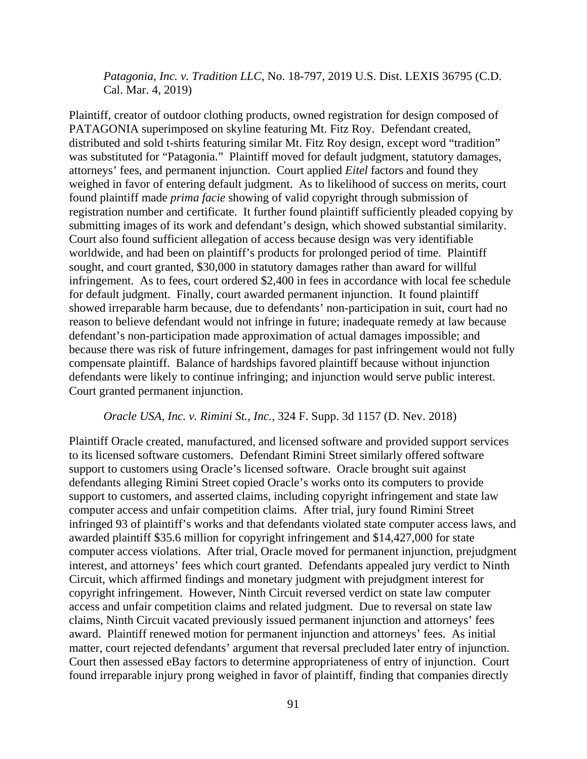*Patagonia, Inc. v. Tradition LLC*, No. 18-797, 2019 U.S. Dist. LEXIS 36795 (C.D. Cal. Mar. 4, 2019)

Plaintiff, creator of outdoor clothing products, owned registration for design composed of PATAGONIA superimposed on skyline featuring Mt. Fitz Roy. Defendant created, distributed and sold t-shirts featuring similar Mt. Fitz Roy design, except word "tradition" was substituted for "Patagonia." Plaintiff moved for default judgment, statutory damages, attorneys' fees, and permanent injunction. Court applied *Eitel* factors and found they weighed in favor of entering default judgment. As to likelihood of success on merits, court found plaintiff made *prima facie* showing of valid copyright through submission of registration number and certificate. It further found plaintiff sufficiently pleaded copying by submitting images of its work and defendant's design, which showed substantial similarity. Court also found sufficient allegation of access because design was very identifiable worldwide, and had been on plaintiff's products for prolonged period of time. Plaintiff sought, and court granted, \$30,000 in statutory damages rather than award for willful infringement. As to fees, court ordered \$2,400 in fees in accordance with local fee schedule for default judgment. Finally, court awarded permanent injunction. It found plaintiff showed irreparable harm because, due to defendants' non-participation in suit, court had no reason to believe defendant would not infringe in future; inadequate remedy at law because defendant's non-participation made approximation of actual damages impossible; and because there was risk of future infringement, damages for past infringement would not fully compensate plaintiff. Balance of hardships favored plaintiff because without injunction defendants were likely to continue infringing; and injunction would serve public interest. Court granted permanent injunction.

#### *Oracle USA, Inc. v. Rimini St., Inc.*, 324 F. Supp. 3d 1157 (D. Nev. 2018)

Plaintiff Oracle created, manufactured, and licensed software and provided support services to its licensed software customers. Defendant Rimini Street similarly offered software support to customers using Oracle's licensed software. Oracle brought suit against defendants alleging Rimini Street copied Oracle's works onto its computers to provide support to customers, and asserted claims, including copyright infringement and state law computer access and unfair competition claims. After trial, jury found Rimini Street infringed 93 of plaintiff's works and that defendants violated state computer access laws, and awarded plaintiff \$35.6 million for copyright infringement and \$14,427,000 for state computer access violations. After trial, Oracle moved for permanent injunction, prejudgment interest, and attorneys' fees which court granted. Defendants appealed jury verdict to Ninth Circuit, which affirmed findings and monetary judgment with prejudgment interest for copyright infringement. However, Ninth Circuit reversed verdict on state law computer access and unfair competition claims and related judgment. Due to reversal on state law claims, Ninth Circuit vacated previously issued permanent injunction and attorneys' fees award. Plaintiff renewed motion for permanent injunction and attorneys' fees. As initial matter, court rejected defendants' argument that reversal precluded later entry of injunction. Court then assessed eBay factors to determine appropriateness of entry of injunction. Court found irreparable injury prong weighed in favor of plaintiff, finding that companies directly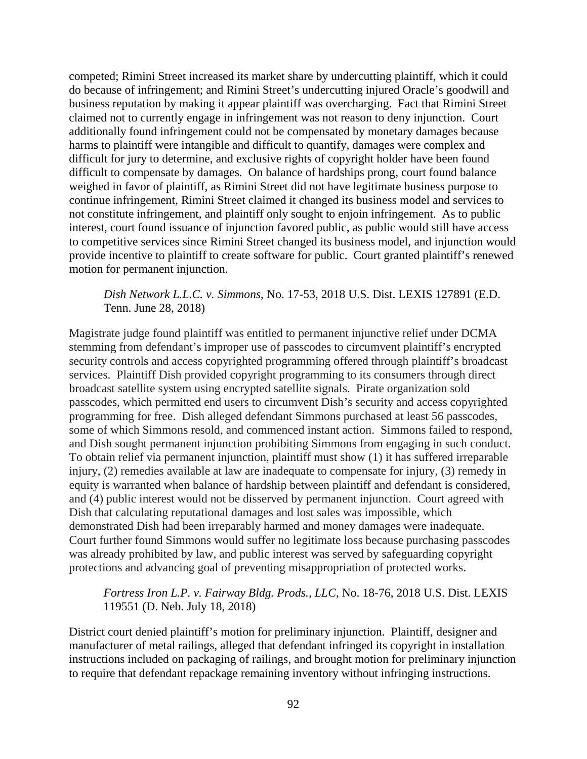competed; Rimini Street increased its market share by undercutting plaintiff, which it could do because of infringement; and Rimini Street's undercutting injured Oracle's goodwill and business reputation by making it appear plaintiff was overcharging. Fact that Rimini Street claimed not to currently engage in infringement was not reason to deny injunction. Court additionally found infringement could not be compensated by monetary damages because harms to plaintiff were intangible and difficult to quantify, damages were complex and difficult for jury to determine, and exclusive rights of copyright holder have been found difficult to compensate by damages. On balance of hardships prong, court found balance weighed in favor of plaintiff, as Rimini Street did not have legitimate business purpose to continue infringement, Rimini Street claimed it changed its business model and services to not constitute infringement, and plaintiff only sought to enjoin infringement. As to public interest, court found issuance of injunction favored public, as public would still have access to competitive services since Rimini Street changed its business model, and injunction would provide incentive to plaintiff to create software for public. Court granted plaintiff's renewed motion for permanent injunction.

### *Dish Network L.L.C. v. Simmons*, No. 17-53, 2018 U.S. Dist. LEXIS 127891 (E.D. Tenn. June 28, 2018)

Magistrate judge found plaintiff was entitled to permanent injunctive relief under DCMA stemming from defendant's improper use of passcodes to circumvent plaintiff's encrypted security controls and access copyrighted programming offered through plaintiff's broadcast services. Plaintiff Dish provided copyright programming to its consumers through direct broadcast satellite system using encrypted satellite signals. Pirate organization sold passcodes, which permitted end users to circumvent Dish's security and access copyrighted programming for free. Dish alleged defendant Simmons purchased at least 56 passcodes, some of which Simmons resold, and commenced instant action. Simmons failed to respond, and Dish sought permanent injunction prohibiting Simmons from engaging in such conduct. To obtain relief via permanent injunction, plaintiff must show (1) it has suffered irreparable injury, (2) remedies available at law are inadequate to compensate for injury, (3) remedy in equity is warranted when balance of hardship between plaintiff and defendant is considered, and (4) public interest would not be disserved by permanent injunction. Court agreed with Dish that calculating reputational damages and lost sales was impossible, which demonstrated Dish had been irreparably harmed and money damages were inadequate. Court further found Simmons would suffer no legitimate loss because purchasing passcodes was already prohibited by law, and public interest was served by safeguarding copyright protections and advancing goal of preventing misappropriation of protected works.

### *Fortress Iron L.P. v. Fairway Bldg. Prods., LLC*, No. 18-76, 2018 U.S. Dist. LEXIS 119551 (D. Neb. July 18, 2018)

District court denied plaintiff's motion for preliminary injunction. Plaintiff, designer and manufacturer of metal railings, alleged that defendant infringed its copyright in installation instructions included on packaging of railings, and brought motion for preliminary injunction to require that defendant repackage remaining inventory without infringing instructions.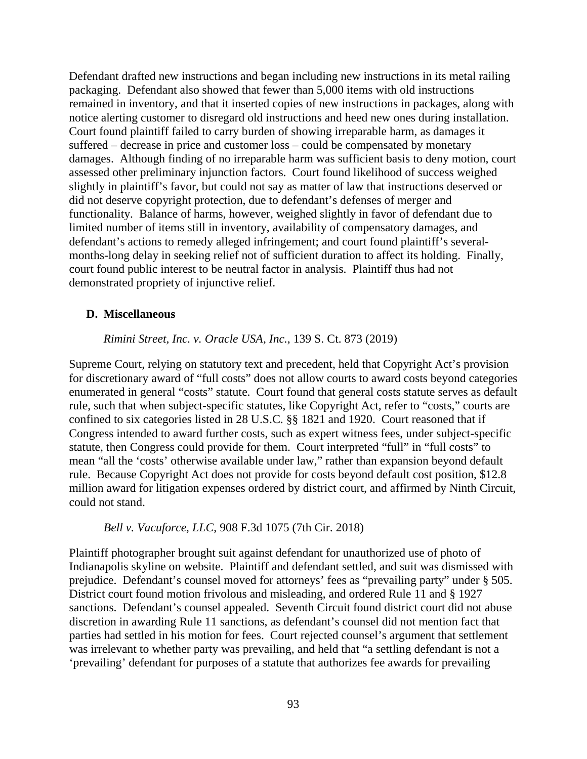Defendant drafted new instructions and began including new instructions in its metal railing packaging. Defendant also showed that fewer than 5,000 items with old instructions remained in inventory, and that it inserted copies of new instructions in packages, along with notice alerting customer to disregard old instructions and heed new ones during installation. Court found plaintiff failed to carry burden of showing irreparable harm, as damages it suffered – decrease in price and customer loss – could be compensated by monetary damages. Although finding of no irreparable harm was sufficient basis to deny motion, court assessed other preliminary injunction factors. Court found likelihood of success weighed slightly in plaintiff's favor, but could not say as matter of law that instructions deserved or did not deserve copyright protection, due to defendant's defenses of merger and functionality. Balance of harms, however, weighed slightly in favor of defendant due to limited number of items still in inventory, availability of compensatory damages, and defendant's actions to remedy alleged infringement; and court found plaintiff's severalmonths-long delay in seeking relief not of sufficient duration to affect its holding. Finally, court found public interest to be neutral factor in analysis. Plaintiff thus had not demonstrated propriety of injunctive relief.

### **D. Miscellaneous**

#### *Rimini Street, Inc. v. Oracle USA, Inc.*, 139 S. Ct. 873 (2019)

Supreme Court, relying on statutory text and precedent, held that Copyright Act's provision for discretionary award of "full costs" does not allow courts to award costs beyond categories enumerated in general "costs" statute. Court found that general costs statute serves as default rule, such that when subject-specific statutes, like Copyright Act, refer to "costs," courts are confined to six categories listed in 28 U.S.C. §§ 1821 and 1920. Court reasoned that if Congress intended to award further costs, such as expert witness fees, under subject-specific statute, then Congress could provide for them. Court interpreted "full" in "full costs" to mean "all the 'costs' otherwise available under law," rather than expansion beyond default rule. Because Copyright Act does not provide for costs beyond default cost position, \$12.8 million award for litigation expenses ordered by district court, and affirmed by Ninth Circuit, could not stand.

#### *Bell v. Vacuforce, LLC*, 908 F.3d 1075 (7th Cir. 2018)

Plaintiff photographer brought suit against defendant for unauthorized use of photo of Indianapolis skyline on website. Plaintiff and defendant settled, and suit was dismissed with prejudice. Defendant's counsel moved for attorneys' fees as "prevailing party" under § 505. District court found motion frivolous and misleading, and ordered Rule 11 and § 1927 sanctions. Defendant's counsel appealed. Seventh Circuit found district court did not abuse discretion in awarding Rule 11 sanctions, as defendant's counsel did not mention fact that parties had settled in his motion for fees. Court rejected counsel's argument that settlement was irrelevant to whether party was prevailing, and held that "a settling defendant is not a 'prevailing' defendant for purposes of a statute that authorizes fee awards for prevailing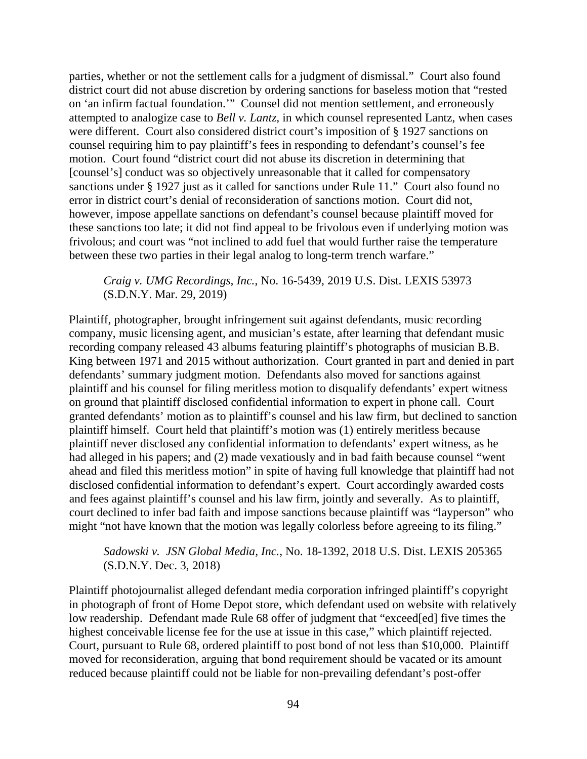parties, whether or not the settlement calls for a judgment of dismissal." Court also found district court did not abuse discretion by ordering sanctions for baseless motion that "rested on 'an infirm factual foundation.'" Counsel did not mention settlement, and erroneously attempted to analogize case to *Bell v. Lantz*, in which counsel represented Lantz, when cases were different. Court also considered district court's imposition of § 1927 sanctions on counsel requiring him to pay plaintiff's fees in responding to defendant's counsel's fee motion. Court found "district court did not abuse its discretion in determining that [counsel's] conduct was so objectively unreasonable that it called for compensatory sanctions under § 1927 just as it called for sanctions under Rule 11." Court also found no error in district court's denial of reconsideration of sanctions motion. Court did not, however, impose appellate sanctions on defendant's counsel because plaintiff moved for these sanctions too late; it did not find appeal to be frivolous even if underlying motion was frivolous; and court was "not inclined to add fuel that would further raise the temperature between these two parties in their legal analog to long-term trench warfare."

*Craig v. UMG Recordings, Inc.*, No. 16-5439, 2019 U.S. Dist. LEXIS 53973 (S.D.N.Y. Mar. 29, 2019)

Plaintiff, photographer, brought infringement suit against defendants, music recording company, music licensing agent, and musician's estate, after learning that defendant music recording company released 43 albums featuring plaintiff's photographs of musician B.B. King between 1971 and 2015 without authorization. Court granted in part and denied in part defendants' summary judgment motion. Defendants also moved for sanctions against plaintiff and his counsel for filing meritless motion to disqualify defendants' expert witness on ground that plaintiff disclosed confidential information to expert in phone call. Court granted defendants' motion as to plaintiff's counsel and his law firm, but declined to sanction plaintiff himself. Court held that plaintiff's motion was (1) entirely meritless because plaintiff never disclosed any confidential information to defendants' expert witness, as he had alleged in his papers; and (2) made vexatiously and in bad faith because counsel "went ahead and filed this meritless motion" in spite of having full knowledge that plaintiff had not disclosed confidential information to defendant's expert. Court accordingly awarded costs and fees against plaintiff's counsel and his law firm, jointly and severally. As to plaintiff, court declined to infer bad faith and impose sanctions because plaintiff was "layperson" who might "not have known that the motion was legally colorless before agreeing to its filing."

### *Sadowski v. JSN Global Media, Inc.*, No. 18-1392, 2018 U.S. Dist. LEXIS 205365 (S.D.N.Y. Dec. 3, 2018)

Plaintiff photojournalist alleged defendant media corporation infringed plaintiff's copyright in photograph of front of Home Depot store, which defendant used on website with relatively low readership. Defendant made Rule 68 offer of judgment that "exceed[ed] five times the highest conceivable license fee for the use at issue in this case," which plaintiff rejected. Court, pursuant to Rule 68, ordered plaintiff to post bond of not less than \$10,000. Plaintiff moved for reconsideration, arguing that bond requirement should be vacated or its amount reduced because plaintiff could not be liable for non-prevailing defendant's post-offer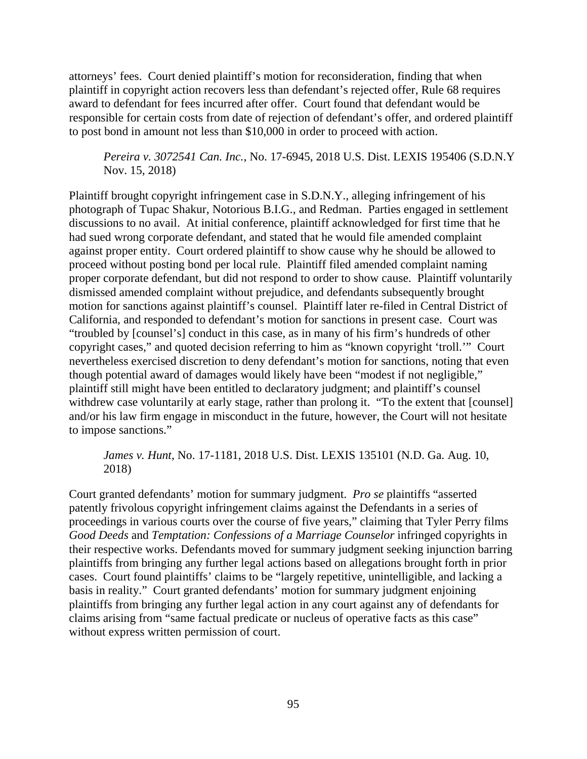attorneys' fees. Court denied plaintiff's motion for reconsideration, finding that when plaintiff in copyright action recovers less than defendant's rejected offer, Rule 68 requires award to defendant for fees incurred after offer. Court found that defendant would be responsible for certain costs from date of rejection of defendant's offer, and ordered plaintiff to post bond in amount not less than \$10,000 in order to proceed with action.

*Pereira v. 3072541 Can. Inc.*, No. 17-6945, 2018 U.S. Dist. LEXIS 195406 (S.D.N.Y Nov. 15, 2018)

Plaintiff brought copyright infringement case in S.D.N.Y., alleging infringement of his photograph of Tupac Shakur, Notorious B.I.G., and Redman. Parties engaged in settlement discussions to no avail. At initial conference, plaintiff acknowledged for first time that he had sued wrong corporate defendant, and stated that he would file amended complaint against proper entity. Court ordered plaintiff to show cause why he should be allowed to proceed without posting bond per local rule. Plaintiff filed amended complaint naming proper corporate defendant, but did not respond to order to show cause. Plaintiff voluntarily dismissed amended complaint without prejudice, and defendants subsequently brought motion for sanctions against plaintiff's counsel. Plaintiff later re-filed in Central District of California, and responded to defendant's motion for sanctions in present case. Court was "troubled by [counsel's] conduct in this case, as in many of his firm's hundreds of other copyright cases," and quoted decision referring to him as "known copyright 'troll.'" Court nevertheless exercised discretion to deny defendant's motion for sanctions, noting that even though potential award of damages would likely have been "modest if not negligible," plaintiff still might have been entitled to declaratory judgment; and plaintiff's counsel withdrew case voluntarily at early stage, rather than prolong it. "To the extent that [counsel] and/or his law firm engage in misconduct in the future, however, the Court will not hesitate to impose sanctions."

*James v. Hunt*, No. 17-1181, 2018 U.S. Dist. LEXIS 135101 (N.D. Ga. Aug. 10, 2018)

Court granted defendants' motion for summary judgment. *Pro se* plaintiffs "asserted patently frivolous copyright infringement claims against the Defendants in a series of proceedings in various courts over the course of five years," claiming that Tyler Perry films *Good Deeds* and *Temptation: Confessions of a Marriage Counselor* infringed copyrights in their respective works. Defendants moved for summary judgment seeking injunction barring plaintiffs from bringing any further legal actions based on allegations brought forth in prior cases. Court found plaintiffs' claims to be "largely repetitive, unintelligible, and lacking a basis in reality." Court granted defendants' motion for summary judgment enjoining plaintiffs from bringing any further legal action in any court against any of defendants for claims arising from "same factual predicate or nucleus of operative facts as this case" without express written permission of court.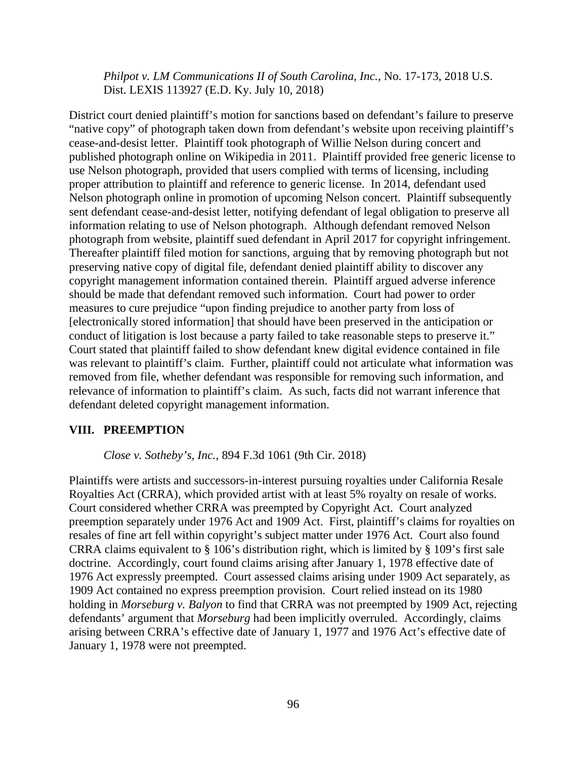*Philpot v. LM Communications II of South Carolina, Inc.*, No. 17-173, 2018 U.S. Dist. LEXIS 113927 (E.D. Ky. July 10, 2018)

District court denied plaintiff's motion for sanctions based on defendant's failure to preserve "native copy" of photograph taken down from defendant's website upon receiving plaintiff's cease-and-desist letter. Plaintiff took photograph of Willie Nelson during concert and published photograph online on Wikipedia in 2011. Plaintiff provided free generic license to use Nelson photograph, provided that users complied with terms of licensing, including proper attribution to plaintiff and reference to generic license. In 2014, defendant used Nelson photograph online in promotion of upcoming Nelson concert. Plaintiff subsequently sent defendant cease-and-desist letter, notifying defendant of legal obligation to preserve all information relating to use of Nelson photograph. Although defendant removed Nelson photograph from website, plaintiff sued defendant in April 2017 for copyright infringement. Thereafter plaintiff filed motion for sanctions, arguing that by removing photograph but not preserving native copy of digital file, defendant denied plaintiff ability to discover any copyright management information contained therein. Plaintiff argued adverse inference should be made that defendant removed such information. Court had power to order measures to cure prejudice "upon finding prejudice to another party from loss of [electronically stored information] that should have been preserved in the anticipation or conduct of litigation is lost because a party failed to take reasonable steps to preserve it." Court stated that plaintiff failed to show defendant knew digital evidence contained in file was relevant to plaintiff's claim. Further, plaintiff could not articulate what information was removed from file, whether defendant was responsible for removing such information, and relevance of information to plaintiff's claim. As such, facts did not warrant inference that defendant deleted copyright management information.

### **VIII. PREEMPTION**

*Close v. Sotheby's, Inc.*, 894 F.3d 1061 (9th Cir. 2018)

Plaintiffs were artists and successors-in-interest pursuing royalties under California Resale Royalties Act (CRRA), which provided artist with at least 5% royalty on resale of works. Court considered whether CRRA was preempted by Copyright Act. Court analyzed preemption separately under 1976 Act and 1909 Act. First, plaintiff's claims for royalties on resales of fine art fell within copyright's subject matter under 1976 Act. Court also found CRRA claims equivalent to § 106's distribution right, which is limited by § 109's first sale doctrine. Accordingly, court found claims arising after January 1, 1978 effective date of 1976 Act expressly preempted. Court assessed claims arising under 1909 Act separately, as 1909 Act contained no express preemption provision. Court relied instead on its 1980 holding in *Morseburg v. Balyon* to find that CRRA was not preempted by 1909 Act, rejecting defendants' argument that *Morseburg* had been implicitly overruled. Accordingly, claims arising between CRRA's effective date of January 1, 1977 and 1976 Act's effective date of January 1, 1978 were not preempted.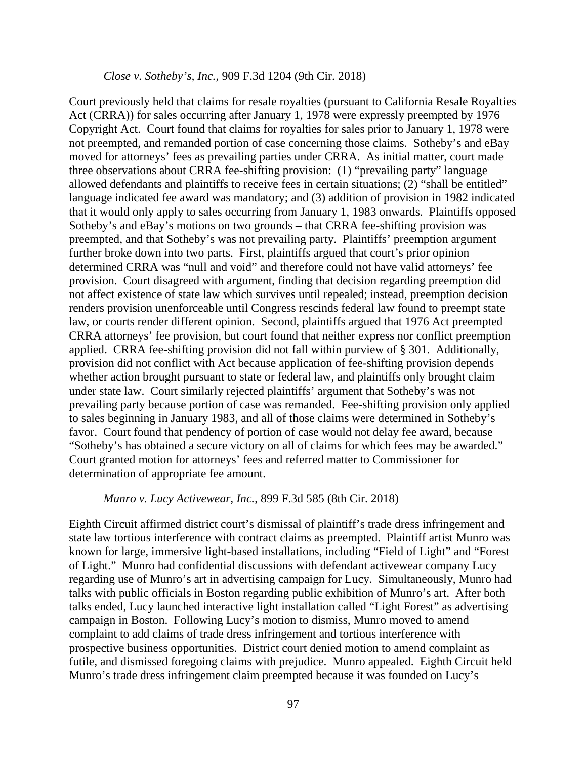#### *Close v. Sotheby's, Inc.*, 909 F.3d 1204 (9th Cir. 2018)

Court previously held that claims for resale royalties (pursuant to California Resale Royalties Act (CRRA)) for sales occurring after January 1, 1978 were expressly preempted by 1976 Copyright Act. Court found that claims for royalties for sales prior to January 1, 1978 were not preempted, and remanded portion of case concerning those claims. Sotheby's and eBay moved for attorneys' fees as prevailing parties under CRRA. As initial matter, court made three observations about CRRA fee-shifting provision: (1) "prevailing party" language allowed defendants and plaintiffs to receive fees in certain situations; (2) "shall be entitled" language indicated fee award was mandatory; and (3) addition of provision in 1982 indicated that it would only apply to sales occurring from January 1, 1983 onwards. Plaintiffs opposed Sotheby's and eBay's motions on two grounds – that CRRA fee-shifting provision was preempted, and that Sotheby's was not prevailing party. Plaintiffs' preemption argument further broke down into two parts. First, plaintiffs argued that court's prior opinion determined CRRA was "null and void" and therefore could not have valid attorneys' fee provision. Court disagreed with argument, finding that decision regarding preemption did not affect existence of state law which survives until repealed; instead, preemption decision renders provision unenforceable until Congress rescinds federal law found to preempt state law, or courts render different opinion. Second, plaintiffs argued that 1976 Act preempted CRRA attorneys' fee provision, but court found that neither express nor conflict preemption applied. CRRA fee-shifting provision did not fall within purview of § 301. Additionally, provision did not conflict with Act because application of fee-shifting provision depends whether action brought pursuant to state or federal law, and plaintiffs only brought claim under state law. Court similarly rejected plaintiffs' argument that Sotheby's was not prevailing party because portion of case was remanded. Fee-shifting provision only applied to sales beginning in January 1983, and all of those claims were determined in Sotheby's favor. Court found that pendency of portion of case would not delay fee award, because "Sotheby's has obtained a secure victory on all of claims for which fees may be awarded." Court granted motion for attorneys' fees and referred matter to Commissioner for determination of appropriate fee amount.

### *Munro v. Lucy Activewear, Inc.*, 899 F.3d 585 (8th Cir. 2018)

Eighth Circuit affirmed district court's dismissal of plaintiff's trade dress infringement and state law tortious interference with contract claims as preempted. Plaintiff artist Munro was known for large, immersive light-based installations, including "Field of Light" and "Forest of Light." Munro had confidential discussions with defendant activewear company Lucy regarding use of Munro's art in advertising campaign for Lucy. Simultaneously, Munro had talks with public officials in Boston regarding public exhibition of Munro's art. After both talks ended, Lucy launched interactive light installation called "Light Forest" as advertising campaign in Boston. Following Lucy's motion to dismiss, Munro moved to amend complaint to add claims of trade dress infringement and tortious interference with prospective business opportunities. District court denied motion to amend complaint as futile, and dismissed foregoing claims with prejudice. Munro appealed. Eighth Circuit held Munro's trade dress infringement claim preempted because it was founded on Lucy's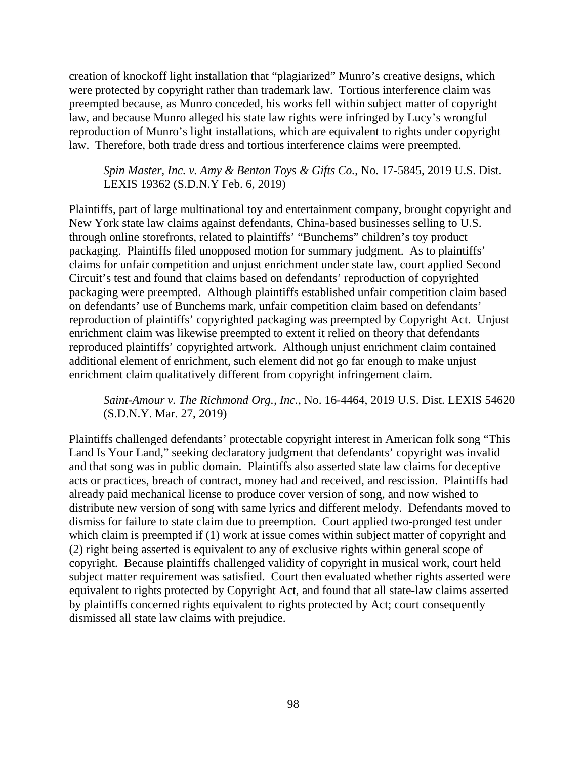creation of knockoff light installation that "plagiarized" Munro's creative designs, which were protected by copyright rather than trademark law. Tortious interference claim was preempted because, as Munro conceded, his works fell within subject matter of copyright law, and because Munro alleged his state law rights were infringed by Lucy's wrongful reproduction of Munro's light installations, which are equivalent to rights under copyright law. Therefore, both trade dress and tortious interference claims were preempted.

*Spin Master, Inc. v. Amy & Benton Toys & Gifts Co.*, No. 17-5845, 2019 U.S. Dist. LEXIS 19362 (S.D.N.Y Feb. 6, 2019)

Plaintiffs, part of large multinational toy and entertainment company, brought copyright and New York state law claims against defendants, China-based businesses selling to U.S. through online storefronts, related to plaintiffs' "Bunchems" children's toy product packaging. Plaintiffs filed unopposed motion for summary judgment. As to plaintiffs' claims for unfair competition and unjust enrichment under state law, court applied Second Circuit's test and found that claims based on defendants' reproduction of copyrighted packaging were preempted. Although plaintiffs established unfair competition claim based on defendants' use of Bunchems mark, unfair competition claim based on defendants' reproduction of plaintiffs' copyrighted packaging was preempted by Copyright Act. Unjust enrichment claim was likewise preempted to extent it relied on theory that defendants reproduced plaintiffs' copyrighted artwork. Although unjust enrichment claim contained additional element of enrichment, such element did not go far enough to make unjust enrichment claim qualitatively different from copyright infringement claim.

*Saint-Amour v. The Richmond Org., Inc.*, No. 16-4464, 2019 U.S. Dist. LEXIS 54620 (S.D.N.Y. Mar. 27, 2019)

Plaintiffs challenged defendants' protectable copyright interest in American folk song "This Land Is Your Land," seeking declaratory judgment that defendants' copyright was invalid and that song was in public domain. Plaintiffs also asserted state law claims for deceptive acts or practices, breach of contract, money had and received, and rescission. Plaintiffs had already paid mechanical license to produce cover version of song, and now wished to distribute new version of song with same lyrics and different melody. Defendants moved to dismiss for failure to state claim due to preemption. Court applied two-pronged test under which claim is preempted if (1) work at issue comes within subject matter of copyright and (2) right being asserted is equivalent to any of exclusive rights within general scope of copyright. Because plaintiffs challenged validity of copyright in musical work, court held subject matter requirement was satisfied. Court then evaluated whether rights asserted were equivalent to rights protected by Copyright Act, and found that all state-law claims asserted by plaintiffs concerned rights equivalent to rights protected by Act; court consequently dismissed all state law claims with prejudice.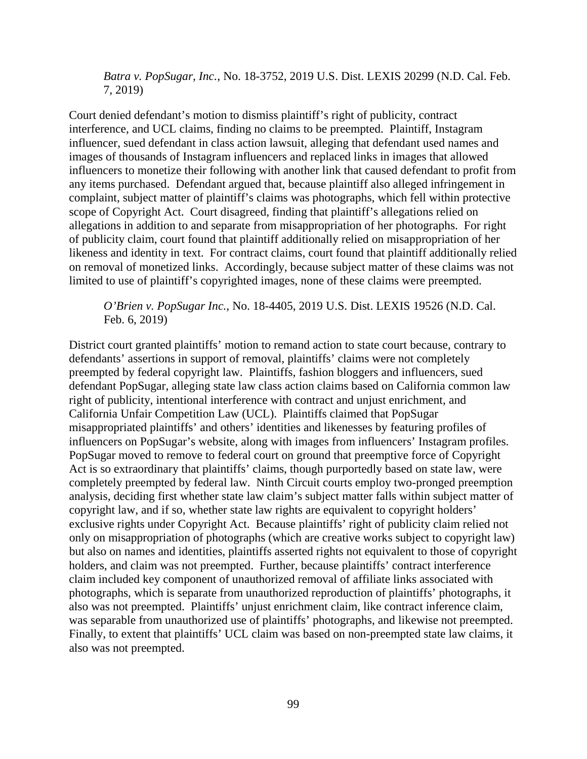*Batra v. PopSugar, Inc.*, No. 18-3752, 2019 U.S. Dist. LEXIS 20299 (N.D. Cal. Feb. 7, 2019)

Court denied defendant's motion to dismiss plaintiff's right of publicity, contract interference, and UCL claims, finding no claims to be preempted. Plaintiff, Instagram influencer, sued defendant in class action lawsuit, alleging that defendant used names and images of thousands of Instagram influencers and replaced links in images that allowed influencers to monetize their following with another link that caused defendant to profit from any items purchased. Defendant argued that, because plaintiff also alleged infringement in complaint, subject matter of plaintiff's claims was photographs, which fell within protective scope of Copyright Act. Court disagreed, finding that plaintiff's allegations relied on allegations in addition to and separate from misappropriation of her photographs. For right of publicity claim, court found that plaintiff additionally relied on misappropriation of her likeness and identity in text. For contract claims, court found that plaintiff additionally relied on removal of monetized links. Accordingly, because subject matter of these claims was not limited to use of plaintiff's copyrighted images, none of these claims were preempted.

*O'Brien v. PopSugar Inc.*, No. 18-4405, 2019 U.S. Dist. LEXIS 19526 (N.D. Cal. Feb. 6, 2019)

District court granted plaintiffs' motion to remand action to state court because, contrary to defendants' assertions in support of removal, plaintiffs' claims were not completely preempted by federal copyright law. Plaintiffs, fashion bloggers and influencers, sued defendant PopSugar, alleging state law class action claims based on California common law right of publicity, intentional interference with contract and unjust enrichment, and California Unfair Competition Law (UCL). Plaintiffs claimed that PopSugar misappropriated plaintiffs' and others' identities and likenesses by featuring profiles of influencers on PopSugar's website, along with images from influencers' Instagram profiles. PopSugar moved to remove to federal court on ground that preemptive force of Copyright Act is so extraordinary that plaintiffs' claims, though purportedly based on state law, were completely preempted by federal law. Ninth Circuit courts employ two-pronged preemption analysis, deciding first whether state law claim's subject matter falls within subject matter of copyright law, and if so, whether state law rights are equivalent to copyright holders' exclusive rights under Copyright Act. Because plaintiffs' right of publicity claim relied not only on misappropriation of photographs (which are creative works subject to copyright law) but also on names and identities, plaintiffs asserted rights not equivalent to those of copyright holders, and claim was not preempted. Further, because plaintiffs' contract interference claim included key component of unauthorized removal of affiliate links associated with photographs, which is separate from unauthorized reproduction of plaintiffs' photographs, it also was not preempted. Plaintiffs' unjust enrichment claim, like contract inference claim, was separable from unauthorized use of plaintiffs' photographs, and likewise not preempted. Finally, to extent that plaintiffs' UCL claim was based on non-preempted state law claims, it also was not preempted.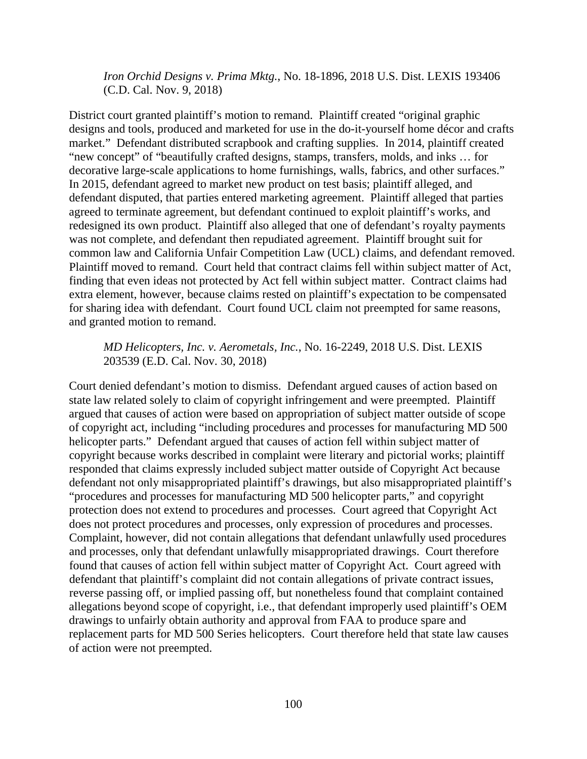*Iron Orchid Designs v. Prima Mktg.*, No. 18-1896, 2018 U.S. Dist. LEXIS 193406 (C.D. Cal. Nov. 9, 2018)

District court granted plaintiff's motion to remand. Plaintiff created "original graphic designs and tools, produced and marketed for use in the do-it-yourself home décor and crafts market." Defendant distributed scrapbook and crafting supplies. In 2014, plaintiff created "new concept" of "beautifully crafted designs, stamps, transfers, molds, and inks … for decorative large-scale applications to home furnishings, walls, fabrics, and other surfaces." In 2015, defendant agreed to market new product on test basis; plaintiff alleged, and defendant disputed, that parties entered marketing agreement. Plaintiff alleged that parties agreed to terminate agreement, but defendant continued to exploit plaintiff's works, and redesigned its own product. Plaintiff also alleged that one of defendant's royalty payments was not complete, and defendant then repudiated agreement. Plaintiff brought suit for common law and California Unfair Competition Law (UCL) claims, and defendant removed. Plaintiff moved to remand. Court held that contract claims fell within subject matter of Act, finding that even ideas not protected by Act fell within subject matter. Contract claims had extra element, however, because claims rested on plaintiff's expectation to be compensated for sharing idea with defendant. Court found UCL claim not preempted for same reasons, and granted motion to remand.

### *MD Helicopters, Inc. v. Aerometals, Inc.*, No. 16-2249, 2018 U.S. Dist. LEXIS 203539 (E.D. Cal. Nov. 30, 2018)

Court denied defendant's motion to dismiss. Defendant argued causes of action based on state law related solely to claim of copyright infringement and were preempted. Plaintiff argued that causes of action were based on appropriation of subject matter outside of scope of copyright act, including "including procedures and processes for manufacturing MD 500 helicopter parts." Defendant argued that causes of action fell within subject matter of copyright because works described in complaint were literary and pictorial works; plaintiff responded that claims expressly included subject matter outside of Copyright Act because defendant not only misappropriated plaintiff's drawings, but also misappropriated plaintiff's "procedures and processes for manufacturing MD 500 helicopter parts," and copyright protection does not extend to procedures and processes. Court agreed that Copyright Act does not protect procedures and processes, only expression of procedures and processes. Complaint, however, did not contain allegations that defendant unlawfully used procedures and processes, only that defendant unlawfully misappropriated drawings. Court therefore found that causes of action fell within subject matter of Copyright Act. Court agreed with defendant that plaintiff's complaint did not contain allegations of private contract issues, reverse passing off, or implied passing off, but nonetheless found that complaint contained allegations beyond scope of copyright, i.e., that defendant improperly used plaintiff's OEM drawings to unfairly obtain authority and approval from FAA to produce spare and replacement parts for MD 500 Series helicopters. Court therefore held that state law causes of action were not preempted.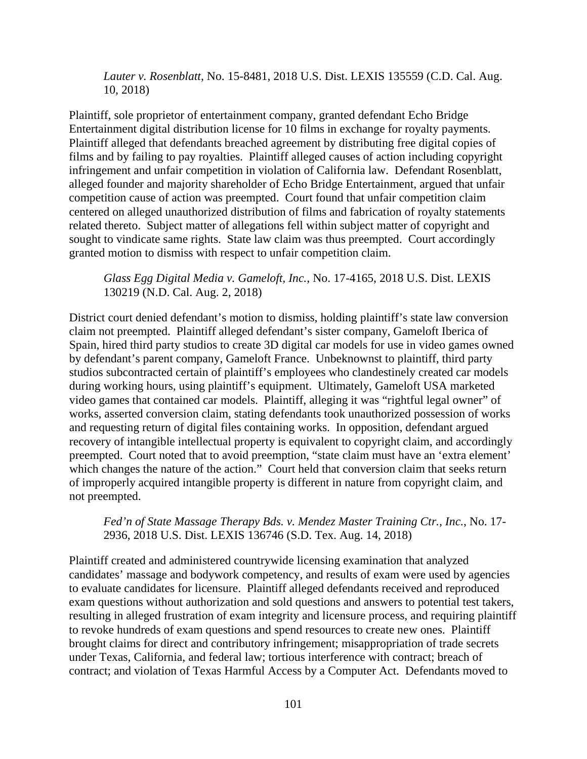*Lauter v. Rosenblatt*, No. 15-8481, 2018 U.S. Dist. LEXIS 135559 (C.D. Cal. Aug. 10, 2018)

Plaintiff, sole proprietor of entertainment company, granted defendant Echo Bridge Entertainment digital distribution license for 10 films in exchange for royalty payments. Plaintiff alleged that defendants breached agreement by distributing free digital copies of films and by failing to pay royalties. Plaintiff alleged causes of action including copyright infringement and unfair competition in violation of California law. Defendant Rosenblatt, alleged founder and majority shareholder of Echo Bridge Entertainment, argued that unfair competition cause of action was preempted. Court found that unfair competition claim centered on alleged unauthorized distribution of films and fabrication of royalty statements related thereto. Subject matter of allegations fell within subject matter of copyright and sought to vindicate same rights. State law claim was thus preempted. Court accordingly granted motion to dismiss with respect to unfair competition claim.

*Glass Egg Digital Media v. Gameloft, Inc.*, No. 17-4165, 2018 U.S. Dist. LEXIS 130219 (N.D. Cal. Aug. 2, 2018)

District court denied defendant's motion to dismiss, holding plaintiff's state law conversion claim not preempted. Plaintiff alleged defendant's sister company, Gameloft Iberica of Spain, hired third party studios to create 3D digital car models for use in video games owned by defendant's parent company, Gameloft France. Unbeknownst to plaintiff, third party studios subcontracted certain of plaintiff's employees who clandestinely created car models during working hours, using plaintiff's equipment. Ultimately, Gameloft USA marketed video games that contained car models. Plaintiff, alleging it was "rightful legal owner" of works, asserted conversion claim, stating defendants took unauthorized possession of works and requesting return of digital files containing works. In opposition, defendant argued recovery of intangible intellectual property is equivalent to copyright claim, and accordingly preempted. Court noted that to avoid preemption, "state claim must have an 'extra element' which changes the nature of the action." Court held that conversion claim that seeks return of improperly acquired intangible property is different in nature from copyright claim, and not preempted.

*Fed'n of State Massage Therapy Bds. v. Mendez Master Training Ctr., Inc.*, No. 17- 2936, 2018 U.S. Dist. LEXIS 136746 (S.D. Tex. Aug. 14, 2018)

Plaintiff created and administered countrywide licensing examination that analyzed candidates' massage and bodywork competency, and results of exam were used by agencies to evaluate candidates for licensure. Plaintiff alleged defendants received and reproduced exam questions without authorization and sold questions and answers to potential test takers, resulting in alleged frustration of exam integrity and licensure process, and requiring plaintiff to revoke hundreds of exam questions and spend resources to create new ones. Plaintiff brought claims for direct and contributory infringement; misappropriation of trade secrets under Texas, California, and federal law; tortious interference with contract; breach of contract; and violation of Texas Harmful Access by a Computer Act. Defendants moved to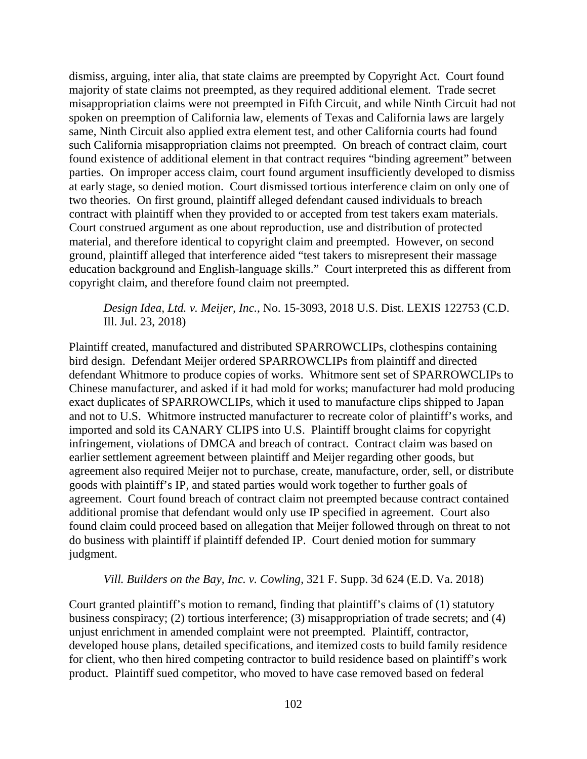dismiss, arguing, inter alia, that state claims are preempted by Copyright Act. Court found majority of state claims not preempted, as they required additional element. Trade secret misappropriation claims were not preempted in Fifth Circuit, and while Ninth Circuit had not spoken on preemption of California law, elements of Texas and California laws are largely same, Ninth Circuit also applied extra element test, and other California courts had found such California misappropriation claims not preempted. On breach of contract claim, court found existence of additional element in that contract requires "binding agreement" between parties. On improper access claim, court found argument insufficiently developed to dismiss at early stage, so denied motion. Court dismissed tortious interference claim on only one of two theories. On first ground, plaintiff alleged defendant caused individuals to breach contract with plaintiff when they provided to or accepted from test takers exam materials. Court construed argument as one about reproduction, use and distribution of protected material, and therefore identical to copyright claim and preempted. However, on second ground, plaintiff alleged that interference aided "test takers to misrepresent their massage education background and English-language skills." Court interpreted this as different from copyright claim, and therefore found claim not preempted.

*Design Idea, Ltd. v. Meijer, Inc.*, No. 15-3093, 2018 U.S. Dist. LEXIS 122753 (C.D. Ill. Jul. 23, 2018)

Plaintiff created, manufactured and distributed SPARROWCLIPs, clothespins containing bird design. Defendant Meijer ordered SPARROWCLIPs from plaintiff and directed defendant Whitmore to produce copies of works. Whitmore sent set of SPARROWCLIPs to Chinese manufacturer, and asked if it had mold for works; manufacturer had mold producing exact duplicates of SPARROWCLIPs, which it used to manufacture clips shipped to Japan and not to U.S. Whitmore instructed manufacturer to recreate color of plaintiff's works, and imported and sold its CANARY CLIPS into U.S. Plaintiff brought claims for copyright infringement, violations of DMCA and breach of contract. Contract claim was based on earlier settlement agreement between plaintiff and Meijer regarding other goods, but agreement also required Meijer not to purchase, create, manufacture, order, sell, or distribute goods with plaintiff's IP, and stated parties would work together to further goals of agreement. Court found breach of contract claim not preempted because contract contained additional promise that defendant would only use IP specified in agreement. Court also found claim could proceed based on allegation that Meijer followed through on threat to not do business with plaintiff if plaintiff defended IP. Court denied motion for summary judgment.

### *Vill. Builders on the Bay, Inc. v. Cowling*, 321 F. Supp. 3d 624 (E.D. Va. 2018)

Court granted plaintiff's motion to remand, finding that plaintiff's claims of (1) statutory business conspiracy; (2) tortious interference; (3) misappropriation of trade secrets; and (4) unjust enrichment in amended complaint were not preempted. Plaintiff, contractor, developed house plans, detailed specifications, and itemized costs to build family residence for client, who then hired competing contractor to build residence based on plaintiff's work product. Plaintiff sued competitor, who moved to have case removed based on federal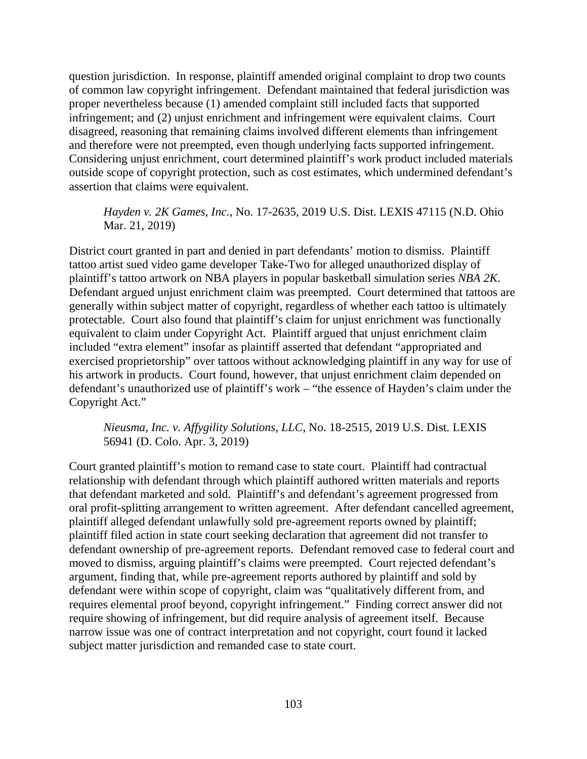question jurisdiction. In response, plaintiff amended original complaint to drop two counts of common law copyright infringement. Defendant maintained that federal jurisdiction was proper nevertheless because (1) amended complaint still included facts that supported infringement; and (2) unjust enrichment and infringement were equivalent claims. Court disagreed, reasoning that remaining claims involved different elements than infringement and therefore were not preempted, even though underlying facts supported infringement. Considering unjust enrichment, court determined plaintiff's work product included materials outside scope of copyright protection, such as cost estimates, which undermined defendant's assertion that claims were equivalent.

# *Hayden v. 2K Games, Inc.*, No. 17-2635, 2019 U.S. Dist. LEXIS 47115 (N.D. Ohio Mar. 21, 2019)

District court granted in part and denied in part defendants' motion to dismiss. Plaintiff tattoo artist sued video game developer Take-Two for alleged unauthorized display of plaintiff's tattoo artwork on NBA players in popular basketball simulation series *NBA 2K*. Defendant argued unjust enrichment claim was preempted. Court determined that tattoos are generally within subject matter of copyright, regardless of whether each tattoo is ultimately protectable. Court also found that plaintiff's claim for unjust enrichment was functionally equivalent to claim under Copyright Act. Plaintiff argued that unjust enrichment claim included "extra element" insofar as plaintiff asserted that defendant "appropriated and exercised proprietorship" over tattoos without acknowledging plaintiff in any way for use of his artwork in products. Court found, however, that unjust enrichment claim depended on defendant's unauthorized use of plaintiff's work – "the essence of Hayden's claim under the Copyright Act."

# *Nieusma, Inc. v. Affygility Solutions, LLC*, No. 18-2515, 2019 U.S. Dist. LEXIS 56941 (D. Colo. Apr. 3, 2019)

Court granted plaintiff's motion to remand case to state court. Plaintiff had contractual relationship with defendant through which plaintiff authored written materials and reports that defendant marketed and sold. Plaintiff's and defendant's agreement progressed from oral profit-splitting arrangement to written agreement. After defendant cancelled agreement, plaintiff alleged defendant unlawfully sold pre-agreement reports owned by plaintiff; plaintiff filed action in state court seeking declaration that agreement did not transfer to defendant ownership of pre-agreement reports. Defendant removed case to federal court and moved to dismiss, arguing plaintiff's claims were preempted. Court rejected defendant's argument, finding that, while pre-agreement reports authored by plaintiff and sold by defendant were within scope of copyright, claim was "qualitatively different from, and requires elemental proof beyond, copyright infringement." Finding correct answer did not require showing of infringement, but did require analysis of agreement itself. Because narrow issue was one of contract interpretation and not copyright, court found it lacked subject matter jurisdiction and remanded case to state court.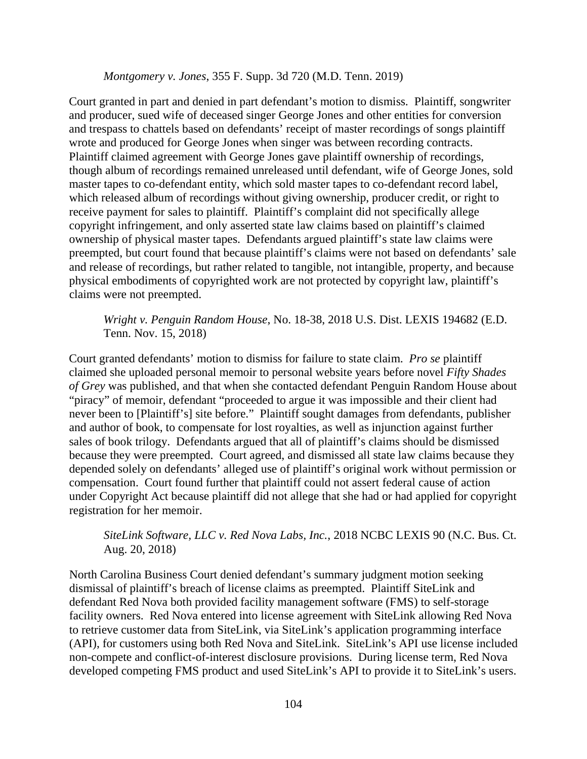### *Montgomery v. Jones*, 355 F. Supp. 3d 720 (M.D. Tenn. 2019)

Court granted in part and denied in part defendant's motion to dismiss. Plaintiff, songwriter and producer, sued wife of deceased singer George Jones and other entities for conversion and trespass to chattels based on defendants' receipt of master recordings of songs plaintiff wrote and produced for George Jones when singer was between recording contracts. Plaintiff claimed agreement with George Jones gave plaintiff ownership of recordings, though album of recordings remained unreleased until defendant, wife of George Jones, sold master tapes to co-defendant entity, which sold master tapes to co-defendant record label, which released album of recordings without giving ownership, producer credit, or right to receive payment for sales to plaintiff. Plaintiff's complaint did not specifically allege copyright infringement, and only asserted state law claims based on plaintiff's claimed ownership of physical master tapes. Defendants argued plaintiff's state law claims were preempted, but court found that because plaintiff's claims were not based on defendants' sale and release of recordings, but rather related to tangible, not intangible, property, and because physical embodiments of copyrighted work are not protected by copyright law, plaintiff's claims were not preempted.

### *Wright v. Penguin Random House*, No. 18-38, 2018 U.S. Dist. LEXIS 194682 (E.D. Tenn. Nov. 15, 2018)

Court granted defendants' motion to dismiss for failure to state claim. *Pro se* plaintiff claimed she uploaded personal memoir to personal website years before novel *Fifty Shades of Grey* was published, and that when she contacted defendant Penguin Random House about "piracy" of memoir, defendant "proceeded to argue it was impossible and their client had never been to [Plaintiff's] site before." Plaintiff sought damages from defendants, publisher and author of book, to compensate for lost royalties, as well as injunction against further sales of book trilogy. Defendants argued that all of plaintiff's claims should be dismissed because they were preempted. Court agreed, and dismissed all state law claims because they depended solely on defendants' alleged use of plaintiff's original work without permission or compensation. Court found further that plaintiff could not assert federal cause of action under Copyright Act because plaintiff did not allege that she had or had applied for copyright registration for her memoir.

# *SiteLink Software, LLC v. Red Nova Labs, Inc.*, 2018 NCBC LEXIS 90 (N.C. Bus. Ct. Aug. 20, 2018)

North Carolina Business Court denied defendant's summary judgment motion seeking dismissal of plaintiff's breach of license claims as preempted. Plaintiff SiteLink and defendant Red Nova both provided facility management software (FMS) to self-storage facility owners. Red Nova entered into license agreement with SiteLink allowing Red Nova to retrieve customer data from SiteLink, via SiteLink's application programming interface (API), for customers using both Red Nova and SiteLink. SiteLink's API use license included non-compete and conflict-of-interest disclosure provisions. During license term, Red Nova developed competing FMS product and used SiteLink's API to provide it to SiteLink's users.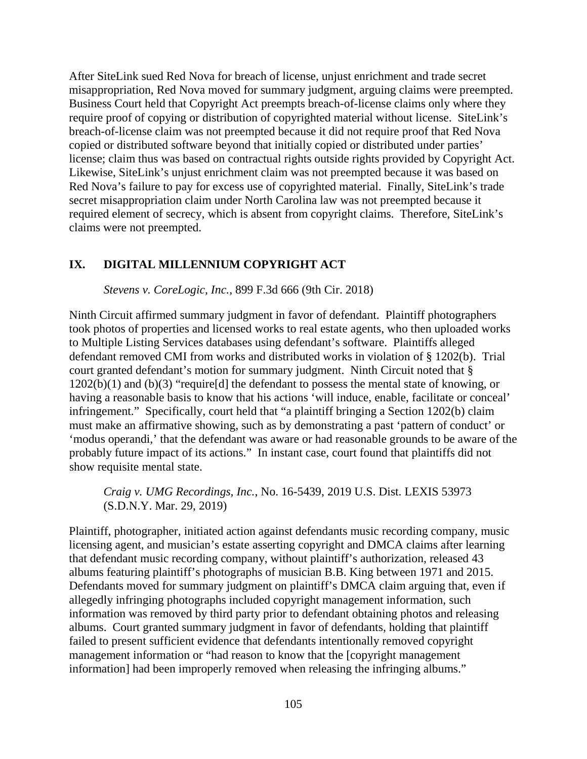After SiteLink sued Red Nova for breach of license, unjust enrichment and trade secret misappropriation, Red Nova moved for summary judgment, arguing claims were preempted. Business Court held that Copyright Act preempts breach-of-license claims only where they require proof of copying or distribution of copyrighted material without license. SiteLink's breach-of-license claim was not preempted because it did not require proof that Red Nova copied or distributed software beyond that initially copied or distributed under parties' license; claim thus was based on contractual rights outside rights provided by Copyright Act. Likewise, SiteLink's unjust enrichment claim was not preempted because it was based on Red Nova's failure to pay for excess use of copyrighted material. Finally, SiteLink's trade secret misappropriation claim under North Carolina law was not preempted because it required element of secrecy, which is absent from copyright claims. Therefore, SiteLink's claims were not preempted.

## **IX. DIGITAL MILLENNIUM COPYRIGHT ACT**

*Stevens v. CoreLogic, Inc.*, 899 F.3d 666 (9th Cir. 2018)

Ninth Circuit affirmed summary judgment in favor of defendant. Plaintiff photographers took photos of properties and licensed works to real estate agents, who then uploaded works to Multiple Listing Services databases using defendant's software. Plaintiffs alleged defendant removed CMI from works and distributed works in violation of § 1202(b). Trial court granted defendant's motion for summary judgment. Ninth Circuit noted that § 1202(b)(1) and (b)(3) "require[d] the defendant to possess the mental state of knowing, or having a reasonable basis to know that his actions 'will induce, enable, facilitate or conceal' infringement." Specifically, court held that "a plaintiff bringing a Section 1202(b) claim must make an affirmative showing, such as by demonstrating a past 'pattern of conduct' or 'modus operandi,' that the defendant was aware or had reasonable grounds to be aware of the probably future impact of its actions." In instant case, court found that plaintiffs did not show requisite mental state.

*Craig v. UMG Recordings, Inc.*, No. 16-5439, 2019 U.S. Dist. LEXIS 53973 (S.D.N.Y. Mar. 29, 2019)

Plaintiff, photographer, initiated action against defendants music recording company, music licensing agent, and musician's estate asserting copyright and DMCA claims after learning that defendant music recording company, without plaintiff's authorization, released 43 albums featuring plaintiff's photographs of musician B.B. King between 1971 and 2015. Defendants moved for summary judgment on plaintiff's DMCA claim arguing that, even if allegedly infringing photographs included copyright management information, such information was removed by third party prior to defendant obtaining photos and releasing albums. Court granted summary judgment in favor of defendants, holding that plaintiff failed to present sufficient evidence that defendants intentionally removed copyright management information or "had reason to know that the [copyright management information] had been improperly removed when releasing the infringing albums."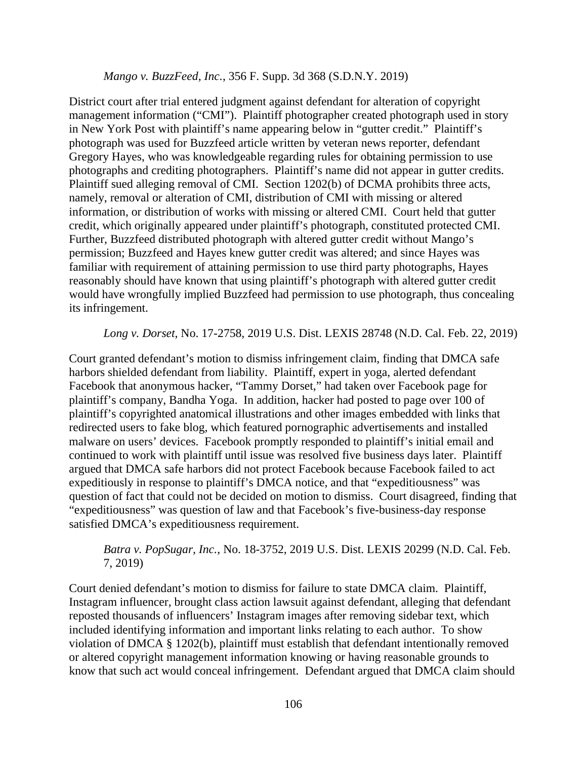### *Mango v. BuzzFeed, Inc.*, 356 F. Supp. 3d 368 (S.D.N.Y. 2019)

District court after trial entered judgment against defendant for alteration of copyright management information ("CMI"). Plaintiff photographer created photograph used in story in New York Post with plaintiff's name appearing below in "gutter credit." Plaintiff's photograph was used for Buzzfeed article written by veteran news reporter, defendant Gregory Hayes, who was knowledgeable regarding rules for obtaining permission to use photographs and crediting photographers. Plaintiff's name did not appear in gutter credits. Plaintiff sued alleging removal of CMI. Section 1202(b) of DCMA prohibits three acts, namely, removal or alteration of CMI, distribution of CMI with missing or altered information, or distribution of works with missing or altered CMI. Court held that gutter credit, which originally appeared under plaintiff's photograph, constituted protected CMI. Further, Buzzfeed distributed photograph with altered gutter credit without Mango's permission; Buzzfeed and Hayes knew gutter credit was altered; and since Hayes was familiar with requirement of attaining permission to use third party photographs, Hayes reasonably should have known that using plaintiff's photograph with altered gutter credit would have wrongfully implied Buzzfeed had permission to use photograph, thus concealing its infringement.

### *Long v. Dorset*, No. 17-2758, 2019 U.S. Dist. LEXIS 28748 (N.D. Cal. Feb. 22, 2019)

Court granted defendant's motion to dismiss infringement claim, finding that DMCA safe harbors shielded defendant from liability. Plaintiff, expert in yoga, alerted defendant Facebook that anonymous hacker, "Tammy Dorset," had taken over Facebook page for plaintiff's company, Bandha Yoga. In addition, hacker had posted to page over 100 of plaintiff's copyrighted anatomical illustrations and other images embedded with links that redirected users to fake blog, which featured pornographic advertisements and installed malware on users' devices. Facebook promptly responded to plaintiff's initial email and continued to work with plaintiff until issue was resolved five business days later. Plaintiff argued that DMCA safe harbors did not protect Facebook because Facebook failed to act expeditiously in response to plaintiff's DMCA notice, and that "expeditiousness" was question of fact that could not be decided on motion to dismiss. Court disagreed, finding that "expeditiousness" was question of law and that Facebook's five-business-day response satisfied DMCA's expeditiousness requirement.

# *Batra v. PopSugar, Inc.*, No. 18-3752, 2019 U.S. Dist. LEXIS 20299 (N.D. Cal. Feb. 7, 2019)

Court denied defendant's motion to dismiss for failure to state DMCA claim. Plaintiff, Instagram influencer, brought class action lawsuit against defendant, alleging that defendant reposted thousands of influencers' Instagram images after removing sidebar text, which included identifying information and important links relating to each author. To show violation of DMCA § 1202(b), plaintiff must establish that defendant intentionally removed or altered copyright management information knowing or having reasonable grounds to know that such act would conceal infringement. Defendant argued that DMCA claim should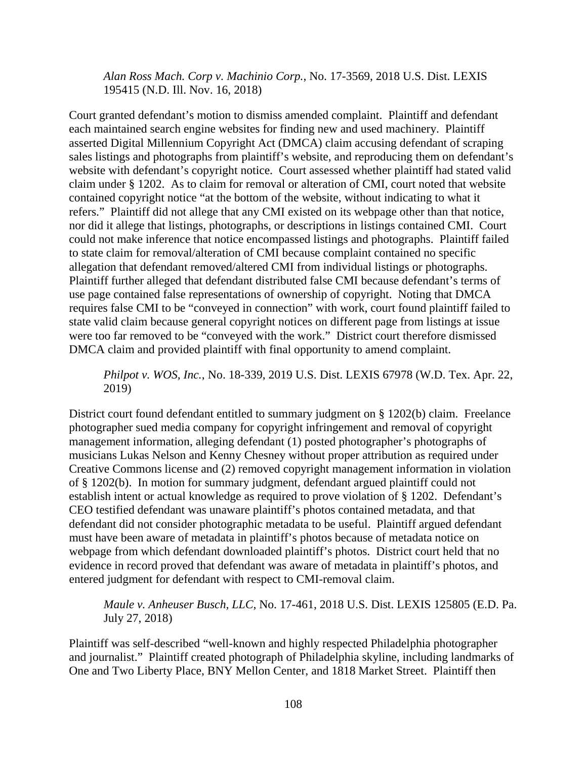*Alan Ross Mach. Corp v. Machinio Corp.*, No. 17-3569, 2018 U.S. Dist. LEXIS 195415 (N.D. Ill. Nov. 16, 2018)

Court granted defendant's motion to dismiss amended complaint. Plaintiff and defendant each maintained search engine websites for finding new and used machinery. Plaintiff asserted Digital Millennium Copyright Act (DMCA) claim accusing defendant of scraping sales listings and photographs from plaintiff's website, and reproducing them on defendant's website with defendant's copyright notice. Court assessed whether plaintiff had stated valid claim under § 1202. As to claim for removal or alteration of CMI, court noted that website contained copyright notice "at the bottom of the website, without indicating to what it refers." Plaintiff did not allege that any CMI existed on its webpage other than that notice, nor did it allege that listings, photographs, or descriptions in listings contained CMI. Court could not make inference that notice encompassed listings and photographs. Plaintiff failed to state claim for removal/alteration of CMI because complaint contained no specific allegation that defendant removed/altered CMI from individual listings or photographs. Plaintiff further alleged that defendant distributed false CMI because defendant's terms of use page contained false representations of ownership of copyright. Noting that DMCA requires false CMI to be "conveyed in connection" with work, court found plaintiff failed to state valid claim because general copyright notices on different page from listings at issue were too far removed to be "conveyed with the work." District court therefore dismissed DMCA claim and provided plaintiff with final opportunity to amend complaint.

*Philpot v. WOS, Inc.*, No. 18-339, 2019 U.S. Dist. LEXIS 67978 (W.D. Tex. Apr. 22, 2019)

District court found defendant entitled to summary judgment on § 1202(b) claim. Freelance photographer sued media company for copyright infringement and removal of copyright management information, alleging defendant (1) posted photographer's photographs of musicians Lukas Nelson and Kenny Chesney without proper attribution as required under Creative Commons license and (2) removed copyright management information in violation of § 1202(b). In motion for summary judgment, defendant argued plaintiff could not establish intent or actual knowledge as required to prove violation of § 1202. Defendant's CEO testified defendant was unaware plaintiff's photos contained metadata, and that defendant did not consider photographic metadata to be useful. Plaintiff argued defendant must have been aware of metadata in plaintiff's photos because of metadata notice on webpage from which defendant downloaded plaintiff's photos. District court held that no evidence in record proved that defendant was aware of metadata in plaintiff's photos, and entered judgment for defendant with respect to CMI-removal claim.

*Maule v. Anheuser Busch, LLC*, No. 17-461, 2018 U.S. Dist. LEXIS 125805 (E.D. Pa. July 27, 2018)

Plaintiff was self-described "well-known and highly respected Philadelphia photographer and journalist." Plaintiff created photograph of Philadelphia skyline, including landmarks of One and Two Liberty Place, BNY Mellon Center, and 1818 Market Street. Plaintiff then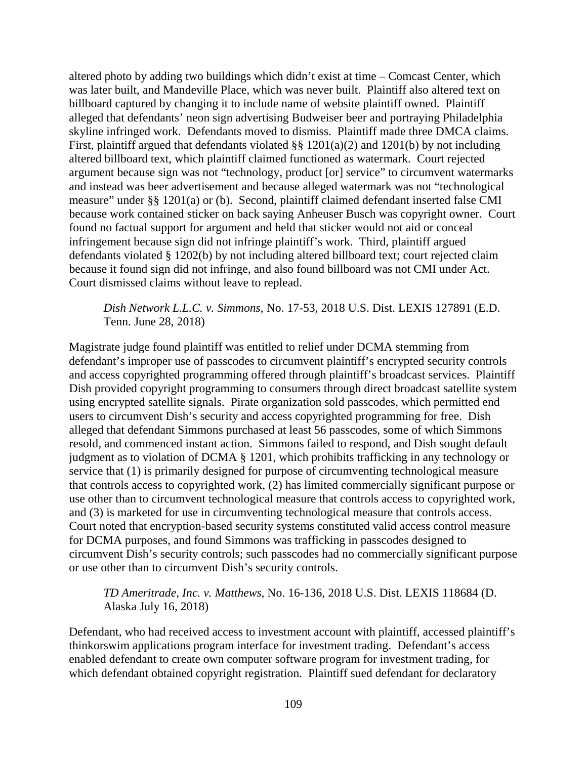altered photo by adding two buildings which didn't exist at time – Comcast Center, which was later built, and Mandeville Place, which was never built. Plaintiff also altered text on billboard captured by changing it to include name of website plaintiff owned. Plaintiff alleged that defendants' neon sign advertising Budweiser beer and portraying Philadelphia skyline infringed work. Defendants moved to dismiss. Plaintiff made three DMCA claims. First, plaintiff argued that defendants violated §§ 1201(a)(2) and 1201(b) by not including altered billboard text, which plaintiff claimed functioned as watermark. Court rejected argument because sign was not "technology, product [or] service" to circumvent watermarks and instead was beer advertisement and because alleged watermark was not "technological measure" under §§ 1201(a) or (b). Second, plaintiff claimed defendant inserted false CMI because work contained sticker on back saying Anheuser Busch was copyright owner. Court found no factual support for argument and held that sticker would not aid or conceal infringement because sign did not infringe plaintiff's work. Third, plaintiff argued defendants violated § 1202(b) by not including altered billboard text; court rejected claim because it found sign did not infringe, and also found billboard was not CMI under Act. Court dismissed claims without leave to replead.

*Dish Network L.L.C. v. Simmons*, No. 17-53, 2018 U.S. Dist. LEXIS 127891 (E.D. Tenn. June 28, 2018)

Magistrate judge found plaintiff was entitled to relief under DCMA stemming from defendant's improper use of passcodes to circumvent plaintiff's encrypted security controls and access copyrighted programming offered through plaintiff's broadcast services. Plaintiff Dish provided copyright programming to consumers through direct broadcast satellite system using encrypted satellite signals. Pirate organization sold passcodes, which permitted end users to circumvent Dish's security and access copyrighted programming for free. Dish alleged that defendant Simmons purchased at least 56 passcodes, some of which Simmons resold, and commenced instant action. Simmons failed to respond, and Dish sought default judgment as to violation of DCMA § 1201, which prohibits trafficking in any technology or service that (1) is primarily designed for purpose of circumventing technological measure that controls access to copyrighted work, (2) has limited commercially significant purpose or use other than to circumvent technological measure that controls access to copyrighted work, and (3) is marketed for use in circumventing technological measure that controls access. Court noted that encryption-based security systems constituted valid access control measure for DCMA purposes, and found Simmons was trafficking in passcodes designed to circumvent Dish's security controls; such passcodes had no commercially significant purpose or use other than to circumvent Dish's security controls.

*TD Ameritrade, Inc. v. Matthews*, No. 16-136, 2018 U.S. Dist. LEXIS 118684 (D. Alaska July 16, 2018)

Defendant, who had received access to investment account with plaintiff, accessed plaintiff's thinkorswim applications program interface for investment trading. Defendant's access enabled defendant to create own computer software program for investment trading, for which defendant obtained copyright registration. Plaintiff sued defendant for declaratory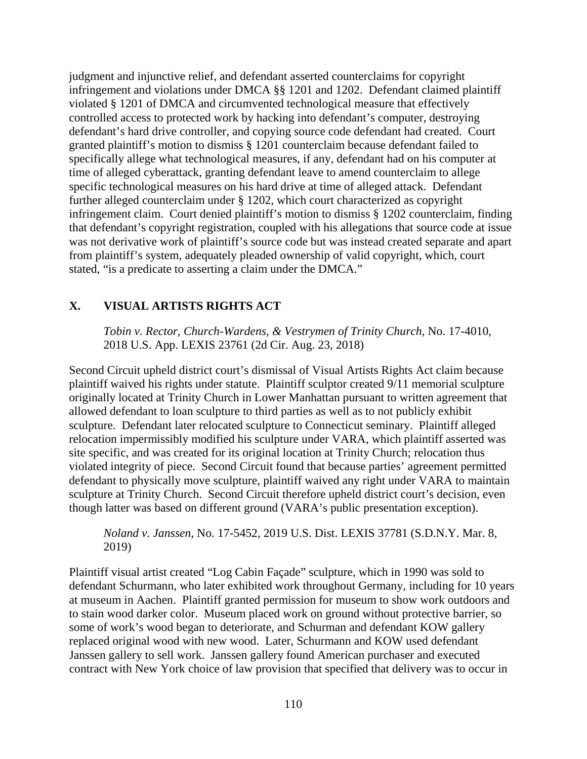judgment and injunctive relief, and defendant asserted counterclaims for copyright infringement and violations under DMCA §§ 1201 and 1202. Defendant claimed plaintiff violated § 1201 of DMCA and circumvented technological measure that effectively controlled access to protected work by hacking into defendant's computer, destroying defendant's hard drive controller, and copying source code defendant had created. Court granted plaintiff's motion to dismiss § 1201 counterclaim because defendant failed to specifically allege what technological measures, if any, defendant had on his computer at time of alleged cyberattack, granting defendant leave to amend counterclaim to allege specific technological measures on his hard drive at time of alleged attack. Defendant further alleged counterclaim under § 1202, which court characterized as copyright infringement claim. Court denied plaintiff's motion to dismiss § 1202 counterclaim, finding that defendant's copyright registration, coupled with his allegations that source code at issue was not derivative work of plaintiff's source code but was instead created separate and apart from plaintiff's system, adequately pleaded ownership of valid copyright, which, court stated, "is a predicate to asserting a claim under the DMCA."

# **X. VISUAL ARTISTS RIGHTS ACT**

*Tobin v. Rector, Church-Wardens, & Vestrymen of Trinity Church*, No. 17-4010, 2018 U.S. App. LEXIS 23761 (2d Cir. Aug. 23, 2018)

Second Circuit upheld district court's dismissal of Visual Artists Rights Act claim because plaintiff waived his rights under statute. Plaintiff sculptor created 9/11 memorial sculpture originally located at Trinity Church in Lower Manhattan pursuant to written agreement that allowed defendant to loan sculpture to third parties as well as to not publicly exhibit sculpture. Defendant later relocated sculpture to Connecticut seminary. Plaintiff alleged relocation impermissibly modified his sculpture under VARA, which plaintiff asserted was site specific, and was created for its original location at Trinity Church; relocation thus violated integrity of piece. Second Circuit found that because parties' agreement permitted defendant to physically move sculpture, plaintiff waived any right under VARA to maintain sculpture at Trinity Church. Second Circuit therefore upheld district court's decision, even though latter was based on different ground (VARA's public presentation exception).

*Noland v. Janssen*, No. 17-5452, 2019 U.S. Dist. LEXIS 37781 (S.D.N.Y. Mar. 8, 2019)

Plaintiff visual artist created "Log Cabin Façade" sculpture, which in 1990 was sold to defendant Schurmann, who later exhibited work throughout Germany, including for 10 years at museum in Aachen. Plaintiff granted permission for museum to show work outdoors and to stain wood darker color. Museum placed work on ground without protective barrier, so some of work's wood began to deteriorate, and Schurman and defendant KOW gallery replaced original wood with new wood. Later, Schurmann and KOW used defendant Janssen gallery to sell work. Janssen gallery found American purchaser and executed contract with New York choice of law provision that specified that delivery was to occur in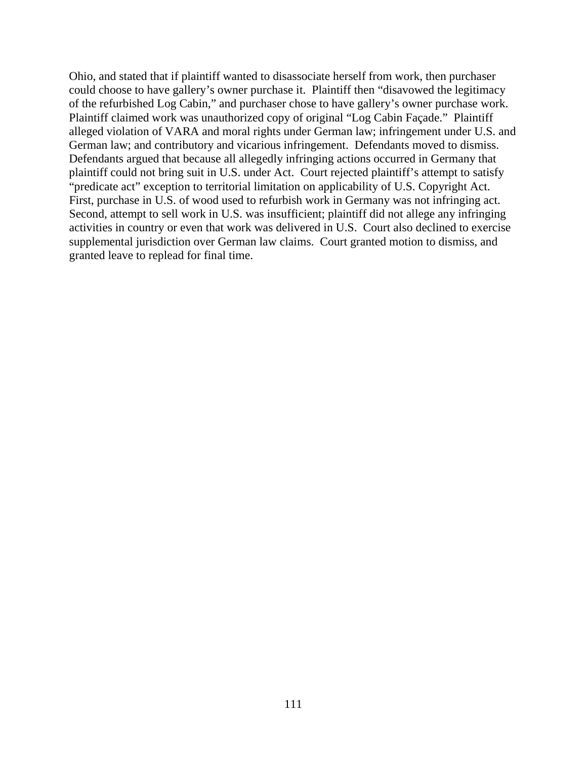Ohio, and stated that if plaintiff wanted to disassociate herself from work, then purchaser could choose to have gallery's owner purchase it. Plaintiff then "disavowed the legitimacy of the refurbished Log Cabin," and purchaser chose to have gallery's owner purchase work. Plaintiff claimed work was unauthorized copy of original "Log Cabin Façade." Plaintiff alleged violation of VARA and moral rights under German law; infringement under U.S. and German law; and contributory and vicarious infringement. Defendants moved to dismiss. Defendants argued that because all allegedly infringing actions occurred in Germany that plaintiff could not bring suit in U.S. under Act. Court rejected plaintiff's attempt to satisfy "predicate act" exception to territorial limitation on applicability of U.S. Copyright Act. First, purchase in U.S. of wood used to refurbish work in Germany was not infringing act. Second, attempt to sell work in U.S. was insufficient; plaintiff did not allege any infringing activities in country or even that work was delivered in U.S. Court also declined to exercise supplemental jurisdiction over German law claims. Court granted motion to dismiss, and granted leave to replead for final time.